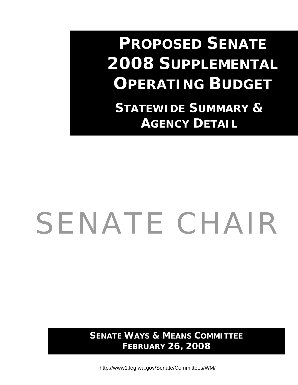# **PROPOSED SENATE 2008 SUPPLEMENTAL OPERATING BUDGET**

 **STATEWIDE SUMMARY & AGENCY DETAIL**

# SENATE CHAIR

**SENATE WAYS & MEANS COMMITTEE FEBRUARY 26, 2008** 

http://www1.leg.wa.gov/Senate/Committees/WM/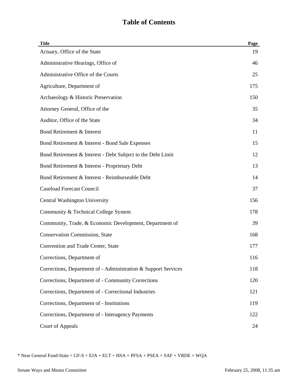| <b>Title</b>                                                   | Page |
|----------------------------------------------------------------|------|
| Actuary, Office of the State                                   | 19   |
| Administrative Hearings, Office of                             | 46   |
| Administrative Office of the Courts                            | 25   |
| Agriculture, Department of                                     | 175  |
| Archaeology & Historic Preservation                            | 150  |
| Attorney General, Office of the                                | 35   |
| Auditor, Office of the State                                   | 34   |
| Bond Retirement & Interest                                     | 11   |
| Bond Retirement & Interest - Bond Sale Expenses                | 15   |
| Bond Retirement & Interest - Debt Subject to the Debt Limit    | 12   |
| Bond Retirement & Interest - Proprietary Debt                  | 13   |
| Bond Retirement & Interest - Reimburseable Debt                | 14   |
| <b>Caseload Forecast Council</b>                               | 37   |
| <b>Central Washington University</b>                           | 156  |
| Community & Technical College System                           | 178  |
| Community, Trade, & Economic Development, Department of        | 39   |
| <b>Conservation Commission, State</b>                          | 168  |
| Convention and Trade Center, State                             | 177  |
| Corrections, Department of                                     | 116  |
| Corrections, Department of - Administration & Support Services | 118  |
| Corrections, Department of - Community Corrections             | 120  |
| Corrections, Department of - Correctional Industries           | 121  |
| Corrections, Department of - Institutions                      | 119  |
| Corrections, Department of - Interagency Payments              | 122  |
| Court of Appeals                                               | 24   |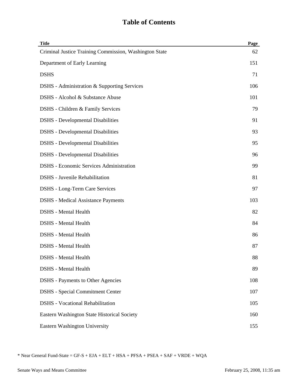| <b>Title</b>                                           | Page |
|--------------------------------------------------------|------|
| Criminal Justice Training Commission, Washington State | 62   |
| Department of Early Learning                           | 151  |
| <b>DSHS</b>                                            | 71   |
| DSHS - Administration & Supporting Services            | 106  |
| DSHS - Alcohol & Substance Abuse                       | 101  |
| DSHS - Children & Family Services                      | 79   |
| <b>DSHS</b> - Developmental Disabilities               | 91   |
| <b>DSHS</b> - Developmental Disabilities               | 93   |
| <b>DSHS</b> - Developmental Disabilities               | 95   |
| <b>DSHS</b> - Developmental Disabilities               | 96   |
| <b>DSHS</b> - Economic Services Administration         | 99   |
| <b>DSHS</b> - Juvenile Rehabilitation                  | 81   |
| <b>DSHS</b> - Long-Term Care Services                  | 97   |
| <b>DSHS</b> - Medical Assistance Payments              | 103  |
| <b>DSHS</b> - Mental Health                            | 82   |
| <b>DSHS</b> - Mental Health                            | 84   |
| <b>DSHS</b> - Mental Health                            | 86   |
| <b>DSHS</b> - Mental Health                            | 87   |
| <b>DSHS</b> - Mental Health                            | 88   |
| <b>DSHS</b> - Mental Health                            | 89   |
| <b>DSHS</b> - Payments to Other Agencies               | 108  |
| <b>DSHS</b> - Special Commitment Center                | 107  |
| <b>DSHS</b> - Vocational Rehabilitation                | 105  |
| Eastern Washington State Historical Society            | 160  |
| Eastern Washington University                          | 155  |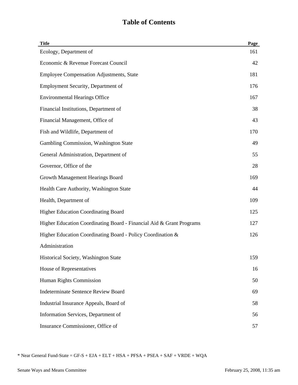| <b>Title</b>                                                         | Page |
|----------------------------------------------------------------------|------|
| Ecology, Department of                                               | 161  |
| Economic & Revenue Forecast Council                                  | 42   |
| <b>Employee Compensation Adjustments, State</b>                      | 181  |
| Employment Security, Department of                                   | 176  |
| <b>Environmental Hearings Office</b>                                 | 167  |
| Financial Institutions, Department of                                | 38   |
| Financial Management, Office of                                      | 43   |
| Fish and Wildlife, Department of                                     | 170  |
| Gambling Commission, Washington State                                | 49   |
| General Administration, Department of                                | 55   |
| Governor, Office of the                                              | 28   |
| Growth Management Hearings Board                                     | 169  |
| Health Care Authority, Washington State                              | 44   |
| Health, Department of                                                | 109  |
| <b>Higher Education Coordinating Board</b>                           | 125  |
| Higher Education Coordinating Board - Financial Aid & Grant Programs | 127  |
| Higher Education Coordinating Board - Policy Coordination &          | 126  |
| Administration                                                       |      |
| Historical Society, Washington State                                 | 159  |
| House of Representatives                                             | 16   |
| Human Rights Commission                                              | 50   |
| <b>Indeterminate Sentence Review Board</b>                           | 69   |
| Industrial Insurance Appeals, Board of                               | 58   |
| Information Services, Department of                                  | 56   |
| Insurance Commissioner, Office of                                    | 57   |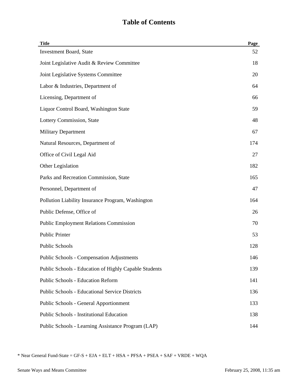| <b>Title</b>                                          | Page |
|-------------------------------------------------------|------|
| <b>Investment Board, State</b>                        | 52   |
| Joint Legislative Audit & Review Committee            | 18   |
| Joint Legislative Systems Committee                   | 20   |
| Labor & Industries, Department of                     | 64   |
| Licensing, Department of                              | 66   |
| Liquor Control Board, Washington State                | 59   |
| Lottery Commission, State                             | 48   |
| <b>Military Department</b>                            | 67   |
| Natural Resources, Department of                      | 174  |
| Office of Civil Legal Aid                             | 27   |
| Other Legislation                                     | 182  |
| Parks and Recreation Commission, State                | 165  |
| Personnel, Department of                              | 47   |
| Pollution Liability Insurance Program, Washington     | 164  |
| Public Defense, Office of                             | 26   |
| <b>Public Employment Relations Commission</b>         | 70   |
| <b>Public Printer</b>                                 | 53   |
| <b>Public Schools</b>                                 | 128  |
| <b>Public Schools - Compensation Adjustments</b>      | 146  |
| Public Schools - Education of Highly Capable Students | 139  |
| <b>Public Schools - Education Reform</b>              | 141  |
| <b>Public Schools - Educational Service Districts</b> | 136  |
| <b>Public Schools - General Apportionment</b>         | 133  |
| <b>Public Schools - Institutional Education</b>       | 138  |
| Public Schools - Learning Assistance Program (LAP)    | 144  |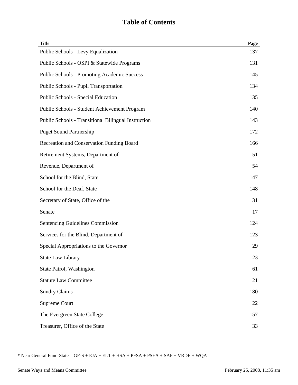| <b>Title</b>                                        | Page |
|-----------------------------------------------------|------|
| Public Schools - Levy Equalization                  | 137  |
| Public Schools - OSPI & Statewide Programs          | 131  |
| <b>Public Schools - Promoting Academic Success</b>  | 145  |
| Public Schools - Pupil Transportation               | 134  |
| Public Schools - Special Education                  | 135  |
| Public Schools - Student Achievement Program        | 140  |
| Public Schools - Transitional Bilingual Instruction | 143  |
| <b>Puget Sound Partnership</b>                      | 172  |
| Recreation and Conservation Funding Board           | 166  |
| Retirement Systems, Department of                   | 51   |
| Revenue, Department of                              | 54   |
| School for the Blind, State                         | 147  |
| School for the Deaf, State                          | 148  |
| Secretary of State, Office of the                   | 31   |
| Senate                                              | 17   |
| Sentencing Guidelines Commission                    | 124  |
| Services for the Blind, Department of               | 123  |
| Special Appropriations to the Governor              | 29   |
| <b>State Law Library</b>                            | 23   |
| State Patrol, Washington                            | 61   |
| <b>Statute Law Committee</b>                        | 21   |
| <b>Sundry Claims</b>                                | 180  |
| Supreme Court                                       | 22   |
| The Evergreen State College                         | 157  |
| Treasurer, Office of the State                      | 33   |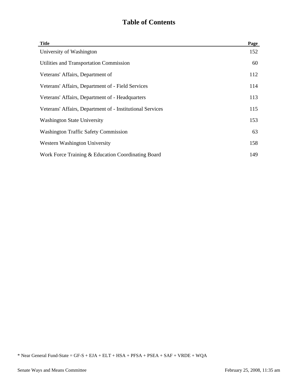| <b>Title</b>                                              | Page |
|-----------------------------------------------------------|------|
| University of Washington                                  | 152  |
| Utilities and Transportation Commission                   | 60   |
| Veterans' Affairs, Department of                          | 112  |
| Veterans' Affairs, Department of - Field Services         | 114  |
| Veterans' Affairs, Department of - Headquarters           | 113  |
| Veterans' Affairs, Department of - Institutional Services | 115  |
| <b>Washington State University</b>                        | 153  |
| <b>Washington Traffic Safety Commission</b>               | 63   |
| Western Washington University                             | 158  |
| Work Force Training & Education Coordinating Board        | 149  |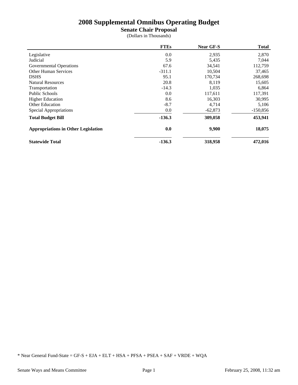**Senate Chair Proposal**

(Dollars in Thousands)

|                                            | <b>FTEs</b> | Near GF-S | <b>Total</b> |
|--------------------------------------------|-------------|-----------|--------------|
| Legislative                                | 0.0         | 2,935     | 2,870        |
| Judicial                                   | 5.9         | 5,435     | 7,044        |
| Governmental Operations                    | 67.6        | 34,541    | 112,759      |
| <b>Other Human Services</b>                | $-311.1$    | 10,504    | 37,465       |
| <b>DSHS</b>                                | 95.1        | 170,734   | 268,698      |
| <b>Natural Resources</b>                   | 20.8        | 8,119     | 15,605       |
| Transportation                             | $-14.3$     | 1,035     | 6,864        |
| <b>Public Schools</b>                      | 0.0         | 117,611   | 117,391      |
| <b>Higher Education</b>                    | 8.6         | 16,303    | 30,995       |
| <b>Other Education</b>                     | $-8.7$      | 4,714     | 5,106        |
| Special Appropriations                     | 0.0         | $-62,873$ | $-150,856$   |
| <b>Total Budget Bill</b>                   | $-136.3$    | 309,058   | 453,941      |
| <b>Appropriations in Other Legislation</b> | 0.0         | 9,900     | 18,075       |
| <b>Statewide Total</b>                     | $-136.3$    | 318,958   | 472,016      |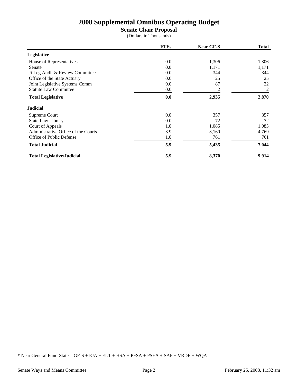**Senate Chair Proposal**

(Dollars in Thousands)

|                                     | <b>FTEs</b> | Near GF-S | <b>Total</b> |
|-------------------------------------|-------------|-----------|--------------|
| Legislative                         |             |           |              |
| House of Representatives            | 0.0         | 1,306     | 1,306        |
| Senate                              | 0.0         | 1,171     | 1,171        |
| Jt Leg Audit & Review Committee     | 0.0         | 344       | 344          |
| Office of the State Actuary         | 0.0         | 25        | 25           |
| Joint Legislative Systems Comm      | 0.0         | 87        | 22           |
| <b>Statute Law Committee</b>        | 0.0         | 2         | 2            |
| <b>Total Legislative</b>            | 0.0         | 2,935     | 2,870        |
| <b>Judicial</b>                     |             |           |              |
| Supreme Court                       | 0.0         | 357       | 357          |
| State Law Library                   | 0.0         | 72        | 72           |
| Court of Appeals                    | 1.0         | 1,085     | 1,085        |
| Administrative Office of the Courts | 3.9         | 3,160     | 4,769        |
| Office of Public Defense            | 1.0         | 761       | 761          |
| <b>Total Judicial</b>               | 5.9         | 5,435     | 7,044        |
| <b>Total Legislative/Judicial</b>   | 5.9         | 8,370     | 9,914        |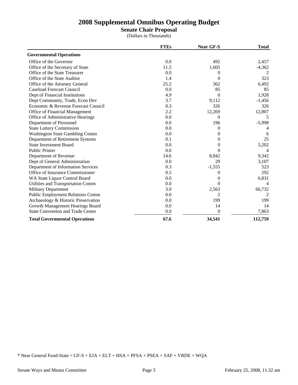**Senate Chair Proposal**

(Dollars in Thousands)

|                                          | <b>FTEs</b> | <b>Near GF-S</b> | <b>Total</b> |
|------------------------------------------|-------------|------------------|--------------|
| <b>Governmental Operations</b>           |             |                  |              |
| Office of the Governor                   | 0.0         | 492              | 2,457        |
| Office of the Secretary of State         | 11.5        | 1,605            | $-4,362$     |
| Office of the State Treasurer            | 0.0         | $\Omega$         |              |
| Office of the State Auditor              | 1.4         | $\Omega$         | 323          |
| Office of the Attorney General           | 25.2        | 362              | 6,492        |
| <b>Caseload Forecast Council</b>         | 0.0         | 85               | 85           |
| Dept of Financial Institutions           | 4.9         | $\Omega$         | 1,928        |
| Dept Community, Trade, Econ Dev          | 3.7         | 9,112            | $-1,456$     |
| Economic & Revenue Forecast Council      | 0.3         | 326              | 326          |
| Office of Financial Management           | 2.2         | 12,269           | 12,807       |
| Office of Administrative Hearings        | 0.0         | $\Omega$         | 5            |
| Department of Personnel                  | 0.0         | 196              | $-5,998$     |
| <b>State Lottery Commission</b>          | 0.0         | $\Omega$         |              |
| <b>Washington State Gambling Comm</b>    | 0.0         | 0                | 6            |
| Department of Retirement Systems         | 0.1         | $\Omega$         | 25           |
| <b>State Investment Board</b>            | 0.0         | $\Omega$         | 5,202        |
| <b>Public Printer</b>                    | 0.0         | $\Omega$         |              |
| Department of Revenue                    | 14.6        | 8,842            | 9,342        |
| Dept of General Administration           | 0.0         | 29               | 3,107        |
| Department of Information Services       | 0.3         | $-1,555$         | 523          |
| Office of Insurance Commissioner         | 0.5         | $\theta$         | 292          |
| WA State Liquor Control Board            | 0.0         | $\Omega$         | 6,831        |
| Utilities and Transportation Comm        | 0.0         | $\Omega$         |              |
| <b>Military Department</b>               | 3.0         | 2,563            | 66,732       |
| <b>Public Employment Relations Comm</b>  | 0.0         | 2                |              |
| Archaeology & Historic Preservation      | 0.0         | 199              | 199          |
| Growth Management Hearings Board         | 0.0         | 14               | 14           |
| <b>State Convention and Trade Center</b> | 0.0         | 0                | 7,863        |
| <b>Total Governmental Operations</b>     | 67.6        | 34,541           | 112,759      |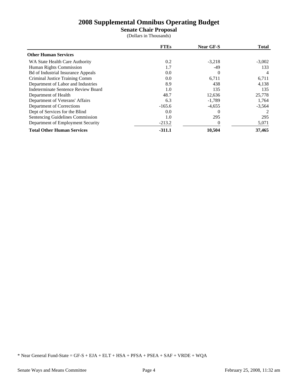# **Senate Chair Proposal**

(Dollars in Thousands)

|                                           | <b>FTEs</b> | <b>Near GF-S</b> | <b>Total</b>  |
|-------------------------------------------|-------------|------------------|---------------|
| <b>Other Human Services</b>               |             |                  |               |
| WA State Health Care Authority            | 0.2         | $-3,218$         | $-3,002$      |
| Human Rights Commission                   | 1.7         | -49              | 133           |
| <b>Bd of Industrial Insurance Appeals</b> | 0.0         | $\Omega$         | 4             |
| Criminal Justice Training Comm            | 0.0         | 6,711            | 6,711         |
| Department of Labor and Industries        | 8.9         | 438              | 4,138         |
| Indeterminate Sentence Review Board       | 1.0         | 135              | 135           |
| Department of Health                      | 48.7        | 12,636           | 25,778        |
| Department of Veterans' Affairs           | 6.3         | $-1,789$         | 1,764         |
| Department of Corrections                 | $-165.6$    | $-4,655$         | $-3,564$      |
| Dept of Services for the Blind            | 0.0         |                  | $\mathcal{L}$ |
| Sentencing Guidelines Commission          | 1.0         | 295              | 295           |
| Department of Employment Security         | $-213.2$    | $\Omega$         | 5,071         |
| <b>Total Other Human Services</b>         | $-311.1$    | 10,504           | 37,465        |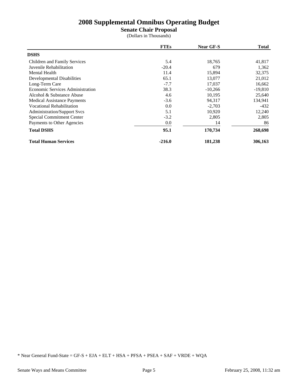**Senate Chair Proposal**

(Dollars in Thousands)

|                                    | <b>FTEs</b> | <b>Near GF-S</b> | <b>Total</b> |
|------------------------------------|-------------|------------------|--------------|
| <b>DSHS</b>                        |             |                  |              |
| Children and Family Services       | 5.4         | 18,765           | 41,817       |
| Juvenile Rehabilitation            | $-20.4$     | 679              | 1,362        |
| <b>Mental Health</b>               | 11.4        | 15,894           | 32,375       |
| Developmental Disabilities         | 65.1        | 13,077           | 21,012       |
| Long-Term Care                     | $-7.7$      | 17,037           | 16,662       |
| Economic Services Administration   | 38.3        | $-10,266$        | $-19,810$    |
| Alcohol & Substance Abuse          | 4.6         | 10,195           | 25,640       |
| <b>Medical Assistance Payments</b> | $-3.6$      | 94,317           | 134,941      |
| <b>Vocational Rehabilitation</b>   | 0.0         | $-2,703$         | $-432$       |
| <b>Administration/Support Svcs</b> | 5.1         | 10,920           | 12,240       |
| Special Commitment Center          | $-3.2$      | 2,805            | 2,805        |
| Payments to Other Agencies         | 0.0         | 14               | 86           |
| <b>Total DSHS</b>                  | 95.1        | 170,734          | 268,698      |
| <b>Total Human Services</b>        | $-216.0$    | 181,238          | 306,163      |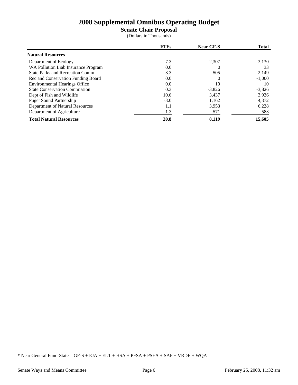**Senate Chair Proposal**

(Dollars in Thousands)

|                                        | <b>FTEs</b> | <b>Near GF-S</b> | <b>Total</b> |
|----------------------------------------|-------------|------------------|--------------|
| <b>Natural Resources</b>               |             |                  |              |
| Department of Ecology                  | 7.3         | 2.307            | 3,130        |
| WA Pollution Liab Insurance Program    | 0.0         | $\Omega$         | 33           |
| <b>State Parks and Recreation Comm</b> | 3.3         | 505              | 2,149        |
| Rec and Conservation Funding Board     | 0.0         | $\Omega$         | $-1,000$     |
| <b>Environmental Hearings Office</b>   | 0.0         | 10               | 10           |
| <b>State Conservation Commission</b>   | 0.3         | $-3,826$         | $-3,826$     |
| Dept of Fish and Wildlife              | 10.6        | 3.437            | 3.926        |
| <b>Puget Sound Partnership</b>         | $-3.0$      | 1,162            | 4,372        |
| Department of Natural Resources        | 1.1         | 3,953            | 6,228        |
| Department of Agriculture              | 1.3         | 571              | 583          |
| <b>Total Natural Resources</b>         | 20.8        | 8.119            | 15,605       |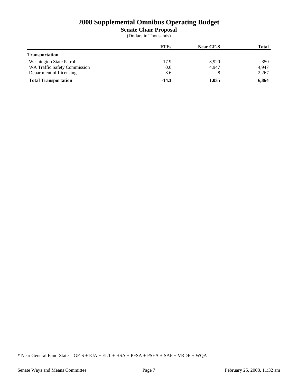**Senate Chair Proposal**

(Dollars in Thousands)

|                                     | <b>FTEs</b> | Near GF-S | <b>Total</b> |
|-------------------------------------|-------------|-----------|--------------|
| <b>Transportation</b>               |             |           |              |
| <b>Washington State Patrol</b>      | $-17.9$     | $-3,920$  | $-350$       |
| <b>WA Traffic Safety Commission</b> | 0.0         | 4.947     | 4.947        |
| Department of Licensing             | 3.6         |           | 2,267        |
| <b>Total Transportation</b>         | $-14.3$     | 1,035     | 6,864        |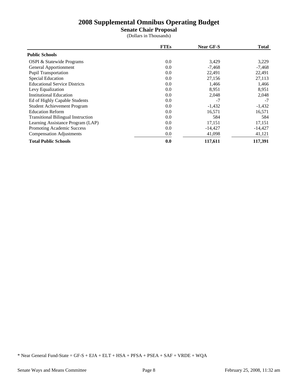**Senate Chair Proposal**

(Dollars in Thousands)

|                                           | <b>FTEs</b> | <b>Near GF-S</b> | <b>Total</b> |
|-------------------------------------------|-------------|------------------|--------------|
| <b>Public Schools</b>                     |             |                  |              |
| OSPI & Statewide Programs                 | 0.0         | 3,429            | 3,229        |
| <b>General Apportionment</b>              | 0.0         | $-7,468$         | $-7,468$     |
| <b>Pupil Transportation</b>               | 0.0         | 22,491           | 22,491       |
| <b>Special Education</b>                  | 0.0         | 27,156           | 27,113       |
| <b>Educational Service Districts</b>      | 0.0         | 1.466            | 1,466        |
| Levy Equalization                         | 0.0         | 8,951            | 8,951        |
| <b>Institutional Education</b>            | 0.0         | 2,048            | 2,048        |
| Ed of Highly Capable Students             | 0.0         | $-7$             | $-7$         |
| <b>Student Achievement Program</b>        | 0.0         | $-1,432$         | $-1,432$     |
| <b>Education Reform</b>                   | 0.0         | 16,571           | 16,571       |
| <b>Transitional Bilingual Instruction</b> | 0.0         | 584              | 584          |
| Learning Assistance Program (LAP)         | 0.0         | 17,151           | 17,151       |
| Promoting Academic Success                | 0.0         | $-14,427$        | $-14,427$    |
| <b>Compensation Adjustments</b>           | 0.0         | 41,098           | 41,121       |
| <b>Total Public Schools</b>               | 0.0         | 117,611          | 117,391      |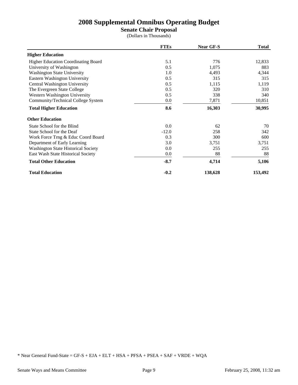# **Senate Chair Proposal**

(Dollars in Thousands)

|                                            | <b>FTEs</b> | Near GF-S | <b>Total</b> |
|--------------------------------------------|-------------|-----------|--------------|
| <b>Higher Education</b>                    |             |           |              |
| <b>Higher Education Coordinating Board</b> | 5.1         | 776       | 12,833       |
| University of Washington                   | 0.5         | 1,075     | 883          |
| <b>Washington State University</b>         | 1.0         | 4,493     | 4,344        |
| Eastern Washington University              | 0.5         | 315       | 315          |
| Central Washington University              | 0.5         | 1,115     | 1,119        |
| The Evergreen State College                | 0.5         | 320       | 310          |
| Western Washington University              | 0.5         | 338       | 340          |
| Community/Technical College System         | $0.0\,$     | 7,871     | 10,851       |
| <b>Total Higher Education</b>              | 8.6         | 16,303    | 30,995       |
| <b>Other Education</b>                     |             |           |              |
| State School for the Blind                 | 0.0         | 62        | 70           |
| State School for the Deaf                  | $-12.0$     | 258       | 342          |
| Work Force Trng & Educ Coord Board         | 0.3         | 300       | 600          |
| Department of Early Learning               | 3.0         | 3,751     | 3,751        |
| <b>Washington State Historical Society</b> | 0.0         | 255       | 255          |
| East Wash State Historical Society         | $0.0\,$     | 88        | 88           |
| <b>Total Other Education</b>               | $-8.7$      | 4,714     | 5,106        |
| <b>Total Education</b>                     | $-0.2$      | 138,628   | 153,492      |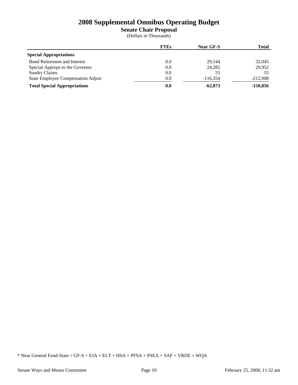**Senate Chair Proposal**

(Dollars in Thousands)

|                                     | <b>FTEs</b> | <b>Near GF-S</b> | <b>Total</b> |
|-------------------------------------|-------------|------------------|--------------|
| <b>Special Appropriations</b>       |             |                  |              |
| <b>Bond Retirement and Interest</b> | $0.0\,$     | 29.144           | 32,045       |
| Special Approps to the Governor     | $0.0\,$     | 24.282           | 29.952       |
| <b>Sundry Claims</b>                | 0.0         | 55               | 55           |
| State Employee Compensation Adjust  | 0.0         | $-116.354$       | $-212,908$   |
| <b>Total Special Appropriations</b> | 0.0         | $-62,873$        | $-150,856$   |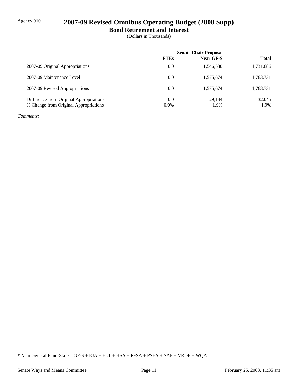# Agency 010 **2007-09 Revised Omnibus Operating Budget (2008 Supp)**

**Bond Retirement and Interest**

(Dollars in Thousands)

|                                         | <b>Senate Chair Proposal</b> |           |              |
|-----------------------------------------|------------------------------|-----------|--------------|
|                                         | <b>FTEs</b>                  | Near GF-S | <b>Total</b> |
| 2007-09 Original Appropriations         | 0.0                          | 1,546,530 | 1,731,686    |
| 2007-09 Maintenance Level               | 0.0                          | 1,575,674 | 1,763,731    |
| 2007-09 Revised Appropriations          | 0.0                          | 1,575,674 | 1,763,731    |
| Difference from Original Appropriations | 0.0                          | 29.144    | 32,045       |
| % Change from Original Appropriations   | $0.0\%$                      | 1.9%      | 1.9%         |

*Comments:*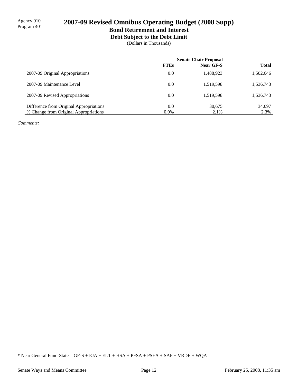**Debt Subject to the Debt Limit**

(Dollars in Thousands)

|                                         | <b>Senate Chair Proposal</b> |           |              |
|-----------------------------------------|------------------------------|-----------|--------------|
|                                         | <b>FTEs</b>                  | Near GF-S | <b>Total</b> |
| 2007-09 Original Appropriations         | 0.0                          | 1,488,923 | 1,502,646    |
| 2007-09 Maintenance Level               | 0.0                          | 1,519,598 | 1,536,743    |
| 2007-09 Revised Appropriations          | 0.0                          | 1,519,598 | 1,536,743    |
| Difference from Original Appropriations | 0.0                          | 30,675    | 34,097       |
| % Change from Original Appropriations   | $0.0\%$                      | 2.1%      | 2.3%         |

*Comments:*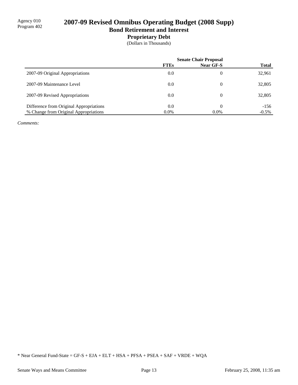### **Proprietary Debt**

(Dollars in Thousands)

|                                         | <b>Senate Chair Proposal</b> |                  |              |
|-----------------------------------------|------------------------------|------------------|--------------|
|                                         | <b>FTEs</b>                  | <b>Near GF-S</b> | <b>Total</b> |
| 2007-09 Original Appropriations         | 0.0                          | 0                | 32,961       |
| 2007-09 Maintenance Level               | 0.0                          | 0                | 32,805       |
| 2007-09 Revised Appropriations          | 0.0                          | 0                | 32,805       |
| Difference from Original Appropriations | 0.0                          | 0                | $-156$       |
| % Change from Original Appropriations   | $0.0\%$                      | $0.0\%$          | $-0.5\%$     |

*Comments:*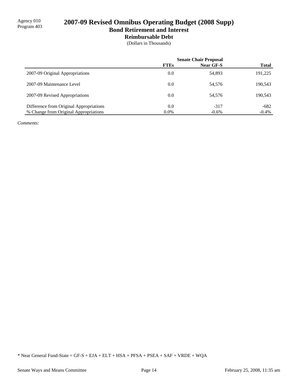### **Reimbursable Debt**

(Dollars in Thousands)

|                                         | <b>Senate Chair Proposal</b> |                  |              |
|-----------------------------------------|------------------------------|------------------|--------------|
|                                         | <b>FTEs</b>                  | <b>Near GF-S</b> | <b>Total</b> |
| 2007-09 Original Appropriations         | 0.0                          | 54,893           | 191,225      |
| 2007-09 Maintenance Level               | 0.0                          | 54,576           | 190,543      |
| 2007-09 Revised Appropriations          | 0.0                          | 54,576           | 190,543      |
| Difference from Original Appropriations | 0.0                          | $-317$           | $-682$       |
| % Change from Original Appropriations   | $0.0\%$                      | $-0.6\%$         | $-0.4\%$     |

*Comments:*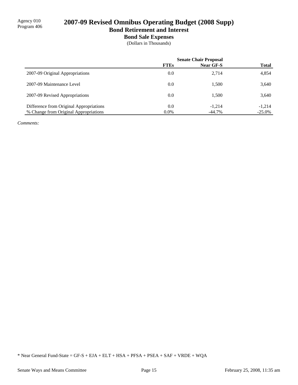# **Bond Sale Expenses**

(Dollars in Thousands)

|                                                                                  | <b>FTEs</b>    | <b>Senate Chair Proposal</b><br>Near GF-S | <b>Total</b>          |
|----------------------------------------------------------------------------------|----------------|-------------------------------------------|-----------------------|
| 2007-09 Original Appropriations                                                  | 0.0            | 2,714                                     | 4,854                 |
| 2007-09 Maintenance Level                                                        | 0.0            | 1.500                                     | 3,640                 |
| 2007-09 Revised Appropriations                                                   | 0.0            | 1.500                                     | 3,640                 |
| Difference from Original Appropriations<br>% Change from Original Appropriations | 0.0<br>$0.0\%$ | $-1,214$<br>$-44.7\%$                     | $-1,214$<br>$-25.0\%$ |

*Comments:*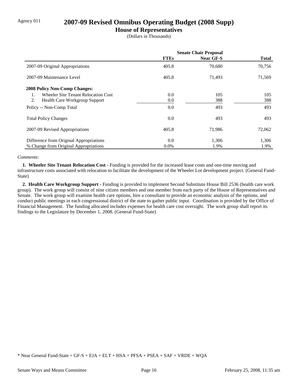## Agency 011 **2007-09 Revised Omnibus Operating Budget (2008 Supp)**

### **House of Representatives**

(Dollars in Thousands)

|                                            | <b>Senate Chair Proposal</b> |           |              |
|--------------------------------------------|------------------------------|-----------|--------------|
|                                            | <b>FTEs</b>                  | Near GF-S | <b>Total</b> |
| 2007-09 Original Appropriations            | 405.8                        | 70,680    | 70,756       |
| 2007-09 Maintenance Level                  | 405.8                        | 71,493    | 71,569       |
| <b>2008 Policy Non-Comp Changes:</b>       |                              |           |              |
| Wheeler Site Tenant Relocation Cost        | 0.0                          | 105       | 105          |
| 2.<br><b>Health Care Workgroup Support</b> | 0.0                          | 388       | 388          |
| Policy -- Non-Comp Total                   | 0.0                          | 493       | 493          |
| <b>Total Policy Changes</b>                | 0.0                          | 493       | 493          |
| 2007-09 Revised Appropriations             | 405.8                        | 71,986    | 72,062       |
| Difference from Original Appropriations    | 0.0                          | 1,306     | 1,306        |
| % Change from Original Appropriations      | $0.0\%$                      | 1.9%      | 1.9%         |

### *Comments:*

**1. Wheeler Site Tenant Relocation Cost - Funding is provided for the increased lease costs and one-time moving and** infrastructure costs associated with relocation to facilitate the development of the Wheeler Lot development project. (General Fund-State)

 **2. Health Care Workgroup Support -** Funding is provided to implement Second Substitute House Bill 2536 (health care work group). The work group will consist of nine citizen members and one member from each party of the House of Representatives and Senate. The work group will examine health care options, hire a consultant to provide an economic analysis of the options, and conduct public meetings in each congressional district of the state to gather public input. Coordination is provided by the Office of Financial Management. The funding allocated includes expenses for health care cost oversight. The work group shall report its findings to the Legislature by December 1, 2008. (General Fund-State)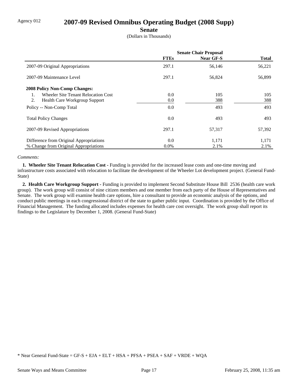# Agency 012 **2007-09 Revised Omnibus Operating Budget (2008 Supp)**

### **Senate**

(Dollars in Thousands)

|                                                       | <b>Senate Chair Proposal</b> |                  |              |
|-------------------------------------------------------|------------------------------|------------------|--------------|
|                                                       | <b>FTEs</b>                  | <b>Near GF-S</b> | <b>Total</b> |
| 2007-09 Original Appropriations                       | 297.1                        | 56,146           | 56,221       |
| 2007-09 Maintenance Level                             | 297.1                        | 56,824           | 56,899       |
| <b>2008 Policy Non-Comp Changes:</b>                  |                              |                  |              |
| Wheeler Site Tenant Relocation Cost<br>$\mathbf{1}$ . | $0.0\,$                      | 105              | 105          |
| 2.<br>Health Care Workgroup Support                   | $0.0\,$                      | 388              | 388          |
| Policy -- Non-Comp Total                              | 0.0                          | 493              | 493          |
| <b>Total Policy Changes</b>                           | $0.0\,$                      | 493              | 493          |
| 2007-09 Revised Appropriations                        | 297.1                        | 57,317           | 57,392       |
| Difference from Original Appropriations               | 0.0                          | 1,171            | 1,171        |
| % Change from Original Appropriations                 | $0.0\%$                      | 2.1%             | 2.1%         |

### *Comments:*

**1. Wheeler Site Tenant Relocation Cost - Funding is provided for the increased lease costs and one-time moving and** infrastructure costs associated with relocation to facilitate the development of the Wheeler Lot development project. (General Fund-State)

 **2. Health Care Workgroup Support -** Funding is provided to implement Second Substitute House Bill 2536 (health care work group). The work group will consist of nine citizen members and one member from each party of the House of Representatives and Senate. The work group will examine health care options, hire a consultant to provide an economic analysis of the options, and conduct public meetings in each congressional district of the state to gather public input. Coordination is provided by the Office of Financial Management. The funding allocated includes expenses for health care cost oversight. The work group shall report its findings to the Legislature by December 1, 2008. (General Fund-State)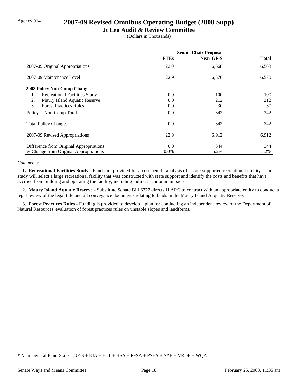# Agency 014 **2007-09 Revised Omnibus Operating Budget (2008 Supp)**

### **Jt Leg Audit & Review Committee**

(Dollars in Thousands)

|                                            | <b>Senate Chair Proposal</b> |                  |              |
|--------------------------------------------|------------------------------|------------------|--------------|
|                                            | <b>FTEs</b>                  | <b>Near GF-S</b> | <b>Total</b> |
| 2007-09 Original Appropriations            | 22.9                         | 6,568            | 6,568        |
| 2007-09 Maintenance Level                  | 22.9                         | 6,570            | 6,570        |
| <b>2008 Policy Non-Comp Changes:</b>       |                              |                  |              |
| <b>Recreational Facilities Study</b><br>1. | 0.0                          | 100              | 100          |
| Maury Island Aquatic Reserve<br>2.         | 0.0                          | 212              | 212          |
| <b>Forest Practices Rules</b><br>3.        | 0.0                          | 30               | 30           |
| Policy -- Non-Comp Total                   | 0.0                          | 342              | 342          |
| <b>Total Policy Changes</b>                | 0.0                          | 342              | 342          |
| 2007-09 Revised Appropriations             | 22.9                         | 6,912            | 6,912        |
| Difference from Original Appropriations    | 0.0                          | 344              | 344          |
| % Change from Original Appropriations      | $0.0\%$                      | 5.2%             | 5.2%         |

### *Comments:*

 **1. Recreational Facilities Study -** Funds are provided for a cost-benefit analysis of a state-supported recreational facility. The study will select a large recreational facility that was constructed with state support and identify the costs and benefits that have accrued from building and operating the facility, including indirect economic impacts.

 **2. Maury Island Aquatic Reserve -** Substitute Senate Bill 6777 directs JLARC to contract with an appropriate entity to conduct a legal review of the legal title and all conveyance documents relating to lands in the Maury Island Acquatic Reserve.

**3. Forest Practices Rules -** Funding is provided to develop a plan for conducting an independent review of the Department of Natural Resources' evaluation of forest practices rules on unstable slopes and landforms.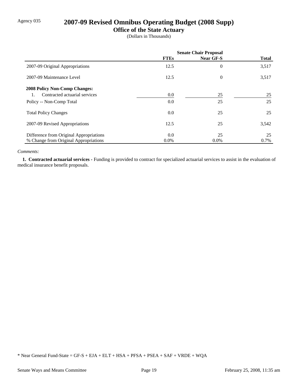# Agency 035 **2007-09 Revised Omnibus Operating Budget (2008 Supp)**

# **Office of the State Actuary**

(Dollars in Thousands)

|                                         | <b>Senate Chair Proposal</b> |                  |              |
|-----------------------------------------|------------------------------|------------------|--------------|
|                                         | <b>FTEs</b>                  | <b>Near GF-S</b> | <b>Total</b> |
| 2007-09 Original Appropriations         | 12.5                         | $\overline{0}$   | 3,517        |
| 2007-09 Maintenance Level               | 12.5                         | $\overline{0}$   | 3,517        |
| <b>2008 Policy Non-Comp Changes:</b>    |                              |                  |              |
| Contracted actuarial services           | $0.0\,$                      | 25               | 25           |
| Policy -- Non-Comp Total                | 0.0                          | 25               | 25           |
| <b>Total Policy Changes</b>             | 0.0                          | 25               | 25           |
| 2007-09 Revised Appropriations          | 12.5                         | 25               | 3,542        |
| Difference from Original Appropriations | $0.0\,$                      | 25               | 25           |
| % Change from Original Appropriations   | $0.0\%$                      | $0.0\%$          | 0.7%         |

### *Comments:*

 **1. Contracted actuarial services -** Funding is provided to contract for specialized actuarial services to assist in the evaluation of medical insurance benefit proposals.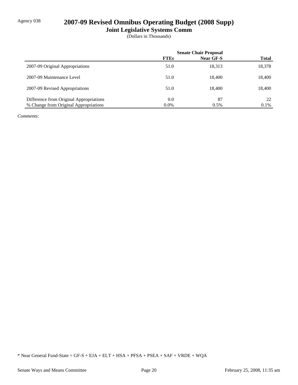# Agency 038 **2007-09 Revised Omnibus Operating Budget (2008 Supp)**

**Joint Legislative Systems Comm**

(Dollars in Thousands)

|                                         | <b>Senate Chair Proposal</b> |           |              |
|-----------------------------------------|------------------------------|-----------|--------------|
|                                         | <b>FTEs</b>                  | Near GF-S | <b>Total</b> |
| 2007-09 Original Appropriations         | 51.0                         | 18,313    | 18,378       |
| 2007-09 Maintenance Level               | 51.0                         | 18.400    | 18,400       |
| 2007-09 Revised Appropriations          | 51.0                         | 18.400    | 18,400       |
| Difference from Original Appropriations | 0.0                          | 87        | 22           |
| % Change from Original Appropriations   | $0.0\%$                      | 0.5%      | $0.1\%$      |

*Comments:*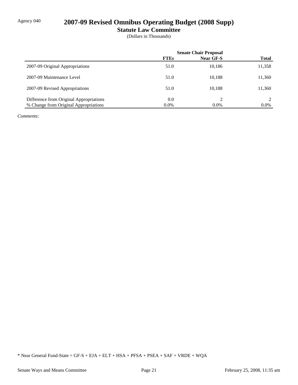# Agency 040 **2007-09 Revised Omnibus Operating Budget (2008 Supp)**

**Statute Law Committee**

(Dollars in Thousands)

|                                         | <b>Senate Chair Proposal</b> |           |              |
|-----------------------------------------|------------------------------|-----------|--------------|
|                                         | <b>FTEs</b>                  | Near GF-S | <b>Total</b> |
| 2007-09 Original Appropriations         | 51.0                         | 10,186    | 11,358       |
| 2007-09 Maintenance Level               | 51.0                         | 10,188    | 11,360       |
| 2007-09 Revised Appropriations          | 51.0                         | 10,188    | 11,360       |
| Difference from Original Appropriations | 0.0                          | ∍         |              |
| % Change from Original Appropriations   | $0.0\%$                      | $0.0\%$   | $0.0\%$      |

*Comments:*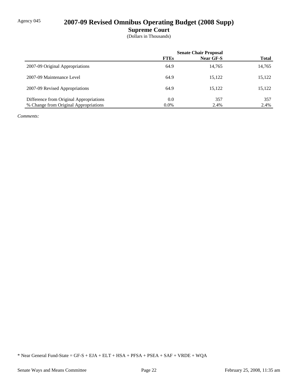# Agency 045 **2007-09 Revised Omnibus Operating Budget (2008 Supp)**

**Supreme Court**

(Dollars in Thousands)

|                                         | <b>Senate Chair Proposal</b> |           |              |  |
|-----------------------------------------|------------------------------|-----------|--------------|--|
|                                         | <b>FTEs</b>                  | Near GF-S | <b>Total</b> |  |
| 2007-09 Original Appropriations         | 64.9                         | 14,765    | 14,765       |  |
| 2007-09 Maintenance Level               | 64.9                         | 15,122    | 15,122       |  |
| 2007-09 Revised Appropriations          | 64.9                         | 15.122    | 15,122       |  |
| Difference from Original Appropriations | 0.0                          | 357       | 357          |  |
| % Change from Original Appropriations   | $0.0\%$                      | 2.4%      | 2.4%         |  |

*Comments:*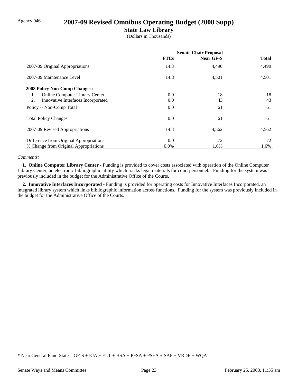# Agency 046 **2007-09 Revised Omnibus Operating Budget (2008 Supp)**

### **State Law Library**

(Dollars in Thousands)

|                                             | <b>Senate Chair Proposal</b> |                  |              |
|---------------------------------------------|------------------------------|------------------|--------------|
|                                             | <b>FTEs</b>                  | <b>Near GF-S</b> | <b>Total</b> |
| 2007-09 Original Appropriations             | 14.8                         | 4,490            | 4,490        |
| 2007-09 Maintenance Level                   | 14.8                         | 4,501            | 4,501        |
| <b>2008 Policy Non-Comp Changes:</b>        |                              |                  |              |
| <b>Online Computer Library Center</b><br>1. | 0.0                          | 18               | 18           |
| Innovative Interfaces Incorporated<br>2.    | $0.0\,$                      | 43               | 43           |
| Policy -- Non-Comp Total                    | 0.0                          | 61               | 61           |
| <b>Total Policy Changes</b>                 | 0.0                          | 61               | 61           |
| 2007-09 Revised Appropriations              | 14.8                         | 4,562            | 4,562        |
| Difference from Original Appropriations     | 0.0                          | 72               | 72           |
| % Change from Original Appropriations       | $0.0\%$                      | 1.6%             | 1.6%         |

### *Comments:*

 **1. Online Computer Library Center -** Funding is provided to cover costs associated with operation of the Online Computer Library Center, an electronic bibliographic utility which tracks legal materials for court personnel. Funding for the system was previously included in the budget for the Administrative Office of the Courts.

 **2. Innovative Interfaces Incorporated -** Funding is provided for operating costs for Innovative Interfaces Incorporated, an integrated library system which links bibliographic information across functions. Funding for the system was previously included in the budget for the Administrative Office of the Courts.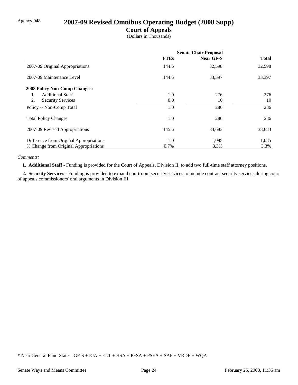# Agency 048 **2007-09 Revised Omnibus Operating Budget (2008 Supp)**

### **Court of Appeals**

(Dollars in Thousands)

|                                         | <b>Senate Chair Proposal</b> |                  |              |
|-----------------------------------------|------------------------------|------------------|--------------|
|                                         | <b>FTEs</b>                  | <b>Near GF-S</b> | <b>Total</b> |
| 2007-09 Original Appropriations         | 144.6                        | 32,598           | 32,598       |
| 2007-09 Maintenance Level               | 144.6                        | 33,397           | 33,397       |
| <b>2008 Policy Non-Comp Changes:</b>    |                              |                  |              |
| <b>Additional Staff</b><br>1.           | 1.0                          | 276              | 276          |
| 2.<br><b>Security Services</b>          | $0.0\,$                      | 10               | 10           |
| Policy -- Non-Comp Total                | 1.0                          | 286              | 286          |
| <b>Total Policy Changes</b>             | 1.0                          | 286              | 286          |
| 2007-09 Revised Appropriations          | 145.6                        | 33,683           | 33,683       |
| Difference from Original Appropriations | 1.0                          | 1,085            | 1,085        |
| % Change from Original Appropriations   | 0.7%                         | 3.3%             | 3.3%         |

### *Comments:*

 **1. Additional Staff -** Funding is provided for the Court of Appeals, Division II, to add two full-time staff attorney positions.

 **2. Security Services -** Funding is provided to expand courtroom security services to include contract security services during court of appeals commissioners' oral arguments in Division III.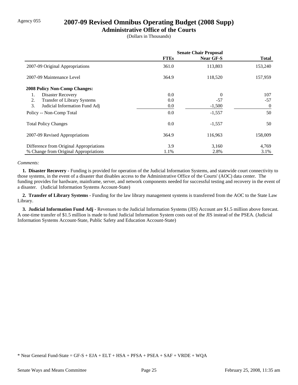# Agency 055 **2007-09 Revised Omnibus Operating Budget (2008 Supp)**

### **Administrative Office of the Courts**

(Dollars in Thousands)

|                                         | <b>Senate Chair Proposal</b> |                  |                |
|-----------------------------------------|------------------------------|------------------|----------------|
|                                         | <b>FTEs</b>                  | <b>Near GF-S</b> | <b>Total</b>   |
| 2007-09 Original Appropriations         | 361.0                        | 113,803          | 153,240        |
| 2007-09 Maintenance Level               | 364.9                        | 118,520          | 157,959        |
| <b>2008 Policy Non-Comp Changes:</b>    |                              |                  |                |
| Disaster Recovery<br>1.                 | 0.0                          | $\theta$         | 107            |
| 2.<br>Transfer of Library Systems       | 0.0                          | $-57$            | $-57$          |
| 3.<br>Judicial Information Fund Adj     | 0.0                          | $-1,500$         | $\overline{0}$ |
| Policy -- Non-Comp Total                | 0.0                          | $-1,557$         | 50             |
| <b>Total Policy Changes</b>             | 0.0                          | $-1,557$         | 50             |
| 2007-09 Revised Appropriations          | 364.9                        | 116,963          | 158,009        |
| Difference from Original Appropriations | 3.9                          | 3,160            | 4,769          |
| % Change from Original Appropriations   | 1.1%                         | 2.8%             | 3.1%           |

### *Comments:*

 **1. Disaster Recovery -** Funding is provided for operation of the Judicial Information Systems, and statewide court connectivity to those systems, in the event of a disaster that disables access to the Administrative Office of the Courts' (AOC) data center. The funding provides for hardware, mainframe, server, and network components needed for successful testing and recovery in the event of a disaster. (Judicial Information Systems Account-State)

 **2. Transfer of Library Systems -** Funding for the law library management systems is transferred from the AOC to the State Law Library.

 **3. Judicial Information Fund Adj -** Revenues to the Judicial Information Systems (JIS) Account are \$1.5 million above forecast. A one-time transfer of \$1.5 million is made to fund Judicial Information System costs out of the JIS instead of the PSEA. (Judicial Information Systems Account-State, Public Safety and Education Account-State)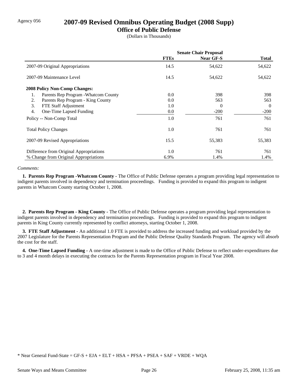### Agency 056 **2007-09 Revised Omnibus Operating Budget (2008 Supp)**

### **Office of Public Defense**

(Dollars in Thousands)

|                                            | <b>Senate Chair Proposal</b> |                  |              |  |
|--------------------------------------------|------------------------------|------------------|--------------|--|
|                                            | <b>FTEs</b>                  | <b>Near GF-S</b> | <b>Total</b> |  |
| 2007-09 Original Appropriations            | 14.5                         | 54,622           | 54,622       |  |
| 2007-09 Maintenance Level                  | 14.5                         | 54,622           | 54,622       |  |
| <b>2008 Policy Non-Comp Changes:</b>       |                              |                  |              |  |
| Parents Rep Program - Whatcom County<br>1. | $0.0\,$                      | 398              | 398          |  |
| Parents Rep Program - King County<br>2.    | 0.0                          | 563              | 563          |  |
| 3.<br>FTE Staff Adjustment                 | 1.0                          | $\theta$         | $\theta$     |  |
| 4.<br>One-Time Lapsed Funding              | 0.0                          | $-200$           | $-200$       |  |
| Policy -- Non-Comp Total                   | 1.0                          | 761              | 761          |  |
| <b>Total Policy Changes</b>                | 1.0                          | 761              | 761          |  |
| 2007-09 Revised Appropriations             | 15.5                         | 55,383           | 55,383       |  |
| Difference from Original Appropriations    | 1.0                          | 761              | 761          |  |
| % Change from Original Appropriations      | 6.9%                         | 1.4%             | 1.4%         |  |

### *Comments:*

 **1. Parents Rep Program -Whatcom County -** The Office of Public Defense operates a program providing legal representation to indigent parents involved in dependency and termination proceedings. Funding is provided to expand this program to indigent parents in Whatcom County starting October 1, 2008.

 **2. Parents Rep Program - King County -** The Office of Public Defense operates a program providing legal representation to indigent parents involved in dependency and termination proceedings. Funding is provided to expand this program to indigent parents in King County currently represented by conflict attorneys, starting October 1, 2008.

 **3. FTE Staff Adjustment -** An additional 1.0 FTE is provided to address the increased funding and workload provided by the 2007 Legislature for the Parents Representation Program and the Public Defense Quality Standards Program. The agency will absorb the cost for the staff.

 **4. One-Time Lapsed Funding -** A one-time adjustment is made to the Office of Public Defense to reflect under-expenditures due to 3 and 4 month delays in executing the contracts for the Parents Representation program in Fiscal Year 2008.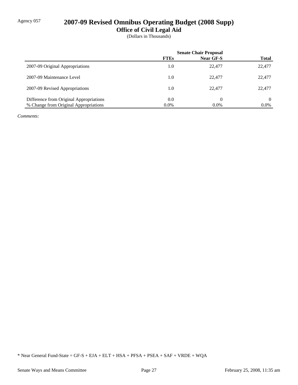# Agency 057 **2007-09 Revised Omnibus Operating Budget (2008 Supp)**

**Office of Civil Legal Aid**

(Dollars in Thousands)

|                                         | <b>Senate Chair Proposal</b> |           |              |
|-----------------------------------------|------------------------------|-----------|--------------|
|                                         | <b>FTEs</b>                  | Near GF-S | <b>Total</b> |
| 2007-09 Original Appropriations         | 1.0                          | 22,477    | 22,477       |
| 2007-09 Maintenance Level               | 1.0                          | 22,477    | 22,477       |
| 2007-09 Revised Appropriations          | 1.0                          | 22,477    | 22,477       |
| Difference from Original Appropriations | 0.0                          | 0         | 0            |
| % Change from Original Appropriations   | $0.0\%$                      | $0.0\%$   | $0.0\%$      |

*Comments:*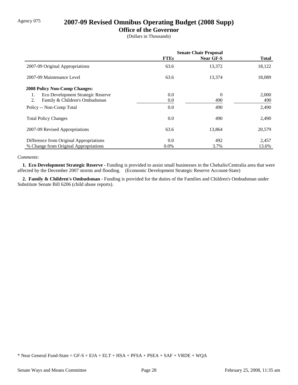# Agency 075 **2007-09 Revised Omnibus Operating Budget (2008 Supp)**

### **Office of the Governor**

(Dollars in Thousands)

|                                         | <b>Senate Chair Proposal</b> |                |              |
|-----------------------------------------|------------------------------|----------------|--------------|
|                                         | <b>FTEs</b>                  | Near GF-S      | <b>Total</b> |
| 2007-09 Original Appropriations         | 63.6                         | 13,372         | 18,122       |
| 2007-09 Maintenance Level               | 63.6                         | 13,374         | 18,089       |
| <b>2008 Policy Non-Comp Changes:</b>    |                              |                |              |
| Eco Development Strategic Reserve<br>1. | $0.0\,$                      | $\overline{0}$ | 2,000        |
| Family & Children's Ombudsman<br>2.     | $0.0\,$                      | 490            | 490          |
| Policy -- Non-Comp Total                | 0.0                          | 490            | 2,490        |
| <b>Total Policy Changes</b>             | 0.0                          | 490            | 2,490        |
| 2007-09 Revised Appropriations          | 63.6                         | 13,864         | 20,579       |
| Difference from Original Appropriations | 0.0                          | 492            | 2,457        |
| % Change from Original Appropriations   | $0.0\%$                      | 3.7%           | 13.6%        |

### *Comments:*

 **1. Eco Development Strategic Reserve -** Funding is provided to assist small businesses in the Chehalis/Centralia area that were affected by the December 2007 storms and flooding. (Economic Development Strategic Reserve Account-State)

 **2. Family & Children's Ombudsman -** Funding is provided for the duties of the Families and Children's Ombudsman under Substitute Senate Bill 6206 (child abuse reports).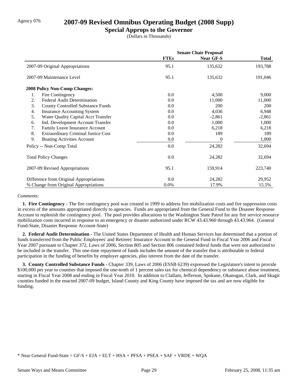## Agency 076 **2007-09 Revised Omnibus Operating Budget (2008 Supp)**

### **Special Approps to the Governor**

(Dollars in Thousands)

|                                                  | <b>Senate Chair Proposal</b> |                  |              |
|--------------------------------------------------|------------------------------|------------------|--------------|
|                                                  | <b>FTEs</b>                  | <b>Near GF-S</b> | <b>Total</b> |
| 2007-09 Original Appropriations                  | 95.1                         | 135,632          | 193,788      |
| 2007-09 Maintenance Level                        | 95.1                         | 135,632          | 191,046      |
| <b>2008 Policy Non-Comp Changes:</b>             |                              |                  |              |
| 1.<br>Fire Contingency                           | 0.0                          | 4,500            | 9,000        |
| <b>Federal Audit Determination</b><br>2.         | 0.0                          | 11,000           | 11,000       |
| 3.<br><b>County Controlled Substance Funds</b>   | 0.0                          | 200              | <b>200</b>   |
| <b>Insurance Accounting System</b><br>4.         | 0.0                          | 4,036            | 6,948        |
| 5.<br>Water Quality Capital Acct Transfer        | 0.0                          | $-2,861$         | $-2,861$     |
| Ind. Development Account Transfer<br>6.          | 0.0                          | 1,000            | 1,000        |
| 7.<br>Family Leave Insurance Account             | 0.0                          | 6,218            | 6,218        |
| 8.<br><b>Extraordinary Criminal Justice Cost</b> | 0.0                          | 189              | 189          |
| 9.<br><b>Boating Activities Account</b>          | 0.0                          | 0                | 1,000        |
| Policy -- Non-Comp Total                         | 0.0                          | 24,282           | 32,694       |
| <b>Total Policy Changes</b>                      | 0.0                          | 24,282           | 32,694       |
| 2007-09 Revised Appropriations                   | 95.1                         | 159,914          | 223,740      |
| Difference from Original Appropriations          | 0.0                          | 24,282           | 29,952       |
| % Change from Original Appropriations            | 0.0%                         | 17.9%            | 15.5%        |

#### *Comments:*

 **1. Fire Contingency -** The fire contingency pool was created in 1999 to address fire mobilization costs and fire suppression costs in excess of the amounts appropriated directly to agencies. Funds are appropriated from the General Fund to the Disaster Response Account to replenish the contingency pool. The pool provides allocations to the Washington State Patrol for any fire service resource mobilization costs incurred in response to an emergency or disaster authorized under RCW 43.43.960 through 43.43.964. (General Fund-State, Disaster Response Account-State)

 **2. Federal Audit Determination -** The United States Department of Health and Human Services has determined that a portion of funds transferred from the Public Employees' and Retirees' Insurance Account to the General Fund in Fiscal Year 2006 and Fiscal Year 2007 pursuant to Chapter 372, Laws of 2006, Section 805 and Section 806 contained federal funds that were not authorized to be included in the transfer. This one-time repayment of funds includes the amount of the transfer that is attributable to federal participation in the funding of benefits by employer agencies, plus interest from the date of the transfer.

 **3. County Controlled Substance Funds -** Chapter 339, Laws of 2006 (ESSB 6239) expressed the Legislature's intent to provide \$100,000 per year to counties that imposed the one-tenth of 1 percent sales tax for chemical dependency or substance abuse treatment, starting in Fiscal Year 2008 and ending in Fiscal Year 2010. In addition to Clallam, Jefferson, Spokane, Okanogan, Clark, and Skagit counties funded in the enacted 2007-09 budget, Island County and King County have imposed the tax and are now eligible for funding.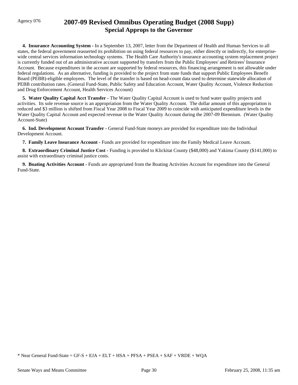# Agency 076 **2007-09 Revised Omnibus Operating Budget (2008 Supp) Special Approps to the Governor**

 **4. Insurance Accounting System -** In a September 13, 2007, letter from the Department of Health and Human Services to all states, the federal government reasserted its prohibition on using federal resources to pay, either directly or indirectly, for enterprisewide central services information technology systems. The Health Care Authority's insurance accounting system replacement project is currently funded out of an administrative account supported by transfers from the Public Employees' and Retirees' Insurance Account. Because expenditures in the account are supported by federal resources, this financing arrangement is not allowable under federal regulations. As an alternative, funding is provided to the project from state funds that support Public Employees Benefit Board (PEBB)-eligible employees. The level of the transfer is based on head-count data used to determine statewide allocation of PEBB contribution rates. (General Fund-State, Public Safety and Education Account, Water Quality Account, Violence Reduction and Drug Enforcement Account, Health Services Account)

 **5. Water Quality Capital Acct Transfer -** The Water Quality Capital Account is used to fund water quality projects and activities. Its sole revenue source is an appropriation from the Water Quality Account. The dollar amount of this appropriation is reduced and \$3 million is shifted from Fiscal Year 2008 to Fiscal Year 2009 to coincide with anticipated expenditure levels in the Water Quality Capital Account and expected revenue in the Water Quality Account during the 2007-09 Biennium. (Water Quality Account-State)

 **6. Ind. Development Account Transfer -** General Fund-State moneys are provided for expenditure into the Individual Development Account.

 **7. Family Leave Insurance Account -** Funds are provided for expenditure into the Family Medical Leave Account.

 **8. Extraordinary Criminal Justice Cost -** Funding is provided to Klickitat County (\$48,000) and Yakima County (\$141,000) to assist with extraordinary criminal justice costs.

 **9. Boating Activities Account -** Funds are appropriated from the Boating Activities Account for expenditure into the General Fund-State.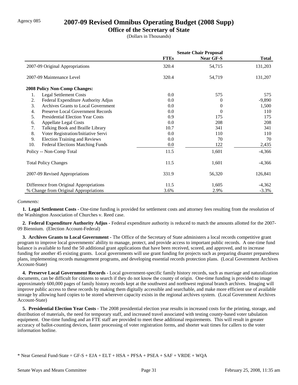## Agency 085 **2007-09 Revised Omnibus Operating Budget (2008 Supp)**

### **Office of the Secretary of State**

(Dollars in Thousands)

|     |                                         | <b>Senate Chair Proposal</b> |                  |              |
|-----|-----------------------------------------|------------------------------|------------------|--------------|
|     |                                         | <b>FTEs</b>                  | <b>Near GF-S</b> | <b>Total</b> |
|     | 2007-09 Original Appropriations         | 320.4                        | 54,715           | 131,203      |
|     | 2007-09 Maintenance Level               | 320.4                        | 54,719           | 131,207      |
|     | <b>2008 Policy Non-Comp Changes:</b>    |                              |                  |              |
| 1.  | <b>Legal Settlement Costs</b>           | 0.0                          | 575              | 575          |
| 2.  | Federal Expenditure Authority Adjus     | 0.0                          | 0                | $-9,890$     |
| 3.  | Archives Grants to Local Government     | 0.0                          | 0                | 1,500        |
| 4.  | Preserve Local Government Records       | 0.0                          | 0                | 110          |
| 5.  | <b>Presidential Election Year Costs</b> | 0.9                          | 175              | 175          |
| 6.  | <b>Appellate Legal Costs</b>            | 0.0                          | 208              | 208          |
| 7.  | Talking Book and Braille Library        | 10.7                         | 341              | 341          |
| 8.  | Voter Registration/Initiative Servi     | 0.0                          | 110              | 110          |
| 9.  | <b>Election Training and Reviews</b>    | 0.0                          | 70               | 70           |
| 10. | <b>Federal Elections Matching Funds</b> | 0.0                          | 122              | 2,435        |
|     | Policy -- Non-Comp Total                | 11.5                         | 1,601            | $-4,366$     |
|     | <b>Total Policy Changes</b>             | 11.5                         | 1,601            | $-4,366$     |
|     | 2007-09 Revised Appropriations          | 331.9                        | 56,320           | 126,841      |
|     | Difference from Original Appropriations | 11.5                         | 1,605            | $-4,362$     |
|     | % Change from Original Appropriations   | 3.6%                         | 2.9%             | $-3.3\%$     |

#### *Comments:*

 **1. Legal Settlement Costs -** One-time funding is provided for settlement costs and attorney fees resulting from the resolution of the Washington Association of Churches v. Reed case.

 **2. Federal Expenditure Authority Adjus -** Federal expenditure authority is reduced to match the amounts allotted for the 2007- 09 Biennium. (Election Account-Federal)

 **3. Archives Grants to Local Government -** The Office of the Secretary of State administers a local records competitive grant program to improve local governments' ability to manage, protect, and provide access to important public records. A one-time fund balance is available to fund the 50 additional grant applications that have been received, scored, and approved, and to increase funding for another 45 existing grants. Local governments will use grant funding for projects such as preparing disaster preparedness plans, implementing records management programs, and developing essential records protection plans. (Local Government Archives Account-State)

 **4. Preserve Local Government Records -** Local government-specific family history records, such as marriage and naturalization documents, can be difficult for citizens to search if they do not know the county of origin. One-time funding is provided to image approximately 600,000 pages of family history records kept at the southwest and northwest regional branch archives. Imaging will improve public access to these records by making them digitally accessible and searchable, and make more efficient use of available storage by allowing hard copies to be stored wherever capacity exists in the regional archives system. (Local Government Archives Account-State)

**5. Presidential Election Year Costs -** The 2008 presidential election year results in increased costs for the printing, storage, and distribution of materials, the need for temporary staff, and increased travel associated with testing county-based voter tabulation equipment. One-time funding and an FTE staff are provided to meet these additional requirements. This will result in greater accuracy of ballot-counting devices, faster processing of voter registration forms, and shorter wait times for callers to the voter information hotline.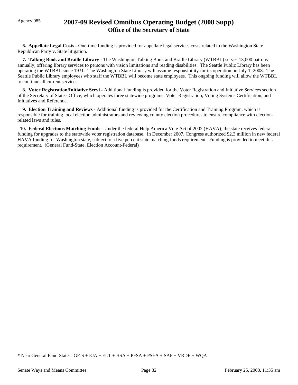# Agency 085 **2007-09 Revised Omnibus Operating Budget (2008 Supp) Office of the Secretary of State**

**6. Appellate Legal Costs -** One-time funding is provided for appellate legal services costs related to the Washington State Republican Party v. State litigation.

 **7. Talking Book and Braille Library -** The Washington Talking Book and Braille Library (WTBBL) serves 13,000 patrons annually, offering library services to persons with vision limitations and reading disabilities. The Seattle Public Library has been operating the WTBBL since 1931. The Washington State Library will assume responsibility for its operation on July 1, 2008. The Seattle Public Library employees who staff the WTBBL will become state employees. This ongoing funding will allow the WTBBL to continue all current services.

 **8. Voter Registration/Initiative Servi -** Additional funding is provided for the Voter Registration and Initiative Services section of the Secretary of State's Office, which operates three statewide programs: Voter Registration, Voting Systems Certification, and Initiatives and Referenda.

 **9. Election Training and Reviews -** Additional funding is provided for the Certification and Training Program, which is responsible for training local election administrators and reviewing county election procedures to ensure compliance with electionrelated laws and rules.

 **10. Federal Elections Matching Funds -** Under the federal Help America Vote Act of 2002 (HAVA), the state receives federal funding for upgrades to the statewide voter registration database. In December 2007, Congress authorized \$2.3 million in new federal HAVA funding for Washington state, subject to a five percent state matching funds requirement. Funding is provided to meet this requirement. (General Fund-State, Election Account-Federal)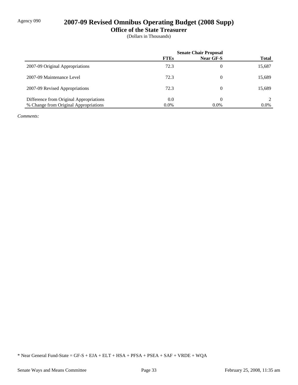# Agency 090 **2007-09 Revised Omnibus Operating Budget (2008 Supp)**

**Office of the State Treasurer**

(Dollars in Thousands)

|                                         | <b>Senate Chair Proposal</b> |           |              |
|-----------------------------------------|------------------------------|-----------|--------------|
|                                         | <b>FTEs</b>                  | Near GF-S | <b>Total</b> |
| 2007-09 Original Appropriations         | 72.3                         | 0         | 15,687       |
| 2007-09 Maintenance Level               | 72.3                         | 0         | 15,689       |
| 2007-09 Revised Appropriations          | 72.3                         | 0         | 15,689       |
| Difference from Original Appropriations | 0.0                          | 0         |              |
| % Change from Original Appropriations   | $0.0\%$                      | $0.0\%$   | $0.0\%$      |

*Comments:*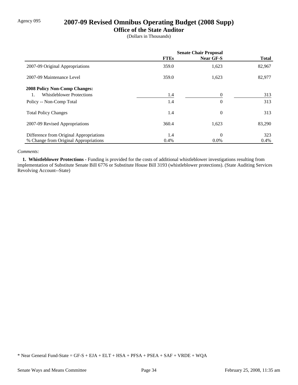# Agency 095 **2007-09 Revised Omnibus Operating Budget (2008 Supp)**

### **Office of the State Auditor**

(Dollars in Thousands)

|                                         | <b>Senate Chair Proposal</b> |                  |              |
|-----------------------------------------|------------------------------|------------------|--------------|
|                                         | <b>FTEs</b>                  | <b>Near GF-S</b> | <b>Total</b> |
| 2007-09 Original Appropriations         | 359.0                        | 1,623            | 82,967       |
| 2007-09 Maintenance Level               | 359.0                        | 1,623            | 82,977       |
| <b>2008 Policy Non-Comp Changes:</b>    |                              |                  |              |
| <b>Whistleblower Protections</b>        | 1.4                          |                  | 313          |
| Policy -- Non-Comp Total                | 1.4                          | $\overline{0}$   | 313          |
| <b>Total Policy Changes</b>             | 1.4                          | $\theta$         | 313          |
| 2007-09 Revised Appropriations          | 360.4                        | 1,623            | 83,290       |
| Difference from Original Appropriations | 1.4                          | $\theta$         | 323          |
| % Change from Original Appropriations   | 0.4%                         | $0.0\%$          | $0.4\%$      |

#### *Comments:*

 **1. Whistleblower Protections -** Funding is provided for the costs of additional whistleblower investigations resulting from implementation of Substitute Senate Bill 6776 or Substitute House Bill 3193 (whistleblower protections). (State Auditing Services Revolving Account--State)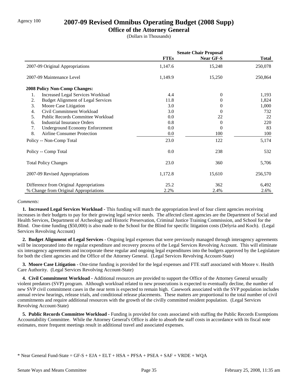## Agency 100 **2007-09 Revised Omnibus Operating Budget (2008 Supp)**

### **Office of the Attorney General**

(Dollars in Thousands)

|                                                 | <b>Senate Chair Proposal</b> |                  |              |
|-------------------------------------------------|------------------------------|------------------|--------------|
|                                                 | <b>FTEs</b>                  | <b>Near GF-S</b> | <b>Total</b> |
| 2007-09 Original Appropriations                 | 1,147.6                      | 15,248           | 250,078      |
| 2007-09 Maintenance Level                       | 1,149.9                      | 15,250           | 250,864      |
| 2008 Policy Non-Comp Changes:                   |                              |                  |              |
| 1.<br><b>Increased Legal Services Workload</b>  | 4.4                          | $\theta$         | 1,193        |
| 2.<br><b>Budget Alignment of Legal Services</b> | 11.8                         | 0                | 1,824        |
| 3.<br>Moore Case Litigation                     | 3.0                          | $^{(1)}$         | 1,000        |
| Civil Commitment Workload<br>4.                 | 3.0                          | 0                | 732          |
| <b>Public Records Committee Workload</b><br>5.  | 0.0                          | 22               | 22           |
| Industrial Insurance Orders<br>6.               | 0.8                          | $\theta$         | 220          |
| <b>Underground Economy Enforcement</b><br>7.    | 0.0                          | 0                | 83           |
| 8.<br><b>Airline Consumer Protection</b>        | 0.0                          | 100              | 100          |
| Policy -- Non-Comp Total                        | 23.0                         | 122              | 5,174        |
| Policy -- Comp Total                            | 0.0                          | 238              | 532          |
| <b>Total Policy Changes</b>                     | 23.0                         | 360              | 5,706        |
| 2007-09 Revised Appropriations                  | 1,172.8                      | 15,610           | 256,570      |
| Difference from Original Appropriations         | 25.2                         | 362              | 6,492        |
| % Change from Original Appropriations           | 2.2%                         | 2.4%             | 2.6%         |

#### *Comments:*

 **1. Increased Legal Services Workload -** This funding will match the appropriation level of four client agencies receiving increases in their budgets to pay for their growing legal service needs. The affected client agencies are the Department of Social and Health Services, Department of Archeology and Historic Preservation, Criminal Justice Training Commission, and School for the Blind. One-time funding (\$50,000) is also made to the School for the Blind for specific litigation costs (Delyria and Koch). (Legal Services Revolving Account)

 **2. Budget Alignment of Legal Services -** Ongoing legal expenses that were previously managed through interagency agreements will be incorporated into the regular expenditure and recovery process of the Legal Services Revolving Account. This will eliminate six interagency agreements and incorporate these regular and ongoing legal expenditures into the budgets approved by the Legislature for both the client agencies and the Office of the Attorney General. (Legal Services Revolving Account-State)

**3. Moore Case Litigation -** One-time funding is provided for the legal expenses and FTE staff associated with Moore v. Health Care Authority. (Legal Services Revolving Account-State)

 **4. Civil Commitment Workload -** Additional resources are provided to support the Office of the Attorney General sexually violent predators (SVP) program. Although workload related to new prosecutions is expected to eventually decline, the number of new SVP civil commitment cases in the near term is expected to remain high. Casework associated with the SVP population includes annual review hearings, release trials, and conditional release placements. These matters are proportional to the total number of civil commitments and require additional resources with the growth of the civilly committed resident population. (Legal Services Revolving Account-State)

 **5. Public Records Committee Workload -** Funding is provided for costs associated with staffing the Public Records Exemptions Accountability Committee. While the Attorney General's Office is able to absorb the staff costs in accordance with its fiscal note estimates, more frequent meetings result in additional travel and associated expenses.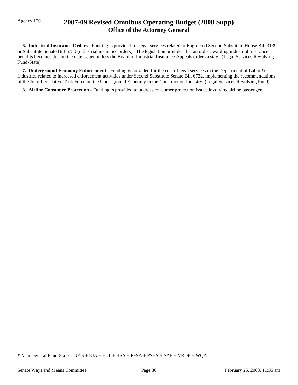# Agency 100 **2007-09 Revised Omnibus Operating Budget (2008 Supp) Office of the Attorney General**

 **6. Industrial Insurance Orders -** Funding is provided for legal services related to Engrossed Second Substitute House Bill 3139 or Substitute Senate Bill 6750 (industrial insurance orders). The legislation provides that an order awarding industrial insurance benefits becomes due on the date issued unless the Board of Industrial Insurance Appeals orders a stay. (Legal Services Revolving Fund-State)

 **7. Underground Economy Enforcement -** Funding is provided for the cost of legal services to the Department of Labor & Industries related to increased enforcement activities under Second Substitute Senate Bill 6732, implementing the recommendations of the Joint Legislative Task Force on the Underground Economy in the Construction Industry. (Legal Services Revolving Fund)

**8. Airline Consumer Protection - Funding is provided to address consumer protection issues involving airline passengers.**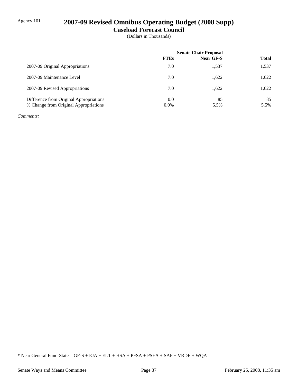# Agency 101 **2007-09 Revised Omnibus Operating Budget (2008 Supp)**

**Caseload Forecast Council**

(Dollars in Thousands)

|                                         | <b>Senate Chair Proposal</b> |           |              |
|-----------------------------------------|------------------------------|-----------|--------------|
|                                         | <b>FTEs</b>                  | Near GF-S | <b>Total</b> |
| 2007-09 Original Appropriations         | 7.0                          | 1,537     | 1,537        |
| 2007-09 Maintenance Level               | 7.0                          | 1,622     | 1,622        |
| 2007-09 Revised Appropriations          | 7.0                          | 1,622     | 1,622        |
| Difference from Original Appropriations | 0.0                          | 85        | 85           |
| % Change from Original Appropriations   | $0.0\%$                      | 5.5%      | 5.5%         |

*Comments:*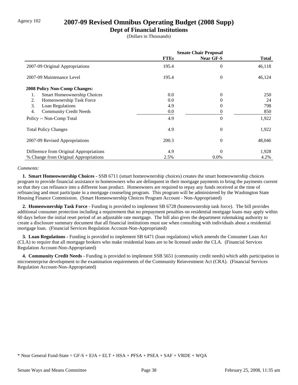## Agency 102 **2007-09 Revised Omnibus Operating Budget (2008 Supp)**

### **Dept of Financial Institutions**

(Dollars in Thousands)

|                                         | <b>Senate Chair Proposal</b> |                  |        |
|-----------------------------------------|------------------------------|------------------|--------|
|                                         | <b>FTEs</b>                  | <b>Near GF-S</b> | Total  |
| 2007-09 Original Appropriations         | 195.4                        | $\theta$         | 46,118 |
| 2007-09 Maintenance Level               | 195.4                        | $\Omega$         | 46,124 |
| 2008 Policy Non-Comp Changes:           |                              |                  |        |
| Smart Homeownership Choices<br>1.       | 0.0                          | $\theta$         | 250    |
| Homeownership Task Force<br>2.          | 0.0                          | $\Omega$         | 24     |
| 3.<br>Loan Regulations                  | 4.9                          | 0                | 798    |
| <b>Community Credit Needs</b><br>4.     | 0.0                          |                  | 850    |
| Policy -- Non-Comp Total                | 4.9                          | $\Omega$         | 1,922  |
| <b>Total Policy Changes</b>             | 4.9                          | $\theta$         | 1,922  |
| 2007-09 Revised Appropriations          | 200.3                        | $\theta$         | 48,046 |
| Difference from Original Appropriations | 4.9                          | $\Omega$         | 1,928  |
| % Change from Original Appropriations   | 2.5%                         | $0.0\%$          | 4.2%   |

#### *Comments:*

 **1. Smart Homeownership Choices -** SSB 6711 (smart homeownership choices) creates the smart homeownership choices program to provide financial assistance to homeowners who are delinquent in their mortgage payments to bring the payments current so that they can refinance into a different loan product. Homeowners are required to repay any funds received at the time of refinancing and must participate in a mortgage counseling program. This program will be administered by the Washington State Housing Finance Commission. (Smart Homeownership Choices Program Account - Non-Appropriated)

 **2. Homeownership Task Force -** Funding is provided to implement SB 6728 (homeownership task force). The bill provides additional consumer protection including a requirement that no prepayment penalties on residential mortgage loans may apply within 60 days before the initial reset period of an adjustable rate mortgage. The bill also gives the department rulemaking authority to create a disclosure summary document that all financial institutions must use when consulting with individuals about a residential mortgage loan. (Financial Services Regulation Account-Non-Appropriated)

 **3. Loan Regulations -** Funding is provided to implement SB 6471 (loan regulations) which amends the Consumer Loan Act (CLA) to require that all mortgage brokers who make residential loans are to be licensed under the CLA. (Financial Services Regulation Account-Non-Appropriated)

 **4. Community Credit Needs -** Funding is provided to implement SSB 5651 (community credit needs) which adds participation in microenterprise development to the examination requirements of the Community Reinvestment Act (CRA). (Financial Services Regulation Account-Non-Appropriated)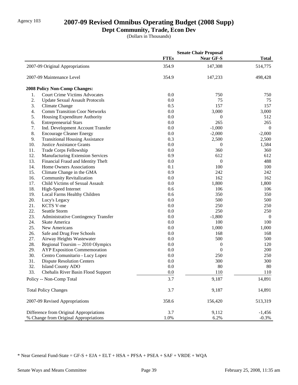# Agency 103 **2007-09 Revised Omnibus Operating Budget (2008 Supp)**

# **Dept Community, Trade, Econ Dev**

(Dollars in Thousands)

|     |                                            |             | <b>Senate Chair Proposal</b> |                |
|-----|--------------------------------------------|-------------|------------------------------|----------------|
|     |                                            | <b>FTEs</b> | Near GF-S                    | <b>Total</b>   |
|     | 2007-09 Original Appropriations            | 354.9       | 147,308                      | 514,775        |
|     | 2007-09 Maintenance Level                  | 354.9       | 147,233                      | 498,428        |
|     | <b>2008 Policy Non-Comp Changes:</b>       |             |                              |                |
| 1.  | <b>Court Crime Victims Advocates</b>       | 0.0         | 750                          | 750            |
| 2.  | <b>Update Sexual Assault Protocols</b>     | 0.0         | 75                           | 75             |
| 3.  | Climate Change                             | 0.5         | 157                          | 157            |
| 4.  | <b>Comm Transition Coor Networks</b>       | 0.0         | 3,000                        | 3,000          |
| 5.  | Housing Expenditure Authority              | 0.0         | 0                            | 512            |
| 6.  | <b>Entrepreneurial Stars</b>               | 0.0         | 265                          | 265            |
| 7.  | Ind. Development Account Transfer          | 0.0         | $-1,000$                     | $\overline{0}$ |
| 8.  | <b>Encourage Cleaner Energy</b>            | 0.0         | $-2,000$                     | $-2,000$       |
| 9.  | <b>Transitional Housing Assistance</b>     | 0.3         | 2,500                        | 2,500          |
| 10. | <b>Justice Assistance Grants</b>           | 0.0         | 0                            | 1,584          |
| 11. | Trade Corps Fellowship                     | 0.0         | 360                          | 360            |
| 12. | <b>Manufacturing Extension Services</b>    | 0.9         | 612                          | 612            |
| 13. | Financial Fraud and Identity Theft         | 0.0         | $\boldsymbol{0}$             | 488            |
| 14. | Home Owners Associations                   | 0.1         | 100                          | 100            |
| 15. | Climate Change in the GMA                  | 0.9         | 242                          | 242            |
| 16. | <b>Community Revitalization</b>            | 0.0         | 162                          | 162            |
| 17. | Child Victims of Sexual Assault            | 0.0         | 1,800                        | 1,800          |
| 18. | High-Speed Internet                        | 0.6         | 106                          | 106            |
| 19. | Local Farms Healthy Children               | 0.6         | 350                          | 350            |
| 20. | Lucy's Legacy                              | 0.0         | 500                          | 500            |
| 21. | KCTS V-me                                  | 0.0         | 250                          | 250            |
| 22. | Seattle Storm                              | 0.0         | 250                          | 250            |
| 23. | <b>Administrative Contingency Transfer</b> | 0.0         | $-1,800$                     | $\overline{0}$ |
| 24. | Skate America                              | 0.0         | 100                          | 100            |
| 25. | New Americans                              | 0.0         | 1,000                        | 1,000          |
| 26. | Safe and Drug Free Schools                 | 0.0         | 168                          | 168            |
| 27. | Airway Heights Wastewater                  | 0.0         | 500                          | 500            |
| 28. | Regional Toursim -- 2010 Olympics          | 0.0         | $\boldsymbol{0}$             | 120            |
| 29. | <b>AYP</b> Exposition Commemoration        | 0.0         | $\boldsymbol{0}$             | 200            |
| 30. | Centro Comunitario - Lucy Lopez            | 0.0         | 250                          | 250            |
| 31. | <b>Dispute Resolution Centers</b>          | 0.0         | 300                          | 300            |
| 32. | <b>Island County ADO</b>                   | 0.0         | 80                           | 80             |
| 33. | Chehalis River Basin Flood Support         | 0.0         | 110                          | 110            |
|     | Policy -- Non-Comp Total                   | 3.7         | 9,187                        | 14,891         |
|     | <b>Total Policy Changes</b>                | 3.7         | 9,187                        | 14,891         |
|     | 2007-09 Revised Appropriations             | 358.6       | 156,420                      | 513,319        |
|     | Difference from Original Appropriations    | 3.7         | 9,112                        | $-1,456$       |
|     | % Change from Original Appropriations      | 1.0%        | 6.2%                         | $-0.3%$        |
|     |                                            |             |                              |                |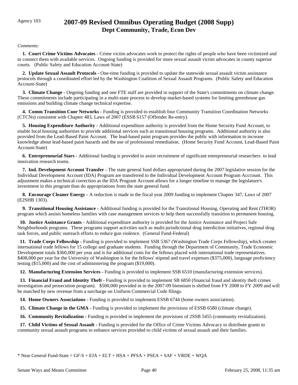# Agency 103 **2007-09 Revised Omnibus Operating Budget (2008 Supp) Dept Community, Trade, Econ Dev**

#### *Comments:*

 **1. Court Crime Victims Advocates -** Crime victim advocates work to protect the rights of people who have been victimized and to connect them with available services. Ongoing funding is provided for more sexual assault victim advocates in county superior courts. (Public Safety and Education Account-State)

 **2. Update Sexual Assault Protocols -** One-time funding is provided to update the statewide sexual assault victim assistance protocols through a coordinated effort led by the Washington Coalition of Sexual Assault Programs. (Public Safety and Education Account-State)

 **3. Climate Change -** Ongoing funding and one FTE staff are provided in support of the State's commitments on climate change. These commitments include participating in a multi-state process to develop market-based systems for limiting greenhouse gas emissions and building climate change technical expertise.

 **4. Comm Transition Coor Networks -** Funding is provided to establish four Community Transition Coordination Networks (CTCNs) consistent with Chapter 483, Laws of 2007 (ESSB 6157 (Offender Re-entry).

 **5. Housing Expenditure Authority -** Additional expenditure authority is provided from the Home Security Fund Account, to enable local housing authorities to provide additional services such as transitional housing programs. Additional authority is also provided from the Lead-Based Paint Account. The lead-based paint program provides the public with information to increase knowledge about lead-based paint hazards and the use of professional remediation. (Home Security Fund Account, Lead-Based Paint Account-State)

 **6. Entrepreneurial Stars -** Additional funding is provided to assist recruitment of significant entrepreneurial researchers to lead innovation research teams.

 **7. Ind. Development Account Transfer -** The state general fund dollars appropriated during the 2007 legislative session for the Individual Development Account (IDA) Program are transferred to the Individual Development Account Program Acccount. This adjustment makes a technical correction as the IDA Program Account allows for a longer timeline to manage the legislature's investment in this program than do appropriations from the state general fund.

 **8. Encourage Cleaner Energy -** A reduction is made in the fiscal year 2009 funding to implement Chapter 347, Laws of 2007 (E2SHB 1303).

 **9. Transitional Housing Assistance -** Additional funding is provided for the Transitional Housing, Operating and Rent (THOR) program which assists homeless families with case management services to help them successfully transition to permanent housing.

 **10. Justice Assistance Grants -** Additional expenditure authority is provided for the Justice Assistance and Project Safe Neighborhoods programs. These programs support activities such as multi-jurisdictional drug interdiction initiatives, regional drug task forces, and public outreach efforts to reduce gun violence. (General Fund-Federal)

 **11. Trade Corps Fellowship -** Funding is provided to implement SSB 5367 (Washington Trade Corps Fellowship), which creates international trade fellows for 15 college and graduate students. Funding through the Department of Community, Trade Economic Development totals \$360,000 per year and is for additional costs for the fellows placed with international trade representatives. \$408,000 per year for the University of Washington is for the fellows' stipend and travel expenses (\$375,000), language proficiency testing (\$15,000) and the cost of administering the program (\$19,000).

 **12. Manufacturing Extension Services -** Funding is provided to implement SSB 6510 (manufacturing extension services).

 **13. Financial Fraud and Identity Theft -** Funding is provided to implement SB 6850 (financial fraud and identity theft crimes investigation and prosecution program). \$500,000 provided in in the 2007-09 biennium is shifted from FY 2008 to FY 2009 and will be matched by new revenue from a surcharge on Uniform Commercial Code filings.

 **14. Home Owners Associations -** Funding is provided to implement ESSB 6744 (home owners association).

**15. Climate Change in the GMA - Funding is provided to implement the provisions of ESSB 6580 (climate change).** 

**16. Community Revitalization -** Funding is provided to implement the provisions of 2SSB 5455 (community revitalization).

 **17. Child Victims of Sexual Assault -** Funding is provided for the Office of Crime Victims Advocacy to distribute grants to community sexual assault programs to enhance services provided to child victims of sexual assault and their families.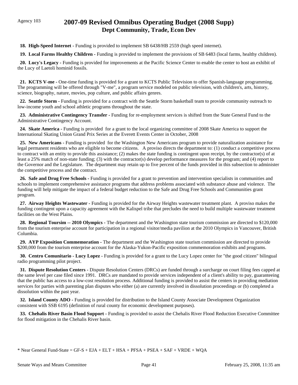# Agency 103 **2007-09 Revised Omnibus Operating Budget (2008 Supp) Dept Community, Trade, Econ Dev**

 **18. High-Speed Internet -** Funding is provided to implement SB 6438/HB 2559 (high speed internet).

 **19. Local Farms Healthy Children -** Funding is provided to implement the provisions of SB 6483 (local farms, healthy children).

 **20. Lucy's Legacy -** Funding is provided for improvements at the Pacific Science Center to enable the center to host an exhibit of the Lucy of Laetoli hominid fossils.

 **21. KCTS V-me -** One-time funding is provided for a grant to KCTS Public Television to offer Spanish-language programming. The programming will be offered through "V-me", a program service modeled on public television, with children's, arts, history, science, biography, nature, movies, pop culture, and public affairs genres.

 **22. Seattle Storm -** Funding is provided for a contract with the Seattle Storm basketball team to provide community outreach to low-income youth and school athletic programs throughout the state.

23. Administrative Contingency Transfer - Funding for re-employment services is shifted from the State General Fund to the Administrative Contingency Account.

 **24. Skate America -** Funding is provided for a grant to the local organizing committee of 2008 Skate America to support the International Skating Union Grand Prix Series at the Everett Events Center in October, 2008

 **25. New Americans -** Funding is provided for the Washington New Americans program to provide naturalization assistance for legal permanent residents who are eligible to become citizens. A proviso directs the department to: (1) conduct a competitive process to contract with an entity to provide this assistance; (2) makes the state funding is contingent upon receipt, by the contractor(s) of at least a 25% match of non-state funding; (3) with the contractor(s) develop performance measures for the program; and (4) report to the Governor and the Legislature. The department may retain up to five percent of the funds provided in this subsection to administer the competitive process and the contract.

 **26. Safe and Drug Free Schools -** Funding is provided for a grant to prevention and intervention specialists in communities and schools to implement comprehensive assistance programs that address problems associated with substance abuse and violence. The funding will help mitigate the impact of a federal budget reduction to the Safe and Drug Free Schools and Communities grant program.

 **27. Airway Heights Wastewater -** Funding is provided for the Airway Heights wastewater treatment plant. A proviso makes the funding contingent upon a capacity agreement with the Kalispel tribe that precludes the need to build multiple wastewater treatment facilities on the West Plains.

**28. Regional Toursim -- 2010 Olympics -** The department and the Washington state tourism commission are directed to \$120,000 from the tourism enterprise account for participation in a regional visitor/media pavilion at the 2010 Olympics in Vancouver, British Columbia.

 **29. AYP Exposition Commemoration -** The department and the Washington state tourism commission are directed to provide \$200,000 from the tourism enterprise account for the Alaska-Yukon-Pacific exposition commemoration exhibits and programs.

 **30. Centro Comunitario - Lucy Lopez -** Funding is provided for a grant to the Lucy Lopez center for "the good citizen" bilingual radio programming pilot project.

 **31. Dispute Resolution Centers -** Dispute Resolution Centers (DRCs) are funded through a surcharge on court filing fees capped at the same level per case filed since 1991. DRCs are mandated to provide services independent of a client's ability to pay, guaranteeing that the public has access to a low-cost resolution process. Additional funding is provided to assist the centers in providing mediation services for parties with parenting plan disputes who either (a) are currently involved in dissolution proceedings or (b) completed a dissolution within the past year.

 **32. Island County ADO -** Funding is provided for distribution to the Island County Associate Development Organization consistent with SSB 6195 (definition of rural county for economic development purposes).

 **33. Chehalis River Basin Flood Support -** Funding is provided to assist the Chehalis River Flood Reduction Executive Committee for flood mitigation in the Chehalis River basin.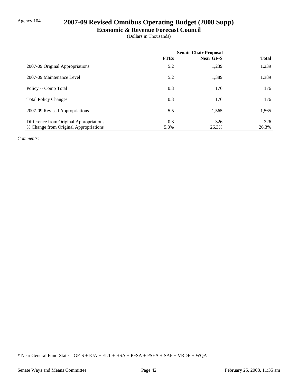# Agency 104 **2007-09 Revised Omnibus Operating Budget (2008 Supp)**

### **Economic & Revenue Forecast Council**

(Dollars in Thousands)

|                                         | <b>Senate Chair Proposal</b> |           |              |
|-----------------------------------------|------------------------------|-----------|--------------|
|                                         | <b>FTEs</b>                  | Near GF-S | <b>Total</b> |
| 2007-09 Original Appropriations         | 5.2                          | 1,239     | 1,239        |
| 2007-09 Maintenance Level               | 5.2                          | 1,389     | 1,389        |
| Policy -- Comp Total                    | 0.3                          | 176       | 176          |
| <b>Total Policy Changes</b>             | 0.3                          | 176       | 176          |
| 2007-09 Revised Appropriations          | 5.5                          | 1,565     | 1,565        |
| Difference from Original Appropriations | 0.3                          | 326       | 326          |
| % Change from Original Appropriations   | 5.8%                         | 26.3%     | 26.3%        |

*Comments:*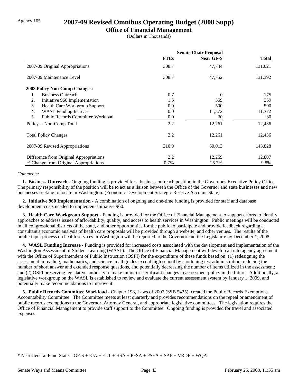## Agency 105 **2007-09 Revised Omnibus Operating Budget (2008 Supp)**

### **Office of Financial Management**

(Dollars in Thousands)

|                                                | <b>Senate Chair Proposal</b> |                  |              |
|------------------------------------------------|------------------------------|------------------|--------------|
|                                                | <b>FTEs</b>                  | <b>Near GF-S</b> | <b>Total</b> |
| 2007-09 Original Appropriations                | 308.7                        | 47,744           | 131,021      |
| 2007-09 Maintenance Level                      | 308.7                        | 47,752           | 131,392      |
| <b>2008 Policy Non-Comp Changes:</b>           |                              |                  |              |
| <b>Business Outreach</b><br>1.                 | 0.7                          | $\Omega$         | 175          |
| 2.<br>Initiative 960 Implementation            | 1.5                          | 359              | 359          |
| 3.<br>Health Care Workgroup Support            | 0.0                          | 500              | 500          |
| <b>WASL Funding Increase</b><br>4.             | 0.0                          | 11,372           | 11,372       |
| 5.<br><b>Public Records Committee Workload</b> | 0.0                          | 30               | 30           |
| Policy -- Non-Comp Total                       | 2.2                          | 12,261           | 12,436       |
| <b>Total Policy Changes</b>                    | 2.2                          | 12,261           | 12,436       |
| 2007-09 Revised Appropriations                 | 310.9                        | 60,013           | 143,828      |
| Difference from Original Appropriations        | 2.2                          | 12,269           | 12,807       |
| % Change from Original Appropriations          | 0.7%                         | 25.7%            | 9.8%         |

#### *Comments:*

 **1. Business Outreach -** Ongoing funding is provided for a business outreach position in the Governor's Executive Policy Office. The primary responsibility of the position will be to act as a liaison between the Office of the Governor and state businesses and new businesses seeking to locate in Washington. (Economic Development Strategic Reserve Account-State)

 **2. Initiative 960 Implementation -** A combination of ongoing and one-time funding is provided for staff and database development costs needed to implement Initiative 960.

 **3. Health Care Workgroup Support -** Funding is provided for the Office of Financial Management to support efforts to identify approaches to address issues of affordability, quality, and access to health services in Washington. Public meetings will be conducted in all congressional districts of the state, and other opportunities for the public to participate and provide feedback regarding a consultant's economic analysis of health care proposals will be provided through a website, and other venues. The results of the public input process on health services in Washington will be reported to the Governor and the Legislature by December 1, 2008.

 **4. WASL Funding Increase -** Funding is provided for increased costs associated with the development and implementation of the Washington Assessment of Student Learning (WASL). The Office of Financial Management will develop an interagency agreement with the Office of Superintendent of Public Instruction (OSPI) for the expenditure of these funds based on: (1) redesigning the assessment in reading, mathematics, and science in all grades except high school by shortening test administration, reducing the number of short answer and extended response questions, and potentially decreasing the number of items utilized in the assessment; and (2) OSPI preserving legislative authority to make minor or significant changes to assessment policy in the future. Additionally, a legislative workgroup on the WASL is established to review and evaluate the current assessment system by January 1, 2009, and potentially make recommendations to improve it.

 **5. Public Records Committee Workload -** Chapter 198, Laws of 2007 (SSB 5435), created the Public Records Exemptions Accountability Committee. The Committee meets at least quarterly and provides recommendations on the repeal or amendment of public records exemptions to the Governor, Attorney General, and appropriate legislative committees. The legislation requires the Office of Financial Management to provide staff support to the Committee. Ongoing funding is provided for travel and associated expenses.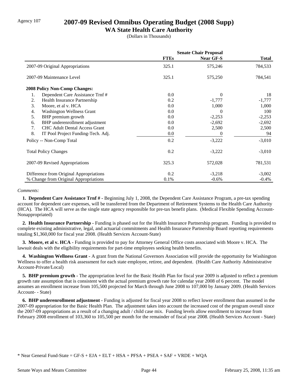## Agency 107 **2007-09 Revised Omnibus Operating Budget (2008 Supp)**

### **WA State Health Care Authority**

(Dollars in Thousands)

|                                            | <b>Senate Chair Proposal</b> |           |              |  |
|--------------------------------------------|------------------------------|-----------|--------------|--|
|                                            | <b>FTEs</b>                  | Near GF-S | <b>Total</b> |  |
| 2007-09 Original Appropriations            | 325.1                        | 575,246   | 784,533      |  |
| 2007-09 Maintenance Level                  | 325.1                        | 575,250   | 784,541      |  |
| 2008 Policy Non-Comp Changes:              |                              |           |              |  |
| 1.<br>Dependent Care Assistance Trnf#      | 0.0                          | $\theta$  | 18           |  |
| 2.<br>Health Insurance Partnership         | 0.2                          | $-1,777$  | $-1,777$     |  |
| 3.<br>Moore, et al v. HCA                  | 0.0                          | 1,000     | 1,000        |  |
| <b>Washington Wellness Grant</b><br>4.     | 0.0                          | 0         | 100          |  |
| 5.<br>BHP premium growth                   | $0.0\,$                      | $-2,253$  | $-2,253$     |  |
| BHP underenrollment adjustment<br>6.       | 0.0                          | $-2,692$  | $-2,692$     |  |
| 7.<br><b>CHC Adult Dental Access Grant</b> | $0.0\,$                      | 2,500     | 2,500        |  |
| 8.<br>IT Pool Project Funding-Tech. Adj.   | 0.0                          | 0         | 94           |  |
| Policy -- Non-Comp Total                   | 0.2                          | $-3,222$  | $-3,010$     |  |
| <b>Total Policy Changes</b>                | 0.2                          | $-3,222$  | $-3,010$     |  |
| 2007-09 Revised Appropriations             | 325.3                        | 572,028   | 781,531      |  |
| Difference from Original Appropriations    | 0.2                          | $-3,218$  | $-3,002$     |  |
| % Change from Original Appropriations      | 0.1%                         | $-0.6%$   | $-0.4\%$     |  |

#### *Comments:*

 **1. Dependent Care Assistance Trnf # -** Beginning July 1, 2008, the Dependent Care Assistance Program, a pre-tax spending account for dependent care expenses, will be transferred from the Department of Retirement Systems to the Health Care Authority (HCA). The HCA will serve as the single state agency responsible for pre-tax benefit plans. (Medical Flexible Spending Account-Nonappropriated)

 **2. Health Insurance Partnership -** Funding is phased out for the Health Insurance Partnership program. Funding is provided to complete existing administrative, legal, and actuarial commitments and Health Insurance Partnership Board reporting requirements totaling \$1,360,000 for fiscal year 2008. (Health Services Account-State)

 **3. Moore, et al v. HCA -** Funding is provided to pay for Attorney General Office costs associated with Moore v. HCA. The lawsuit deals with the eligibility requirements for part-time employees seeking health benefits.

 **4. Washington Wellness Grant -** A grant from the National Governors Association will provide the opportunity for Washington Wellness to offer a health risk assessment for each state employee, retiree, and dependent. (Health Care Authority Administrative Account-Private/Local)

**5. BHP premium growth -** The appropriation level for the Basic Health Plan for fiscal year 2009 is adjusted to reflect a premium growth rate assumption that is consistent with the actual premium growth rate for calendar year 2008 of 6 percent. The model assumes an enrollment increase from 105,500 projected for March through June 2008 to 107,000 by January 2009. (Health Services Account- - State)

 **6. BHP underenrollment adjustment -** Funding is adjusted for fiscal year 2008 to reflect lower enrollment than assumed in the 2007-09 appropriation for the Basic Health Plan. The adjustment takes into account the increased cost of the program overall since the 2007-09 appropriations as a result of a changing adult / child case mix. Funding levels allow enrollment to increase from February 2008 enrollment of 103,360 to 105,500 per month for the remainder of fiscal year 2008. (Health Services Account - State)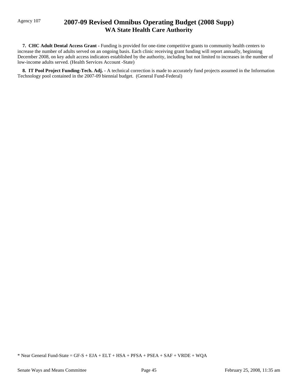# Agency 107 **2007-09 Revised Omnibus Operating Budget (2008 Supp) WA State Health Care Authority**

 **7. CHC Adult Dental Access Grant -** Funding is provided for one-time competitive grants to community health centers to increase the number of adults served on an ongoing basis. Each clinic receiving grant funding will report annually, beginning December 2008, on key adult access indicators established by the authority, including but not limited to increases in the number of low-income adults served. (Health Services Account -State)

 **8. IT Pool Project Funding-Tech. Adj. -** A technical correction is made to accurately fund projects assumed in the Information Technology pool contained in the 2007-09 biennial budget. (General Fund-Federal)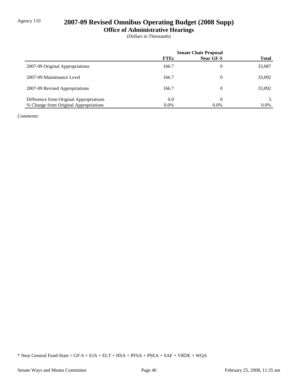# Agency 110 **2007-09 Revised Omnibus Operating Budget (2008 Supp)**

**Office of Administrative Hearings**

(Dollars in Thousands)

|                                         | <b>Senate Chair Proposal</b> |           |              |
|-----------------------------------------|------------------------------|-----------|--------------|
|                                         | <b>FTEs</b>                  | Near GF-S | <b>Total</b> |
| 2007-09 Original Appropriations         | 166.7                        | 0         | 33,087       |
| 2007-09 Maintenance Level               | 166.7                        | 0         | 33,092       |
| 2007-09 Revised Appropriations          | 166.7                        | 0         | 33,092       |
| Difference from Original Appropriations | 0.0                          |           |              |
| % Change from Original Appropriations   | $0.0\%$                      | $0.0\%$   | $0.0\%$      |

*Comments:*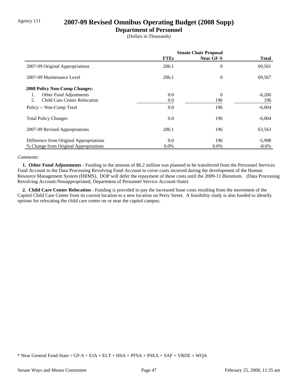# Agency 111 **2007-09 Revised Omnibus Operating Budget (2008 Supp)**

### **Department of Personnel**

(Dollars in Thousands)

|                                           | <b>Senate Chair Proposal</b> |                |              |
|-------------------------------------------|------------------------------|----------------|--------------|
|                                           | <b>FTEs</b>                  | Near GF-S      | <b>Total</b> |
| 2007-09 Original Appropriations           | 206.1                        | 0              | 69,561       |
| 2007-09 Maintenance Level                 | 206.1                        | $\overline{0}$ | 69,567       |
| <b>2008 Policy Non-Comp Changes:</b>      |                              |                |              |
| Other Fund Adjustments<br>1.              | 0.0                          | 0              | $-6,200$     |
| <b>Child Care Center Relocation</b><br>2. | 0.0                          | 196            | 196          |
| Policy -- Non-Comp Total                  | 0.0                          | 196            | $-6,004$     |
| <b>Total Policy Changes</b>               | 0.0                          | 196            | $-6,004$     |
| 2007-09 Revised Appropriations            | 206.1                        | 196            | 63,563       |
| Difference from Original Appropriations   | 0.0                          | 196            | $-5,998$     |
| % Change from Original Appropriations     | $0.0\%$                      | $0.0\%$        | $-8.6\%$     |

#### *Comments:*

 **1. Other Fund Adjustments -** Funding in the amount of \$6.2 million was planned to be transferred from the Personnel Services Fund Account to the Data Processing Revolving Fund Account to cover costs incurred during the development of the Human Resource Management System (HRMS). DOP will defer the repayment of these costs until the 2009-11 Biennium. (Data Processing Revolving Account-Nonappropriated, Department of Personnel Service Account-State)

 **2. Child Care Center Relocation -** Funding is provided to pay the increased lease costs resulting from the movement of the Capitol Child Care Center from its current location to a new location on Perry Street. A feasibility study is also funded to identify options for relocating the child care center on or near the capitol campus.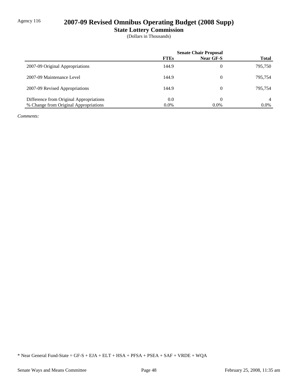# Agency 116 **2007-09 Revised Omnibus Operating Budget (2008 Supp)**

**State Lottery Commission**

(Dollars in Thousands)

|                                         | <b>Senate Chair Proposal</b> |           |              |
|-----------------------------------------|------------------------------|-----------|--------------|
|                                         | <b>FTEs</b>                  | Near GF-S | <b>Total</b> |
| 2007-09 Original Appropriations         | 144.9                        | 0         | 795,750      |
| 2007-09 Maintenance Level               | 144.9                        | 0         | 795.754      |
| 2007-09 Revised Appropriations          | 144.9                        | 0         | 795.754      |
| Difference from Original Appropriations | 0.0                          | 0         | 4            |
| % Change from Original Appropriations   | $0.0\%$                      | $0.0\%$   | $0.0\%$      |

*Comments:*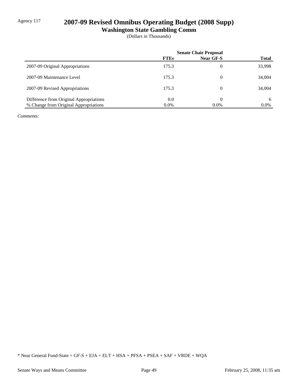# Agency 117 **2007-09 Revised Omnibus Operating Budget (2008 Supp)**

**Washington State Gambling Comm**

(Dollars in Thousands)

|                                         | <b>Senate Chair Proposal</b> |                  |              |
|-----------------------------------------|------------------------------|------------------|--------------|
|                                         | <b>FTEs</b>                  | <b>Near GF-S</b> | <b>Total</b> |
| 2007-09 Original Appropriations         | 175.3                        | 0                | 33,998       |
| 2007-09 Maintenance Level               | 175.3                        | 0                | 34,004       |
| 2007-09 Revised Appropriations          | 175.3                        | 0                | 34,004       |
| Difference from Original Appropriations | 0.0                          | 0                | 6            |
| % Change from Original Appropriations   | $0.0\%$                      | $0.0\%$          | $0.0\%$      |

*Comments:*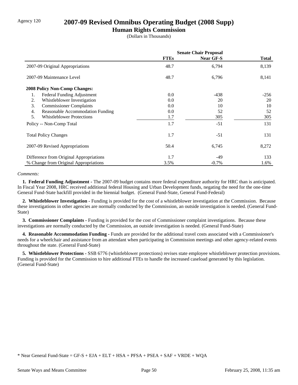## Agency 120 **2007-09 Revised Omnibus Operating Budget (2008 Supp)**

### **Human Rights Commission**

(Dollars in Thousands)

|                                         | <b>Senate Chair Proposal</b> |                  |              |
|-----------------------------------------|------------------------------|------------------|--------------|
|                                         | <b>FTEs</b>                  | <b>Near GF-S</b> | <b>Total</b> |
| 2007-09 Original Appropriations         | 48.7                         | 6,794            | 8,139        |
| 2007-09 Maintenance Level               | 48.7                         | 6,796            | 8,141        |
| <b>2008 Policy Non-Comp Changes:</b>    |                              |                  |              |
| 1.<br>Federal Funding Adjustment        | 0.0                          | $-438$           | $-256$       |
| Whistleblower Investigation<br>2.       | 0.0                          | 20               | 20           |
| 3.<br><b>Commissioner Complaints</b>    | 0.0                          | 10               | 10           |
| Reasonable Accommodation Funding<br>4.  | 0.0                          | 52               | 52           |
| 5.<br><b>Whistleblower Protections</b>  | 1.7                          | 305              | 305          |
| Policy -- Non-Comp Total                | 1.7                          | $-51$            | 131          |
| <b>Total Policy Changes</b>             | 1.7                          | $-51$            | 131          |
| 2007-09 Revised Appropriations          | 50.4                         | 6,745            | 8,272        |
| Difference from Original Appropriations | 1.7                          | -49              | 133          |
| % Change from Original Appropriations   | 3.5%                         | $-0.7\%$         | 1.6%         |

#### *Comments:*

 **1. Federal Funding Adjustment -** The 2007-09 budget contains more federal expenditure authority for HRC than is anticipated. In Fiscal Year 2008, HRC received additional federal Housing and Urban Development funds, negating the need for the one-time General Fund-State backfill provided in the biennial budget. (General Fund-State, General Fund-Federal)

 **2. Whistleblower Investigation -** Funding is provided for the cost of a whistleblower investigation at the Commission. Because these investigations in other agencies are normally conducted by the Commission, an outside investigation is needed. (General Fund-State)

 **3. Commissioner Complaints -** Funding is provided for the cost of Commissioner complaint investigations. Because these investigations are normally conducted by the Commission, an outside investigation is needed. (General Fund-State)

 **4. Reasonable Accommodation Funding -** Funds are provided for the additional travel costs associated with a Commissioner's needs for a wheelchair and assistance from an attendant when participating in Commission meetings and other agency-related events throughout the state. (General Fund-State)

 **5. Whistleblower Protections -** SSB 6776 (whistleblower protections) revises state employee whistleblower protection provisions. Funding is provided for the Commission to hire additional FTEs to handle the increased caseload generated by this legislation. (General Fund-State)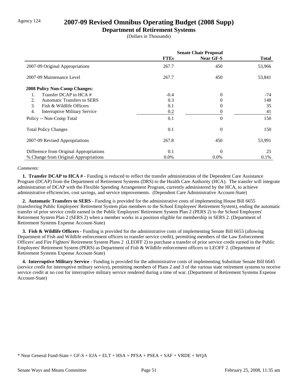## Agency 124 **2007-09 Revised Omnibus Operating Budget (2008 Supp)**

#### **Department of Retirement Systems**

(Dollars in Thousands)

|                                                          | <b>Senate Chair Proposal</b> |                  |        |
|----------------------------------------------------------|------------------------------|------------------|--------|
|                                                          | <b>FTEs</b>                  | <b>Near GF-S</b> | Total  |
| 2007-09 Original Appropriations                          | 267.7                        | 450              | 53,966 |
| 2007-09 Maintenance Level                                | 267.7                        | 450              | 53,841 |
| <b>2008 Policy Non-Comp Changes:</b>                     |                              |                  |        |
| Transfer DCAP to HCA #<br>1.                             | $-0.4$                       | $\overline{0}$   | $-74$  |
| <b>Automatic Transfers to SERS</b><br>2.                 | 0.3                          | 0                | 148    |
| 3.<br>Fish & Wildlife Officers                           | 0.1                          | 0                | 35     |
| $\overline{4}$ .<br><b>Interruptive Military Service</b> | 0.2                          | 0                | 41     |
| Policy -- Non-Comp Total                                 | 0.1                          | $\theta$         | 150    |
| <b>Total Policy Changes</b>                              | 0.1                          | $\overline{0}$   | 150    |
| 2007-09 Revised Appropriations                           | 267.8                        | 450              | 53,991 |
| Difference from Original Appropriations                  | 0.1                          | $\Omega$         | 25     |
| % Change from Original Appropriations                    | $0.0\%$                      | $0.0\%$          | 0.1%   |

#### *Comments:*

**1. Transfer DCAP to HCA # - Funding is reduced to reflect the transfer administration of the Dependent Care Assistance** Program (DCAP) from the Department of Retirement Systems (DRS) to the Health Care Authority (HCA). The transfer will integrate administration of DCAP with the Flexible Spending Arrangement Program, currently administered by the HCA, to achieve administrative efficiencies, cost savings, and service improvements. (Dependent Care Administrative Account-State)

 **2. Automatic Transfers to SERS -** Funding is provided for the administrative costs of implementing House Bill 6655 (transferring Public Employees' Retirement System plan members to the School Employees' Retirement System), ending the automatic transfer of prior service credit earned in the Public Employees' Retirement System Plan 2 (PERS 2) to the School Employees' Retirement System Plan 2 (SERS 2) when a member works in a position eligible for membership in SERS 2. (Department of Retirement Systems Expense Account-State)

**3. Fish & Wildlife Officers -** Funding is provided for the administrative costs of implementing Senate Bill 6653 (allowing Department of Fish and Wildlife enforcement officers to transfer service credit), permitting members of the Law Enforcement Officers' and Fire Fighters' Retirement System Plans 2 (LEOFF 2) to purchase a transfer of prior service credit earned in the Public Employees' Retirement System (PERS) as Department of Fish & Wildlife enforcement officers to LEOFF 2. (Department of Retirement Systems Expense Account-State)

 **4. Interruptive Military Service -** Funding is provided for the administrative costs of implementing Substitute Senate Bill 6645 (service credit for interruptive military service), permitting members of Plans 2 and 3 of the various state retirement systems to receive service credit at no cost for interruptive military service rendered during a time of war. (Department of Retirement Systems Expense Account-State)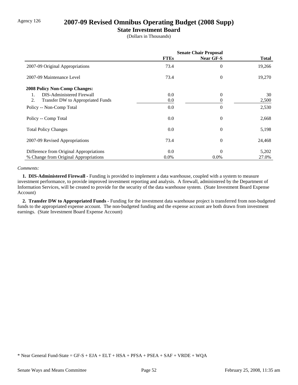# Agency 126 **2007-09 Revised Omnibus Operating Budget (2008 Supp)**

### **State Investment Board**

(Dollars in Thousands)

|                                         | <b>Senate Chair Proposal</b> |                  |        |
|-----------------------------------------|------------------------------|------------------|--------|
|                                         | <b>FTEs</b>                  | Near GF-S        | Total  |
| 2007-09 Original Appropriations         | 73.4                         | 0                | 19,266 |
| 2007-09 Maintenance Level               | 73.4                         | $\theta$         | 19,270 |
| 2008 Policy Non-Comp Changes:           |                              |                  |        |
| DIS-Administered Firewall<br>1.         | 0.0                          | $\theta$         | 30     |
| 2.<br>Transfer DW to Appropriated Funds | 0.0                          | 0                | 2,500  |
| Policy -- Non-Comp Total                | 0.0                          | 0                | 2,530  |
| Policy -- Comp Total                    | 0.0                          | $\boldsymbol{0}$ | 2,668  |
| <b>Total Policy Changes</b>             | 0.0                          | $\overline{0}$   | 5,198  |
| 2007-09 Revised Appropriations          | 73.4                         | $\overline{0}$   | 24,468 |
| Difference from Original Appropriations | 0.0                          | $\theta$         | 5,202  |
| % Change from Original Appropriations   | $0.0\%$                      | $0.0\%$          | 27.0%  |

#### *Comments:*

 **1. DIS-Administered Firewall -** Funding is provided to implement a data warehouse, coupled with a system to measure investment performance, to provide improved investment reporting and analysis. A firewall, administered by the Department of Information Services, will be created to provide for the security of the data warehouse system. (State Investment Board Expense Account)

 **2. Transfer DW to Appropriated Funds -** Funding for the investment data warehouse project is transferred from non-budgeted funds to the appropriated expense account. The non-budgeted funding and the expense account are both drawn from investment earnings. (State Investment Board Expense Account)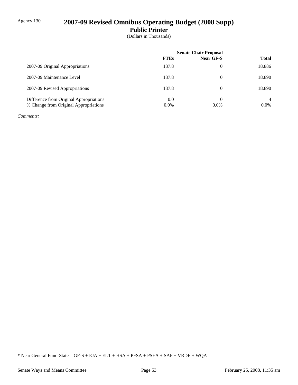# Agency 130 **2007-09 Revised Omnibus Operating Budget (2008 Supp)**

**Public Printer**

(Dollars in Thousands)

|                                         | <b>Senate Chair Proposal</b> |                |              |
|-----------------------------------------|------------------------------|----------------|--------------|
|                                         | <b>FTEs</b>                  | Near GF-S      | <b>Total</b> |
| 2007-09 Original Appropriations         | 137.8                        | $\overline{0}$ | 18,886       |
| 2007-09 Maintenance Level               | 137.8                        | $\theta$       | 18,890       |
| 2007-09 Revised Appropriations          | 137.8                        | $\theta$       | 18.890       |
| Difference from Original Appropriations | 0.0                          | 0              | 4            |
| % Change from Original Appropriations   | $0.0\%$                      | $0.0\%$        | $0.0\%$      |

*Comments:*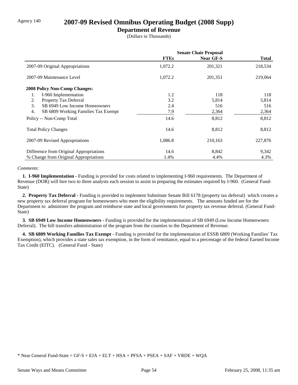### Agency 140 **2007-09 Revised Omnibus Operating Budget (2008 Supp)**

### **Department of Revenue**

(Dollars in Thousands)

|                                           | <b>Senate Chair Proposal</b> |           |              |
|-------------------------------------------|------------------------------|-----------|--------------|
|                                           | <b>FTEs</b>                  | Near GF-S | <b>Total</b> |
| 2007-09 Original Appropriations           | 1,072.2                      | 201,321   | 218,534      |
| 2007-09 Maintenance Level                 | 1,072.2                      | 201,351   | 219,064      |
| <b>2008 Policy Non-Comp Changes:</b>      |                              |           |              |
| I-960 Implementation<br>1.                | 1.2                          | 118       | 118          |
| Property Tax Deferral<br>2.               | 3.2                          | 5,814     | 5,814        |
| 3.<br>SB 6949 Low Income Homeowners       | 2.4                          | 516       | 516          |
| 4.<br>SB 6809 Working Families Tax Exempt | 7.9                          | 2,364     | 2,364        |
| Policy -- Non-Comp Total                  | 14.6                         | 8,812     | 8,812        |
| <b>Total Policy Changes</b>               | 14.6                         | 8,812     | 8,812        |
| 2007-09 Revised Appropriations            | 1,086.8                      | 210,163   | 227,876      |
| Difference from Original Appropriations   | 14.6                         | 8,842     | 9,342        |
| % Change from Original Appropriations     | 1.4%                         | 4.4%      | 4.3%         |

#### *Comments:*

 **1. I-960 Implementation -** Funding is provided for costs related to implementing I-960 requirements. The Department of Revenue (DOR) will hire two to three analysts each session to assist in preparing the estimates required by I-960. (General Fund-State)

 **2. Property Tax Deferral -** Funding is provided to implement Substitute Senate Bill 6178 (property tax deferral) which creates a new property tax deferral program for homeowners who meet the eligibility requirements. The amounts funded are for the Department to administer the program and reimburse state and local governments for property tax revenue deferral. (General Fund-State)

 **3. SB 6949 Low Income Homeowners -** Funding is provided for the implementation of SB 6949 (Low Income Homeowners Deferral). The bill transfers administration of the program from the counties to the Department of Revenue.

 **4. SB 6809 Working Families Tax Exempt -** Funding is provided for the implementation of ESSB 6809 (Working Families' Tax Exemption), which provides a state sales tax exemption, in the form of remittance, equal to a percentage of the federal Earned Income Tax Credit (EITC). (General Fund - State)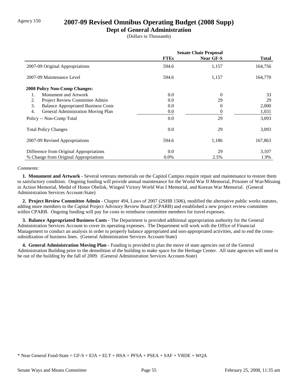### Agency 150 **2007-09 Revised Omnibus Operating Budget (2008 Supp)**

### **Dept of General Administration**

(Dollars in Thousands)

|                                                  | <b>Senate Chair Proposal</b> |                |              |
|--------------------------------------------------|------------------------------|----------------|--------------|
|                                                  | <b>FTEs</b>                  | Near GF-S      | <b>Total</b> |
| 2007-09 Original Appropriations                  | 594.6                        | 1,157          | 164,756      |
| 2007-09 Maintenance Level                        | 594.6                        | 1,157          | 164,770      |
| <b>2008 Policy Non-Comp Changes:</b>             |                              |                |              |
| Monument and Artwork<br>1.                       | 0.0                          | $\overline{0}$ | 33           |
| 2.<br>Project Review Committee Admin             | 0.0                          | 29             | 29           |
| 3.<br><b>Balance Appropriated Business Costs</b> | 0.0                          | $\theta$       | 2,000        |
| 4.<br>General Administration Moving Plan         | 0.0                          | $\theta$       | 1,031        |
| Policy -- Non-Comp Total                         | 0.0                          | 29             | 3,093        |
| <b>Total Policy Changes</b>                      | 0.0                          | 29             | 3,093        |
| 2007-09 Revised Appropriations                   | 594.6                        | 1,186          | 167,863      |
| Difference from Original Appropriations          | 0.0                          | 29             | 3,107        |
| % Change from Original Appropriations            | $0.0\%$                      | 2.5%           | 1.9%         |

#### *Comments:*

 **1. Monument and Artwork -** Several veterans memorials on the Capitol Campus require repair and maintenance to restore them to satisfactory condition. Ongoing funding will provide annual maintenance for the World War II Memorial, Prisoner of War/Missing in Action Memorial, Medal of Honor Obelisk, Winged Victory World War I Memorial, and Korean War Memorial. (General Administration Services Account-State)

 **2. Project Review Committee Admin -** Chapter 494, Laws of 2007 (2SHB 1506), modified the alternative public works statutes, adding more members to the Capital Project Advisory Review Board (CPARB) and established a new project review committee within CPARB. Ongoing funding will pay for costs to reimburse committee members for travel expenses.

 **3. Balance Appropriated Business Costs -** The Department is provided additional appropriation authority for the General Administration Services Account to cover its operating expenses. The Department will work with the Office of Financial Management to conduct an analysis in order to properly balance appropriated and non-appropriated activities, and to end the crosssubsidization of business lines. (General Administration Services Account-State)

 **4. General Administration Moving Plan -** Funding is provided to plan the move of state agencies out of the General Administration Building prior to the demolition of the building to make space for the Heritage Center. All state agencies will need to be out of the building by the fall of 2009. (General Administration Services Account-State)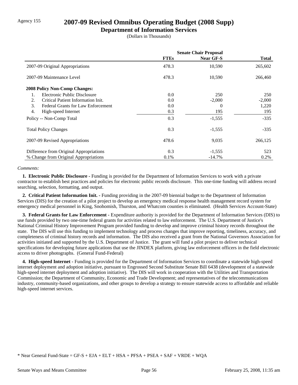# Agency 155 **2007-09 Revised Omnibus Operating Budget (2008 Supp)**

### **Department of Information Services**

(Dollars in Thousands)

|                                                 | <b>Senate Chair Proposal</b> |           |              |
|-------------------------------------------------|------------------------------|-----------|--------------|
|                                                 | <b>FTEs</b>                  | Near GF-S | <b>Total</b> |
| 2007-09 Original Appropriations                 | 478.3                        | 10,590    | 265,602      |
| 2007-09 Maintenance Level                       | 478.3                        | 10,590    | 266,460      |
| <b>2008 Policy Non-Comp Changes:</b>            |                              |           |              |
| Electronic Public Disclosure<br>1.              | 0.0                          | 250       | 250          |
| Critical Patient Information Init.<br>2.        | 0.0                          | $-2,000$  | $-2,000$     |
| 3.<br><b>Federal Grants for Law Enforcement</b> | 0.0                          | 0         | 1,220        |
| 4.<br>High-speed Internet                       | 0.3                          | 195       | 195          |
| Policy -- Non-Comp Total                        | 0.3                          | $-1,555$  | $-335$       |
| <b>Total Policy Changes</b>                     | 0.3                          | $-1,555$  | $-335$       |
| 2007-09 Revised Appropriations                  | 478.6                        | 9,035     | 266,125      |
| Difference from Original Appropriations         | 0.3                          | $-1,555$  | 523          |
| % Change from Original Appropriations           | 0.1%                         | $-14.7%$  | 0.2%         |

#### *Comments:*

 **1. Electronic Public Disclosure -** Funding is provided for the Department of Information Services to work with a private contractor to establish best practices and policies for electronic public records disclosure. This one-time funding will address record searching, selection, formatting, and output.

 **2. Critical Patient Information Init. -** Funding providing in the 2007-09 biennial budget to the Department of Information Services (DIS) for the creation of a pilot project to develop an emergency medical response health management record system for emergency medical personnel in King, Snohomish, Thurston, and Whatcom counties is eliminated. (Health Services Account-State)

 **3. Federal Grants for Law Enforcement -** Expenditure authority is provided for the Department of Information Services (DIS) to use funds provided by two one-time federal grants for activities related to law enforcement. The U.S. Department of Justice's National Criminal History Improvement Program provided funding to develop and improve criminal history records throughout the state. The DIS will use this funding to implement technology and process changes that improve reporting, timeliness, accuracy, and completeness of criminal history records and information. The DIS also received a grant from the National Governors Association for activities initiated and supported by the U.S. Department of Justice. The grant will fund a pilot project to deliver technical specifications for developing future applications that use the JINDEX platform, giving law enforcement officers in the field electronic access to driver photographs. (General Fund-Federal)

 **4. High-speed Internet -** Funding is provided for the Department of Information Services to coordinate a statewide high-speed internet deployment and adoption initiative, pursuant to Engrossed Second Substitute Senate Bill 6438 (development of a statewide high-speed internet deployment and adoption initiative). The DIS will work in cooperation with the Utilities and Transportation Commission; the Department of Community, Economic and Trade Development; and representatives of the telecommunications industry, community-based organizations, and other groups to develop a strategy to ensure statewide access to affordable and reliable high-speed internet services.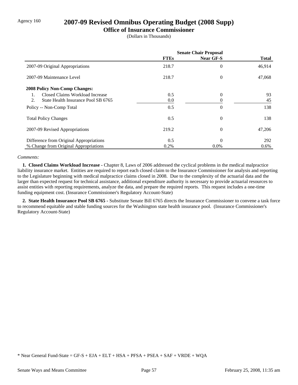### Agency 160 **2007-09 Revised Omnibus Operating Budget (2008 Supp)**

#### **Office of Insurance Commissioner**

(Dollars in Thousands)

|                                           | <b>Senate Chair Proposal</b> |                  |              |
|-------------------------------------------|------------------------------|------------------|--------------|
|                                           | <b>FTEs</b>                  | <b>Near GF-S</b> | <b>Total</b> |
| 2007-09 Original Appropriations           | 218.7                        | 0                | 46,914       |
| 2007-09 Maintenance Level                 | 218.7                        | $\overline{0}$   | 47,068       |
| <b>2008 Policy Non-Comp Changes:</b>      |                              |                  |              |
| Closed Claims Workload Increase           | 0.5                          | $\overline{0}$   | 93           |
| 2.<br>State Health Insurance Pool SB 6765 | 0.0                          | 0                | 45           |
| Policy -- Non-Comp Total                  | 0.5                          | 0                | 138          |
| <b>Total Policy Changes</b>               | 0.5                          | $\overline{0}$   | 138          |
| 2007-09 Revised Appropriations            | 219.2                        | $\overline{0}$   | 47,206       |
| Difference from Original Appropriations   | 0.5                          | $\Omega$         | 292          |
| % Change from Original Appropriations     | 0.2%                         | $0.0\%$          | $0.6\%$      |

#### *Comments:*

 **1. Closed Claims Workload Increase -** Chapter 8, Laws of 2006 addressed the cyclical problems in the medical malpractice liability insurance market. Entities are required to report each closed claim to the Insurance Commissioner for analysis and reporting to the Legislature beginning with medical malpractice claims closed in 2008. Due to the complexity of the actuarial data and the larger than expected request for technical assistance, additional expenditure authority is necessary to provide actuarial resources to assist entities with reporting requirements, analyze the data, and prepare the required reports. This request includes a one-time funding equipment cost. (Insurance Commissioner's Regulatory Account-State)

 **2. State Health Insurance Pool SB 6765 -** Substitute Senate Bill 6765 directs the Insurance Commissioner to convene a task force to recommend equitable and stable funding sources for the Washington state health insurance pool. (Insurance Commissioner's Regulatory Account-State)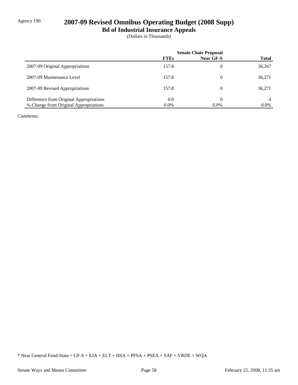# Agency 190 **2007-09 Revised Omnibus Operating Budget (2008 Supp)**

**Bd of Industrial Insurance Appeals**

(Dollars in Thousands)

|                                         | <b>Senate Chair Proposal</b> |           |              |
|-----------------------------------------|------------------------------|-----------|--------------|
|                                         | <b>FTEs</b>                  | Near GF-S | <b>Total</b> |
| 2007-09 Original Appropriations         | 157.8                        | 0         | 36,267       |
| 2007-09 Maintenance Level               | 157.8                        | 0         | 36,271       |
| 2007-09 Revised Appropriations          | 157.8                        | 0         | 36,271       |
| Difference from Original Appropriations | 0.0                          |           |              |
| % Change from Original Appropriations   | $0.0\%$                      | $0.0\%$   | $0.0\%$      |

*Comments:*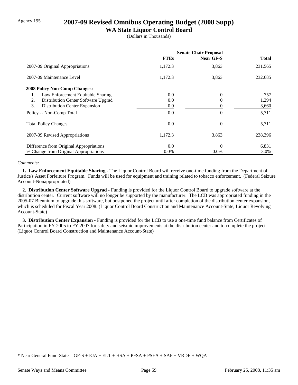# Agency 195 **2007-09 Revised Omnibus Operating Budget (2008 Supp)**

### **WA State Liquor Control Board**

(Dollars in Thousands)

|                                           | <b>Senate Chair Proposal</b> |                  |              |
|-------------------------------------------|------------------------------|------------------|--------------|
|                                           | <b>FTEs</b>                  | <b>Near GF-S</b> | <b>Total</b> |
| 2007-09 Original Appropriations           | 1,172.3                      | 3,863            | 231,565      |
| 2007-09 Maintenance Level                 | 1,172.3                      | 3,863            | 232,685      |
| <b>2008 Policy Non-Comp Changes:</b>      |                              |                  |              |
| Law Enforcement Equitable Sharing         | 0.0                          | $\overline{0}$   | 757          |
| Distribution Center Software Upgrad<br>2. | 0.0                          | 0                | 1,294        |
| 3.<br>Distribution Center Expansion       | 0.0                          | 0                | 3,660        |
| Policy -- Non-Comp Total                  | 0.0                          | $\theta$         | 5,711        |
| <b>Total Policy Changes</b>               | 0.0                          | $\overline{0}$   | 5,711        |
| 2007-09 Revised Appropriations            | 1,172.3                      | 3,863            | 238,396      |
| Difference from Original Appropriations   | 0.0                          | $\theta$         | 6,831        |
| % Change from Original Appropriations     | $0.0\%$                      | $0.0\%$          | 3.0%         |

#### *Comments:*

 **1. Law Enforcement Equitable Sharing -** The Liquor Control Board will receive one-time funding from the Department of Justice's Asset Forfeiture Program. Funds will be used for equipment and training related to tobacco enforcement. (Federal Seizure Account-Nonappropriated)

 **2. Distribution Center Software Upgrad -** Funding is provided for the Liquor Control Board to upgrade software at the distribution center. Current software will no longer be supported by the manufacturer. The LCB was appropriated funding in the 2005-07 Biennium to upgrade this software, but postponed the project until after completion of the distribution center expansion, which is scheduled for Fiscal Year 2008. (Liquor Control Board Construction and Maintenance Account-State, Liquor Revolving Account-State)

 **3. Distribution Center Expansion -** Funding is provided for the LCB to use a one-time fund balance from Certificates of Participation in FY 2005 to FY 2007 for safety and seismic improvements at the distribution center and to complete the project. (Liquor Control Board Construction and Maintenance Account-State)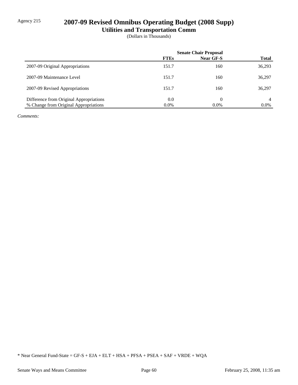# Agency 215 **2007-09 Revised Omnibus Operating Budget (2008 Supp)**

**Utilities and Transportation Comm**

(Dollars in Thousands)

|                                         | <b>Senate Chair Proposal</b> |                  |              |  |
|-----------------------------------------|------------------------------|------------------|--------------|--|
|                                         | <b>FTEs</b>                  | <b>Near GF-S</b> | <b>Total</b> |  |
| 2007-09 Original Appropriations         | 151.7                        | 160              | 36,293       |  |
| 2007-09 Maintenance Level               | 151.7                        | 160              | 36,297       |  |
| 2007-09 Revised Appropriations          | 151.7                        | 160              | 36,297       |  |
| Difference from Original Appropriations | 0.0                          | 0                | 4            |  |
| % Change from Original Appropriations   | $0.0\%$                      | $0.0\%$          | $0.0\%$      |  |

*Comments:*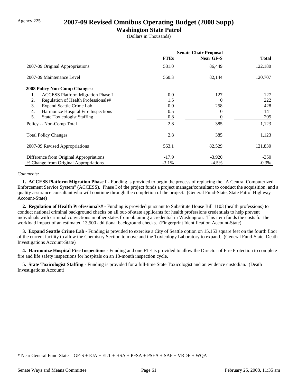# Agency 225 **2007-09 Revised Omnibus Operating Budget (2008 Supp)**

### **Washington State Patrol**

(Dollars in Thousands)

|                                                | <b>Senate Chair Proposal</b> |                  |              |
|------------------------------------------------|------------------------------|------------------|--------------|
|                                                | <b>FTEs</b>                  | <b>Near GF-S</b> | <b>Total</b> |
| 2007-09 Original Appropriations                | 581.0                        | 86,449           | 122,180      |
| 2007-09 Maintenance Level                      | 560.3                        | 82,144           | 120,707      |
| 2008 Policy Non-Comp Changes:                  |                              |                  |              |
| 1.<br><b>ACCESS Platform Migration Phase I</b> | 0.0                          | 127              | 127          |
| Regulation of Health Professionals#<br>2.      | 1.5                          | $\theta$         | 222          |
| 3.<br><b>Expand Seattle Crime Lab</b>          | $0.0\,$                      | 258              | 428          |
| Harmonize Hospital Fire Inspections<br>4.      | 0.5                          | $\theta$         | 141          |
| 5.<br><b>State Toxicologist Staffing</b>       | 0.8                          | 0                | 205          |
| Policy -- Non-Comp Total                       | 2.8                          | 385              | 1,123        |
| <b>Total Policy Changes</b>                    | 2.8                          | 385              | 1,123        |
| 2007-09 Revised Appropriations                 | 563.1                        | 82,529           | 121,830      |
| Difference from Original Appropriations        | $-17.9$                      | $-3,920$         | $-350$       |
| % Change from Original Appropriations          | $-3.1%$                      | $-4.5\%$         | $-0.3\%$     |

#### *Comments:*

 **1. ACCESS Platform Migration Phase I -** Funding is provided to begin the process of replacing the "A Central Computerized Enforcement Service System" (ACCESS). Phase I of the project funds a project manager/consultant to conduct the acquisition, and a quality assurance consultant who will continue through the completion of the project. (General Fund-State, State Patrol Highway Account-State)

 **2. Regulation of Health Professionals# -** Funding is provided pursuant to Substitute House Bill 1103 (health professions) to conduct national criminal background checks on all out-of-state applicants for health professions credentials to help prevent individuals with criminal convictions in other states from obtaining a credential in Washington. This item funds the costs for the workload impact of an estimated 13,500 additional background checks. (Fingerprint Identification Account-State)

**3. Expand Seattle Crime Lab - Funding is provided to exercise a City of Seattle option on 15,153 square feet on the fourth floor** of the current facility to allow the Chemistry Section to move and the Toxicology Laboratory to expand. (General Fund-State, Death Investigations Account-State)

 **4. Harmonize Hospital Fire Inspections -** Funding and one FTE is provided to allow the Director of Fire Protection to complete fire and life safety inspections for hospitals on an 18-month inspection cycle.

 **5. State Toxicologist Staffing -** Funding is provided for a full-time State Toxicologist and an evidence custodian. (Death Investigations Account)

<sup>\*</sup> Near General Fund-State = GF-S + EJA + ELT + HSA + PFSA + PSEA + SAF + VRDE + WQA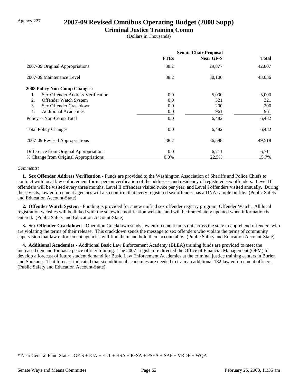## Agency 227 **2007-09 Revised Omnibus Operating Budget (2008 Supp)**

### **Criminal Justice Training Comm**

(Dollars in Thousands)

|                                         | <b>Senate Chair Proposal</b> |                  |              |
|-----------------------------------------|------------------------------|------------------|--------------|
|                                         | <b>FTEs</b>                  | <b>Near GF-S</b> | <b>Total</b> |
| 2007-09 Original Appropriations         | 38.2                         | 29,877           | 42,807       |
| 2007-09 Maintenance Level               | 38.2                         | 30,106           | 43,036       |
| <b>2008 Policy Non-Comp Changes:</b>    |                              |                  |              |
| Sex Offender Address Verification<br>1. | 0.0                          | 5,000            | 5,000        |
| 2.<br>Offender Watch System             | 0.0                          | 321              | 321          |
| Sex Offender Crackdown<br>3.            | 0.0                          | <b>200</b>       | <b>200</b>   |
| 4.<br><b>Additional Academies</b>       | $0.0\,$                      | 961              | 961          |
| Policy -- Non-Comp Total                | 0.0                          | 6,482            | 6,482        |
| <b>Total Policy Changes</b>             | 0.0                          | 6,482            | 6,482        |
| 2007-09 Revised Appropriations          | 38.2                         | 36,588           | 49,518       |
| Difference from Original Appropriations | 0.0                          | 6,711            | 6,711        |
| % Change from Original Appropriations   | $0.0\%$                      | 22.5%            | 15.7%        |

#### *Comments:*

 **1. Sex Offender Address Verification -** Funds are provided to the Washington Association of Sheriffs and Police Chiefs to contract with local law enforcement for in-person verification of the addresses and residency of registered sex offenders. Level III offenders will be visited every three months, Level II offenders visited twice per year, and Level I offenders visited annually. During these visits, law enforcement agencies will also confirm that every registered sex offender has a DNA sample on file. (Public Safety and Education Account-State)

 **2. Offender Watch System -** Funding is provided for a new unified sex offender registry program, Offender Watch. All local registration websites will be linked with the statewide notification website, and will be immediately updated when information is entered. (Public Safety and Education Account-State)

**3. Sex Offender Crackdown -** Operation Crackdown sends law enforcement units out across the state to apprehend offenders who are violating the terms of their release. This crackdown sends the message to sex offenders who violate the terms of community supervision that law enforcement agencies will find them and hold them accountable. (Public Safety and Education Account-State)

 **4. Additional Academies -** Additional Basic Law Enforcement Academy (BLEA) training funds are provided to meet the increased demand for basic peace officer training. The 2007 Legislature directed the Office of Financial Management (OFM) to develop a forecast of future student demand for Basic Law Enforcement Academies at the criminal justice training centers in Burien and Spokane. That forecast indicated that six additional academies are needed to train an additional 182 law enforcement officers. (Public Safety and Education Account-State)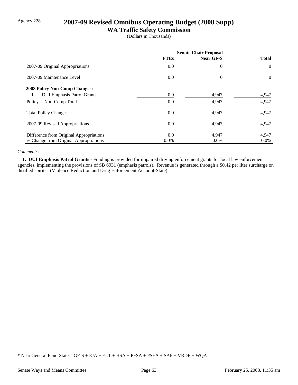# Agency 228 **2007-09 Revised Omnibus Operating Budget (2008 Supp)**

### **WA Traffic Safety Commission**

(Dollars in Thousands)

|                                         | <b>Senate Chair Proposal</b> |                  |                |
|-----------------------------------------|------------------------------|------------------|----------------|
|                                         | <b>FTEs</b>                  | <b>Near GF-S</b> | <b>Total</b>   |
| 2007-09 Original Appropriations         | 0.0                          | $\theta$         | $\theta$       |
| 2007-09 Maintenance Level               | 0.0                          | $\theta$         | $\overline{0}$ |
| <b>2008 Policy Non-Comp Changes:</b>    |                              |                  |                |
| <b>DUI Emphasis Patrol Grants</b><br>1. | 0.0                          | 4,947            | 4,947          |
| Policy -- Non-Comp Total                | 0.0                          | 4,947            | 4,947          |
| <b>Total Policy Changes</b>             | $0.0\,$                      | 4,947            | 4,947          |
| 2007-09 Revised Appropriations          | 0.0                          | 4,947            | 4,947          |
| Difference from Original Appropriations | 0.0                          | 4,947            | 4,947          |
| % Change from Original Appropriations   | $0.0\%$                      | $0.0\%$          | $0.0\%$        |

#### *Comments:*

 **1. DUI Emphasis Patrol Grants -** Funding is provided for impaired driving enforcement grants for local law enforcement agencies, implementing the provisions of SB 6931 (emphasis patrols). Revenue is generated through a \$0.42 per liter surcharge on distilled spirits. (Violence Reduction and Drug Enforcement Account-State)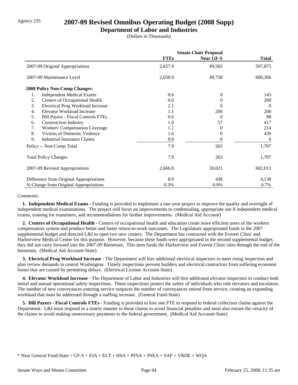## Agency 235 **2007-09 Revised Omnibus Operating Budget (2008 Supp)**

### **Department of Labor and Industries**

(Dollars in Thousands)

|                                                 | <b>Senate Chair Proposal</b> |                  |              |
|-------------------------------------------------|------------------------------|------------------|--------------|
|                                                 | <b>FTEs</b>                  | <b>Near GF-S</b> | <b>Total</b> |
| 2007-09 Original Appropriations                 | 2,657.9                      | 49,583           | 597,875      |
| 2007-09 Maintenance Level                       | 2,658.9                      | 49,758           | 600,306      |
| <b>2008 Policy Non-Comp Changes:</b>            |                              |                  |              |
| <b>Independent Medical Exams</b><br>1.          | 0.6                          | 0                | 143          |
| Centers of Occupational Health<br>2.            | 0.0                          | $_{0}$           | 200          |
| 3.<br><b>Electrical Prog Workload Increase</b>  | 2.1                          | 0                | $\Omega$     |
| Elevator Workload Increase<br>4.                | 1.1                          | 200              | 200          |
| 5.<br><b>Bill Payers - Fiscal Controls FTEs</b> | 0.6                          | 0                | 88           |
| <b>Construction Industry</b><br>6.              | 1.0                          | 57               | 417          |
| <b>Workers' Compensation Coverage</b><br>7.     | 1.1                          | $_{0}$           | 214          |
| Victims of Domestic Violence<br>8.              | 1.6                          | 0                | 439          |
| 9.<br><b>Industrial Insurance Claims</b>        | $0.0\,$                      | 6                | 6            |
| Policy -- Non-Comp Total                        | 7.9                          | 263              | 1,707        |
| <b>Total Policy Changes</b>                     | 7.9                          | 263              | 1,707        |
| 2007-09 Revised Appropriations                  | 2,666.8                      | 50,021           | 602,013      |
| Difference from Original Appropriations         | 8.9                          | 438              | 4,138        |
| % Change from Original Appropriations           | 0.3%                         | 0.9%             | 0.7%         |

#### *Comments:*

 **1. Independent Medical Exams -** Funding is provided to implement a one-year project to improve the quality and oversight of independent medical examinations. The project will focus on improvements to credentialing, appropriate use if independent medical exams, training for examiners, and recommendations for further improvements. (Medical Aid Account)

 **2. Centers of Occupational Health -** Centers of occupational health and education create more efficient users of the workers compensation system and produce better and faster return-to-work outcomes. The Legislature appropriated funds in the 2007 supplemental budget and directed L&I to open two new centers. The Department has contracted with the Everett Clinic and Harborview Medical Center for this purpose. However, because these funds were appropriated in the second supplemental budget, they did not carry forward into the 2007-09 Biennium. This item funds the Harborview and Everett Clinic sites through the end of the biennium. (Medical Aid Account-State)

 **3. Electrical Prog Workload Increase -** The Department will hire additional electrical inspectors to meet rising inspection and plan review demands in central Washington. Timely inspections prevent builders and electrical contractors from suffering economic losses that are caused by permitting delays. (Electrical License Account-State)

 **4. Elevator Workload Increase -** The Department of Labor and Industries will hire additional elevator inspectors to conduct both initial and annual operational safety inspections. These inspections protect the safety of individuals who ride elevators and escalators. The number of new conveyances entering service outpaces the number of conveyances retired from service, creating an expanding workload that must be addressed through a staffing increase. (General Fund-State)

 **5. Bill Payers - Fiscal Controls FTEs -** Funding is provided to hire one FTE to respond to federal collection claims against the Department. L&I must respond in a timely manner to these claims to avoid financial penalties and must also ensure the veracity of the claims to avoid making unnecessary payments to the federal government. (Medical Aid Account-State)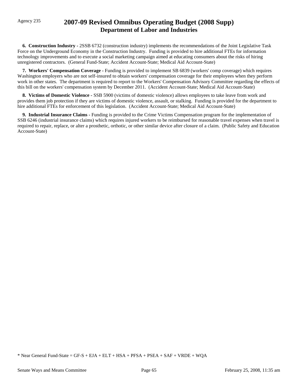# Agency 235 **2007-09 Revised Omnibus Operating Budget (2008 Supp) Department of Labor and Industries**

 **6. Construction Industry -** 2SSB 6732 (construction industry) implements the recommendations of the Joint Legislative Task Force on the Underground Economy in the Construction Industry. Funding is provided to hire additional FTEs for information technology improvements and to execute a social marketing campaign aimed at educating consumers about the risks of hiring unregistered contractors. (General Fund-State; Accident Account-State; Medical Aid Account-State)

 **7. Workers' Compensation Coverage -** Funding is provided to implement SB 6839 (workers' comp coverage) which requires Washington employers who are not self-insured to obtain workers' compensation coverage for their employees when they perform work in other states. The department is required to report to the Workers' Compensation Advisory Committee regarding the effects of this bill on the workers' compensation system by December 2011. (Accident Account-State; Medical Aid Account-State)

 **8. Victims of Domestic Violence -** SSB 5900 (victims of domestic violence) allows employees to take leave from work and provides them job protection if they are victims of domestic violence, assault, or stalking. Funding is provided for the department to hire additional FTEs for enforcement of this legislation. (Accident Account-State; Medical Aid Account-State)

 **9. Industrial Insurance Claims -** Funding is provided to the Crime Victims Compensation program for the implementation of SSB 6246 (industrial insurance claims) which requires injured workers to be reimbursed for reasonable travel expenses when travel is required to repair, replace, or alter a prosthetic, orthotic, or other similar device after closure of a claim. (Public Safety and Education Account-State)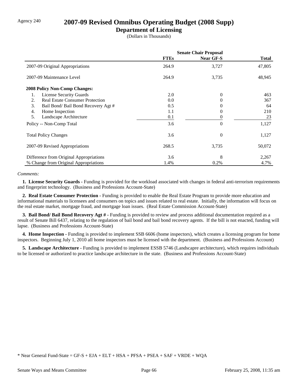### Agency 240 **2007-09 Revised Omnibus Operating Budget (2008 Supp)**

### **Department of Licensing**

(Dollars in Thousands)

|                                              | <b>Senate Chair Proposal</b> |                  |        |  |
|----------------------------------------------|------------------------------|------------------|--------|--|
|                                              | <b>FTEs</b>                  | <b>Near GF-S</b> | Total  |  |
| 2007-09 Original Appropriations              | 264.9                        | 3,727            | 47,805 |  |
| 2007-09 Maintenance Level                    | 264.9                        | 3,735            | 48,945 |  |
| <b>2008 Policy Non-Comp Changes:</b>         |                              |                  |        |  |
| <b>License Security Guards</b><br>1.         | 2.0                          | $\Omega$         | 463    |  |
| <b>Real Estate Consumer Protection</b><br>2. | 0.0                          | $\Omega$         | 367    |  |
| 3.<br>Bail Bond/ Bail Bond Recovery Agt #    | 0.5                          | 0                | 64     |  |
| 4.<br>Home Inspection                        | 1.1                          | $\Omega$         | 210    |  |
| 5.<br>Landscape Architecture                 | 0.1                          | 0                | 23     |  |
| Policy -- Non-Comp Total                     | 3.6                          | $\Omega$         | 1,127  |  |
| <b>Total Policy Changes</b>                  | 3.6                          | $\Omega$         | 1,127  |  |
| 2007-09 Revised Appropriations               | 268.5                        | 3,735            | 50,072 |  |
| Difference from Original Appropriations      | 3.6                          | 8                | 2,267  |  |
| % Change from Original Appropriations        | 1.4%                         | 0.2%             | 4.7%   |  |

### *Comments:*

 **1. License Security Guards -** Funding is provided for the workload associated with changes in federal anti-terrorism requirements and fingerprint technology. (Business and Professions Account-State)

 **2. Real Estate Consumer Protection -** Funding is provided to enable the Real Estate Program to provide more education and informational materials to licensees and consumers on topics and issues related to real estate. Initially, the information will focus on the real estate market, mortgage fraud, and mortgage loan issues. (Real Estate Commission Account-State)

 **3. Bail Bond/ Bail Bond Recovery Agt # -** Funding is provided to review and process additional documentation required as a result of Senate Bill 6437, relating to the regulation of bail bond and bail bond recovery agents. If the bill is not enacted, funding will lapse. (Business and Professions Account-State)

**4. Home Inspection -** Funding is provided to implement SSB 6606 (home inspectors), which creates a licensing program for home inspectors. Beginning July 1, 2010 all home inspectors must be licensed with the department. (Business and Professions Account)

 **5. Landscape Architecture -** Funding is provided to implement ESSB 5746 (Landscapre architecture), which requires individuals to be licensed or authorized to practice landscape architecture in the state. (Business and Professions Account-State)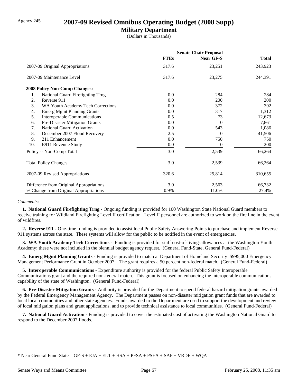### Agency 245 **2007-09 Revised Omnibus Operating Budget (2008 Supp)**

### **Military Department**

(Dollars in Thousands)

|                                         | <b>Senate Chair Proposal</b> |                  |              |
|-----------------------------------------|------------------------------|------------------|--------------|
|                                         | <b>FTEs</b>                  | <b>Near GF-S</b> | <b>Total</b> |
| 2007-09 Original Appropriations         | 317.6                        | 23,251           | 243,923      |
| 2007-09 Maintenance Level               | 317.6                        | 23,275           | 244,391      |
| <b>2008 Policy Non-Comp Changes:</b>    |                              |                  |              |
| 1.<br>National Guard Firefighting Trng  | 0.0                          | 284              | 284          |
| 2.<br>Reverse 911                       | 0.0                          | 200              | 200          |
| 3.<br>WA Youth Academy Tech Corrections | 0.0                          | 372              | 392          |
| <b>Emerg Mgmt Planning Grants</b><br>4. | 0.0                          | 317              | 1,312        |
| 5.<br>Interoperable Communications      | 0.5                          | 73               | 12,673       |
| Pre-Disaster Mitigation Grants<br>6.    | 0.0                          | 0                | 7,861        |
| National Guard Activation<br>7.         | 0.0                          | 543              | 1,086        |
| 8.<br>December 2007 Flood Recovery      | 2.5                          | $\Omega$         | 41,506       |
| 9.<br>211 Enhancement                   | 0.0                          | 750              | 750          |
| 10.<br>E911 Revenue Study               | 0.0                          | 0                | <b>200</b>   |
| Policy -- Non-Comp Total                | 3.0                          | 2,539            | 66,264       |
| <b>Total Policy Changes</b>             | 3.0                          | 2,539            | 66,264       |
| 2007-09 Revised Appropriations          | 320.6                        | 25,814           | 310,655      |
| Difference from Original Appropriations | 3.0                          | 2,563            | 66,732       |
| % Change from Original Appropriations   | 0.9%                         | 11.0%            | 27.4%        |

#### *Comments:*

 **1. National Guard Firefighting Trng -** Ongoing funding is provided for 100 Washington State National Guard members to receive training for Wildland Firefighting Level II certification. Level II personnel are authorized to work on the fire line in the event of wildfires.

 **2. Reverse 911 -** One-time funding is provided to assist local Public Safety Answering Points to purchase and implement Reverse 911 systems across the state. These systems will allow for the public to be notified in the event of emergencies.

 **3. WA Youth Academy Tech Corrections -** Funding is provided for staff cost-of-living-allowances at the Washington Youth Academy; these were not included in the biennial budget agency request. (General Fund-State, General Fund-Federal)

 **4. Emerg Mgmt Planning Grants -** Funding is provided to match a Department of Homeland Security \$995,000 Emergency Management Performance Grant in October 2007. The grant requires a 50 percent non-federal match. (General Fund-Federal)

 **5. Interoperable Communications -** Expenditure authority is provided for the federal Public Safety Interoperable Communications grant and the required non-federal match. This grant is focused on enhancing the interoperable communications capability of the state of Washington. (General Fund-Federal)

 **6. Pre-Disaster Mitigation Grants -** Authority is provided for the Department to spend federal hazard mitigation grants awarded by the Federal Emergency Management Agency. The Department passes on non-disaster mitigation grant funds that are awarded to local local communities and other state agencies. Funds awarded to the Department are used to support the development and review of local mitigation plans and grant applications, and to provide technical assistance to local communities. (General Fund-Federal)

 **7. National Guard Activation -** Funding is provided to cover the estimated cost of activating the Washington National Guard to respond to the December 2007 floods.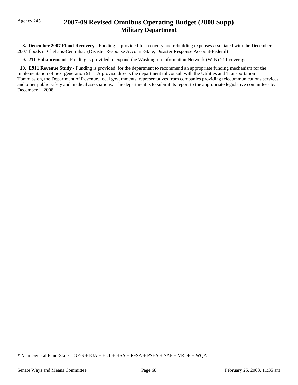# Agency 245 **2007-09 Revised Omnibus Operating Budget (2008 Supp) Military Department**

 **8. December 2007 Flood Recovery -** Funding is provided for recovery and rebuilding expenses associated with the December 2007 floods in Chehalis-Centralia. (Disaster Response Account-State, Disaster Response Account-Federal)

 **9. 211 Enhancement -** Funding is provided to expand the Washington Information Network (WIN) 211 coverage.

 **10. E911 Revenue Study -** Funding is provided for the department to recommend an appropriate funding mechanism for the implementation of next generation 911. A proviso directs the department tol consult with the Utilities and Transportation Tommission, the Department of Revenue, local governments, representatives from companies providing telecommunications services and other public safety and medical associations. The department is to submit its report to the appropriate legislative committees by December 1, 2008.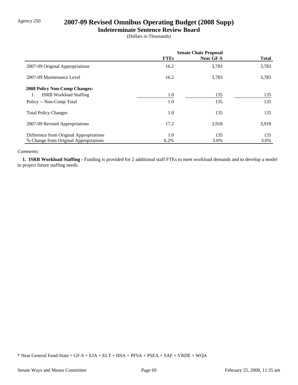# Agency 250 **2007-09 Revised Omnibus Operating Budget (2008 Supp)**

### **Indeterminate Sentence Review Board**

(Dollars in Thousands)

|                                         | <b>Senate Chair Proposal</b> |                  |              |
|-----------------------------------------|------------------------------|------------------|--------------|
|                                         | <b>FTEs</b>                  | <b>Near GF-S</b> | <b>Total</b> |
| 2007-09 Original Appropriations         | 16.2                         | 3,783            | 3,783        |
| 2007-09 Maintenance Level               | 16.2                         | 3,783            | 3,783        |
| <b>2008 Policy Non-Comp Changes:</b>    |                              |                  |              |
| <b>ISRB</b> Workload Staffing<br>1.     | 1.0                          | 135              | 135          |
| Policy -- Non-Comp Total                | 1.0                          | 135              | 135          |
| <b>Total Policy Changes</b>             | 1.0                          | 135              | 135          |
| 2007-09 Revised Appropriations          | 17.2                         | 3,918            | 3,918        |
| Difference from Original Appropriations | 1.0                          | 135              | 135          |
| % Change from Original Appropriations   | 6.2%                         | 3.6%             | 3.6%         |

#### *Comments:*

 **1. ISRB Workload Staffing -** Funding is provided for 2 additional staff FTEs to meet workload demands and to develop a model to project future staffing needs.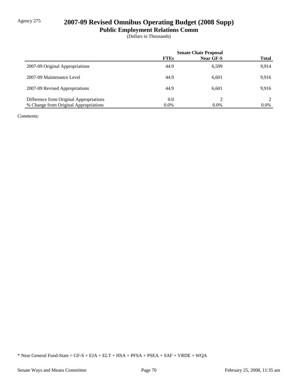# Agency 275 **2007-09 Revised Omnibus Operating Budget (2008 Supp)**

**Public Employment Relations Comm**

(Dollars in Thousands)

|                                         | <b>Senate Chair Proposal</b> |           |                |
|-----------------------------------------|------------------------------|-----------|----------------|
|                                         | <b>FTEs</b>                  | Near GF-S | <b>Total</b>   |
| 2007-09 Original Appropriations         | 44.9                         | 6,599     | 9.914          |
| 2007-09 Maintenance Level               | 44.9                         | 6,601     | 9.916          |
| 2007-09 Revised Appropriations          | 44.9                         | 6.601     | 9.916          |
| Difference from Original Appropriations | 0.0                          | ∍         | $\mathfrak{D}$ |
| % Change from Original Appropriations   | $0.0\%$                      | $0.0\%$   | $0.0\%$        |

*Comments:*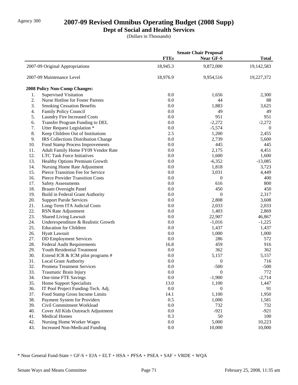# Agency 300 **2007-09 Revised Omnibus Operating Budget (2008 Supp)**

# **Dept of Social and Health Services**

(Dollars in Thousands)

|                |                                       |             | <b>Senate Chair Proposal</b> |                  |
|----------------|---------------------------------------|-------------|------------------------------|------------------|
|                |                                       | <b>FTEs</b> | <b>Near GF-S</b>             | <b>Total</b>     |
|                | 2007-09 Original Appropriations       | 18,945.3    | 9,872,000                    | 19,142,583       |
|                | 2007-09 Maintenance Level             | 18,976.9    | 9,954,516                    | 19,227,372       |
|                | 2008 Policy Non-Comp Changes:         |             |                              |                  |
| 1.             | <b>Supervised Visitation</b>          | 0.0         | 1,656                        | 2,300            |
| $\mathbf{2}$ . | Nurse Hotline for Foster Parents      | 0.0         | 44                           | 88               |
| 3.             | <b>Smoking Cessation Benefits</b>     | 0.0         | 1,883                        | 3,625            |
| 4.             | Family Policy Council                 | 0.0         | 49                           | 49               |
| 5.             | <b>Laundry Fire Increased Costs</b>   | 0.0         | 951                          | 951              |
| 6.             | Transfer Program Funding to DEL       | 0.0         | $-2,272$                     | $-2,272$         |
| 7.             | Utter Request Legislation *           | 0.0         | $-5,574$                     | $\boldsymbol{0}$ |
| 8.             | Keep Children Out of Institutions     | 2.5         | 1,200                        | 2,455            |
| 9.             | IRS Collections Distribution Change   | 0.0         | 2,739                        | 5,600            |
| 10.            | Food Stamp Process Improvements       | 0.0         | 445                          | 445              |
| 11.            | Adult Family Home FY09 Vendor Rate    | 0.0         | 2,175                        | 4,451            |
| 12.            | <b>LTC Task Force Initiatives</b>     | 0.0         | 1,600                        | 1,600            |
| 13.            | Healthy Options Premium Growth        | 0.0         | $-6,352$                     | $-13,085$        |
| 14.            | Nursing Home Rate Adjustment          | 0.0         | 1,818                        | 3,723            |
| 15.            | Pierce Transition Fee for Service     | 0.0         | 3,031                        | 4,449            |
| 16.            | Pierce Provider Transition Costs      | 0.0         | 0                            | 400              |
| 17.            | <b>Safety Assessments</b>             | 0.0         | 616                          | 800              |
| 18.            | <b>Braam Oversight Panel</b>          | 0.0         | 450                          | 450              |
| 19.            | Build in Federal Grant Authority      | 0.0         | 0                            | 2,317            |
| 20.            | <b>Support Parole Services</b>        | 0.0         | 2,808                        | 3,608            |
| 21.            | Long-Term ITA Judicial Costs          | 0.0         | 2,033                        | 2,033            |
| 22.            | RSN Rate Adjustment                   | 0.0         | 1,403                        | 2,869            |
| 23.            | Shared Living Lawsuit                 | 0.0         | 22,907                       | 46,867           |
| 24.            | Underexpenditure & Realistic Growth   | 0.0         | $-1,016$                     | $-1,225$         |
| 25.            | <b>Education for Children</b>         | 0.0         | 1,437                        | 1,437            |
| 26.            | <b>Hyatt Lawsuit</b>                  | 0.0         | 1,000                        | 1,000            |
| 27.            | <b>DD</b> Employment Services         | 0.0         | 286                          | 572              |
| 28.            | <b>Federal Audit Requirements</b>     | 16.8        | 459                          | 916              |
| 29.            | Youth Residential Treatment           | 0.0         | 362                          | 362              |
| 30.            | Extend ICR & ICM pilot programs #     | 0.0         | 5,157                        | 5,157            |
| 31.            | <b>Local Grant Authority</b>          | 0.0         | 0                            | 716              |
| 32.            | Prometa Treatment Services            | 0.0         | $-500$                       | $-500$           |
| 33.            | Traumatic Brain Injury                | $0.0\,$     | $\boldsymbol{0}$             | 772              |
| 34.            | One-time FTE Savings                  | 0.0         | $-1,900$                     | $-2,714$         |
| 35.            | <b>Home Support Specialists</b>       | 13.0        | 1,100                        | 1,447            |
| 36.            | IT Pool Project Funding-Tech. Adj.    | 0.0         | 0                            | 91               |
| 37.            | Food Stamp Gross Income Limits        | 14.1        | 1,100                        | 1,950            |
| 38.            | Payment System for Providers          | 0.5         | 1,000                        | 1,581            |
|                |                                       |             |                              |                  |
| 39.<br>40.     | Civil Commitment Workload             | 0.0<br>0.0  | 732                          | 732              |
|                | Cover All Kids Outreach Adjustment    | 0.3         | $-921$<br>50                 | $-921$           |
| 41.            | <b>Medical Homes</b>                  |             |                              | 100              |
| 42.            | Nursing Home Worker Wages             | $0.0\,$     | 5,000                        | 10,223           |
| 43.            | <b>Increased Non-Medicaid Funding</b> | 0.0         | 10,000                       | 10,000           |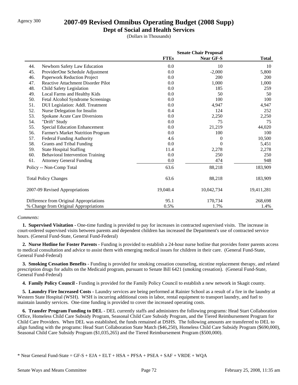## Agency 300 **2007-09 Revised Omnibus Operating Budget (2008 Supp)**

**Dept of Social and Health Services**

(Dollars in Thousands)

|     |                                           | <b>Senate Chair Proposal</b> |            |              |
|-----|-------------------------------------------|------------------------------|------------|--------------|
|     |                                           | <b>FTEs</b>                  | Near GF-S  | <b>Total</b> |
| 44. | Newborn Safety Law Education              | 0.0                          | 10         | 10           |
| 45. | ProviderOne Schedule Adjustment           | 0.0                          | $-2,000$   | 5,800        |
| 46. | Paperwork Reduction Project               | 0.0                          | 200        | 200          |
| 47. | <b>Reactive Attachment Disorder Pilot</b> | 0.0                          | 1,000      | 1,000        |
| 48. | Child Safety Legislation                  | 0.0                          | 185        | 259          |
| 49. | Local Farms and Healthy Kids              | 0.0                          | 50         | 50           |
| 50. | Fetal Alcohol Syndrome Screenings         | 0.0                          | 100        | 100          |
| 51. | DUI Legislation: Addl. Treatment          | 0.0                          | 4,947      | 4,947        |
| 52. | Nurse Delegation for Insulin              | 0.4                          | 124        | 252          |
| 53. | Spokane Acute Care Diversions             | 0.0                          | 2,250      | 2,250        |
| 54. | "Drift" Study                             | 0.0                          | 75         | 75           |
| 55. | <b>Special Education Enhancement</b>      | 0.0                          | 21,219     | 44,020       |
| 56. | Farmer's Market Nutrition Program         | 0.0                          | 100        | 100          |
| 57. | <b>Federal Funding Authority</b>          | 4.6                          | 0          | 10,500       |
| 58. | Grants and Tribal Funding                 | 0.0                          | 0          | 5,451        |
| 59. | <b>State Hospital Staffing</b>            | 11.4                         | 2,278      | 2,278        |
| 60. | <b>Behavioral Intervention Training</b>   | 0.0                          | 250        | 250          |
| 61. | <b>Attorney General Funding</b>           | 0.0                          | 474        | 948          |
|     | Policy -- Non-Comp Total                  | 63.6                         | 88,218     | 183,909      |
|     | <b>Total Policy Changes</b>               | 63.6                         | 88,218     | 183,909      |
|     | 2007-09 Revised Appropriations            | 19,040.4                     | 10,042,734 | 19,411,281   |
|     | Difference from Original Appropriations   | 95.1                         | 170,734    | 268,698      |
|     | % Change from Original Appropriations     | 0.5%                         | 1.7%       | 1.4%         |

### *Comments:*

 **1. Supervised Visitation -** One-time funding is provided to pay for increases in contracted supervised visits. The increase in court-ordered supervised visits between parents and dependent children has increased the Department's use of contracted service hours. (General Fund-State, General Fund-Federal)

 **2. Nurse Hotline for Foster Parents -** Funding is provided to establish a 24-hour nurse hotline that provides foster parents access to medical consultation and advice to assist them with emerging medical issues for children in their care. (General Fund-State, General Fund-Federal)

 **3. Smoking Cessation Benefits -** Funding is provided for smoking cessation counseling, nicotine replacement therapy, and related prescription drugs for adults on the Medicaid program, pursuant to Senate Bill 6421 (smoking cessation). (General Fund-State, General Fund-Federal)

 **4. Family Policy Council -** Funding is provided for the Family Policy Council to establish a new network in Skagit county.

 **5. Laundry Fire Increased Costs -** Laundry services are being performed at Rainier School as a result of a fire in the laundry at Western State Hospital (WSH). WSH is incurring additional costs in labor, rental equipment to transport laundry, and fuel to maintain laundry services. One-time funding is provided to cover the increased operating costs.

 **6. Transfer Program Funding to DEL -** DEL currently staffs and administers the following programs: Head Start Collaboration Office, Homeless Child Care Subsidy Program, Seasonal Child Care Subsidy Program, and the Tiered Reimbursement Program for Child Care Providers. When DEL was established, the funds remained at DSHS. The following amounts are transferred to DEL to align funding with the programs: Head Start Collaboration State Match (\$46,250), Homeless Child Care Subsidy Program (\$690,000), Seasonal Child Care Subsidy Program (\$1,035,265) and the Tiered Reimbursement Program (\$500,000).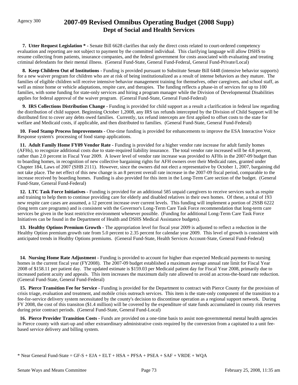**7. Utter Request Legislation \* -** Senate Bill 6628 clarifies that only the direct costs related to court-ordered competency evaluation and reporting are not subject to payment by the committed individual. This clarifying language will allow DSHS to resume collecting from patients, insurance companies, and the federal government for costs associated with evaluating and treating criminal defendants for their mental illness. (General Fund-State, General Fund-Federal, General Fund-Private/Local)

**8. Keep Children Out of Institutions -** Funding is provided pursuant to Substitute Senate Bill 6448 (intensive behavior supports) for a new waiver program for children who are at risk of being institutionalized as a result of intense behaviors as they mature. The families of eligible children will receive intensive behavior management training for themselves, other caregivers, and school staff, as well as minor home or vehicle adaptations, respite care, and therapies. The funding reflects a phase-in of services for up to 100 families, with some funding for state-only services and hiring a program manager while the Division of Developmental Disabilities applies for federal approval of the waiver program. (General Fund-State, General Fund-Federal)

 **9. IRS Collections Distribution Change -** Funding is provided for child support as a result a clarification in federal law regarding the distribution of child support. Beginning October 1,2008, any IRS tax refunds intercepted by the Division of Child Support will be distributed first to cover any debts owed families. Currently, tax refund intercepts are first applied to offset costs to the state for welfare and Medicaid costs, if applicable, and then distributed to families. (General Fund-State, General Fund-Federal)

 **10. Food Stamp Process Improvements -** One-time funding is provided for enhancements to improve the ESA Interactive Voice Response system's processing of food stamp applications.

 **11. Adult Family Home FY09 Vendor Rate -** Funding is provided for a higher vendor rate increase for adult family homes (AFHs), to recognize additional costs due to state-required liability insurance. The total vendor rate increased will be 4.8 percent, rather than 2.0 percent in Fiscal Year 2009. A lower level of vendor rate increase was provided to AFHs in the 2007-09 budget than to boarding homes, in recognition of new collective bargaining rights for AFH owners over their Medicaid rates, granted under Chapter 184, Laws of 2007 (SHB 2111). However, since the owners did not elect a representative by October 1, 2007, bargaining did not take place. The net effect of this new change is an 8 percent overall rate increase in the 2007-09 fiscal period, comparable to the increase received by boarding homes. Funding is also provided for this item in the Long-Term Care section of the budget. (General Fund-State, General Fund-Federal)

 **12. LTC Task Force Initiatives -** Funding is provided for an additional 585 unpaid caregivers to receive services such as respite and training to help them to continue providing care for elderly and disabled relatives in their own homes. Of these, a total of 193 new respite care cases are assumed, a 12 percent increase over current levels. This funding will implement a portion of 2SSB 6222 (long term care programs) and is consistent with the Governor's Long-Term Care Task Force recommendation that long-term care services be given in the least restrictive environment whenever possible. (Funding for additional Long-Term Care Task Force Initiatives can be found in the Department of Health and DSHS Medical Assistance budgets).

 **13. Healthy Options Premium Growth -** The appropriation level for fiscal year 2009 is adjusted to reflect a reduction in the Healthy Option premium growth rate from 5.0 percent to 2.35 percent for calendar year 2009. This level of growth is consistent with anticipated trends in Healthy Options premiums. (General Fund-State, Health Services Account-State, General Fund-Federal)

 **14. Nursing Home Rate Adjustment -** Funding is provided to account for higher than expected Medicaid payments to nursing homes in the current fiscal year (FY2008). The 2007-09 budget established a maximum average annual rate limit for Fiscal Year 2008 of \$158.11 per patient day. The updated estimate is \$159.03 per Medicaid patient day for Fiscal Year 2008, primarily due to increased patient acuity and appeals. This item increases the maximum daily rate allowed to avoid an across-the-board rate reduction. (General Fund-State, General Fund-Federal)

 **15. Pierce Transition Fee for Service -** Funding is provided for the Department to contract with Pierce County for the provision of crisis triage, evaluation and treatment, and mobile crisis outreach services. This item is the state-only component of the transition to a fee-for-service delivery system necessitated by the county's decision to discontinue operation as a regional support network. During FY 2008, the cost of this transiton (\$1.4 million) will be covered by the expenditure of state funds accumulated in county risk reserves during prior contract periods. (General Fund-State, General Fund-Local)

 **16. Pierce Provider Transition Costs -** Funds are provided on a one-time basis to assist non-governmental mental health agencies in Pierce county with start-up and other extraordinary administrative costs required by the conversion from a capitated to a unit feebased service delivery and billing system.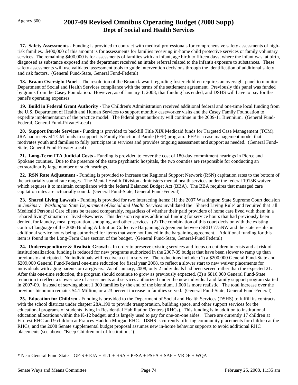**17. Safety Assessments -** Funding is provided to contract with medical professionals for comprehensive safety assessments of highrisk families. \$400,000 of this amount is for assessments for families receiving in-home child protective services or family voluntary services. The remaining \$400,000 is for assessments of families with an infant, age birth to fifteen days, where the infant was, at birth, diagnosed as substance exposed and the department received an intake referral related to the infant's exposure to substances. These safety assessments will use validated assessment tools to guide intervention decisions through the identification of additional safety and risk factors. (General Fund-State, General Fund-Federal)

18. Braam Oversight Panel - The resolution of the Braam lawsuit regarding foster children requires an oversight panel to monitor Department of Social and Health Services compliance with the terms of the settlement agreement. Previously this panel was funded by grants from the Casey Foundation. However, as of January 1, 2008, that funding has ended, and DSHS will have to pay for the panel's operating expenses

 **19. Build in Federal Grant Authority -** The Children's Administration received additional federal and one-time local funding from the U.S. Department of Health and Human Services to support monthly caseworker visits and the Casey Family Foundation to expedite implementation of the practice model. The federal grant authority will continue in the 2009-11 Biennium. (General Fund-Federal, General Fund-Private/Local)

 **20. Support Parole Services -** Funding is provided to backfill Title XIX Medicaid funds for Targeted Case Management (TCM). JRA had received TCM funds to support its Family Functional Parole (FFP) program. FFP is a case management model that motivates youth and families to fully participate in services and provides ongoing assessment and support as needed. (General Fund-State, General Fund-Private/Local)

 **21. Long-Term ITA Judicial Costs -** Funding is provided to cover the cost of 180-day commitment hearings in Pierce and Spokane counties. Due to the presence of the state psychiatric hospitals, the two counties are responsible for conducting an extraordinarily large number of such hearings.

 **22. RSN Rate Adjustment -** Funding is provided to increase the Regional Support Network (RSN) capitation rates to the bottom of the actuarially sound rate ranges. The Mental Health Division administers mental health services under the federal 1915B waiver which requires it to maintain compliance with the federal Balanced Budget Act (BBA). The BBA requires that managed care capitation rates are actuarially sound. (General Fund-State, General Fund-Federal)

 **23. Shared Living Lawsuit -** Funding is provided for two interacting items: (1) the 2007 Washington State Supreme Court decision in *Jenkins v. Washington State Department of Social and Health Services* invalidated the "Shared Living Rule" and required that all Medicaid Personal Care clients be treated comparably, regardless of whether their paid providers of home care lived with them in a "shared living" situation or lived elsewhere. This decision requires additional funding for service hours that had previously been denied, for laundry, meal preparation, shopping, and other services. (2) The combination of this court decision with the existing contract language of the 2006 Binding Arbitration Collective Bargaining Agreement between SEIU 775NW and the state results in additional service hours being authorized for items that were not funded in the bargaining agreement. Additional funding for this item is found in the Long-Term Care section of the budget. (General Fund-State, General-Fund Federal)

 **24. Underexpenditure & Realistic Growth -** In order to preserve existing services and focus on children in crisis and at risk of institutionalization, funding is reduced for new programs authorized in the 2007-09 budget that have been slower to ramp up than previously anticipated. No individuals will receive a cut in service. The reductions include: (1) a \$200,000 General Fund-State and \$209,000 General Fund-Federal one-time reduction for fiscal year 2008, to reflect a slower start to new waiver placements for individuals with aging parents or caregivers. As of January, 2008, only 2 individuals had been served rather than the expected 21. After this one-time reduction, the program should continue to grow as previously expected. (2) a \$816,000 General Fund-State reduction to reflect a slower rate of assessments and services authorized under the new individual and family support program started in 2007-09. Instead of serving about 1,300 families by the end of the biennium, 1,000 is more realistic. The total increase over the previous biennium remains \$4.1 Million, or a 23 percent increase in families served. (General Fund-State, General Fund-Federal)

 **25. Education for Children -** Funding is provided to the Department of Social and Health Services (DSHS) to fulfill its contracts with the school districts under chapter 28A.190 to provide transportation, building space, and other support services for the educational programs of students living in Residential Habilitation Centers (RHCs). This funding is in addition to institutional education allocations within the K-12 budget, and is largely used to pay for one-on-one aides. There are currently 17 children at Fircrest RHC and 9 children at Frances Haddon Morgan RHC. DSHS is currently offering community placements for children at the RHCs, and the 2008 Senate supplemental budget proposal assumes new in-home behavior supports to avoid additional RHC placements (see above, "Keep Children out of Institutions").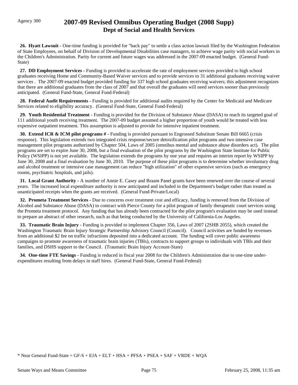**26. Hyatt Lawsuit -** One-time funding is provided for "back pay" to settle a class action lawsuit filed by the Washington Federation of State Employees, on behalf of Division of Developmental Disabilities case managers, to achieve wage parity with social workers in the Children's Administration. Parity for current and future wages was addressed in the 2007-09 enacted budget. (General Fund-State)

 **27. DD Employment Services -** Funding is provided to accelerate the rate of employment services provided to high school graduates receiving Home and Community-Based Waiver services and to provide services to 31 additional graduates receiving waiver services . The 2007-09 enacted budget provided funding for 337 high school graduates receiving waivers; this adjustment recognizes that there are additional graduates from the class of 2007 and that overall the graduates will need services sooner than previously anticipated. (General Fund-State, General Fund-Federal)

 **28. Federal Audit Requirements -** Funding is provided for additional audits required by the Center for Medicaid and Medicare Services related to eligibility accuracy. (General Fund-State, General Fund-Federal)

 **29. Youth Residential Treatment -** Funding is provided for the Division of Substance Abuse (DASA) to reach its targeted goal of 111 additional youth receiving treatment. The 2007-09 budget assumed a higher proportion of youth would be treated with less expensive outpatient treatment. This assumption is adjusted to provide for intensive inpatient treatment.

 **30. Extend ICR & ICM pilot programs # -** Funding is provided pursuant to Engrossed Substitute Senate Bill 6665 (crisis response). This legislation extends two integrated crisis response/secure detoxification pilot programs and two intensive case management pilot programs authorized by Chapter 504, Laws of 2005 (omnibus mental and substance abuse disorders act). The pilot programs are set to expire June 30, 2008, but a final evaluation of the pilot programs by the Washington State Institute for Public Policy (WSIPP) is not yet available. The legislation extends the programs by one year and requires an interim report by WSIPP by June 30, 2008 and a final evaluation by June 30, 2010. The purpose of these pilot programs is to determine whether involuntary drug and alcohol treatment or intensive case management can reduce "high utilization" of other expensive services (such as emergency rooms, psychiatric hospitals, and jails).

**31. Local Grant Authority - A number of Annie E. Casey and Braam Panel grants have been renewed over the course of several** years. The increased local expenditure authority is now anticipated and included in the Department's budget rather than treated as unanticipated receipts when the grants are received. (General Fund-Private/Local)

 **32. Prometa Treatment Services -** Due to concerns over treatment cost and efficacy, funding is removed from the Division of Alcohol and Substance Abuse (DASA) to contract with Pierce County for a pilot program of family therapeutic court services using the Prometa treatment protocol. Any funding that has already been contracted for the pilot program's evaluation may be used instead to prepare an abstract of other research, such as that being conducted by the University of California-Los Angeles.

**33. Traumatic Brain Injury -** Funding is provided to implement Chapter 356, Laws of 2007 (2SHB 2055), which created the Washington Traumatic Brain Injury Strategic Partnership Advisory Council (Council). Council activities are funded by revenues from an additional \$2 fee on traffic infractions deposited into a dedicated account. The funding will cover public awareness campaigns to promote awareness of traumatic brain injuries (TBIs), contracts to support groups to individuals with TBIs and their families, and DSHS support to the Council. (Traumatic Brain Injury Account-State)

 **34. One-time FTE Savings -** Funding is reduced in fiscal year 2008 for the Children's Administration due to one-time underexpenditures resulting from delays in staff hires. (General Fund-State, General Fund-Federal)

<sup>\*</sup> Near General Fund-State = GF-S + EJA + ELT + HSA + PFSA + PSEA + SAF + VRDE + WQA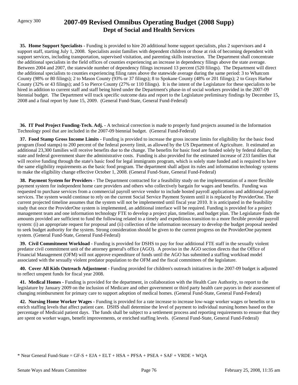**35. Home Support Specialists -** Funding is provided to hire 20 additional home support specialists, plus 2 supervisors and 4 support staff, starting July 1, 2008. Specialists assist families with dependent children or those at risk of becoming dependent with support services, including transportation, supervised visitation, and parenting skills instruction. The Department shall concentrate the additional specialists in the field offices of counties experiencing an increase in dependency filings above the state average. Between 2004 and 2007, the statewide number of dependency filings increased 13 percent (520 filings). The Department will direct the additional specialists to counties experiencing filing rates above the statewide average during the same period: 3 to Whatcom County (98% or 80 filings); 2 to Mason County (93% or 37 filings); 8 to Spokane County (48% or 201 filings); 2 to Grays Harbor County (32% or 43 filings); and 5 to Pierce County (27% or 110 filings). It is the intent of the Legislature for these specialists to be hired in addition to current staff and staff being hired under the Department's phase-in of social workers provided in the 2007-09 biennial budget. The Department will track specific outcome data and report to the Legislature preliminary findings by December 15, 2008 and a final report by June 15, 2009. (General Fund-State, General Fund-Federal)

**36. IT Pool Project Funding-Tech. Adj. -** A technical correction is made to properly fund projects assumed in the Information Technology pool that are included in the 2007-09 biennial budget. (General Fund-Federal)

 **37. Food Stamp Gross Income Limits -** Funding is provided to increase the gross income limits for eligibility for the basic food program (food stamps) to 200 percent of the federal poverty limit, as allowed by the US Department of Agriculture. It estimated an additional 23,300 families will receive benefits due to the change. The benefits for basic food are funded solely by federal dollars; the state and federal government share the administrative costs. Funding is also provided for the estimated increase of 233 families that will receive funding through the state's basic food for legal immigrants program, which is solely state funded and is required to have the same eligibility requirements as the basic food program. The department shall adjust its rules and information technology systems to make the eligibility change effective October 1, 2008. (General Fund-State, General Fund-Federal)

 **38. Payment System for Providers -** The Department contracted for a feasibility study on the implementation of a more flexible payment system for independent home care providers and others who collectively bargain for wages and benefits. Funding was requested to purchase services from a commercial payroll service vendor to include hosted payroll applications and additional payroll services. The system would continue to rely on the current Social Service Payment System until it is replaced by ProviderOne. The current projected timeline assumes that the system will not be implemented until fiscal year 2010. It is anticipated in the feasibility study that once the ProviderOne system is implemented, an additional interface will be required. Funding is provided for a project management team and one information technology FTE to develop a project plan, timeline, and budget plan. The Legislature finds the amounts provided are sufficient to fund the following related to a timely and expeditious transition to a more flexible provider payroll system: (i) an appropriate request for proposal and (ii) collection of the information necessary to develop the budget proposal needed to seek budget authority for the system. Strong consideration should be given to the current progress on the ProviderOne payment system. (General Fund-State, General Fund-Federal)

 **39. Civil Commitment Workload -** Funding is provided for DSHS to pay for four additional FTE staff in the sexually violent predator civil commitment unit of the attorney general's office (AGO). A proviso in the AGO section directs that the Office of Financial Management (OFM) will not approve expenditure of funds until the AGO has submitted a staffing workload model associated with the sexually violent predator population to the OFM and the fiscal committees of the legislature.

 **40. Cover All Kids Outreach Adjustment -** Funding provided for children's outreach initiatives in the 2007-09 budget is adjusted to reflect unspent funds for fiscal year 2008.

 **41. Medical Homes -** Funding is provided for the department, in collaboration with the Health Care Authority, to report to the legislature by January 2009 on the inclusion of Medicare and other government or third party health care payors in their assessment of changing reimbursment for primary care to support adoption of medical homes. (General Fund-State, General Fund-Federal)

 **42. Nursing Home Worker Wages -** Funding is provided for a rate increase to increase low-wage worker wages or benefits or to enrich staffing levels that affect patient care. DSHS shall determine the level of payment to individual nursing homes based on the percentage of Medicaid patient days. The funds shall be subject to a settlement process and reporting requirements to ensure that they are spent on worker wages, benefit improvements, or enriched staffing levels. (General Fund-State, General Fund-Federal)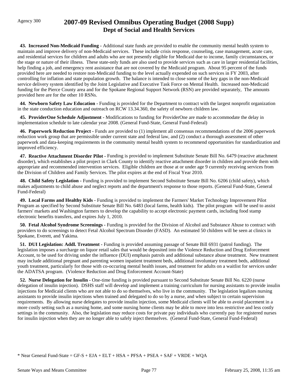**43. Increased Non-Medicaid Funding -** Additional state funds are provided to enable the community mental health system to maintain and improve delivery of non-Medicaid services. These include crisis response, counseling, case management, acute care, and residential services for children and adults who are not presently eligible for Medicaid due to income, family circumstances, or the stage or nature of their illness. These state-only funds are also used to provide services such as care in larger residential facilities, help finding a job, and emergency rent assistance that are not covered by the Medicaid program. About 95 percent of the funds provided here are needed to restore non-Medicaid funding to the level actually expended on such services in FY 2003, after controlling for inflation and state population growth. The balance is intended to close some of the key gaps in the non-Medicaid service delivery system identified by the Joint Legislative and Executive Task Force on Mental Health. Increased non-Medicaid funding for the Pierce County area and for the Spokane Regional Support Network (RSN) are provided separately, The amounts provided here are for the other 10 RSNs.

 **44. Newborn Safety Law Education -** Funding is provided for the Department to contract with the largest nonprofit organization in the state conduction education and outreach on RCW 13.34.360, the safety of newborn children law.

 **45. ProviderOne Schedule Adjustment -** Modifications to funding for ProviderOne are made to accommodate the delay in implementation schedule to late calendar year 2008. (General Fund-State, General Fund-Federal)

 **46. Paperwork Reduction Project -** Funds are provided to (1) implement all consensus recommendations of the 2006 paperwork reduction work group that are permissible under current state and federal law, and (2) conduct a thorough assessment of other paperwork and data-keeping requirements in the community mental health system to recommend opportunities for standardization and improved efficiency.

 **47. Reactive Attachment Disorder Pilot -** Funding is provided to implement Substitute Senate Bill No. 6479 (reactive attachment disorder), which establishes a pilot project in Clark County to identify reactive attachment disorder in children and provide them with appropriate and recommended intervention services. Eligible children are those at or under age 9 currently receiving services from the Division of Children and Family Services. The pilot expires at the end of Fiscal Year 2010.

 **48. Child Safety Legislation -** Funding is provided to implement Second Substitute Senate Bill No. 6206 (child safety), which makes adjustments to child abuse and neglect reports and the department's response to those reports. (General Fund-State, General Fund-Federal)

 **49. Local Farms and Healthy Kids -** Funding is provided to implement the Farmers' Market Technology Improvement Pilot Program as specified by Second Substitute Senate Bill No. 6483 (local farms, health kids). The pilot program will be used to assist farmers' markets and Washington farmers to develop the capability to accept electronic payment cards, including food stamp electronic benefits transfers, and expires July 1, 2010.

 **50. Fetal Alcohol Syndrome Screenings -** Funding is provided for the Division of Alcohol and Substance Abuse to contract with providers to do screenings to detect Fetal Alcohol Spectrum Disorder (FASD). An estimated 50 children will be seen at clinics in Spokane, Everett, and Yakima.

 **51. DUI Legislation: Addl. Treatment -** Funding is provided assuming passage of Senate Bill 6931 (patrol funding). The legislation imposes a surcharge on liquor retail sales that would be deposited into the Violence Reduction and Drug Enforcement Account, to be used for driving under the influence (DUI) emphasis patrols and additional substance abuse treatment. New treatment may include additional pregnant and parenting women inpatient treatment beds, additional involuntary treatment beds, additional youth treatment, particularly for those with co-occuring mental health issues, and treatment for adults on a waitlist for services under the ADATSA program. (Violence Reduction and Drug Enforcement Account-State)

 **52. Nurse Delegation for Insulin -** One-time funding is provided pursuant to Second Substitute Senate Bill No. 6220 (nurse delegation of insulin injection). DSHS staff will develop and implement a training curriculum for nursing assistants to provide insulin injections for Medicaid clients who are not able to do so themselves, who live in the community. The legislation legalizes nursing assistants to provide insulin injections when trained and delegated to do so by a nurse, and when subject to certain supervision requirements. By allowing nurse delegates to provide insulin injection, some Medicaid clients will be able to avoid placement in a more costly setting such as a nursing home, and some nursing home clients may be able to move into less restrictive and less costly settings in the community. Also, the legislation may reduce costs for private pay individuals who currently pay for registered nurses for insulin injection when they are no longer able to safely inject themselves. (General Fund-State, General Fund-Federal)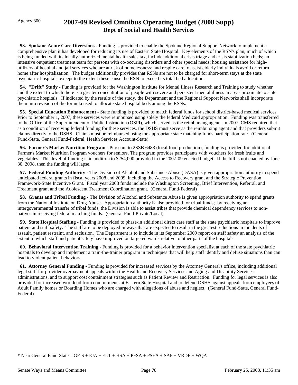**53. Spokane Acute Care Diversions -** Funding is provided to enable the Spokane Regional Support Network to implement a comprehensive plan it has developed for reducing its use of Eastern State Hospital. Key elements of the RSN's plan, much of which is being funded with its locally-authorized mental health sales tax, include additional crisis triage and crisis stabilization beds; an intensive outpatient treatment team for persons with co-occuring disorders and other special needs; housing assistance for highutilizers of hospital and jail services who are at risk of homelessness; and respite care to assist elderly individuals avoid or return home after hospitalization. The budget additionally provides that RSNs are not to be charged for short-term stays at the state psychiatric hospitals, except to the extent these cause the RSN to exceed its total bed allocation.

 **54. "Drift" Study -** Funding is provided for the Washington Institute for Mental Illness Research and Training to study whether and the extent to which there is a greater concentration of people with severe and persistent mental illness in areas proximate to state psychiatric hospitals. If indicated by the results of the study, the Department and the Regional Support Networks shall incorporate them into revision of the formula used to allocate state hospital beds among the RSNs.

 **55. Special Education Enhancement -** State funding is provided to match federal funds for school district-based medical services. Prior to September 1, 2007, these services were reimbursed using solely the federal Medicaid appropriation. Funding was transferred to the Office of the Superintendent of Public Instruction (OSPI), which served as the reimbursing agent. In 2007, CMS required that as a condition of receiving federal funding for these services, the DSHS must serve as the reimbursing agent and that providers submit claims directly to the DSHS. Claims must be reimbursed using the appropriate state matching funds participation rate. (General Fund-State, General Fund-Federal, Health Services Account-State)

 **56. Farmer's Market Nutrition Program -** Pursuant to 2SSB 6483 (local food production), funding is provided for additional Farmer's Market Nutrition Program vouchers for seniors. The program provides participants with vouchers for fresh fruits and vegetables. This level of funding is in addition to \$254,000 provided in the 2007-09 enacted budget. If the bill is not enacted by June 30, 2008, then the funding will lapse.

 **57. Federal Funding Authority -** The Division of Alcohol and Substance Abuse (DASA) is given appropriation authority to spend anticipated federal grants in fiscal years 2008 and 2009, including the Access to Recovery grant and the Strategic Prevention Framework-State Incentive Grant. Fiscal year 2008 funds include the Washington Screening, Brief Intervention, Referral, and Treatment grant and the Adolescent Treatment Coordination grant. (General Fund-Federal)

**58. Grants and Tribal Funding -** The Division of Alcohol and Substance Abuse is given appropriation authority to spend grants from the National Institute on Drug Abuse. Appropriation authority is also provided for tribal funds; by receiving an intergovernmental transfer of tribal funds, the Division is able to assist tribes that provide chemical dependency services to nonnatives in receiving federal matching funds. (General Fund-Private/Local)

 **59. State Hospital Staffing -** Funding is provided to phase-in additional direct care staff at the state psychiatric hospitals to improve patient and staff safety. The staff are to be deployed in ways that are expected to result in the greatest reductions in incidents of assault, patient restraint, and seclusion. The Department is to include in its September 2009 report on staff safety an analysis of the extent to which staff and patient safety have improved on targeted wards relative to other parts of the hospitals.

 **60. Behavioral Intervention Training -** Funding is provided for a behavior intervention specialist at each of the state psychiatric hospitals to develop and implement a train-the-trainer program in techniques that will help staff identify and defuse situations than can lead to violent patient behaviors.

 **61. Attorney General Funding -** Funding is provided for increased services by the Attorney General's office, including additional legal staff for provider overpayment appeals within the Health and Recovery Services and Aging and Disability Services administrations, and to support cost containment strategies such as Patient Review and Restriction. Funding for legal services is also provided for increased workload from commitments at Eastern State Hospital and to defend DSHS against appeals from employees of Adult Family homes or Boarding Homes who are charged with allegations of abuse and neglect. (General Fund-State, General Fund-Federal)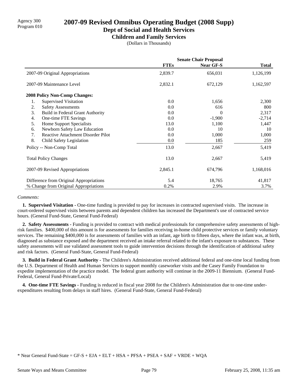# Agency 300 **2007-09 Revised Omnibus Operating Budget (2008 Supp)**<br>Program 010

### **Dept of Social and Health Services**

**Children and Family Services**

(Dollars in Thousands)

|                                                 | <b>Senate Chair Proposal</b> |           |              |
|-------------------------------------------------|------------------------------|-----------|--------------|
|                                                 | <b>FTEs</b>                  | Near GF-S | <b>Total</b> |
| 2007-09 Original Appropriations                 | 2,839.7                      | 656,031   | 1,126,199    |
| 2007-09 Maintenance Level                       | 2,832.1                      | 672,129   | 1,162,597    |
| <b>2008 Policy Non-Comp Changes:</b>            |                              |           |              |
| 1.<br><b>Supervised Visitation</b>              | 0.0                          | 1,656     | 2,300        |
| 2.<br><b>Safety Assessments</b>                 | 0.0                          | 616       | 800          |
| 3.<br>Build in Federal Grant Authority          | 0.0                          | 0         | 2,317        |
| One-time FTE Savings<br>4.                      | 0.0                          | $-1,900$  | $-2,714$     |
| Home Support Specialists<br>5.                  | 13.0                         | 1,100     | 1,447        |
| Newborn Safety Law Education<br>6.              | 0.0                          | 10        | 10           |
| 7.<br><b>Reactive Attachment Disorder Pilot</b> | 0.0                          | 1,000     | 1,000        |
| 8.<br>Child Safety Legislation                  | 0.0                          | 185       | 259          |
| Policy -- Non-Comp Total                        | 13.0                         | 2,667     | 5,419        |
| <b>Total Policy Changes</b>                     | 13.0                         | 2,667     | 5,419        |
| 2007-09 Revised Appropriations                  | 2,845.1                      | 674,796   | 1,168,016    |
| Difference from Original Appropriations         | 5.4                          | 18,765    | 41,817       |
| % Change from Original Appropriations           | 0.2%                         | 2.9%      | 3.7%         |

### *Comments:*

 **1. Supervised Visitation -** One-time funding is provided to pay for increases in contracted supervised visits. The increase in court-ordered supervised visits between parents and dependent children has increased the Department's use of contracted service hours. (General Fund-State, General Fund-Federal)

 **2. Safety Assessments -** Funding is provided to contract with medical professionals for comprehensive safety assessments of highrisk families. \$400,000 of this amount is for assessments for families receiving in-home child protective services or family voluntary services. The remaining \$400,000 is for assessments of families with an infant, age birth to fifteen days, where the infant was, at birth, diagnosed as substance exposed and the department received an intake referral related to the infant's exposure to substances. These safety assessments will use validated assessment tools to guide intervention decisions through the identification of additional safety and risk factors. (General Fund-State, General Fund-Federal)

 **3. Build in Federal Grant Authority -** The Children's Administration received additional federal and one-time local funding from the U.S. Department of Health and Human Services to support monthly caseworker visits and the Casey Family Foundation to expedite implementation of the practice model. The federal grant authority will continue in the 2009-11 Biennium. (General Fund-Federal, General Fund-Private/Local)

 **4. One-time FTE Savings -** Funding is reduced in fiscal year 2008 for the Children's Administration due to one-time underexpenditures resulting from delays in staff hires. (General Fund-State, General Fund-Federal)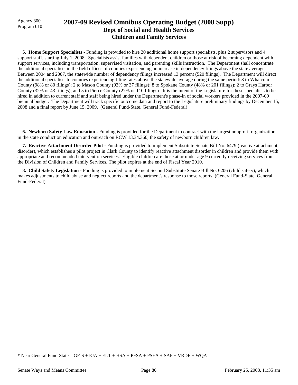## Agency 300 **2007-09 Revised Omnibus Operating Budget (2008 Supp)**<br>Program 010 **Dept of Social and Health Services Children and Family Services**

**5. Home Support Specialists - Funding is provided to hire 20 additional home support specialists, plus 2 supervisors and 4** support staff, starting July 1, 2008. Specialists assist families with dependent children or those at risk of becoming dependent with support services, including transportation, supervised visitation, and parenting skills instruction. The Department shall concentrate the additional specialists in the field offices of counties experiencing an increase in dependency filings above the state average. Between 2004 and 2007, the statewide number of dependency filings increased 13 percent (520 filings). The Department will direct the additional specialists to counties experiencing filing rates above the statewide average during the same period: 3 to Whatcom County (98% or 80 filings); 2 to Mason County (93% or 37 filings); 8 to Spokane County (48% or 201 filings); 2 to Grays Harbor County (32% or 43 filings); and 5 to Pierce County (27% or 110 filings). It is the intent of the Legislature for these specialists to be hired in addition to current staff and staff being hired under the Department's phase-in of social workers provided in the 2007-09 biennial budget. The Department will track specific outcome data and report to the Legislature preliminary findings by December 15, 2008 and a final report by June 15, 2009. (General Fund-State, General Fund-Federal)

 **6. Newborn Safety Law Education -** Funding is provided for the Department to contract with the largest nonprofit organization in the state conduction education and outreach on RCW 13.34.360, the safety of newborn children law.

 **7. Reactive Attachment Disorder Pilot -** Funding is provided to implement Substitute Senate Bill No. 6479 (reactive attachment disorder), which establishes a pilot project in Clark County to identify reactive attachment disorder in children and provide them with appropriate and recommended intervention services. Eligible children are those at or under age 9 currently receiving services from the Division of Children and Family Services. The pilot expires at the end of Fiscal Year 2010.

 **8. Child Safety Legislation -** Funding is provided to implement Second Substitute Senate Bill No. 6206 (child safety), which makes adjustments to child abuse and neglect reports and the department's response to those reports. (General Fund-State, General Fund-Federal)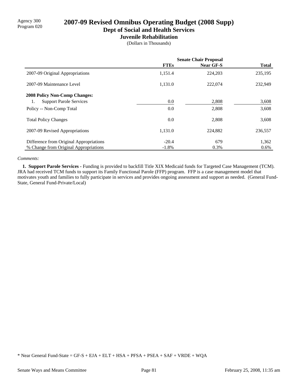# Agency 300 **2007-09 Revised Omnibus Operating Budget (2008 Supp)**<br>Program 020

**Dept of Social and Health Services**

# **Juvenile Rehabilitation**

(Dollars in Thousands)

|                                         | <b>Senate Chair Proposal</b> |                  |              |
|-----------------------------------------|------------------------------|------------------|--------------|
|                                         | <b>FTEs</b>                  | <b>Near GF-S</b> | <b>Total</b> |
| 2007-09 Original Appropriations         | 1,151.4                      | 224,203          | 235,195      |
| 2007-09 Maintenance Level               | 1,131.0                      | 222,074          | 232,949      |
| <b>2008 Policy Non-Comp Changes:</b>    |                              |                  |              |
| <b>Support Parole Services</b><br>1.    | 0.0                          | 2,808            | 3,608        |
| Policy -- Non-Comp Total                | 0.0                          | 2,808            | 3,608        |
| <b>Total Policy Changes</b>             | 0.0                          | 2,808            | 3,608        |
| 2007-09 Revised Appropriations          | 1,131.0                      | 224,882          | 236,557      |
| Difference from Original Appropriations | $-20.4$                      | 679              | 1,362        |
| % Change from Original Appropriations   | $-1.8%$                      | 0.3%             | 0.6%         |

### *Comments:*

 **1. Support Parole Services -** Funding is provided to backfill Title XIX Medicaid funds for Targeted Case Management (TCM). JRA had received TCM funds to support its Family Functional Parole (FFP) program. FFP is a case management model that motivates youth and families to fully participate in services and provides ongoing assessment and support as needed. (General Fund-State, General Fund-Private/Local)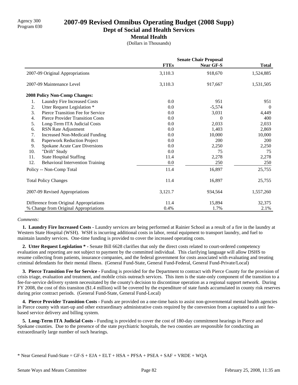# Agency 300 **2007-09 Revised Omnibus Operating Budget (2008 Supp)**<br>Program 030

**Dept of Social and Health Services**

**Mental Health**

(Dollars in Thousands)

|                  |                                         | <b>Senate Chair Proposal</b> |                  |              |
|------------------|-----------------------------------------|------------------------------|------------------|--------------|
|                  |                                         | <b>FTEs</b>                  | <b>Near GF-S</b> | <b>Total</b> |
|                  | 2007-09 Original Appropriations         | 3,110.3                      | 918,670          | 1,524,885    |
|                  | 2007-09 Maintenance Level               | 3,110.3                      | 917,667          | 1,531,505    |
|                  | 2008 Policy Non-Comp Changes:           |                              |                  |              |
| 1.               | <b>Laundry Fire Increased Costs</b>     | 0.0                          | 951              | 951          |
| 2.               | Utter Request Legislation *             | 0.0                          | $-5,574$         | $\theta$     |
| 3.               | Pierce Transition Fee for Service       | 0.0                          | 3,031            | 4,449        |
| $\overline{4}$ . | <b>Pierce Provider Transition Costs</b> | 0.0                          | $\theta$         | 400          |
| 5.               | Long-Term ITA Judicial Costs            | 0.0                          | 2,033            | 2,033        |
| 6.               | RSN Rate Adjustment                     | 0.0                          | 1,403            | 2,869        |
| 7.               | <b>Increased Non-Medicaid Funding</b>   | 0.0                          | 10,000           | 10,000       |
| 8.               | Paperwork Reduction Project             | 0.0                          | 200              | 200          |
| 9.               | Spokane Acute Care Diversions           | 0.0                          | 2,250            | 2,250        |
| 10.              | "Drift" Study                           | 0.0                          | 75               | 75           |
| 11.              | <b>State Hospital Staffing</b>          | 11.4                         | 2,278            | 2,278        |
| 12.              | <b>Behavioral Intervention Training</b> | 0.0                          | 250              | 250          |
|                  | Policy -- Non-Comp Total                | 11.4                         | 16,897           | 25,755       |
|                  | <b>Total Policy Changes</b>             | 11.4                         | 16,897           | 25,755       |
|                  | 2007-09 Revised Appropriations          | 3,121.7                      | 934,564          | 1,557,260    |
|                  | Difference from Original Appropriations | 11.4                         | 15,894           | 32,375       |
|                  | % Change from Original Appropriations   | 0.4%                         | 1.7%             | 2.1%         |

### *Comments:*

 **1. Laundry Fire Increased Costs -** Laundry services are being performed at Rainier School as a result of a fire in the laundry at Western State Hospital (WSH). WSH is incurring additional costs in labor, rental equipment to transport laundry, and fuel to maintain laundry services. One-time funding is provided to cover the increased operating costs.

 **2. Utter Request Legislation \* -** Senate Bill 6628 clarifies that only the direct costs related to court-ordered competency evaluation and reporting are not subject to payment by the committed individual. This clarifying language will allow DSHS to resume collecting from patients, insurance companies, and the federal government for costs associated with evaluating and treating criminal defendants for their mental illness. (General Fund-State, General Fund-Federal, General Fund-Private/Local)

 **3. Pierce Transition Fee for Service -** Funding is provided for the Department to contract with Pierce County for the provision of crisis triage, evaluation and treatment, and mobile crisis outreach services. This item is the state-only component of the transition to a fee-for-service delivery system necessitated by the county's decision to discontinue operation as a regional support network. During FY 2008, the cost of this transiton (\$1.4 million) will be covered by the expenditure of state funds accumulated in county risk reserves during prior contract periods. (General Fund-State, General Fund-Local)

 **4. Pierce Provider Transition Costs -** Funds are provided on a one-time basis to assist non-governmental mental health agencies in Pierce county with start-up and other extraordinary administrative costs required by the conversion from a capitated to a unit feebased service delivery and billing system.

 **5. Long-Term ITA Judicial Costs -** Funding is provided to cover the cost of 180-day commitment hearings in Pierce and Spokane counties. Due to the presence of the state psychiatric hospitals, the two counties are responsible for conducting an extraordinarily large number of such hearings.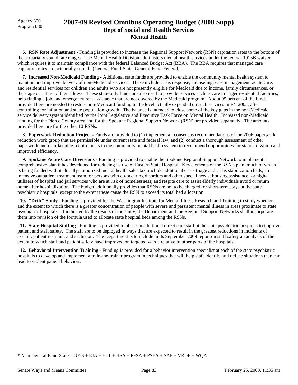Agency 300

## Program 030 **2007-09 Revised Omnibus Operating Budget (2008 Supp) Dept of Social and Health Services Mental Health**

 **6. RSN Rate Adjustment -** Funding is provided to increase the Regional Support Network (RSN) capitation rates to the bottom of the actuarially sound rate ranges. The Mental Health Division administers mental health services under the federal 1915B waiver which requires it to maintain compliance with the federal Balanced Budget Act (BBA). The BBA requires that managed care capitation rates are actuarially sound. (General Fund-State, General Fund-Federal)

 **7. Increased Non-Medicaid Funding -** Additional state funds are provided to enable the community mental health system to maintain and improve delivery of non-Medicaid services. These include crisis response, counseling, case management, acute care, and residential services for children and adults who are not presently eligible for Medicaid due to income, family circumstances, or the stage or nature of their illness. These state-only funds are also used to provide services such as care in larger residential facilities, help finding a job, and emergency rent assistance that are not covered by the Medicaid program. About 95 percent of the funds provided here are needed to restore non-Medicaid funding to the level actually expended on such services in FY 2003, after controlling for inflation and state population growth. The balance is intended to close some of the key gaps in the non-Medicaid service delivery system identified by the Joint Legislative and Executive Task Force on Mental Health. Increased non-Medicaid funding for the Pierce County area and for the Spokane Regional Support Network (RSN) are provided separately, The amounts provided here are for the other 10 RSNs.

**8. Paperwork Reduction Project - Funds are provided to (1) implement all consensus recommendations of the 2006 paperwork** reduction work group that are permissible under current state and federal law, and (2) conduct a thorough assessment of other paperwork and data-keeping requirements in the community mental health system to recommend opportunities for standardization and improved efficiency.

 **9. Spokane Acute Care Diversions -** Funding is provided to enable the Spokane Regional Support Network to implement a comprehensive plan it has developed for reducing its use of Eastern State Hospital. Key elements of the RSN's plan, much of which is being funded with its locally-authorized mental health sales tax, include additional crisis triage and crisis stabilization beds; an intensive outpatient treatment team for persons with co-occuring disorders and other special needs; housing assistance for highutilizers of hospital and jail services who are at risk of homelessness; and respite care to assist elderly individuals avoid or return home after hospitalization. The budget additionally provides that RSNs are not to be charged for short-term stays at the state psychiatric hospitals, except to the extent these cause the RSN to exceed its total bed allocation.

 **10. "Drift" Study -** Funding is provided for the Washington Institute for Mental Illness Research and Training to study whether and the extent to which there is a greater concentration of people with severe and persistent mental illness in areas proximate to state psychiatric hospitals. If indicated by the results of the study, the Department and the Regional Support Networks shall incorporate them into revision of the formula used to allocate state hospital beds among the RSNs.

 **11. State Hospital Staffing -** Funding is provided to phase-in additional direct care staff at the state psychiatric hospitals to improve patient and staff safety. The staff are to be deployed in ways that are expected to result in the greatest reductions in incidents of assault, patient restraint, and seclusion. The Department is to include in its September 2009 report on staff safety an analysis of the extent to which staff and patient safety have improved on targeted wards relative to other parts of the hospitals.

 **12. Behavioral Intervention Training -** Funding is provided for a behavior intervention specialist at each of the state psychiatric hospitals to develop and implement a train-the-trainer program in techniques that will help staff identify and defuse situations than can lead to violent patient behaviors.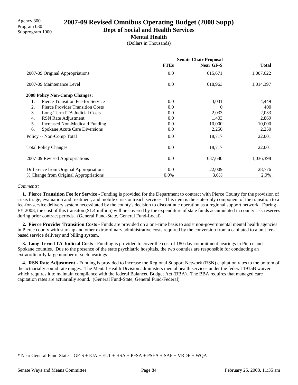# **2007-09 Revised Omnibus Operating Budget (2008 Supp)**

**Dept of Social and Health Services**

### **Mental Health**

(Dollars in Thousands)

|                                               | <b>Senate Chair Proposal</b> |                  |              |  |
|-----------------------------------------------|------------------------------|------------------|--------------|--|
|                                               | <b>FTEs</b>                  | <b>Near GF-S</b> | <b>Total</b> |  |
| 2007-09 Original Appropriations               | 0.0                          | 615,671          | 1,007,622    |  |
| 2007-09 Maintenance Level                     | 0.0                          | 618,963          | 1,014,397    |  |
| <b>2008 Policy Non-Comp Changes:</b>          |                              |                  |              |  |
| Pierce Transition Fee for Service<br>1.       | 0.0                          | 3,031            | 4,449        |  |
| 2.<br><b>Pierce Provider Transition Costs</b> | 0.0                          | $\theta$         | 400          |  |
| 3.<br>Long-Term ITA Judicial Costs            | 0.0                          | 2,033            | 2,033        |  |
| 4.<br>RSN Rate Adjustment                     | 0.0                          | 1,403            | 2,869        |  |
| 5.<br>Increased Non-Medicaid Funding          | 0.0                          | 10,000           | 10,000       |  |
| 6.<br>Spokane Acute Care Diversions           | $0.0\,$                      | 2,250            | 2,250        |  |
| Policy -- Non-Comp Total                      | 0.0                          | 18,717           | 22,001       |  |
| <b>Total Policy Changes</b>                   | 0.0                          | 18,717           | 22,001       |  |
| 2007-09 Revised Appropriations                | 0.0                          | 637,680          | 1,036,398    |  |
| Difference from Original Appropriations       | 0.0                          | 22,009           | 28,776       |  |
| % Change from Original Appropriations         | 0.0%                         | 3.6%             | 2.9%         |  |

### *Comments:*

 **1. Pierce Transition Fee for Service -** Funding is provided for the Department to contract with Pierce County for the provision of crisis triage, evaluation and treatment, and mobile crisis outreach services. This item is the state-only component of the transition to a fee-for-service delivery system necessitated by the county's decision to discontinue operation as a regional support network. During FY 2008, the cost of this transiton (\$1.4 million) will be covered by the expenditure of state funds accumulated in county risk reserves during prior contract periods. (General Fund-State, General Fund-Local)

 **2. Pierce Provider Transition Costs -** Funds are provided on a one-time basis to assist non-governmental mental health agencies in Pierce county with start-up and other extraordinary administrative costs required by the conversion from a capitated to a unit feebased service delivery and billing system.

 **3. Long-Term ITA Judicial Costs -** Funding is provided to cover the cost of 180-day commitment hearings in Pierce and Spokane counties. Due to the presence of the state psychiatric hospitals, the two counties are responsible for conducting an extraordinarily large number of such hearings.

 **4. RSN Rate Adjustment -** Funding is provided to increase the Regional Support Network (RSN) capitation rates to the bottom of the actuarially sound rate ranges. The Mental Health Division administers mental health services under the federal 1915B waiver which requires it to maintain compliance with the federal Balanced Budget Act (BBA). The BBA requires that managed care capitation rates are actuarially sound. (General Fund-State, General Fund-Federal)

<sup>\*</sup> Near General Fund-State = GF-S + EJA + ELT + HSA + PFSA + PSEA + SAF + VRDE + WQA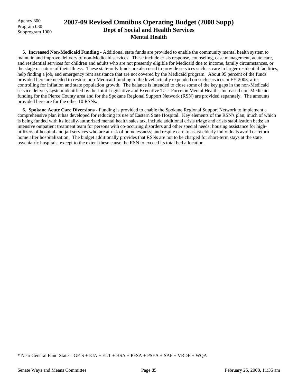Agency 300 Program 030 Subprogram 1000

# **2007-09 Revised Omnibus Operating Budget (2008 Supp) Dept of Social and Health Services Mental Health**

 **5. Increased Non-Medicaid Funding -** Additional state funds are provided to enable the community mental health system to maintain and improve delivery of non-Medicaid services. These include crisis response, counseling, case management, acute care, and residential services for children and adults who are not presently eligible for Medicaid due to income, family circumstances, or the stage or nature of their illness. These state-only funds are also used to provide services such as care in larger residential facilities, help finding a job, and emergency rent assistance that are not covered by the Medicaid program. About 95 percent of the funds provided here are needed to restore non-Medicaid funding to the level actually expended on such services in FY 2003, after controlling for inflation and state population growth. The balance is intended to close some of the key gaps in the non-Medicaid service delivery system identified by the Joint Legislative and Executive Task Force on Mental Health. Increased non-Medicaid funding for the Pierce County area and for the Spokane Regional Support Network (RSN) are provided separately, The amounts provided here are for the other 10 RSNs.

 **6. Spokane Acute Care Diversions -** Funding is provided to enable the Spokane Regional Support Network to implement a comprehensive plan it has developed for reducing its use of Eastern State Hospital. Key elements of the RSN's plan, much of which is being funded with its locally-authorized mental health sales tax, include additional crisis triage and crisis stabilization beds; an intensive outpatient treatment team for persons with co-occuring disorders and other special needs; housing assistance for highutilizers of hospital and jail services who are at risk of homelessness; and respite care to assist elderly individuals avoid or return home after hospitalization. The budget additionally provides that RSNs are not to be charged for short-term stays at the state psychiatric hospitals, except to the extent these cause the RSN to exceed its total bed allocation.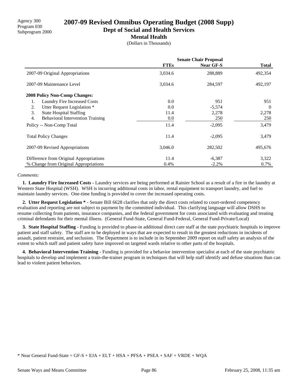# **2007-09 Revised Omnibus Operating Budget (2008 Supp)**

**Dept of Social and Health Services**

### **Mental Health**

(Dollars in Thousands)

|                                               | <b>Senate Chair Proposal</b> |                  |              |
|-----------------------------------------------|------------------------------|------------------|--------------|
|                                               | <b>FTEs</b>                  | <b>Near GF-S</b> | <b>Total</b> |
| 2007-09 Original Appropriations               | 3,034.6                      | 288,889          | 492,354      |
| 2007-09 Maintenance Level                     | 3,034.6                      | 284,597          | 492,197      |
| <b>2008 Policy Non-Comp Changes:</b>          |                              |                  |              |
| Laundry Fire Increased Costs<br>1.            | 0.0                          | 951              | 951          |
| Utter Request Legislation *<br>2.             | 0.0                          | $-5,574$         | $\Omega$     |
| <b>State Hospital Staffing</b><br>3.          | 11.4                         | 2,278            | 2,278        |
| 4.<br><b>Behavioral Intervention Training</b> | 0.0                          | 250              | 250          |
| Policy -- Non-Comp Total                      | 11.4                         | $-2,095$         | 3,479        |
| <b>Total Policy Changes</b>                   | 11.4                         | $-2,095$         | 3,479        |
| 2007-09 Revised Appropriations                | 3,046.0                      | 282,502          | 495,676      |
| Difference from Original Appropriations       | 11.4                         | $-6,387$         | 3,322        |
| % Change from Original Appropriations         | 0.4%                         | $-2.2%$          | 0.7%         |

### *Comments:*

 **1. Laundry Fire Increased Costs -** Laundry services are being performed at Rainier School as a result of a fire in the laundry at Western State Hospital (WSH). WSH is incurring additional costs in labor, rental equipment to transport laundry, and fuel to maintain laundry services. One-time funding is provided to cover the increased operating costs.

 **2. Utter Request Legislation \* -** Senate Bill 6628 clarifies that only the direct costs related to court-ordered competency evaluation and reporting are not subject to payment by the committed individual. This clarifying language will allow DSHS to resume collecting from patients, insurance companies, and the federal government for costs associated with evaluating and treating criminal defendants for their mental illness. (General Fund-State, General Fund-Federal, General Fund-Private/Local)

**3. State Hospital Staffing -** Funding is provided to phase-in additional direct care staff at the state psychiatric hospitals to improve patient and staff safety. The staff are to be deployed in ways that are expected to result in the greatest reductions in incidents of assault, patient restraint, and seclusion. The Department is to include in its September 2009 report on staff safety an analysis of the extent to which staff and patient safety have improved on targeted wards relative to other parts of the hospitals.

 **4. Behavioral Intervention Training -** Funding is provided for a behavior intervention specialist at each of the state psychiatric hospitals to develop and implement a train-the-trainer program in techniques that will help staff identify and defuse situations than can lead to violent patient behaviors.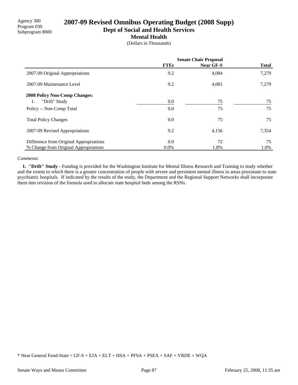Agency 300 Program 030 Subprogram 8000

# **2007-09 Revised Omnibus Operating Budget (2008 Supp)**

**Dept of Social and Health Services**

**Mental Health**

(Dollars in Thousands)

|                                         | <b>Senate Chair Proposal</b> |           |              |
|-----------------------------------------|------------------------------|-----------|--------------|
|                                         | <b>FTEs</b>                  | Near GF-S | <b>Total</b> |
| 2007-09 Original Appropriations         | 9.2                          | 4,084     | 7,279        |
| 2007-09 Maintenance Level               | 9.2                          | 4,081     | 7,279        |
| <b>2008 Policy Non-Comp Changes:</b>    |                              |           |              |
| "Drift" Study                           | 0.0                          | 75        | 75           |
| Policy -- Non-Comp Total                | 0.0                          | 75        | 75           |
| <b>Total Policy Changes</b>             | 0.0                          | 75        | 75           |
| 2007-09 Revised Appropriations          | 9.2                          | 4,156     | 7,354        |
| Difference from Original Appropriations | 0.0                          | 72        | 75           |
| % Change from Original Appropriations   | $0.0\%$                      | 1.8%      | 1.0%         |

### *Comments:*

 **1. "Drift" Study -** Funding is provided for the Washington Institute for Mental Illness Research and Training to study whether and the extent to which there is a greater concentration of people with severe and persistent mental illness in areas proximate to state psychiatric hospitals. If indicated by the results of the study, the Department and the Regional Support Networks shall incorporate them into revision of the formula used to allocate state hospital beds among the RSNs.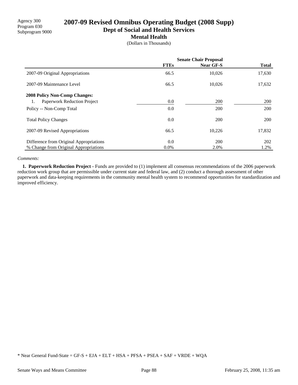Agency 300 Program 030 Subprogram 9000

# **2007-09 Revised Omnibus Operating Budget (2008 Supp)**

**Dept of Social and Health Services**

### **Mental Health**

(Dollars in Thousands)

|                                         | <b>Senate Chair Proposal</b> |           |              |
|-----------------------------------------|------------------------------|-----------|--------------|
|                                         | <b>FTEs</b>                  | Near GF-S | <b>Total</b> |
| 2007-09 Original Appropriations         | 66.5                         | 10,026    | 17,630       |
| 2007-09 Maintenance Level               | 66.5                         | 10,026    | 17,632       |
| <b>2008 Policy Non-Comp Changes:</b>    |                              |           |              |
| Paperwork Reduction Project             | $0.0\,$                      | 200       | 200          |
| Policy -- Non-Comp Total                | 0.0                          | 200       | 200          |
| <b>Total Policy Changes</b>             | 0.0                          | 200       | 200          |
| 2007-09 Revised Appropriations          | 66.5                         | 10,226    | 17,832       |
| Difference from Original Appropriations | 0.0                          | 200       | 202          |
| % Change from Original Appropriations   | $0.0\%$                      | 2.0%      | 1.2%         |

### *Comments:*

 **1. Paperwork Reduction Project -** Funds are provided to (1) implement all consensus recommendations of the 2006 paperwork reduction work group that are permissible under current state and federal law, and (2) conduct a thorough assessment of other paperwork and data-keeping requirements in the community mental health system to recommend opportunities for standardization and improved efficiency.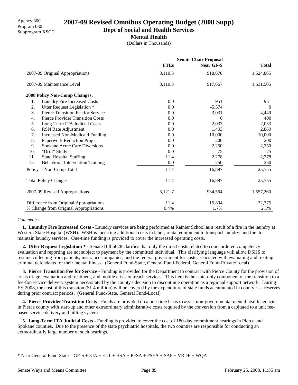## **2007-09 Revised Omnibus Operating Budget (2008 Supp)**

**Dept of Social and Health Services**

### **Mental Health**

(Dollars in Thousands)

|     |                                         | <b>Senate Chair Proposal</b> |           |              |  |
|-----|-----------------------------------------|------------------------------|-----------|--------------|--|
|     |                                         | <b>FTEs</b>                  | Near GF-S | <b>Total</b> |  |
|     | 2007-09 Original Appropriations         | 3,110.3                      | 918,670   | 1,524,885    |  |
|     | 2007-09 Maintenance Level               | 3,110.3                      | 917,667   | 1,531,505    |  |
|     | 2008 Policy Non-Comp Changes:           |                              |           |              |  |
| 1.  | Laundry Fire Increased Costs            | 0.0                          | 951       | 951          |  |
| 2.  | Utter Request Legislation *             | 0.0                          | $-5,574$  | $\Omega$     |  |
| 3.  | Pierce Transition Fee for Service       | 0.0                          | 3,031     | 4,449        |  |
| 4.  | <b>Pierce Provider Transition Costs</b> | 0.0                          | $\theta$  | 400          |  |
| 5.  | Long-Term ITA Judicial Costs            | 0.0                          | 2,033     | 2,033        |  |
| 6.  | RSN Rate Adjustment                     | 0.0                          | 1,403     | 2,869        |  |
| 7.  | <b>Increased Non-Medicaid Funding</b>   | 0.0                          | 10,000    | 10,000       |  |
| 8.  | Paperwork Reduction Project             | 0.0                          | 200       | 200          |  |
| 9.  | Spokane Acute Care Diversions           | 0.0                          | 2,250     | 2,250        |  |
| 10. | "Drift" Study                           | 0.0                          | 75        | 75           |  |
| 11. | <b>State Hospital Staffing</b>          | 11.4                         | 2,278     | 2,278        |  |
| 12. | <b>Behavioral Intervention Training</b> | 0.0                          | 250       | 250          |  |
|     | Policy -- Non-Comp Total                | 11.4                         | 16,897    | 25,755       |  |
|     | <b>Total Policy Changes</b>             | 11.4                         | 16,897    | 25,755       |  |
|     | 2007-09 Revised Appropriations          | 3,121.7                      | 934,564   | 1,557,260    |  |
|     | Difference from Original Appropriations | 11.4                         | 15,894    | 32,375       |  |
|     | % Change from Original Appropriations   | 0.4%                         | 1.7%      | 2.1%         |  |

### *Comments:*

 **1. Laundry Fire Increased Costs -** Laundry services are being performed at Rainier School as a result of a fire in the laundry at Western State Hospital (WSH). WSH is incurring additional costs in labor, rental equipment to transport laundry, and fuel to maintain laundry services. One-time funding is provided to cover the increased operating costs.

 **2. Utter Request Legislation \* -** Senate Bill 6628 clarifies that only the direct costs related to court-ordered competency evaluation and reporting are not subject to payment by the committed individual. This clarifying language will allow DSHS to resume collecting from patients, insurance companies, and the federal government for costs associated with evaluating and treating criminal defendants for their mental illness. (General Fund-State, General Fund-Federal, General Fund-Private/Local)

 **3. Pierce Transition Fee for Service -** Funding is provided for the Department to contract with Pierce County for the provision of crisis triage, evaluation and treatment, and mobile crisis outreach services. This item is the state-only component of the transition to a fee-for-service delivery system necessitated by the county's decision to discontinue operation as a regional support network. During FY 2008, the cost of this transiton (\$1.4 million) will be covered by the expenditure of state funds accumulated in county risk reserves during prior contract periods. (General Fund-State, General Fund-Local)

 **4. Pierce Provider Transition Costs -** Funds are provided on a one-time basis to assist non-governmental mental health agencies in Pierce county with start-up and other extraordinary administrative costs required by the conversion from a capitated to a unit feebased service delivery and billing system.

 **5. Long-Term ITA Judicial Costs -** Funding is provided to cover the cost of 180-day commitment hearings in Pierce and Spokane counties. Due to the presence of the state psychiatric hospitals, the two counties are responsible for conducting an extraordinarily large number of such hearings.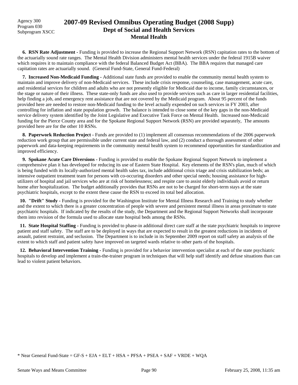Agency 300 Program 030 Subprogram XSCC

## **2007-09 Revised Omnibus Operating Budget (2008 Supp) Dept of Social and Health Services Mental Health**

 **6. RSN Rate Adjustment -** Funding is provided to increase the Regional Support Network (RSN) capitation rates to the bottom of the actuarially sound rate ranges. The Mental Health Division administers mental health services under the federal 1915B waiver which requires it to maintain compliance with the federal Balanced Budget Act (BBA). The BBA requires that managed care capitation rates are actuarially sound. (General Fund-State, General Fund-Federal)

 **7. Increased Non-Medicaid Funding -** Additional state funds are provided to enable the community mental health system to maintain and improve delivery of non-Medicaid services. These include crisis response, counseling, case management, acute care, and residential services for children and adults who are not presently eligible for Medicaid due to income, family circumstances, or the stage or nature of their illness. These state-only funds are also used to provide services such as care in larger residential facilities, help finding a job, and emergency rent assistance that are not covered by the Medicaid program. About 95 percent of the funds provided here are needed to restore non-Medicaid funding to the level actually expended on such services in FY 2003, after controlling for inflation and state population growth. The balance is intended to close some of the key gaps in the non-Medicaid service delivery system identified by the Joint Legislative and Executive Task Force on Mental Health. Increased non-Medicaid funding for the Pierce County area and for the Spokane Regional Support Network (RSN) are provided separately, The amounts provided here are for the other 10 RSNs.

**8. Paperwork Reduction Project - Funds are provided to (1) implement all consensus recommendations of the 2006 paperwork** reduction work group that are permissible under current state and federal law, and (2) conduct a thorough assessment of other paperwork and data-keeping requirements in the community mental health system to recommend opportunities for standardization and improved efficiency.

 **9. Spokane Acute Care Diversions -** Funding is provided to enable the Spokane Regional Support Network to implement a comprehensive plan it has developed for reducing its use of Eastern State Hospital. Key elements of the RSN's plan, much of which is being funded with its locally-authorized mental health sales tax, include additional crisis triage and crisis stabilization beds; an intensive outpatient treatment team for persons with co-occuring disorders and other special needs; housing assistance for highutilizers of hospital and jail services who are at risk of homelessness; and respite care to assist elderly individuals avoid or return home after hospitalization. The budget additionally provides that RSNs are not to be charged for short-term stays at the state psychiatric hospitals, except to the extent these cause the RSN to exceed its total bed allocation.

 **10. "Drift" Study -** Funding is provided for the Washington Institute for Mental Illness Research and Training to study whether and the extent to which there is a greater concentration of people with severe and persistent mental illness in areas proximate to state psychiatric hospitals. If indicated by the results of the study, the Department and the Regional Support Networks shall incorporate them into revision of the formula used to allocate state hospital beds among the RSNs.

 **11. State Hospital Staffing -** Funding is provided to phase-in additional direct care staff at the state psychiatric hospitals to improve patient and staff safety. The staff are to be deployed in ways that are expected to result in the greatest reductions in incidents of assault, patient restraint, and seclusion. The Department is to include in its September 2009 report on staff safety an analysis of the extent to which staff and patient safety have improved on targeted wards relative to other parts of the hospitals.

 **12. Behavioral Intervention Training -** Funding is provided for a behavior intervention specialist at each of the state psychiatric hospitals to develop and implement a train-the-trainer program in techniques that will help staff identify and defuse situations than can lead to violent patient behaviors.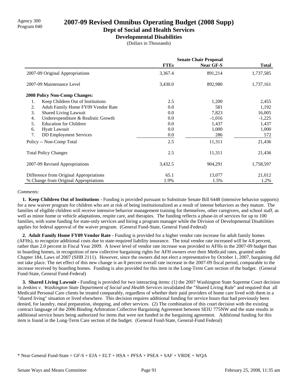# Agency 300 **2007-09 Revised Omnibus Operating Budget (2008 Supp)**<br>Program 040

# **Dept of Social and Health Services**

**Developmental Disabilities**

(Dollars in Thousands)

|                                           | <b>Senate Chair Proposal</b> |                  |              |  |
|-------------------------------------------|------------------------------|------------------|--------------|--|
|                                           | <b>FTEs</b>                  | <b>Near GF-S</b> | <b>Total</b> |  |
| 2007-09 Original Appropriations           | 3,367.4                      | 891,214          | 1,737,585    |  |
| 2007-09 Maintenance Level                 | 3,430.0                      | 892,980          | 1,737,161    |  |
| 2008 Policy Non-Comp Changes:             |                              |                  |              |  |
| Keep Children Out of Institutions<br>1.   | 2.5                          | 1,200            | 2,455        |  |
| Adult Family Home FY09 Vendor Rate<br>2.  | 0.0                          | 581              | 1,192        |  |
| 3.<br>Shared Living Lawsuit               | 0.0                          | 7,823            | 16,005       |  |
| Underexpenditure & Realistic Growth<br>4. | 0.0                          | $-1,016$         | $-1,225$     |  |
| 5.<br><b>Education for Children</b>       | 0.0                          | 1,437            | 1,437        |  |
| <b>Hyatt Lawsuit</b><br>6.                | 0.0                          | 1,000            | 1,000        |  |
| 7.<br><b>DD</b> Employment Services       | $0.0\,$                      | 286              | 572          |  |
| Policy -- Non-Comp Total                  | 2.5                          | 11,311           | 21,436       |  |
| <b>Total Policy Changes</b>               | 2.5                          | 11,311           | 21,436       |  |
| 2007-09 Revised Appropriations            | 3,432.5                      | 904,291          | 1,758,597    |  |
| Difference from Original Appropriations   | 65.1                         | 13,077           | 21,012       |  |
| % Change from Original Appropriations     | 1.9%                         | 1.5%             | 1.2%         |  |

### *Comments:*

 **1. Keep Children Out of Institutions -** Funding is provided pursuant to Substitute Senate Bill 6448 (intensive behavior supports) for a new waiver program for children who are at risk of being institutionalized as a result of intense behaviors as they mature. The families of eligible children will receive intensive behavior management training for themselves, other caregivers, and school staff, as well as minor home or vehicle adaptations, respite care, and therapies. The funding reflects a phase-in of services for up to 100 families, with some funding for state-only services and hiring a program manager while the Division of Developmental Disabilities applies for federal approval of the waiver program. (General Fund-State, General Fund-Federal)

 **2. Adult Family Home FY09 Vendor Rate -** Funding is provided for a higher vendor rate increase for adult family homes (AFHs), to recognize additional costs due to state-required liability insurance. The total vendor rate increased will be 4.8 percent, rather than 2.0 percent in Fiscal Year 2009. A lower level of vendor rate increase was provided to AFHs in the 2007-09 budget than to boarding homes, in recognition of new collective bargaining rights for AFH owners over their Medicaid rates, granted under Chapter 184, Laws of 2007 (SHB 2111). However, since the owners did not elect a representative by October 1, 2007, bargaining did not take place. The net effect of this new change is an 8 percent overall rate increase in the 2007-09 fiscal period, comparable to the increase received by boarding homes. Funding is also provided for this item in the Long-Term Care section of the budget. (General Fund-State, General Fund-Federal)

**3. Shared Living Lawsuit - Funding is provided for two interacting items:** (1) the 2007 Washington State Supreme Court decision in *Jenkins v. Washington State Department of Social and Health Services* invalidated the "Shared Living Rule" and required that all Medicaid Personal Care clients be treated comparably, regardless of whether their paid providers of home care lived with them in a "shared living" situation or lived elsewhere. This decision requires additional funding for service hours that had previously been denied, for laundry, meal preparation, shopping, and other services. (2) The combination of this court decision with the existing contract language of the 2006 Binding Arbitration Collective Bargaining Agreement between SEIU 775NW and the state results in additional service hours being authorized for items that were not funded in the bargaining agreement. Additional funding for this item is found in the Long-Term Care section of the budget. (General Fund-State, General-Fund Federal)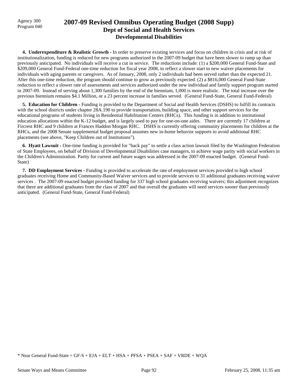### Agency 300 **2007-09 Revised Omnibus Operating Budget (2008 Supp)**<br>Program 040 **Dept of Social and Health Services Developmental Disabilities**

 **4. Underexpenditure & Realistic Growth -** In order to preserve existing services and focus on children in crisis and at risk of institutionalization, funding is reduced for new programs authorized in the 2007-09 budget that have been slower to ramp up than previously anticipated. No individuals will receive a cut in service. The reductions include: (1) a \$200,000 General Fund-State and \$209,000 General Fund-Federal one-time reduction for fiscal year 2008, to reflect a slower start to new waiver placements for individuals with aging parents or caregivers. As of January, 2008, only 2 individuals had been served rather than the expected 21. After this one-time reduction, the program should continue to grow as previously expected. (2) a \$816,000 General Fund-State reduction to reflect a slower rate of assessments and services authorized under the new individual and family support program started in 2007-09. Instead of serving about 1,300 families by the end of the biennium, 1,000 is more realistic. The total increase over the previous biennium remains \$4.1 Million, or a 23 percent increase in families served. (General Fund-State, General Fund-Federal)

 **5. Education for Children -** Funding is provided to the Department of Social and Health Services (DSHS) to fulfill its contracts with the school districts under chapter 28A.190 to provide transportation, building space, and other support services for the educational programs of students living in Residential Habilitation Centers (RHCs). This funding is in addition to institutional education allocations within the K-12 budget, and is largely used to pay for one-on-one aides. There are currently 17 children at Fircrest RHC and 9 children at Frances Haddon Morgan RHC. DSHS is currently offering community placements for children at the RHCs, and the 2008 Senate supplemental budget proposal assumes new in-home behavior supports to avoid additional RHC placements (see above, "Keep Children out of Institutions").

 **6. Hyatt Lawsuit -** One-time funding is provided for "back pay" to settle a class action lawsuit filed by the Washington Federation of State Employees, on behalf of Division of Developmental Disabilities case managers, to achieve wage parity with social workers in the Children's Administration. Parity for current and future wages was addressed in the 2007-09 enacted budget. (General Fund-State)

 **7. DD Employment Services -** Funding is provided to accelerate the rate of employment services provided to high school graduates receiving Home and Community-Based Waiver services and to provide services to 31 additional graduates receiving waiver services . The 2007-09 enacted budget provided funding for 337 high school graduates receiving waivers; this adjustment recognizes that there are additional graduates from the class of 2007 and that overall the graduates will need services sooner than previously anticipated. (General Fund-State, General Fund-Federal)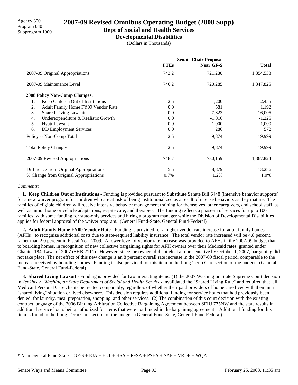# **2007-09 Revised Omnibus Operating Budget (2008 Supp)**

**Dept of Social and Health Services**

**Developmental Disabilities**

(Dollars in Thousands)

|                                           | <b>Senate Chair Proposal</b> |                  |              |
|-------------------------------------------|------------------------------|------------------|--------------|
|                                           | <b>FTEs</b>                  | <b>Near GF-S</b> | <b>Total</b> |
| 2007-09 Original Appropriations           | 743.2                        | 721,280          | 1,354,538    |
| 2007-09 Maintenance Level                 | 746.2                        | 720,285          | 1,347,825    |
| <b>2008 Policy Non-Comp Changes:</b>      |                              |                  |              |
| Keep Children Out of Institutions<br>1.   | 2.5                          | 1,200            | 2,455        |
| 2.<br>Adult Family Home FY09 Vendor Rate  | 0.0                          | 581              | 1,192        |
| 3.<br>Shared Living Lawsuit               | 0.0                          | 7,823            | 16,005       |
| 4.<br>Underexpenditure & Realistic Growth | 0.0                          | $-1,016$         | $-1,225$     |
| 5.<br><b>Hyatt Lawsuit</b>                | 0.0                          | 1,000            | 1,000        |
| 6.<br><b>DD</b> Employment Services       | 0.0                          | 286              | 572          |
| Policy -- Non-Comp Total                  | 2.5                          | 9,874            | 19,999       |
| <b>Total Policy Changes</b>               | 2.5                          | 9,874            | 19,999       |
| 2007-09 Revised Appropriations            | 748.7                        | 730,159          | 1,367,824    |
| Difference from Original Appropriations   | 5.5                          | 8,879            | 13,286       |
| % Change from Original Appropriations     | 0.7%                         | 1.2%             | 1.0%         |

### *Comments:*

 **1. Keep Children Out of Institutions -** Funding is provided pursuant to Substitute Senate Bill 6448 (intensive behavior supports) for a new waiver program for children who are at risk of being institutionalized as a result of intense behaviors as they mature. The families of eligible children will receive intensive behavior management training for themselves, other caregivers, and school staff, as well as minor home or vehicle adaptations, respite care, and therapies. The funding reflects a phase-in of services for up to 100 families, with some funding for state-only services and hiring a program manager while the Division of Developmental Disabilities applies for federal approval of the waiver program. (General Fund-State, General Fund-Federal)

 **2. Adult Family Home FY09 Vendor Rate -** Funding is provided for a higher vendor rate increase for adult family homes (AFHs), to recognize additional costs due to state-required liability insurance. The total vendor rate increased will be 4.8 percent, rather than 2.0 percent in Fiscal Year 2009. A lower level of vendor rate increase was provided to AFHs in the 2007-09 budget than to boarding homes, in recognition of new collective bargaining rights for AFH owners over their Medicaid rates, granted under Chapter 184, Laws of 2007 (SHB 2111). However, since the owners did not elect a representative by October 1, 2007, bargaining did not take place. The net effect of this new change is an 8 percent overall rate increase in the 2007-09 fiscal period, comparable to the increase received by boarding homes. Funding is also provided for this item in the Long-Term Care section of the budget. (General Fund-State, General Fund-Federal)

**3. Shared Living Lawsuit - Funding is provided for two interacting items:** (1) the 2007 Washington State Supreme Court decision in *Jenkins v. Washington State Department of Social and Health Services* invalidated the "Shared Living Rule" and required that all Medicaid Personal Care clients be treated comparably, regardless of whether their paid providers of home care lived with them in a "shared living" situation or lived elsewhere. This decision requires additional funding for service hours that had previously been denied, for laundry, meal preparation, shopping, and other services. (2) The combination of this court decision with the existing contract language of the 2006 Binding Arbitration Collective Bargaining Agreement between SEIU 775NW and the state results in additional service hours being authorized for items that were not funded in the bargaining agreement. Additional funding for this item is found in the Long-Term Care section of the budget. (General Fund-State, General-Fund Federal)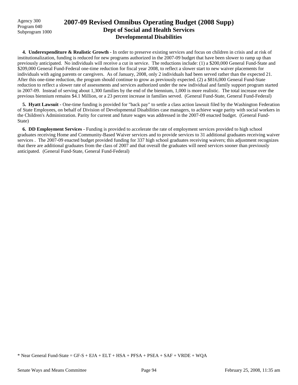Agency 300 Program 040 Subprogram 1000

## **2007-09 Revised Omnibus Operating Budget (2008 Supp) Dept of Social and Health Services Developmental Disabilities**

 **4. Underexpenditure & Realistic Growth -** In order to preserve existing services and focus on children in crisis and at risk of institutionalization, funding is reduced for new programs authorized in the 2007-09 budget that have been slower to ramp up than previously anticipated. No individuals will receive a cut in service. The reductions include: (1) a \$200,000 General Fund-State and \$209,000 General Fund-Federal one-time reduction for fiscal year 2008, to reflect a slower start to new waiver placements for individuals with aging parents or caregivers. As of January, 2008, only 2 individuals had been served rather than the expected 21. After this one-time reduction, the program should continue to grow as previously expected. (2) a \$816,000 General Fund-State reduction to reflect a slower rate of assessments and services authorized under the new individual and family support program started in 2007-09. Instead of serving about 1,300 families by the end of the biennium, 1,000 is more realistic. The total increase over the previous biennium remains \$4.1 Million, or a 23 percent increase in families served. (General Fund-State, General Fund-Federal)

 **5. Hyatt Lawsuit -** One-time funding is provided for "back pay" to settle a class action lawsuit filed by the Washington Federation of State Employees, on behalf of Division of Developmental Disabilities case managers, to achieve wage parity with social workers in the Children's Administration. Parity for current and future wages was addressed in the 2007-09 enacted budget. (General Fund-State)

 **6. DD Employment Services -** Funding is provided to accelerate the rate of employment services provided to high school graduates receiving Home and Community-Based Waiver services and to provide services to 31 additional graduates receiving waiver services . The 2007-09 enacted budget provided funding for 337 high school graduates receiving waivers; this adjustment recognizes that there are additional graduates from the class of 2007 and that overall the graduates will need services sooner than previously anticipated. (General Fund-State, General Fund-Federal)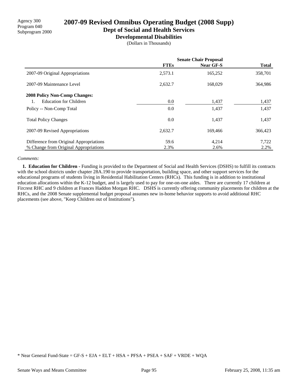Agency 300 Program 040 Subprogram 2000

# **2007-09 Revised Omnibus Operating Budget (2008 Supp)**

**Dept of Social and Health Services**

**Developmental Disabilities**

(Dollars in Thousands)

|                                         | <b>Senate Chair Proposal</b> |           |              |
|-----------------------------------------|------------------------------|-----------|--------------|
|                                         | <b>FTEs</b>                  | Near GF-S | <b>Total</b> |
| 2007-09 Original Appropriations         | 2,573.1                      | 165,252   | 358,701      |
| 2007-09 Maintenance Level               | 2,632.7                      | 168,029   | 364,986      |
| <b>2008 Policy Non-Comp Changes:</b>    |                              |           |              |
| Education for Children                  | 0.0                          | 1,437     | 1,437        |
| Policy -- Non-Comp Total                | 0.0                          | 1,437     | 1,437        |
| <b>Total Policy Changes</b>             | 0.0                          | 1,437     | 1,437        |
| 2007-09 Revised Appropriations          | 2,632.7                      | 169.466   | 366,423      |
| Difference from Original Appropriations | 59.6                         | 4,214     | 7,722        |
| % Change from Original Appropriations   | 2.3%                         | 2.6%      | 2.2%         |

### *Comments:*

 **1. Education for Children -** Funding is provided to the Department of Social and Health Services (DSHS) to fulfill its contracts with the school districts under chapter 28A.190 to provide transportation, building space, and other support services for the educational programs of students living in Residential Habilitation Centers (RHCs). This funding is in addition to institutional education allocations within the K-12 budget, and is largely used to pay for one-on-one aides. There are currently 17 children at Fircrest RHC and 9 children at Frances Haddon Morgan RHC. DSHS is currently offering community placements for children at the RHCs, and the 2008 Senate supplemental budget proposal assumes new in-home behavior supports to avoid additional RHC placements (see above, "Keep Children out of Institutions").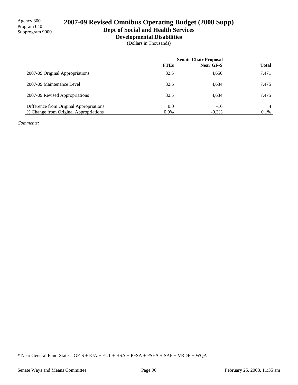Agency 300 Program 040 Subprogram 9000

# **2007-09 Revised Omnibus Operating Budget (2008 Supp)**

**Dept of Social and Health Services**

**Developmental Disabilities**

(Dollars in Thousands)

|                                         | <b>Senate Chair Proposal</b> |                  |              |
|-----------------------------------------|------------------------------|------------------|--------------|
|                                         | <b>FTEs</b>                  | <b>Near GF-S</b> | <b>Total</b> |
| 2007-09 Original Appropriations         | 32.5                         | 4,650            | 7,471        |
| 2007-09 Maintenance Level               | 32.5                         | 4.634            | 7.475        |
| 2007-09 Revised Appropriations          | 32.5                         | 4,634            | 7.475        |
| Difference from Original Appropriations | 0.0                          | $-16$            | 4            |
| % Change from Original Appropriations   | $0.0\%$                      | $-0.3\%$         | 0.1%         |

*Comments:*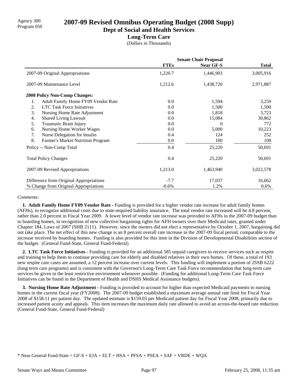# Agency 300 **2007-09 Revised Omnibus Operating Budget (2008 Supp)**<br>Program 050

**Dept of Social and Health Services**

### **Long-Term Care**

(Dollars in Thousands)

|                                          | <b>Senate Chair Proposal</b> |                  |              |
|------------------------------------------|------------------------------|------------------|--------------|
|                                          | <b>FTEs</b>                  | <b>Near GF-S</b> | <b>Total</b> |
| 2007-09 Original Appropriations          | 1,220.7                      | 1,446,903        | 3,005,916    |
| 2007-09 Maintenance Level                | 1,212.6                      | 1,438,720        | 2,971,887    |
| 2008 Policy Non-Comp Changes:            |                              |                  |              |
| Adult Family Home FY09 Vendor Rate<br>1. | 0.0                          | 1,594            | 3,259        |
| <b>LTC Task Force Initiatives</b><br>2.  | 0.0                          | 1,500            | 1,500        |
| 3.<br>Nursing Home Rate Adjustment       | 0.0                          | 1,818            | 3,723        |
| <b>Shared Living Lawsuit</b><br>4.       | 0.0                          | 15,084           | 30,862       |
| Traumatic Brain Injury<br>5.             | 0.0                          | $\Omega$         | 772          |
| Nursing Home Worker Wages<br>6.          | 0.0                          | 5,000            | 10,223       |
| 7.<br>Nurse Delegation for Insulin       | 0.4                          | 124              | 252          |
| 8.<br>Farmer's Market Nutrition Program  | 0.0                          | 100              | 100          |
| Policy -- Non-Comp Total                 | 0.4                          | 25,220           | 50,691       |
| <b>Total Policy Changes</b>              | 0.4                          | 25,220           | 50,691       |
| 2007-09 Revised Appropriations           | 1,213.0                      | 1,463,940        | 3,022,578    |
| Difference from Original Appropriations  | $-7.7$                       | 17,037           | 16,662       |
| % Change from Original Appropriations    | $-0.6%$                      | 1.2%             | 0.6%         |

### *Comments:*

**1. Adult Family Home FY09 Vendor Rate -** Funding is provided for a higher vendor rate increase for adult family homes (AFHs), to recognize additional costs due to state-required liability insurance. The total vendor rate increased will be 4.8 percent, rather than 2.0 percent in Fiscal Year 2009. A lower level of vendor rate increase was provided to AFHs in the 2007-09 budget than to boarding homes, in recognition of new collective bargaining rights for AFH owners over their Medicaid rates, granted under Chapter 184, Laws of 2007 (SHB 2111). However, since the owners did not elect a representative by October 1, 2007, bargaining did not take place. The net effect of this new change is an 8 percent overall rate increase in the 2007-09 fiscal period, comparable to the increase received by boarding homes. Funding is also provided for this item in the Division of Developmental Disabilities section of the budget. (General Fund-State, General Fund-Federal)

 **2. LTC Task Force Initiatives -** Funding is provided for an additional 585 unpaid caregivers to receive services such as respite and training to help them to continue providing care for elderly and disabled relatives in their own homes. Of these, a total of 193 new respite care cases are assumed, a 12 percent increase over current levels. This funding will implement a portion of 2SSB 6222 (long term care programs) and is consistent with the Governor's Long-Term Care Task Force recommendation that long-term care services be given in the least restrictive environment whenever possible. (Funding for additional Long-Term Care Task Force Initiatives can be found in the Department of Health and DSHS Medical Assistance budgets).

 **3. Nursing Home Rate Adjustment -** Funding is provided to account for higher than expected Medicaid payments to nursing homes in the current fiscal year (FY2008). The 2007-09 budget established a maximum average annual rate limit for Fiscal Year 2008 of \$158.11 per patient day. The updated estimate is \$159.03 per Medicaid patient day for Fiscal Year 2008, primarily due to increased patient acuity and appeals. This item increases the maximum daily rate allowed to avoid an across-the-board rate reduction. (General Fund-State, General Fund-Federal)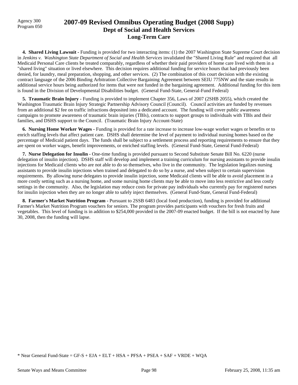## Program 050 **2007-09 Revised Omnibus Operating Budget (2008 Supp) Dept of Social and Health Services Long-Term Care**

**4. Shared Living Lawsuit - Funding is provided for two interacting items:** (1) the 2007 Washington State Supreme Court decision in *Jenkins v. Washington State Department of Social and Health Services* invalidated the "Shared Living Rule" and required that all Medicaid Personal Care clients be treated comparably, regardless of whether their paid providers of home care lived with them in a "shared living" situation or lived elsewhere. This decision requires additional funding for service hours that had previously been denied, for laundry, meal preparation, shopping, and other services. (2) The combination of this court decision with the existing contract language of the 2006 Binding Arbitration Collective Bargaining Agreement between SEIU 775NW and the state results in additional service hours being authorized for items that were not funded in the bargaining agreement. Additional funding for this item is found in the Division of Developmental Disabilities budget. (General Fund-State, General-Fund Federal)

**5. Traumatic Brain Injury - Funding is provided to implement Chapter 356, Laws of 2007 (2SHB 2055), which created the** Washington Traumatic Brain Injury Strategic Partnership Advisory Council (Council). Council activities are funded by revenues from an additional \$2 fee on traffic infractions deposited into a dedicated account. The funding will cover public awareness campaigns to promote awareness of traumatic brain injuries (TBIs), contracts to support groups to individuals with TBIs and their families, and DSHS support to the Council. (Traumatic Brain Injury Account-State)

 **6. Nursing Home Worker Wages -** Funding is provided for a rate increase to increase low-wage worker wages or benefits or to enrich staffing levels that affect patient care. DSHS shall determine the level of payment to individual nursing homes based on the percentage of Medicaid patient days. The funds shall be subject to a settlement process and reporting requirements to ensure that they are spent on worker wages, benefit improvements, or enriched staffing levels. (General Fund-State, General Fund-Federal)

 **7. Nurse Delegation for Insulin -** One-time funding is provided pursuant to Second Substitute Senate Bill No. 6220 (nurse delegation of insulin injection). DSHS staff will develop and implement a training curriculum for nursing assistants to provide insulin injections for Medicaid clients who are not able to do so themselves, who live in the community. The legislation legalizes nursing assistants to provide insulin injections when trained and delegated to do so by a nurse, and when subject to certain supervision requirements. By allowing nurse delegates to provide insulin injection, some Medicaid clients will be able to avoid placement in a more costly setting such as a nursing home, and some nursing home clients may be able to move into less restrictive and less costly settings in the community. Also, the legislation may reduce costs for private pay individuals who currently pay for registered nurses for insulin injection when they are no longer able to safely inject themselves. (General Fund-State, General Fund-Federal)

 **8. Farmer's Market Nutrition Program -** Pursuant to 2SSB 6483 (local food production), funding is provided for additional Farmer's Market Nutrition Program vouchers for seniors. The program provides participants with vouchers for fresh fruits and vegetables. This level of funding is in addition to \$254,000 provided in the 2007-09 enacted budget. If the bill is not enacted by June 30, 2008, then the funding will lapse.

<sup>\*</sup> Near General Fund-State = GF-S + EJA + ELT + HSA + PFSA + PSEA + SAF + VRDE + WQA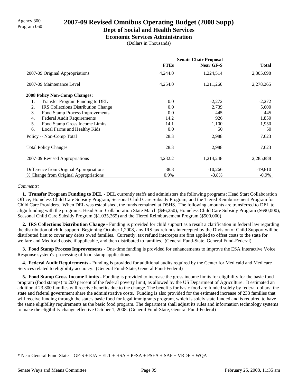# Agency 300 **2007-09 Revised Omnibus Operating Budget (2008 Supp)**<br>Program 060

### **Dept of Social and Health Services**

**Economic Services Administration**

(Dollars in Thousands)

|                                                  | <b>Senate Chair Proposal</b> |                  |              |  |
|--------------------------------------------------|------------------------------|------------------|--------------|--|
|                                                  | <b>FTEs</b>                  | <b>Near GF-S</b> | <b>Total</b> |  |
| 2007-09 Original Appropriations                  | 4,244.0                      | 1,224,514        | 2,305,698    |  |
| 2007-09 Maintenance Level                        | 4,254.0                      | 1,211,260        | 2,278,265    |  |
| <b>2008 Policy Non-Comp Changes:</b>             |                              |                  |              |  |
| Transfer Program Funding to DEL<br>1.            | 0.0                          | $-2,272$         | $-2,272$     |  |
| 2.<br><b>IRS</b> Collections Distribution Change | 0.0                          | 2,739            | 5,600        |  |
| 3.<br>Food Stamp Process Improvements            | 0.0                          | 445              | 445          |  |
| <b>Federal Audit Requirements</b><br>4.          | 14.2                         | 926              | 1,850        |  |
| 5.<br>Food Stamp Gross Income Limits             | 14.1                         | 1,100            | 1,950        |  |
| 6.<br>Local Farms and Healthy Kids               | 0.0                          | 50               | 50           |  |
| Policy -- Non-Comp Total                         | 28.3                         | 2,988            | 7,623        |  |
| <b>Total Policy Changes</b>                      | 28.3                         | 2,988            | 7,623        |  |
| 2007-09 Revised Appropriations                   | 4,282.2                      | 1,214,248        | 2,285,888    |  |
| Difference from Original Appropriations          | 38.3                         | $-10,266$        | $-19,810$    |  |
| % Change from Original Appropriations            | 0.9%                         | $-0.8\%$         | $-0.9\%$     |  |

### *Comments:*

 **1. Transfer Program Funding to DEL -** DEL currently staffs and administers the following programs: Head Start Collaboration Office, Homeless Child Care Subsidy Program, Seasonal Child Care Subsidy Program, and the Tiered Reimbursement Program for Child Care Providers. When DEL was established, the funds remained at DSHS. The following amounts are transferred to DEL to align funding with the programs: Head Start Collaboration State Match (\$46,250), Homeless Child Care Subsidy Program (\$690,000), Seasonal Child Care Subsidy Program (\$1,035,265) and the Tiered Reimbursement Program (\$500,000).

 **2. IRS Collections Distribution Change -** Funding is provided for child support as a result a clarification in federal law regarding the distribution of child support. Beginning October 1,2008, any IRS tax refunds intercepted by the Division of Child Support will be distributed first to cover any debts owed families. Currently, tax refund intercepts are first applied to offset costs to the state for welfare and Medicaid costs, if applicable, and then distributed to families. (General Fund-State, General Fund-Federal)

 **3. Food Stamp Process Improvements -** One-time funding is provided for enhancements to improve the ESA Interactive Voice Response system's processing of food stamp applications.

 **4. Federal Audit Requirements -** Funding is provided for additional audits required by the Center for Medicaid and Medicare Services related to eligibility accuracy. (General Fund-State, General Fund-Federal)

 **5. Food Stamp Gross Income Limits -** Funding is provided to increase the gross income limits for eligibility for the basic food program (food stamps) to 200 percent of the federal poverty limit, as allowed by the US Department of Agriculture. It estimated an additional 23,300 families will receive benefits due to the change. The benefits for basic food are funded solely by federal dollars; the state and federal government share the administrative costs. Funding is also provided for the estimated increase of 233 families that will receive funding through the state's basic food for legal immigrants program, which is solely state funded and is required to have the same eligibility requirements as the basic food program. The department shall adjust its rules and information technology systems to make the eligibility change effective October 1, 2008. (General Fund-State, General Fund-Federal)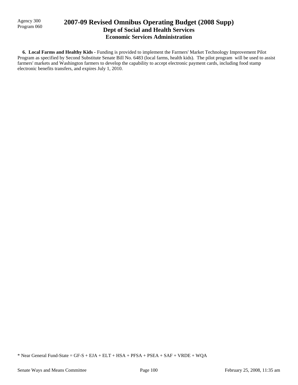Agency 300

## Agency 300 **2007-09 Revised Omnibus Operating Budget (2008 Supp)** Program 060 **Dept of Social and Health Services Economic Services Administration**

 **6. Local Farms and Healthy Kids -** Funding is provided to implement the Farmers' Market Technology Improvement Pilot Program as specified by Second Substitute Senate Bill No. 6483 (local farms, health kids). The pilot program will be used to assist farmers' markets and Washington farmers to develop the capability to accept electronic payment cards, including food stamp electronic benefits transfers, and expires July 1, 2010.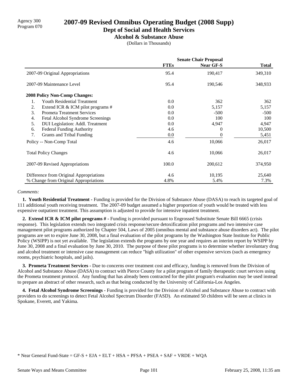# Agency 300 **2007-09 Revised Omnibus Operating Budget (2008 Supp)**<br>Program 070

### **Dept of Social and Health Services**

**Alcohol & Substance Abuse**

(Dollars in Thousands)

|                                         | <b>Senate Chair Proposal</b> |                  |              |
|-----------------------------------------|------------------------------|------------------|--------------|
|                                         | <b>FTEs</b>                  | <b>Near GF-S</b> | <b>Total</b> |
| 2007-09 Original Appropriations         | 95.4                         | 190,417          | 349,310      |
| 2007-09 Maintenance Level               | 95.4                         | 190,546          | 348,933      |
| <b>2008 Policy Non-Comp Changes:</b>    |                              |                  |              |
| Youth Residential Treatment<br>1.       | 0.0                          | 362              | 362          |
| 2.<br>Extend ICR & ICM pilot programs # | $0.0\,$                      | 5,157            | 5,157        |
| 3.<br><b>Prometa Treatment Services</b> | 0.0                          | $-500$           | $-500$       |
| 4.<br>Fetal Alcohol Syndrome Screenings | 0.0                          | 100              | 100          |
| DUI Legislation: Addl. Treatment<br>5.  | 0.0                          | 4,947            | 4,947        |
| <b>Federal Funding Authority</b><br>6.  | 4.6                          | 0                | 10,500       |
| 7.<br>Grants and Tribal Funding         | $0.0\,$                      | 0                | 5,451        |
| Policy -- Non-Comp Total                | 4.6                          | 10,066           | 26,017       |
| <b>Total Policy Changes</b>             | 4.6                          | 10,066           | 26,017       |
| 2007-09 Revised Appropriations          | 100.0                        | 200,612          | 374,950      |
| Difference from Original Appropriations | 4.6                          | 10,195           | 25,640       |
| % Change from Original Appropriations   | 4.8%                         | 5.4%             | 7.3%         |

### *Comments:*

 **1. Youth Residential Treatment -** Funding is provided for the Division of Substance Abuse (DASA) to reach its targeted goal of 111 additional youth receiving treatment. The 2007-09 budget assumed a higher proportion of youth would be treated with less expensive outpatient treatment. This assumption is adjusted to provide for intensive inpatient treatment.

 **2. Extend ICR & ICM pilot programs # -** Funding is provided pursuant to Engrossed Substitute Senate Bill 6665 (crisis response). This legislation extends two integrated crisis response/secure detoxification pilot programs and two intensive case management pilot programs authorized by Chapter 504, Laws of 2005 (omnibus mental and substance abuse disorders act). The pilot programs are set to expire June 30, 2008, but a final evaluation of the pilot programs by the Washington State Institute for Public Policy (WSIPP) is not yet available. The legislation extends the programs by one year and requires an interim report by WSIPP by June 30, 2008 and a final evaluation by June 30, 2010. The purpose of these pilot programs is to determine whether involuntary drug and alcohol treatment or intensive case management can reduce "high utilization" of other expensive services (such as emergency rooms, psychiatric hospitals, and jails).

 **3. Prometa Treatment Services -** Due to concerns over treatment cost and efficacy, funding is removed from the Division of Alcohol and Substance Abuse (DASA) to contract with Pierce County for a pilot program of family therapeutic court services using the Prometa treatment protocol. Any funding that has already been contracted for the pilot program's evaluation may be used instead to prepare an abstract of other research, such as that being conducted by the University of California-Los Angeles.

 **4. Fetal Alcohol Syndrome Screenings -** Funding is provided for the Division of Alcohol and Substance Abuse to contract with providers to do screenings to detect Fetal Alcohol Spectrum Disorder (FASD). An estimated 50 children will be seen at clinics in Spokane, Everett, and Yakima.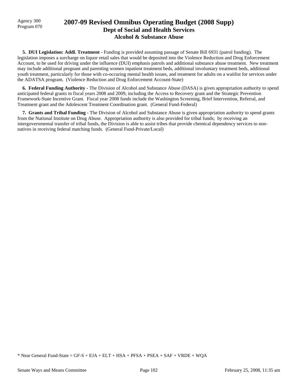### Agency 300 **2007-09 Revised Omnibus Operating Budget (2008 Supp)**<br>Program 070 **Dept of Social and Health Services Alcohol & Substance Abuse**

 **5. DUI Legislation: Addl. Treatment -** Funding is provided assuming passage of Senate Bill 6931 (patrol funding). The legislation imposes a surcharge on liquor retail sales that would be deposited into the Violence Reduction and Drug Enforcement Account, to be used for driving under the influence (DUI) emphasis patrols and additional substance abuse treatment. New treatment may include additional pregnant and parenting women inpatient treatment beds, additional involuntary treatment beds, additional youth treatment, particularly for those with co-occuring mental health issues, and treatment for adults on a waitlist for services under the ADATSA program. (Violence Reduction and Drug Enforcement Account-State)

 **6. Federal Funding Authority -** The Division of Alcohol and Substance Abuse (DASA) is given appropriation authority to spend anticipated federal grants in fiscal years 2008 and 2009, including the Access to Recovery grant and the Strategic Prevention Framework-State Incentive Grant. Fiscal year 2008 funds include the Washington Screening, Brief Intervention, Referral, and Treatment grant and the Adolescent Treatment Coordination grant. (General Fund-Federal)

 **7. Grants and Tribal Funding -** The Division of Alcohol and Substance Abuse is given appropriation authority to spend grants from the National Institute on Drug Abuse. Appropriation authority is also provided for tribal funds; by receiving an intergovernmental transfer of tribal funds, the Division is able to assist tribes that provide chemical dependency services to nonnatives in receiving federal matching funds. (General Fund-Private/Local)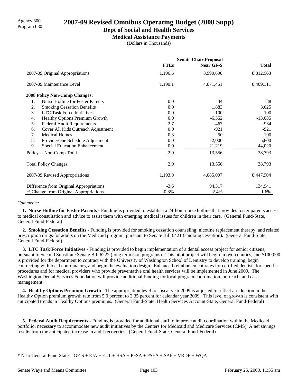# Agency 300 **2007-09 Revised Omnibus Operating Budget (2008 Supp)**<br>Program 080

### **Dept of Social and Health Services**

**Medical Assistance Payments**

(Dollars in Thousands)

|                                               | <b>Senate Chair Proposal</b> |                  |              |
|-----------------------------------------------|------------------------------|------------------|--------------|
|                                               | <b>FTEs</b>                  | <b>Near GF-S</b> | <b>Total</b> |
| 2007-09 Original Appropriations               | 1,196.6                      | 3,990,690        | 8,312,963    |
| 2007-09 Maintenance Level                     | 1,190.1                      | 4,071,451        | 8,409,111    |
| <b>2008 Policy Non-Comp Changes:</b>          |                              |                  |              |
| <b>Nurse Hotline for Foster Parents</b><br>1. | 0.0                          | 44               | 88           |
| 2.<br><b>Smoking Cessation Benefits</b>       | 0.0                          | 1,883            | 3,625        |
| 3.<br><b>LTC Task Force Initiatives</b>       | 0.0                          | 100              | 100          |
| 4.<br>Healthy Options Premium Growth          | 0.0                          | $-6,352$         | $-13,085$    |
| <b>Federal Audit Requirements</b><br>5.       | 2.7                          | $-467$           | $-934$       |
| Cover All Kids Outreach Adjustment<br>6.      | 0.0                          | $-921$           | $-921$       |
| 7.<br><b>Medical Homes</b>                    | 0.3                          | 50               | 100          |
| 8.<br>ProviderOne Schedule Adjustment         | 0.0                          | $-2,000$         | 5,800        |
| 9.<br><b>Special Education Enhancement</b>    | 0.0                          | 21,219           | 44,020       |
| Policy -- Non-Comp Total                      | 2.9                          | 13,556           | 38,793       |
| <b>Total Policy Changes</b>                   | 2.9                          | 13,556           | 38,793       |
| 2007-09 Revised Appropriations                | 1,193.0                      | 4,085,007        | 8,447,904    |
| Difference from Original Appropriations       | $-3.6$                       | 94,317           | 134,941      |
| % Change from Original Appropriations         | $-0.3%$                      | 2.4%             | 1.6%         |

### *Comments:*

 **1. Nurse Hotline for Foster Parents -** Funding is provided to establish a 24-hour nurse hotline that provides foster parents access to medical consultation and advice to assist them with emerging medical issues for children in their care. (General Fund-State, General Fund-Federal)

 **2. Smoking Cessation Benefits -** Funding is provided for smoking cessation counseling, nicotine replacement therapy, and related prescription drugs for adults on the Medicaid program, pursuant to Senate Bill 6421 (smoking cessation). (General Fund-State, General Fund-Federal)

 **3. LTC Task Force Initiatives -** Funding is provided to begin implementation of a dental access project for senior citizens, pursuant to Second Substitute Senate Bill 6222 (long term care programs). This pilot project will begin in two counties, and \$100,000 is provided for the department to contract with the University of Washington School of Dentistry to develop training, begin contracting with local coordinators, and begin the evaluation design. Enhanced reimbursement rates for certified dentists for specific procedures and for medical providers who provide preventative oral health services will be implemented in June 2009. The Washington Dental Services Foundation will provide additional funding for local program coordination, outreach, and case management.

 **4. Healthy Options Premium Growth -** The appropriation level for fiscal year 2009 is adjusted to reflect a reduction in the Healthy Option premium growth rate from 5.0 percent to 2.35 percent for calendar year 2009. This level of growth is consistent with anticipated trends in Healthy Options premiums. (General Fund-State, Health Services Account-State, General Fund-Federal)

 **5. Federal Audit Requirements -** Funding is provided for additional staff to improve audit coordination within the Medicaid portfolio, necessary to accommodate new audit initiatives by the Centers for Medicaid and Medicare Services (CMS). A net savings results from the anticipated increase in audit recoveries. (General Fund-State, General Fund-Federal)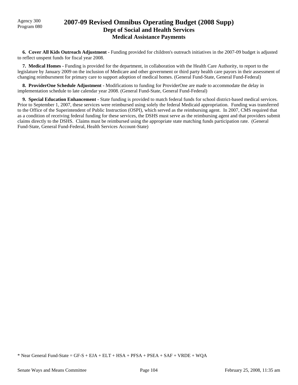## Agency 300 **2007-09 Revised Omnibus Operating Budget (2008 Supp)**<br>Program 080 **Dept of Social and Health Services Medical Assistance Payments**

 **6. Cover All Kids Outreach Adjustment -** Funding provided for children's outreach initiatives in the 2007-09 budget is adjusted to reflect unspent funds for fiscal year 2008.

 **7. Medical Homes -** Funding is provided for the department, in collaboration with the Health Care Authority, to report to the legislature by January 2009 on the inclusion of Medicare and other government or third party health care payors in their assessment of changing reimbursment for primary care to support adoption of medical homes. (General Fund-State, General Fund-Federal)

 **8. ProviderOne Schedule Adjustment -** Modifications to funding for ProviderOne are made to accommodate the delay in implementation schedule to late calendar year 2008. (General Fund-State, General Fund-Federal)

 **9. Special Education Enhancement -** State funding is provided to match federal funds for school district-based medical services. Prior to September 1, 2007, these services were reimbursed using solely the federal Medicaid appropriation. Funding was transferred to the Office of the Superintendent of Public Instruction (OSPI), which served as the reimbursing agent. In 2007, CMS required that as a condition of receiving federal funding for these services, the DSHS must serve as the reimbursing agent and that providers submit claims directly to the DSHS. Claims must be reimbursed using the appropriate state matching funds participation rate. (General Fund-State, General Fund-Federal, Health Services Account-State)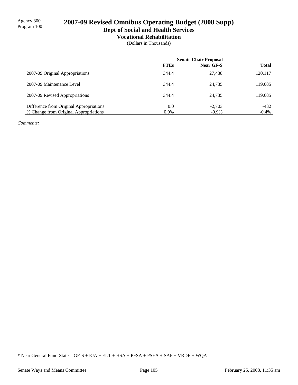## 2007-09 Revised Omnibus Operating Budget (2008 Supp) **Dept of Social and Health Services**

# **Vocational Rehabilitation**

(Dollars in Thousands)

|                                         | <b>Senate Chair Proposal</b> |           |              |
|-----------------------------------------|------------------------------|-----------|--------------|
|                                         | <b>FTEs</b>                  | Near GF-S | <b>Total</b> |
| 2007-09 Original Appropriations         | 344.4                        | 27.438    | 120,117      |
| 2007-09 Maintenance Level               | 344.4                        | 24.735    | 119,685      |
| 2007-09 Revised Appropriations          | 344.4                        | 24,735    | 119,685      |
| Difference from Original Appropriations | 0.0                          | $-2,703$  | $-432$       |
| % Change from Original Appropriations   | $0.0\%$                      | $-9.9\%$  | $-0.4\%$     |

*Comments:*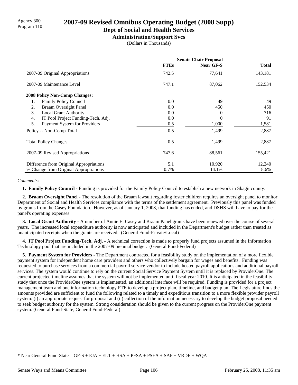# Agency 300 **2007-09 Revised Omnibus Operating Budget (2008 Supp)**<br>Program 110

### **Dept of Social and Health Services**

**Administration/Support Svcs**

(Dollars in Thousands)

|                                          | <b>Senate Chair Proposal</b> |                  |              |
|------------------------------------------|------------------------------|------------------|--------------|
|                                          | <b>FTEs</b>                  | <b>Near GF-S</b> | <b>Total</b> |
| 2007-09 Original Appropriations          | 742.5                        | 77,641           | 143,181      |
| 2007-09 Maintenance Level                | 747.1                        | 87,062           | 152,534      |
| <b>2008 Policy Non-Comp Changes:</b>     |                              |                  |              |
| 1.<br><b>Family Policy Council</b>       | 0.0                          | 49               | 49           |
| <b>Braam Oversight Panel</b><br>2.       | 0.0                          | 450              | 450          |
| 3.<br><b>Local Grant Authority</b>       | 0.0                          | $\theta$         | 716          |
| IT Pool Project Funding-Tech. Adj.<br>4. | 0.0                          | $\Omega$         | 91           |
| 5.<br>Payment System for Providers       | 0.5                          | 1,000            | 1,581        |
| Policy -- Non-Comp Total                 | 0.5                          | 1,499            | 2,887        |
| <b>Total Policy Changes</b>              | 0.5                          | 1,499            | 2,887        |
| 2007-09 Revised Appropriations           | 747.6                        | 88,561           | 155,421      |
| Difference from Original Appropriations  | 5.1                          | 10,920           | 12,240       |
| % Change from Original Appropriations    | 0.7%                         | 14.1%            | 8.6%         |

### *Comments:*

 **1. Family Policy Council -** Funding is provided for the Family Policy Council to establish a new network in Skagit county.

 **2. Braam Oversight Panel -** The resolution of the Braam lawsuit regarding foster children requires an oversight panel to monitor Department of Social and Health Services compliance with the terms of the settlement agreement. Previously this panel was funded by grants from the Casey Foundation. However, as of January 1, 2008, that funding has ended, and DSHS will have to pay for the panel's operating expenses

 **3. Local Grant Authority -** A number of Annie E. Casey and Braam Panel grants have been renewed over the course of several years. The increased local expenditure authority is now anticipated and included in the Department's budget rather than treated as unanticipated receipts when the grants are received. (General Fund-Private/Local)

 **4. IT Pool Project Funding-Tech. Adj. -** A technical correction is made to properly fund projects assumed in the Information Technology pool that are included in the 2007-09 biennial budget. (General Fund-Federal)

 **5. Payment System for Providers -** The Department contracted for a feasibility study on the implementation of a more flexible payment system for independent home care providers and others who collectively bargain for wages and benefits. Funding was requested to purchase services from a commercial payroll service vendor to include hosted payroll applications and additional payroll services. The system would continue to rely on the current Social Service Payment System until it is replaced by ProviderOne. The current projected timeline assumes that the system will not be implemented until fiscal year 2010. It is anticipated in the feasibility study that once the ProviderOne system is implemented, an additional interface will be required. Funding is provided for a project management team and one information technology FTE to develop a project plan, timeline, and budget plan. The Legislature finds the amounts provided are sufficient to fund the following related to a timely and expeditious transition to a more flexible provider payroll system: (i) an appropriate request for proposal and (ii) collection of the information necessary to develop the budget proposal needed to seek budget authority for the system. Strong consideration should be given to the current progress on the ProviderOne payment system. (General Fund-State, General Fund-Federal)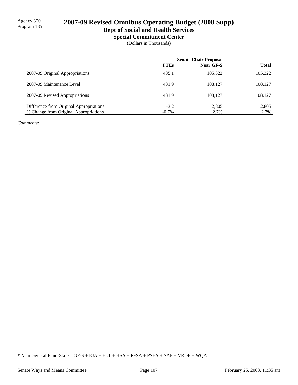# 2007-09 Revised Omnibus Operating Budget (2008 Supp)

**Dept of Social and Health Services**

**Special Commitment Center**

(Dollars in Thousands)

|                                         | <b>Senate Chair Proposal</b> |                  |              |
|-----------------------------------------|------------------------------|------------------|--------------|
|                                         | <b>FTEs</b>                  | <b>Near GF-S</b> | <b>Total</b> |
| 2007-09 Original Appropriations         | 485.1                        | 105.322          | 105,322      |
| 2007-09 Maintenance Level               | 481.9                        | 108.127          | 108,127      |
| 2007-09 Revised Appropriations          | 481.9                        | 108.127          | 108,127      |
| Difference from Original Appropriations | $-3.2$                       | 2.805            | 2,805        |
| % Change from Original Appropriations   | $-0.7\%$                     | 2.7%             | 2.7%         |

*Comments:*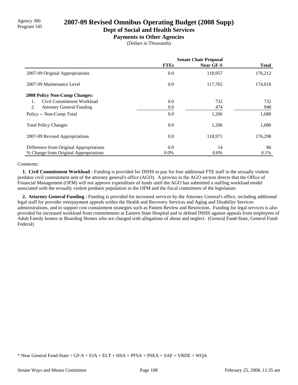# Agency 300<br>Program 145 **2007-09 Revised Omnibus Operating Budget (2008 Supp)**

### **Dept of Social and Health Services**

**Payments to Other Agencies**

(Dollars in Thousands)

|                                         | <b>Senate Chair Proposal</b> |                  |              |
|-----------------------------------------|------------------------------|------------------|--------------|
|                                         | <b>FTEs</b>                  | <b>Near GF-S</b> | <b>Total</b> |
| 2007-09 Original Appropriations         | 0.0                          | 118,957          | 176,212      |
| 2007-09 Maintenance Level               | 0.0                          | 117,765          | 174,618      |
| 2008 Policy Non-Comp Changes:           |                              |                  |              |
| Civil Commitment Workload               | 0.0                          | 732              | 732          |
| 2.<br><b>Attorney General Funding</b>   | 0.0                          | 474              | 948          |
| Policy -- Non-Comp Total                | 0.0                          | 1,206            | 1,680        |
| <b>Total Policy Changes</b>             | 0.0                          | 1,206            | 1,680        |
| 2007-09 Revised Appropriations          | 0.0                          | 118,971          | 176,298      |
| Difference from Original Appropriations | 0.0                          | 14               | 86           |
| % Change from Original Appropriations   | $0.0\%$                      | $0.0\%$          | $0.1\%$      |

### *Comments:*

 **1. Civil Commitment Workload -** Funding is provided for DSHS to pay for four additional FTE staff in the sexually violent predator civil commitment unit of the attorney general's office (AGO). A proviso in the AGO section directs that the Office of Financial Management (OFM) will not approve expenditure of funds until the AGO has submitted a staffing workload model associated with the sexually violent predator population to the OFM and the fiscal committees of the legislature.

 **2. Attorney General Funding -** Funding is provided for increased services by the Attorney General's office, including additional legal staff for provider overpayment appeals within the Health and Recovery Services and Aging and Disability Services administrations, and to support cost containment strategies such as Patient Review and Restriction. Funding for legal services is also provided for increased workload from commitments at Eastern State Hospital and to defend DSHS against appeals from employees of Adult Family homes or Boarding Homes who are charged with allegations of abuse and neglect. (General Fund-State, General Fund-Federal)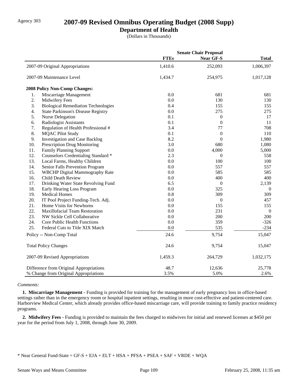## Agency 303 **2007-09 Revised Omnibus Operating Budget (2008 Supp)**

### **Department of Health**

(Dollars in Thousands)

|     |                                            |             | <b>Senate Chair Proposal</b> |                |
|-----|--------------------------------------------|-------------|------------------------------|----------------|
|     |                                            | <b>FTEs</b> | <b>Near GF-S</b>             | <b>Total</b>   |
|     | 2007-09 Original Appropriations            | 1,410.6     | 252,093                      | 1,006,397      |
|     | 2007-09 Maintenance Level                  | 1,434.7     | 254,975                      | 1,017,128      |
|     | 2008 Policy Non-Comp Changes:              |             |                              |                |
| 1.  | Miscarriage Management                     | 0.0         | 681                          | 681            |
| 2.  | Midwifery Fees                             | 0.0         | 130                          | 130            |
| 3.  | <b>Biological Remediation Technologies</b> | 0.4         | 155                          | 155            |
| 4.  | <b>State Parkinson's Disease Registry</b>  | 0.0         | 275                          | 275            |
| 5.  | Nurse Delegation                           | 0.1         | $\boldsymbol{0}$             | 17             |
| 6.  | <b>Radiologist Assistants</b>              | 0.1         | $\boldsymbol{0}$             | 11             |
| 7.  | Regulation of Health Professional #        | 3.4         | 77                           | 708            |
| 8.  | <b>MQAC Pilot Study</b>                    | 0.1         | $\boldsymbol{0}$             | 110            |
| 9.  | <b>Investigation and Case Backlog</b>      | 8.2         | $\overline{0}$               | 1,980          |
| 10. | Prescription Drug Monitoring               | 3.0         | 680                          | 1,080          |
| 11. | Family Planning Support                    | 0.0         | 4,000                        | 5,000          |
| 12. | Counselors Credentialing Standard *        | 2.3         | $\theta$                     | 558            |
| 13. | Local Farms, Healthy Children              | 0.0         | 100                          | 100            |
| 14. | Senior Falls Prevention Program            | 0.0         | 557                          | 557            |
| 15. | WBCHP Digital Mammography Rate             | 0.0         | 585                          | 585            |
| 16. | <b>Child Death Review</b>                  | 0.0         | 400                          | 400            |
| 17. | Drinking Water State Revolving Fund        | 6.5         | $\boldsymbol{0}$             | 2,139          |
| 18. | Early Hearing Loss Program                 | 0.0         | 325                          | $\overline{0}$ |
| 19. | <b>Medical Homes</b>                       | 0.8         | 309                          | 309            |
| 20. | IT Pool Project Funding-Tech. Adj.         | 0.0         | $\boldsymbol{0}$             | 457            |
| 21. | Home Visits for Newborns                   | 0.0         | 155                          | 155            |
| 22. | Maxillofacial Team Restoration             | 0.0         | 231                          | $\mathbf{0}$   |
| 23. | NW Sickle Cell Collaborative               | 0.0         | 200                          | 200            |
| 24. | Core Public Health Functions               | 0.0         | 359                          | $-326$         |
| 25. | Federal Cuts to Title XIX Match            | 0.0         | 535                          | $-234$         |
|     | Policy -- Non-Comp Total                   | 24.6        | 9,754                        | 15,047         |
|     | <b>Total Policy Changes</b>                | 24.6        | 9,754                        | 15,047         |
|     | 2007-09 Revised Appropriations             | 1,459.3     | 264,729                      | 1,032,175      |
|     | Difference from Original Appropriations    | 48.7        | 12,636                       | 25,778         |
|     | % Change from Original Appropriations      | 3.5%        | 5.0%                         | 2.6%           |

### *Comments:*

 **1. Miscarriage Management -** Funding is provided for training for the management of early pregnancy loss in office-based settings rather than in the emergency room or hospital inpatient settings, resulting in more cost-effective and patient-centered care. Harborview Medical Center, which already provides office-based miscarriage care, will provide training to family practice residency programs.

 **2. Midwifery Fees -** Funding is provided to maintain the fees charged to midwives for initial and renewed licenses at \$450 per year for the period from July 1, 2008, through June 30, 2009.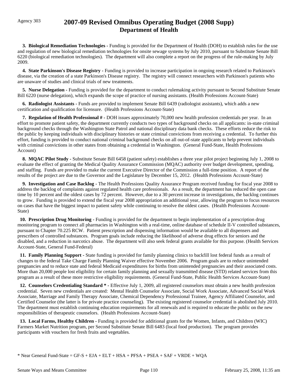## Agency 303 **2007-09 Revised Omnibus Operating Budget (2008 Supp) Department of Health**

 **3. Biological Remediation Technologies -** Funding is provided for the Department of Health (DOH) to establish rules for the use and regulation of new biological remediation technologies for onsite sewage systems by July 2010, pursuant to Substitute Senate Bill 6220 (biological remediation technologies). The department will also complete a report on the progress of the rule-making by July 2009.

**4. State Parkinson's Disease Registry -** Funding is provided to increase participation in ongoing research related to Parkinson's disease, via the creation of a state Parkinson's Disease registry. The registry will connect researchers with Parkinson's patients who are unaware of studies and clinical trials of new treatments.

**5. Nurse Delegation -** Funding is provided for the department to conduct rulemaking activity pursuant to Second Substitute Senate Bill 6220 (nurse delegation), which expands the scope of practice of nursing assistants. (Health Professions Account-State)

 **6. Radiologist Assistants -** Funds are provided to implement Senate Bill 6439 (radiologist assistants), which adds a new certification and qualification for licensure. (Health Professions Account-State)

 **7. Regulation of Health Professional # -** DOH issues approximately 70,000 new health profession credentials per year. In an effort to promote patient safety, the department currently conducts two types of background checks on all applicants: in-state criminal background checks through the Washington State Patrol and national disciplinary data bank checks. These efforts reduce the risk to the public by keeping individuals with disciplinary histories or state criminal convictions from receiving a credential. To further this effort, funding is provided to conduct national criminal background checks on all out-of-state applicants to help prevent individuals with criminal convictions in other states from obtaining a credential in Washington. (General Fund-State, Health Professions Account)

 **8. MQAC Pilot Study -** Substitute Senate Bill 6458 (patient safety) establishes a three year pilot project beginning July 1, 2008 to evaluate the effect of granting the Medical Quality Assurance Commission (MQAC) authority over budget development, spending, and staffing. Funds are provided to make the current Executive Director of the Commission a full-time position. A report of the results of the project are due to the Governor and the Legislature by December 15, 2012. (Health Professions Account-State)

 **9. Investigation and Case Backlog -** The Health Professions Quality Assurance Program received funding for fiscal year 2008 to address the backlog of complaints against regulated health care professionals. As a result, the department has reduced the open case time by 10 percent and the oldest cases by 72 percent. However, due to a 30 percent increase in investigations, the backlog continues to grow. Funding is provided to extend the fiscal year 2008 appropriation an additional year, allowing the program to focus resources on cases that have the biggest impact to patient safety while continuing to resolve the oldest cases. (Health Professions Account-State)

**10. Prescription Drug Monitoring -** Funding is provided for the department to begin implementation of a prescription drug monitoring program to connect all pharmacies in Washington with a real-time, online database of schedule II-V controlled substances, pursuant to Chapter 70.225 RCW. Patient prescription and dispensing information would be available to all dispensers and prescribers of controlled substances. Program goals include reducing the likelihood of adverse drug effects for seniors and the disabled, and a reduction in narcotics abuse. The department will also seek federal grants available for this purpose. (Health Services Account-State, General Fund-Federal)

 **11. Family Planning Support -** State funding is provided for family planning clinics to backfill lost federal funds as a result of changes to the federal Take Charge Family Planning Waiver effective November 2006. Program goals are to reduce unintended pregnancies and to reduce state and federal Medicaid expenditures for births from unintended pregnancies and their associated costs. More than 20,000 people lost eligibility for certain family planning and sexually transmitted disease (STD) related services from this program as a result of these more restrictive eligibility requirements. (General Fund-State, Public Health Services Account-State)

 **12. Counselors Credentialing Standard \* -** Effective July 1, 2009, all registered counselors must obtain a new health profession credential. Seven new credentials are created: Mental Health Counselor Associate, Social Work Associate, Advanced Social Work Associate, Marriage and Family Therapy Associate, Chemical Dependency Professional Trainee, Agency Affiliated Counselor, and Certified Counselor (the latter is for private practice counseling). The existing registered counselor credential is abolished July 2010. The department must establish continuing education requirements for all renewals and is required to educate the public on the new responsibilities of therapeutic counselors. (Health Professions Account-State)

**13. Local Farms, Healthy Children - Funding is provided for additional grants for the Women, Infants, and Children (WIC)** Farmers Market Nutrition program, per Second Substitute Senate Bill 6483 (local food production). The program provides participants with vouchers for fresh fruits and vegetables.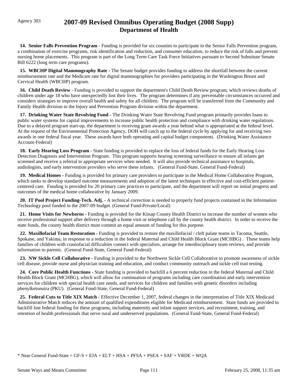## Agency 303 **2007-09 Revised Omnibus Operating Budget (2008 Supp) Department of Health**

 **14. Senior Falls Prevention Program -** Funding is provided for six counties to participate in the Senior Falls Prevention program, a combination of exercise programs, risk identification and reduction, and consumer education, to reduce the risk of falls and prevent nursing home placements.This program is part of the Long Term Care Task Force Initiatives pursuant to Second Substitute Senate Bill 6222 (long term care programs).

 **15. WBCHP Digital Mammography Rate -** The Senate budget provides funding to address the shortfall between the current reimbursement rate and the Medicare rate for digital mammographies for providers participating in the Washington Breast and Cervical Health (WBCHP) program.

 **16. Child Death Review -** Funding is provided to support the department's Child Death Review program, which reviews deaths of children under age 18 who have unexpectedly lost their lives. The program determines if any preventable circumstances occurred and considers strategies to improve overall health and safety for all children. The program will be transferred from the Community and Family Health division to the Injury and Prevention Program division within the department.

 **17. Drinking Water State Revolving Fund -** The Drinking Water State Revolving Fund program primarily provides loans to public water systems for capital improvements to increase public health protection and compliance with drinking water regulations. Due to a delayed program start-up, the department is receiving grant awards a year behind what is appropriated at the federal level. At the request of the Environmental Protection Agency, DOH will catch up to the federal cycle by applying for and receiving two awards in one federal fiscal year. These awards have both operating and capital budget components. (Drinking Water Assistance Account-Federal)

 **18. Early Hearing Loss Program -** State funding is provided to replace the loss of federal funds for the Early Hearing Loss Detection Diagnosis and Intervention Program. This program supports hearing screening surveillance to ensure all infants get screened and receive a referral to appropriate services when needed. It will also provide technical assistance to hospitals, audiologists, and early intervention providers who serve these infants. (General Fund-State, General Fund-Federal)

 **19. Medical Homes -** Funding is provided for primary care providers to participate in the Medical Home Collaborative Program, which seeks to develop standard outcome measurements and adoption of the latest techniques in effective and cost-efficient patientcentered care. Funding is provided for 20 primary care practices to participate, and the department will report on initial progress and outcomes of the medical home collaborative by January 2009.

20. IT Pool Project Funding-Tech. Adj. - A technical correction is needed to properly fund projects contained in the Information Technology pool funded in the 2007-09 budget. (General Fund-Private/Local)

 **21. Home Visits for Newborns -** Funding is provided for the Kitsap County Health District to increase the number of women who receive professional support after delivery through a home visit or telephone call by the county health district. In order to receive the state funds, the county health district must commit an equal amount of funding for this purpose.

 **22. Maxillofacial Team Restoration -** Funding is provided to restore the maxillofacial / cleft palate teams in Tacoma, Seattle, Spokane, and Yakima, in response to a reduction in the federal Maternal and Child Health Block Grant (MCHBG) . These teams help families of children with craniofacial difficulties connect with specialists, arrange for interdisciplinary team reviews, and provide information to parents. (General Fund-State, General Fund-Federal)

 **23. NW Sickle Cell Collaborative -** Funding is provided to the Northwest Sickle Cell Collaborative to promote awareness of sickle cell disease, provide nurse and physician training and education, and conduct community outreach and sickle cell trait testing.

 **24. Core Public Health Functions -** State funding is provided to backfill a 6 percent reduction in the federal Maternal and Child Health Block Grant (MCHBG), which will allow for continuation of programs including care coordination and early intervention services for children with special health care needs, and services for children and families with genetic disorders including phenylketonuira (PKU). (General Fund-State, General Fund-Federal)

25. Federal Cuts to Title XIX Match - Effective December 1, 2007, federal changes in the interpretation of Title XIX Medicaid Administrative Match reduces the amount of qualified expenditures eligible for Medicaid reimbursement. State funds are provided to backfill lost federal funding for these programs, including maternity and infant support services, and recruitment, training, and retention of health professionals that serve rural and underserved populations. (General Fund-State, General Fund-Federal)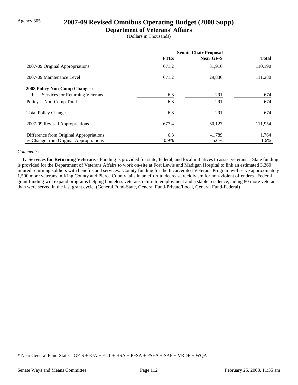## Agency 305 **2007-09 Revised Omnibus Operating Budget (2008 Supp)**

### **Department of Veterans' Affairs**

(Dollars in Thousands)

|                                         | <b>Senate Chair Proposal</b> |           |              |
|-----------------------------------------|------------------------------|-----------|--------------|
|                                         | <b>FTEs</b>                  | Near GF-S | <b>Total</b> |
| 2007-09 Original Appropriations         | 671.2                        | 31,916    | 110,190      |
| 2007-09 Maintenance Level               | 671.2                        | 29,836    | 111,280      |
| <b>2008 Policy Non-Comp Changes:</b>    |                              |           |              |
| Services for Returning Veterans         | 6.3                          | 291       | 674          |
| Policy -- Non-Comp Total                | 6.3                          | 291       | 674          |
| <b>Total Policy Changes</b>             | 6.3                          | 291       | 674          |
| 2007-09 Revised Appropriations          | 677.4                        | 30,127    | 111,954      |
| Difference from Original Appropriations | 6.3                          | $-1,789$  | 1,764        |
| % Change from Original Appropriations   | 0.9%                         | $-5.6\%$  | 1.6%         |

### *Comments:*

 **1. Services for Returning Veterans -** Funding is provided for state, federal, and local initiatives to assist veterans. State funding is provided for the Department of Veterans Affairs to work on-site at Fort Lewis and Madigan Hospital to link an estimated 3,360 injured returning soldiers with benefits and services. County funding for the Incarcerated Veterans Program will serve approximately 1,500 more veterans in King County and Pierce County jails in an effort to decrease recidivism for non-violent offenders. Federal grant funding will expand programs helping homeless veterans return to employment and a stable residence, aiding 80 more veterans than were served in the last grant cycle. (General Fund-State, General Fund-Private/Local, General Fund-Federal)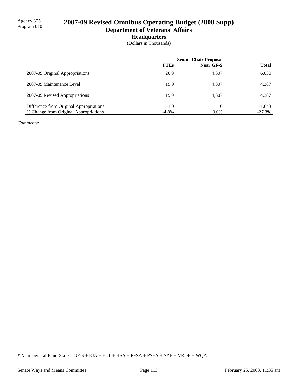## 2007-09 Revised Omnibus Operating Budget (2008 Supp) **Department of Veterans' Affairs**

### **Headquarters**

(Dollars in Thousands)

|                                         | <b>Senate Chair Proposal</b> |           |              |
|-----------------------------------------|------------------------------|-----------|--------------|
|                                         | <b>FTEs</b>                  | Near GF-S | <b>Total</b> |
| 2007-09 Original Appropriations         | 20.9                         | 4,307     | 6,030        |
| 2007-09 Maintenance Level               | 19.9                         | 4,307     | 4,387        |
| 2007-09 Revised Appropriations          | 19.9                         | 4.307     | 4,387        |
| Difference from Original Appropriations | $-1.0$                       | 0         | $-1,643$     |
| % Change from Original Appropriations   | $-4.8%$                      | $0.0\%$   | $-27.3%$     |

*Comments:*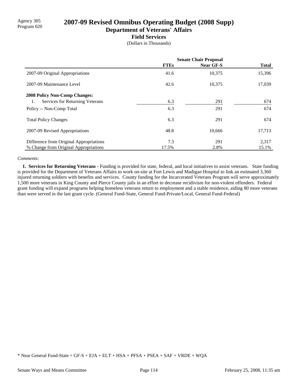# Agency 305 **2007-09 Revised Omnibus Operating Budget (2008 Supp)**

**Department of Veterans' Affairs**

### **Field Services**

(Dollars in Thousands)

|                                         | <b>Senate Chair Proposal</b> |           |              |
|-----------------------------------------|------------------------------|-----------|--------------|
|                                         | <b>FTEs</b>                  | Near GF-S | <b>Total</b> |
| 2007-09 Original Appropriations         | 41.6                         | 10,375    | 15,396       |
| 2007-09 Maintenance Level               | 42.6                         | 10,375    | 17,039       |
| <b>2008 Policy Non-Comp Changes:</b>    |                              |           |              |
| Services for Returning Veterans<br>1.   | 6.3                          | 291       | 674          |
| Policy -- Non-Comp Total                | 6.3                          | 291       | 674          |
| <b>Total Policy Changes</b>             | 6.3                          | 291       | 674          |
| 2007-09 Revised Appropriations          | 48.8                         | 10,666    | 17,713       |
| Difference from Original Appropriations | 7.3                          | 291       | 2,317        |
| % Change from Original Appropriations   | 17.5%                        | 2.8%      | 15.1%        |

### *Comments:*

 **1. Services for Returning Veterans -** Funding is provided for state, federal, and local initiatives to assist veterans. State funding is provided for the Department of Veterans Affairs to work on-site at Fort Lewis and Madigan Hospital to link an estimated 3,360 injured returning soldiers with benefits and services. County funding for the Incarcerated Veterans Program will serve approximately 1,500 more veterans in King County and Pierce County jails in an effort to decrease recidivism for non-violent offenders. Federal grant funding will expand programs helping homeless veterans return to employment and a stable residence, aiding 80 more veterans than were served in the last grant cycle. (General Fund-State, General Fund-Private/Local, General Fund-Federal)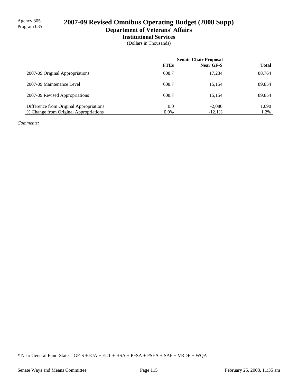## 2007-09 Revised Omnibus Operating Budget (2008 Supp) **Department of Veterans' Affairs**

# **Institutional Services**

(Dollars in Thousands)

|                                         | <b>Senate Chair Proposal</b> |                  |              |
|-----------------------------------------|------------------------------|------------------|--------------|
|                                         | <b>FTEs</b>                  | <b>Near GF-S</b> | <b>Total</b> |
| 2007-09 Original Appropriations         | 608.7                        | 17.234           | 88,764       |
| 2007-09 Maintenance Level               | 608.7                        | 15.154           | 89,854       |
| 2007-09 Revised Appropriations          | 608.7                        | 15.154           | 89,854       |
| Difference from Original Appropriations | 0.0                          | $-2.080$         | 1,090        |
| % Change from Original Appropriations   | $0.0\%$                      | $-12.1%$         | 1.2%         |

*Comments:*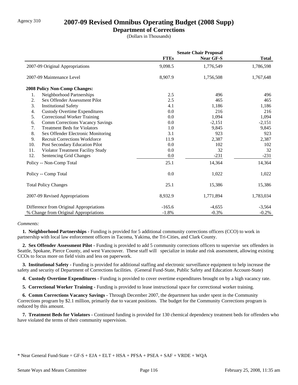## Agency 310 **2007-09 Revised Omnibus Operating Budget (2008 Supp)**

### **Department of Corrections**

(Dollars in Thousands)

|     |                                         | <b>Senate Chair Proposal</b> |           |              |
|-----|-----------------------------------------|------------------------------|-----------|--------------|
|     |                                         | <b>FTEs</b>                  | Near GF-S | <b>Total</b> |
|     | 2007-09 Original Appropriations         | 9,098.5                      | 1,776,549 | 1,786,598    |
|     | 2007-09 Maintenance Level               | 8,907.9                      | 1,756,508 | 1,767,648    |
|     | 2008 Policy Non-Comp Changes:           |                              |           |              |
| 1.  | Neighborhood Partnerships               | 2.5                          | 496       | 496          |
| 2.  | Sex Offender Assessment Pilot           | 2.5                          | 465       | 465          |
| 3.  | <b>Institutional Safety</b>             | 4.1                          | 1,186     | 1,186        |
| 4.  | <b>Custody Overtime Expenditures</b>    | 0.0                          | 216       | 216          |
| 5.  | <b>Correctional Worker Training</b>     | 0.0                          | 1,094     | 1,094        |
| 6.  | <b>Comm Corrections Vacancy Savings</b> | 0.0                          | $-2,151$  | $-2,151$     |
| 7.  | <b>Treatment Beds for Violators</b>     | 1.0                          | 9,845     | 9,845        |
| 8.  | Sex Offender Electronic Monitoring      | 3.1                          | 923       | 923          |
| 9.  | <b>Recruit Corrections Workforce</b>    | 11.9                         | 2,387     | 2,387        |
| 10. | Post Secondary Education Pilot          | 0.0                          | 102       | 102          |
| 11. | Violator Treatment Facility Study       | 0.0                          | 32        | 32           |
| 12. | Sentencing Grid Changes                 | 0.0                          | $-231$    | $-231$       |
|     | Policy -- Non-Comp Total                | 25.1                         | 14,364    | 14,364       |
|     | Policy -- Comp Total                    | 0.0                          | 1,022     | 1,022        |
|     | <b>Total Policy Changes</b>             | 25.1                         | 15,386    | 15,386       |
|     | 2007-09 Revised Appropriations          | 8,932.9                      | 1,771,894 | 1,783,034    |
|     | Difference from Original Appropriations | $-165.6$                     | $-4,655$  | $-3,564$     |
|     | % Change from Original Appropriations   | $-1.8%$                      | $-0.3%$   | $-0.2%$      |

### *Comments:*

 **1. Neighborhood Partnerships -** Funding is provided for 5 additional community corrections officers (CCO) to work in partnership with local law enforcement officers in Tacoma, Yakima, the Tri-Cities, and Clark County.

 **2. Sex Offender Assessment Pilot -** Funding is provided to add 5 community corrections officers to supervise sex offenders in Seattle, Spokane, Pierce County, and west Vancouver. These staff will specialize in intake and risk assessment, allowing existing CCOs to focus more on field visits and less on paperwork.

 **3. Institutional Safety -** Funding is provided for additional staffing and electronic surveillance equipment to help increase the safety and security of Department of Corrections facilities. (General Fund-State, Public Safety and Education Account-State)

 **4. Custody Overtime Expenditures -** Funding is provided to cover overtime expenditures brought on by a high vacancy rate.

 **5. Correctional Worker Training -** Funding is provided to lease instructional space for correctional worker training.

 **6. Comm Corrections Vacancy Savings -** Through December 2007, the department has under spent in the Community Corrections program by \$2.1 million, primarily due to vacant positions. The budget for the Community Corrections program is reduced by this amount.

 **7. Treatment Beds for Violators -** Continued funding is provided for 130 chemical dependency treatment beds for offenders who have violated the terms of their community supervision.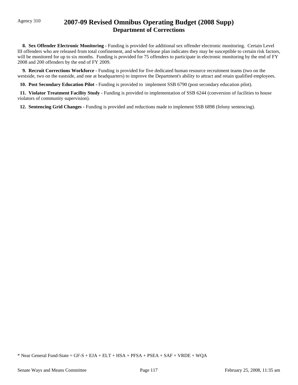## Agency 310 **2007-09 Revised Omnibus Operating Budget (2008 Supp) Department of Corrections**

 **8. Sex Offender Electronic Monitoring -** Funding is provided for additional sex offender electronic monitoring. Certain Level III offenders who are released from total confinement, and whose release plan indicates they may be susceptible to certain risk factors, will be monitored for up to six months. Funding is provided for 75 offenders to participate in electronic monitoring by the end of FY 2008 and 200 offenders by the end of FY 2009.

 **9. Recruit Corrections Workforce -** Funding is provided for five dedicated human resource recruitment teams (two on the westside, two on the eastside, and one at headquarters) to improve the Department's ability to attract and retain qualified employees.

 **10. Post Secondary Education Pilot -** Funding is provided to implement SSB 6790 (post secondary education pilot).

 **11. Violator Treatment Facility Study -** Funding is provided to implementation of SSB 6244 (conversion of facilities to house violators of community supervision).

 **12. Sentencing Grid Changes -** Funding is provided and reductions made to implement SSB 6898 (felony sentencing).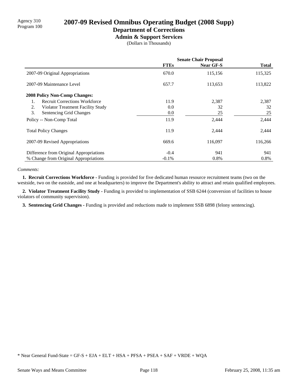# Agency 310 **2007-09 Revised Omnibus Operating Budget (2008 Supp)** Program 100

# **Department of Corrections**

**Admin & Support Services**

(Dollars in Thousands)

|                                            | <b>Senate Chair Proposal</b> |                  |              |
|--------------------------------------------|------------------------------|------------------|--------------|
|                                            | <b>FTEs</b>                  | <b>Near GF-S</b> | <b>Total</b> |
| 2007-09 Original Appropriations            | 670.0                        | 115,156          | 115,325      |
| 2007-09 Maintenance Level                  | 657.7                        | 113,653          | 113,822      |
| <b>2008 Policy Non-Comp Changes:</b>       |                              |                  |              |
| <b>Recruit Corrections Workforce</b><br>1. | 11.9                         | 2,387            | 2,387        |
| 2.<br>Violator Treatment Facility Study    | 0.0                          | 32               | 32           |
| 3.<br>Sentencing Grid Changes              | 0.0                          | 25               | 25           |
| Policy -- Non-Comp Total                   | 11.9                         | 2,444            | 2,444        |
| <b>Total Policy Changes</b>                | 11.9                         | 2,444            | 2,444        |
| 2007-09 Revised Appropriations             | 669.6                        | 116,097          | 116,266      |
| Difference from Original Appropriations    | $-0.4$                       | 941              | 941          |
| % Change from Original Appropriations      | $-0.1\%$                     | 0.8%             | 0.8%         |

#### *Comments:*

 **1. Recruit Corrections Workforce -** Funding is provided for five dedicated human resource recruitment teams (two on the westside, two on the eastside, and one at headquarters) to improve the Department's ability to attract and retain qualified employees.

2. Violator Treatment Facility Study - Funding is provided to implementation of SSB 6244 (conversion of facilities to house violators of community supervision).

 **3. Sentencing Grid Changes -** Funding is provided and reductions made to implement SSB 6898 (felony sentencing).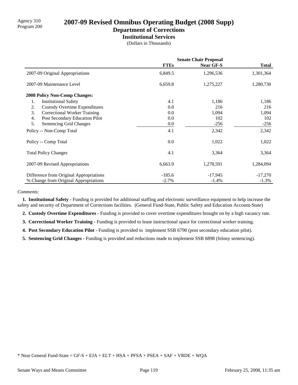# Agency 310 **2007-09 Revised Omnibus Operating Budget (2008 Supp)**

# **Department of Corrections**

**Institutional Services**

(Dollars in Thousands)

|                                            | <b>Senate Chair Proposal</b> |                  |              |
|--------------------------------------------|------------------------------|------------------|--------------|
|                                            | <b>FTEs</b>                  | <b>Near GF-S</b> | <b>Total</b> |
| 2007-09 Original Appropriations            | 6,849.5                      | 1,296,536        | 1,301,364    |
| 2007-09 Maintenance Level                  | 6,659.8                      | 1,275,227        | 1,280,730    |
| <b>2008 Policy Non-Comp Changes:</b>       |                              |                  |              |
| <b>Institutional Safety</b><br>1.          | 4.1                          | 1,186            | 1,186        |
| <b>Custody Overtime Expenditures</b><br>2. | 0.0                          | 216              | 216          |
| 3.<br><b>Correctional Worker Training</b>  | 0.0                          | 1,094            | 1,094        |
| Post Secondary Education Pilot<br>4.       | 0.0                          | 102              | 102          |
| 5.<br><b>Sentencing Grid Changes</b>       | 0.0                          | $-256$           | $-256$       |
| Policy -- Non-Comp Total                   | 4.1                          | 2,342            | 2,342        |
| Policy -- Comp Total                       | $0.0\,$                      | 1,022            | 1,022        |
| <b>Total Policy Changes</b>                | 4.1                          | 3,364            | 3,364        |
| 2007-09 Revised Appropriations             | 6,663.9                      | 1,278,591        | 1,284,094    |
| Difference from Original Appropriations    | $-185.6$                     | $-17,945$        | $-17,270$    |
| % Change from Original Appropriations      | $-2.7%$                      | $-1.4%$          | $-1.3\%$     |

#### *Comments:*

 **1. Institutional Safety -** Funding is provided for additional staffing and electronic surveillance equipment to help increase the safety and security of Department of Corrections facilities. (General Fund-State, Public Safety and Education Account-State)

 **2. Custody Overtime Expenditures -** Funding is provided to cover overtime expenditures brought on by a high vacancy rate.

 **3. Correctional Worker Training -** Funding is provided to lease instructional space for correctional worker training.

**4. Post Secondary Education Pilot - Funding is provided to implement SSB 6790 (post secondary education pilot).** 

 **5. Sentencing Grid Changes -** Funding is provided and reductions made to implement SSB 6898 (felony sentencing).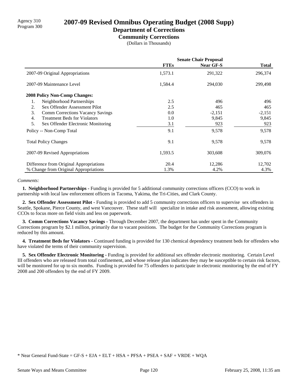# Agency 310 **2007-09 Revised Omnibus Operating Budget (2008 Supp)** Program 300

## **Department of Corrections**

**Community Corrections**

(Dollars in Thousands)

|                                               | <b>Senate Chair Proposal</b> |                  |              |
|-----------------------------------------------|------------------------------|------------------|--------------|
|                                               | <b>FTEs</b>                  | <b>Near GF-S</b> | <b>Total</b> |
| 2007-09 Original Appropriations               | 1,573.1                      | 291,322          | 296,374      |
| 2007-09 Maintenance Level                     | 1,584.4                      | 294,030          | 299,498      |
| 2008 Policy Non-Comp Changes:                 |                              |                  |              |
| Neighborhood Partnerships<br>1.               | 2.5                          | 496              | 496          |
| Sex Offender Assessment Pilot<br>2.           | 2.5                          | 465              | 465          |
| 3.<br><b>Comm Corrections Vacancy Savings</b> | 0.0                          | $-2,151$         | $-2,151$     |
| <b>Treatment Beds for Violators</b><br>4.     | 1.0                          | 9,845            | 9,845        |
| 5.<br>Sex Offender Electronic Monitoring      | 3.1                          | 923              | 923          |
| Policy -- Non-Comp Total                      | 9.1                          | 9,578            | 9,578        |
| <b>Total Policy Changes</b>                   | 9.1                          | 9,578            | 9,578        |
| 2007-09 Revised Appropriations                | 1,593.5                      | 303,608          | 309,076      |
| Difference from Original Appropriations       | 20.4                         | 12,286           | 12,702       |
| % Change from Original Appropriations         | 1.3%                         | 4.2%             | 4.3%         |

#### *Comments:*

 **1. Neighborhood Partnerships -** Funding is provided for 5 additional community corrections officers (CCO) to work in partnership with local law enforcement officers in Tacoma, Yakima, the Tri-Cities, and Clark County.

 **2. Sex Offender Assessment Pilot -** Funding is provided to add 5 community corrections officers to supervise sex offenders in Seattle, Spokane, Pierce County, and west Vancouver. These staff will specialize in intake and risk assessment, allowing existing CCOs to focus more on field visits and less on paperwork.

 **3. Comm Corrections Vacancy Savings -** Through December 2007, the department has under spent in the Community Corrections program by \$2.1 million, primarily due to vacant positions. The budget for the Community Corrections program is reduced by this amount.

 **4. Treatment Beds for Violators -** Continued funding is provided for 130 chemical dependency treatment beds for offenders who have violated the terms of their community supervision.

 **5. Sex Offender Electronic Monitoring -** Funding is provided for additional sex offender electronic monitoring. Certain Level III offenders who are released from total confinement, and whose release plan indicates they may be susceptible to certain risk factors, will be monitored for up to six months. Funding is provided for 75 offenders to participate in electronic monitoring by the end of FY 2008 and 200 offenders by the end of FY 2009.

<sup>\*</sup> Near General Fund-State = GF-S + EJA + ELT + HSA + PFSA + PSEA + SAF + VRDE + WQA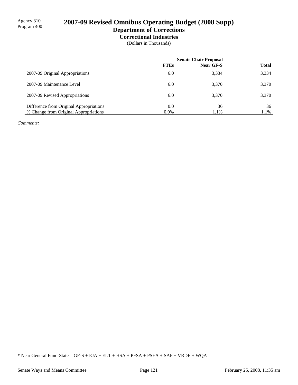# 2007-09 Revised Omnibus Operating Budget (2008 Supp)

### **Department of Corrections Correctional Industries**

(Dollars in Thousands)

|                                         | <b>Senate Chair Proposal</b> |                  |              |
|-----------------------------------------|------------------------------|------------------|--------------|
|                                         | <b>FTEs</b>                  | <b>Near GF-S</b> | <b>Total</b> |
| 2007-09 Original Appropriations         | 6.0                          | 3,334            | 3,334        |
| 2007-09 Maintenance Level               | 6.0                          | 3,370            | 3,370        |
| 2007-09 Revised Appropriations          | 6.0                          | 3,370            | 3,370        |
| Difference from Original Appropriations | 0.0                          | 36               | 36           |
| % Change from Original Appropriations   | $0.0\%$                      | 1.1%             | 1.1%         |

*Comments:*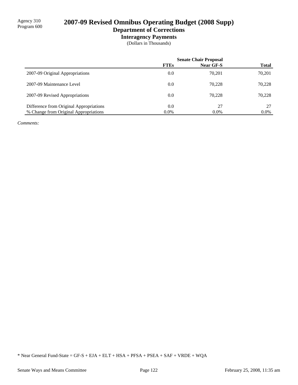# 2007-09 Revised Omnibus Operating Budget (2008 Supp)

### **Department of Corrections Interagency Payments**

(Dollars in Thousands)

|                                         |             | <b>Senate Chair Proposal</b> |              |
|-----------------------------------------|-------------|------------------------------|--------------|
|                                         | <b>FTEs</b> | Near GF-S                    | <b>Total</b> |
| 2007-09 Original Appropriations         | 0.0         | 70.201                       | 70,201       |
| 2007-09 Maintenance Level               | 0.0         | 70.228                       | 70,228       |
| 2007-09 Revised Appropriations          | 0.0         | 70.228                       | 70,228       |
| Difference from Original Appropriations | 0.0         | 27                           | 27           |
| % Change from Original Appropriations   | $0.0\%$     | $0.0\%$                      | $0.0\%$      |

*Comments:*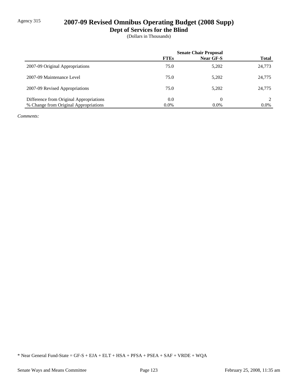## Agency 315 **2007-09 Revised Omnibus Operating Budget (2008 Supp)**

**Dept of Services for the Blind**

(Dollars in Thousands)

|                                         | <b>Senate Chair Proposal</b> |           |              |
|-----------------------------------------|------------------------------|-----------|--------------|
|                                         | <b>FTEs</b>                  | Near GF-S | <b>Total</b> |
| 2007-09 Original Appropriations         | 75.0                         | 5,202     | 24,773       |
| 2007-09 Maintenance Level               | 75.0                         | 5,202     | 24,775       |
| 2007-09 Revised Appropriations          | 75.0                         | 5,202     | 24,775       |
| Difference from Original Appropriations | 0.0                          | $\theta$  |              |
| % Change from Original Appropriations   | $0.0\%$                      | $0.0\%$   | $0.0\%$      |

*Comments:*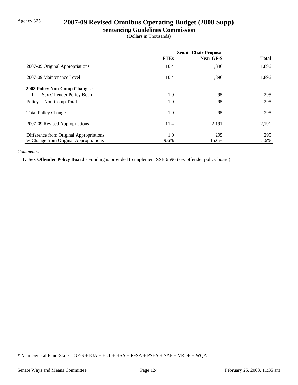## Agency 325 **2007-09 Revised Omnibus Operating Budget (2008 Supp)**

### **Sentencing Guidelines Commission**

(Dollars in Thousands)

|                                         | <b>Senate Chair Proposal</b> |                  |              |
|-----------------------------------------|------------------------------|------------------|--------------|
|                                         | <b>FTEs</b>                  | <b>Near GF-S</b> | <b>Total</b> |
| 2007-09 Original Appropriations         | 10.4                         | 1,896            | 1,896        |
| 2007-09 Maintenance Level               | 10.4                         | 1,896            | 1,896        |
| <b>2008 Policy Non-Comp Changes:</b>    |                              |                  |              |
| Sex Offender Policy Board<br>1.         | 1.0                          | 295              | 295          |
| Policy -- Non-Comp Total                | 1.0                          | 295              | 295          |
| <b>Total Policy Changes</b>             | $1.0\,$                      | 295              | 295          |
| 2007-09 Revised Appropriations          | 11.4                         | 2,191            | 2,191        |
| Difference from Original Appropriations | $1.0\,$                      | 295              | 295          |
| % Change from Original Appropriations   | 9.6%                         | 15.6%            | 15.6%        |

### *Comments:*

 **1. Sex Offender Policy Board -** Funding is provided to implement SSB 6596 (sex offender policy board).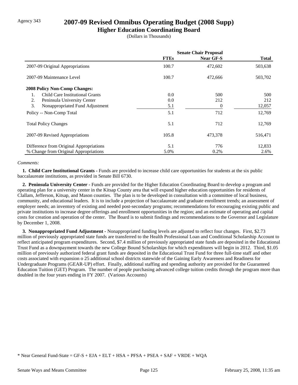## Agency 343 **2007-09 Revised Omnibus Operating Budget (2008 Supp)**

**Higher Education Coordinating Board**

(Dollars in Thousands)

|                                         | <b>Senate Chair Proposal</b> |           |              |
|-----------------------------------------|------------------------------|-----------|--------------|
|                                         | <b>FTEs</b>                  | Near GF-S | <b>Total</b> |
| 2007-09 Original Appropriations         | 100.7                        | 472,602   | 503,638      |
| 2007-09 Maintenance Level               | 100.7                        | 472,666   | 503,702      |
| <b>2008 Policy Non-Comp Changes:</b>    |                              |           |              |
| Child Care Institutional Grants         | 0.0                          | 500       | 500          |
| 2.<br>Peninsula University Center       | 0.0                          | 212       | 212          |
| 3.<br>Nonappropriated Fund Adjustment   | 5.1                          | 0         | 12,057       |
| Policy -- Non-Comp Total                | 5.1                          | 712       | 12,769       |
| <b>Total Policy Changes</b>             | 5.1                          | 712       | 12,769       |
| 2007-09 Revised Appropriations          | 105.8                        | 473,378   | 516,471      |
| Difference from Original Appropriations | 5.1                          | 776       | 12,833       |
| % Change from Original Appropriations   | 5.0%                         | 0.2%      | 2.6%         |

### *Comments:*

**1. Child Care Institutional Grants - Funds are provided to increase child care opportunities for students at the six public** baccalaureate institutions, as provided in Senate Bill 6730.

 **2. Peninsula University Center -** Funds are provided for the Higher Education Coordinating Board to develop a program and operating plan for a university center in the Kitsap County area that will expand higher education opportunities for residents of Clallam, Jefferson, Kitsap, and Mason counties. The plan is to be developed in consultation with a committee of local business, community, and educational leaders. It is to include a projection of baccalaureate and graduate enrollment trends; an assessment of employer needs; an inventory of existing and needed post-secondary programs; recommendations for encouraging existing public and private institutions to increase degree offerings and enrollment opportunities in the region; and an estimate of operating and capital costs for creation and operation of the center. The Board is to submit findings and recommendations to the Governor and Legislature by December 1, 2008.

 **3. Nonappropriated Fund Adjustment -** Nonappropriated funding levels are adjusted to reflect four changes. First, \$2.73 million of previously appropriated state funds are transferred to the Health Professional Loan and Conditional Scholarship Account to reflect anticipated program expenditures. Second, \$7.4 million of previously appropriated state funds are deposited in the Educational Trust Fund as a downpayment towards the new College Bound Scholarships for which expenditures will begin in 2012. Third, \$1.05 million of previously authorized federal grant funds are deposited in the Educational Trust Fund for three full-time staff and other costs associated with expansion o 25 additional school districts statewide of the Gaining Early Awareness and Readiness for Undergraduate Programs (GEAR-UP) effort. Finally, additional staffing and spending authority are provided for the Guaranteed Education Tuition (GET) Program. The number of people purchasing advanced college tuition credits through the program more than doubled in the four years ending in FY 2007. (Various Accounts)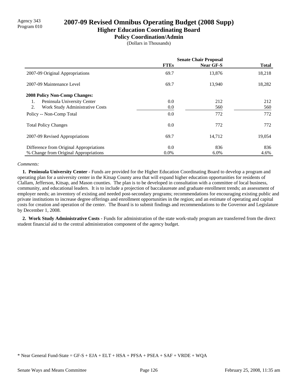## Agency 343 **2007-09 Revised Omnibus Operating Budget (2008 Supp)**<br>Program 010 **Higher Education Coordinating Board**

## **Policy Coordination/Admin**

(Dollars in Thousands)

|                                         | <b>Senate Chair Proposal</b> |           |              |
|-----------------------------------------|------------------------------|-----------|--------------|
|                                         | <b>FTEs</b>                  | Near GF-S | <b>Total</b> |
| 2007-09 Original Appropriations         | 69.7                         | 13,876    | 18,218       |
| 2007-09 Maintenance Level               | 69.7                         | 13,940    | 18,282       |
| <b>2008 Policy Non-Comp Changes:</b>    |                              |           |              |
| Peninsula University Center<br>1.       | 0.0                          | 212       | 212          |
| Work Study Administrative Costs<br>2.   | 0.0                          | 560       | 560          |
| Policy -- Non-Comp Total                | 0.0                          | 772       | 772          |
| <b>Total Policy Changes</b>             | 0.0                          | 772       | 772          |
| 2007-09 Revised Appropriations          | 69.7                         | 14,712    | 19,054       |
| Difference from Original Appropriations | 0.0                          | 836       | 836          |
| % Change from Original Appropriations   | $0.0\%$                      | $6.0\%$   | 4.6%         |

#### *Comments:*

 **1. Peninsula University Center -** Funds are provided for the Higher Education Coordinating Board to develop a program and operating plan for a university center in the Kitsap County area that will expand higher education opportunities for residents of Clallam, Jefferson, Kitsap, and Mason counties. The plan is to be developed in consultation with a committee of local business, community, and educational leaders. It is to include a projection of baccalaureate and graduate enrollment trends; an assessment of employer needs; an inventory of existing and needed post-secondary programs; recommendations for encouraging existing public and private institutions to increase degree offerings and enrollment opportunities in the region; and an estimate of operating and capital costs for creation and operation of the center. The Board is to submit findings and recommendations to the Governor and Legislature by December 1, 2008.

 **2. Work Study Administrative Costs -** Funds for administration of the state work-study program are transferred from the direct student financial aid to the central administration component of the agency budget.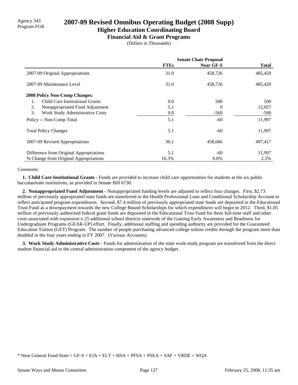# Agency 343<br>Program FGR **2007-09 Revised Omnibus Operating Budget (2008 Supp)**

### **Higher Education Coordinating Board Financial Aid & Grant Programs**

(Dollars in Thousands)

|                                         | <b>Senate Chair Proposal</b> |                  |              |
|-----------------------------------------|------------------------------|------------------|--------------|
|                                         | <b>FTEs</b>                  | <b>Near GF-S</b> | <b>Total</b> |
| 2007-09 Original Appropriations         | 31.0                         | 458,726          | 485,420      |
| 2007-09 Maintenance Level               | 31.0                         | 458,726          | 485,420      |
| <b>2008 Policy Non-Comp Changes:</b>    |                              |                  |              |
| Child Care Institutional Grants<br>1.   | 0.0                          | 500              | 500          |
| 2.<br>Nonappropriated Fund Adjustment   | 5.1                          | $\Omega$         | 12,057       |
| 3.<br>Work Study Administrative Costs   | $0.0\,$                      | $-560$           | $-560$       |
| Policy -- Non-Comp Total                | 5.1                          | $-60$            | 11,997       |
| <b>Total Policy Changes</b>             | 5.1                          | $-60$            | 11,997       |
| 2007-09 Revised Appropriations          | 36.1                         | 458,666          | 497,417      |
| Difference from Original Appropriations | 5.1                          | $-60$            | 11,997       |
| % Change from Original Appropriations   | 16.3%                        | $0.0\%$          | 2.5%         |

### *Comments:*

 **1. Child Care Institutional Grants -** Funds are provided to increase child care opportunities for students at the six public baccalaureate institutions, as provided in Senate Bill 6730.

 **2. Nonappropriated Fund Adjustment -** Nonappropriated funding levels are adjusted to reflect four changes. First, \$2.73 million of previously appropriated state funds are transferred to the Health Professional Loan and Conditional Scholarship Account to reflect anticipated program expenditures. Second, \$7.4 million of previously appropriated state funds are deposited in the Educational Trust Fund as a downpayment towards the new College Bound Scholarships for which expenditures will begin in 2012. Third, \$1.05 million of previously authorized federal grant funds are deposited in the Educational Trust Fund for three full-time staff and other costs associated with expansion o 25 additional school districts statewide of the Gaining Early Awareness and Readiness for Undergraduate Programs (GEAR-UP) effort. Finally, additional staffing and spending authority are provided for the Guaranteed Education Tuition (GET) Program. The number of people purchasing advanced college tuition credits through the program more than doubled in the four years ending in FY 2007. (Various Accounts)

 **3. Work Study Administrative Costs -** Funds for administration of the state work-study program are transferred from the direct student financial aid to the central administration component of the agency budget.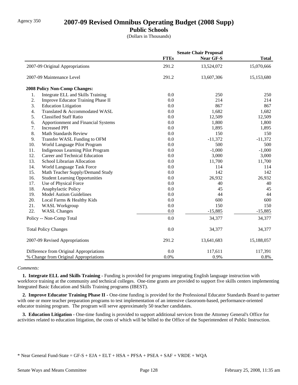## Agency 350 **2007-09 Revised Omnibus Operating Budget (2008 Supp)**

**Public Schools**

(Dollars in Thousands)

|     |                                         |             | <b>Senate Chair Proposal</b> |              |
|-----|-----------------------------------------|-------------|------------------------------|--------------|
|     |                                         | <b>FTEs</b> | <b>Near GF-S</b>             | <b>Total</b> |
|     | 2007-09 Original Appropriations         | 291.2       | 13,524,072                   | 15,070,666   |
|     | 2007-09 Maintenance Level               | 291.2       | 13,607,306                   | 15,153,680   |
|     | <b>2008 Policy Non-Comp Changes:</b>    |             |                              |              |
| 1.  | Integrate ELL and Skills Training       | 0.0         | 250                          | 250          |
| 2.  | Improve Educator Training Phase II      | 0.0         | 214                          | 214          |
| 3.  | <b>Education Litigation</b>             | 0.0         | 867                          | 867          |
| 4.  | Translated & Accommodated WASL          | 0.0         | 1,682                        | 1,682        |
| 5.  | <b>Classified Staff Ratio</b>           | 0.0         | 12,509                       | 12,509       |
| 6.  | Apportionment and Financial Systems     | 0.0         | 1,800                        | 1,800        |
| 7.  | <b>Increased PPI</b>                    | 0.0         | 1,895                        | 1,895        |
| 8.  | <b>Math Standards Review</b>            | 0.0         | 150                          | 150          |
| 9.  | Transfer WASL Funding to OFM            | 0.0         | $-11,372$                    | $-11,372$    |
| 10. | World Language Pilot Program            | 0.0         | 500                          | 500          |
| 11. | Indigenous Learning Pilot Program       | 0.0         | $-1,000$                     | $-1,000$     |
| 12. | Career and Technical Education          | 0.0         | 3,000                        | 3,000        |
| 13. | School Librarian Allocation             | 0.0         | 11,700                       | 11,700       |
| 14. | World Language Task Force               | 0.0         | 114                          | 114          |
| 15. | Math Teacher Supply/Demand Study        | 0.0         | 142                          | 142          |
| 16. | <b>Student Learning Opportunities</b>   | 0.0         | 26,932                       | 26,932       |
| 17. | Use of Physical Force                   | 0.0         | 40                           | 40           |
| 18. | Anaphylactic Policy                     | 0.0         | 45                           | 45           |
| 19. | <b>Model Autism Guidelines</b>          | 0.0         | 44                           | 44           |
| 20. | Local Farms & Healthy Kids              | 0.0         | 600                          | 600          |
| 21. | <b>WASL Workgroup</b>                   | 0.0         | 150                          | 150          |
| 22. | <b>WASL Changes</b>                     | 0.0         | $-15,885$                    | $-15,885$    |
|     | Policy -- Non-Comp Total                | 0.0         | 34,377                       | 34,377       |
|     | <b>Total Policy Changes</b>             | 0.0         | 34,377                       | 34,377       |
|     | 2007-09 Revised Appropriations          | 291.2       | 13,641,683                   | 15,188,057   |
|     | Difference from Original Appropriations | 0.0         | 117,611                      | 117,391      |
|     | % Change from Original Appropriations   | 0.0%        | 0.9%                         | 0.8%         |

### *Comments:*

 **1. Integrate ELL and Skills Training -** Funding is provided for programs integrating English language instruction with workforce training at the community and technical colleges. One-time grants are provided to support five skills centers implementing Integrated Basic Education and Skills Training programs (IBEST).

 **2. Improve Educator Training Phase II -** One-time funding is provided for the Professional Educator Standards Board to partner with one or more teacher preparation programs to test implementation of an intensive classroom-based, performance-oriented educator training program. The program will serve approximately 50 teacher candidates.

 **3. Education Litigation -** One-time funding is provided to support additional services from the Attorney General's Office for activities related to education litigation, the costs of which will be billed to the Office of the Superintendent of Public Instruction.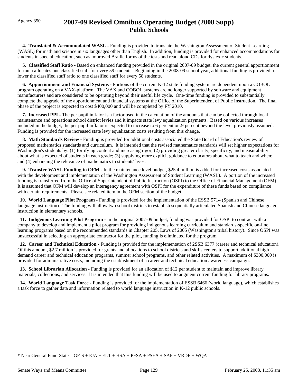## Agency 350 **2007-09 Revised Omnibus Operating Budget (2008 Supp) Public Schools**

 **4. Translated & Accommodated WASL -** Funding is provided to translate the Washington Assessment of Student Learning (WASL) for math and science in six languages other than English. In addition, funding is provided for enhanced accommodations for students in special education, such as improved Braille forms of the tests and read aloud CDs for dyslexic students.

 **5. Classified Staff Ratio -** Based on enhanced funding provided in the original 2007-09 budget, the current general apportionment formula allocates one classified staff for every 59 students. Beginning in the 2008-09 school year, additional funding is provided to lower the classified staff ratio to one classified staff for every 58 students.

 **6. Apportionment and Financial Systems -** Portions of the current K-12 state funding system are dependent upon a COBOL program operating on a VAX-platform. The VAX and COBOL systems are no longer supported by software and equipment manufacturers and are considered to be operating beyond their useful life cycle. One-time funding is provided to substantially complete the upgrade of the apportionment and financial systems at the Office of the Superintendent of Public Instruction. The final phase of the project is expected to cost \$400,000 and will be completed by FY 2010.

 **7. Increased PPI -** The per pupil inflator is a factor used in the calculation of the amounts that can be collected through local maintenance and operations school district levies and it impacts state levy equalization payments. Based on various increases included in the budget, the per pupil inflator is expected to increase to 6 percent or .9 percent beyond the level previously assumed. Funding is provided for the increased state levy equalization costs resulting from this change.

**8. Math Standards Review - Funding is provided for additional costs associated the State Board of Education's review of** proposed mathematics standards and curriculum. It is intended that the revised mathematics standards will set higher expectations for Washington's students by: (1) fortifying content and increasing rigor; (2) providing greater clarity, specificity, and measurability about what is expected of students in each grade; (3) supplying more explicit guidance to educators about what to teach and when; and (4) enhancing the relevance of mathematics to students' lives.

 **9. Transfer WASL Funding to OFM -** In the maintenance level budget, \$25.4 million is added for increased costs associated with the development and implementation of the Washington Assessment of Student Learning (WASL). A portion of the increased funding is transferred from the Office of Superintendent of Public Instruction (OSPI) to the Office of Financial Management (OFM). It is assumed that OFM will develop an interagency agreement with OSPI for the expenditure of these funds based on compliance with certain requirements. Please see related item in the OFM section of the budget.

 **10. World Language Pilot Program -** Funding is provided for the implementation of the ESSB 5714 (Spanish and Chinese language instruction). The funding will allow two school districts to establish sequentially articulated Spanish and Chinese language instruction in elementary schools.

 **11. Indigenous Learning Pilot Program -** In the original 2007-09 budget, funding was provided for OSPI to contract with a company to develop and implement a pilot program for providing indigenous learning curriculum and standards-specific on-line learning programs based on the recommended standards in Chapter 205, Laws of 2005 (Washington's tribal history). Since OSPI was unsuccessful in selecting an appropriate contractor for the pilot, funding is eliminated for the program.

 **12. Career and Technical Education -** Funding is provided for the implementation of 2SSB 6377 (career and technical education). Of this amount, \$2.7 million is provided for grants and allocations to school districts and skills centers to support additional high demand career and technical education programs, summer school programs, and other related activities. A maximum of \$300,000 is provided for administrative costs, including the establishment of a career and technical education awareness campaign.

**13. School Librarian Allocation - Funding is provided for an allocation of \$12 per student to maintain and improve library** materials, collections, and services. It is intended that this funding will be used to augment current funding for library programs.

 **14. World Language Task Force -** Funding is provided for the implementation of ESSB 6466 (world language), which establishes a task force to gather data and information related to world language instruction in K-12 public schools.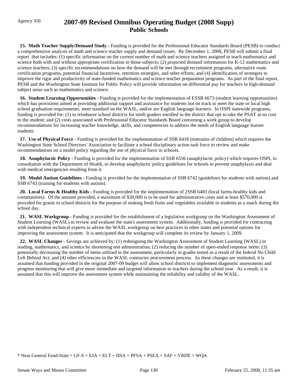## Agency 350 **2007-09 Revised Omnibus Operating Budget (2008 Supp) Public Schools**

**15. Math Teacher Supply/Demand Study - Funding is provided for the Professional Educator Standards Board (PESB) to conduct** a comprehensive analysis of math and science teacher supply and demand issues. By December 1, 2008, PESB will submit a final report that includes: (1) specific information on the current number of math and science teachers assigned to teach mathematics and science both with and without appropriate certification in those subjects; (2) projected demand information for K-12 mathematics and science teachers; (3) specific recommendations on how the demand will be met through recruitment programs, alternative route certification programs, potential financial incentives, retention strategies, and other efforts; and (4) identification of strategies to improve the rigor and productivity of state-funded mathematics and science teacher preparation programs. As part of the final report, PESB and the Washington State Institute for Public Policy will provide information on differential pay for teachers in high-demand subject areas such as mathematics and science.

 **16. Student Learning Opportunities -** Funding is provided for the implementation of ESSB 6673 (student learning opportunities) which has provisions aimed at providing additional support and assistance for students not on track to meet the state or local high school graduation requirements, meet standard on the WASL, and/or are English language learners. In OSPI statewide programs, funding is provided for: (1) to reimburse school districts for ninth graders enrolled in the district that opt to take the PSAT at no cost to the student; and (2) costs associated with Professional Educator Standards Board convening a work group to develop recommendations for increasing teacher knowledge, skills, and competencies to address the needs of English language learner students.

 **17. Use of Physical Force -** Funding is provided for the implementation of SSB 6418 (restraints of children) which requires the Washington State School Directors' Association to facilitate a school disciplinary action task force to review and make recommendations on a model policy regarding the use of physical force in schools.

 **18. Anaphylactic Policy -** Funding is provided for the implementation of SSB 6556 (anaphylactic policy) which requires OSPI, in consultation with the Department of Health, to develop anaphylactic policy guidelines for schools to prevent anaphylaxis and deal with medical emergencies resulting from it.

 **19. Model Autism Guidelines -** Funding is provided for the implementation of SSB 6742 (guidelines for students with autism) and SSB 6743 (training for students with autism).

 **20. Local Farms & Healthy Kids -** Funding is provided for the implementation of 2SSB 6483 (local farms-healthy kids and communities). Of the amount provided, a maximum of \$30,000 is to be used for administrative costs and at least \$570,000 is provided for grants to school districts for the purpose of making fresh fruits and vegetables available to students as a snack during the school day.

 **21. WASL Workgroup -** Funding is provided for the establishment of a legislative workgroup on the Washington Assessment of Student Learning (WASL) to review and evaluate the state's assessment system. Additionally, funding is provided for contracting with independent technical experts to advise the WASL workgroup on best practices in other states and potential options for improving the assessment system. It is anticipated that the workgroup will complete its review by January 1, 2009.

 **22. WASL Changes -** Savings are achieved by: (1) redesigning the Washington Assessment of Student Learning (WASL) in reading, mathematics, and science by shortening test administration; (2) reducing the number of open-ended response items; (3) potentially decreasing the number of items utilized in the assessment, particularly in grades tested as a result of the federal No Child Left Behind Act; and (4) other efficiencies in the WASL contractor procurement process. As these changes are instituted, it is assumed that funding provided in the original 2007-09 budget will allow school districts to implement diagnostic assessments and progress monitoring that will give more immediate and targeted information to teachers during the school year. As a result, it is assumed that this will improve the assessment system while maintaining the reliability and validity of the WASL.

<sup>\*</sup> Near General Fund-State = GF-S + EJA + ELT + HSA + PFSA + PSEA + SAF + VRDE + WQA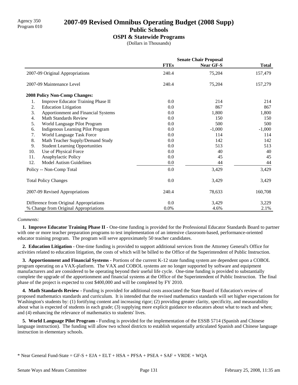### Agency 350 **2007-09 Revised Omnibus Operating Budget (2008 Supp)** Program 010 **Public Schools**

### **OSPI & Statewide Programs**

(Dollars in Thousands)

|     |                                         | <b>Senate Chair Proposal</b> |                  |              |
|-----|-----------------------------------------|------------------------------|------------------|--------------|
|     |                                         | <b>FTEs</b>                  | <b>Near GF-S</b> | <b>Total</b> |
|     | 2007-09 Original Appropriations         | 240.4                        | 75,204           | 157,479      |
|     | 2007-09 Maintenance Level               | 240.4                        | 75,204           | 157,279      |
|     | <b>2008 Policy Non-Comp Changes:</b>    |                              |                  |              |
| 1.  | Improve Educator Training Phase II      | 0.0                          | 214              | 214          |
| 2.  | <b>Education Litigation</b>             | 0.0                          | 867              | 867          |
| 3.  | Apportionment and Financial Systems     | 0.0                          | 1,800            | 1,800        |
| 4.  | <b>Math Standards Review</b>            | 0.0                          | 150              | 150          |
| 5.  | World Language Pilot Program            | 0.0                          | 500              | 500          |
| 6.  | Indigenous Learning Pilot Program       | 0.0                          | $-1,000$         | $-1,000$     |
| 7.  | World Language Task Force               | 0.0                          | 114              | 114          |
| 8.  | Math Teacher Supply/Demand Study        | 0.0                          | 142              | 142          |
| 9.  | <b>Student Learning Opportunities</b>   | 0.0                          | 513              | 513          |
| 10. | Use of Physical Force                   | 0.0                          | 40               | 40           |
| 11. | Anaphylactic Policy                     | 0.0                          | 45               | 45           |
| 12. | <b>Model Autism Guidelines</b>          | 0.0                          | 44               | 44           |
|     | Policy -- Non-Comp Total                | 0.0                          | 3,429            | 3,429        |
|     | <b>Total Policy Changes</b>             | 0.0                          | 3,429            | 3,429        |
|     | 2007-09 Revised Appropriations          | 240.4                        | 78,633           | 160,708      |
|     | Difference from Original Appropriations | 0.0                          | 3,429            | 3,229        |
|     | % Change from Original Appropriations   | 0.0%                         | 4.6%             | 2.1%         |

### *Comments:*

**1. Improve Educator Training Phase II -** One-time funding is provided for the Professional Educator Standards Board to partner with one or more teacher preparation programs to test implementation of an intensive classroom-based, performance-oriented educator training program. The program will serve approximately 50 teacher candidates.

 **2. Education Litigation -** One-time funding is provided to support additional services from the Attorney General's Office for activities related to education litigation, the costs of which will be billed to the Office of the Superintendent of Public Instruction.

 **3. Apportionment and Financial Systems -** Portions of the current K-12 state funding system are dependent upon a COBOL program operating on a VAX-platform. The VAX and COBOL systems are no longer supported by software and equipment manufacturers and are considered to be operating beyond their useful life cycle. One-time funding is provided to substantially complete the upgrade of the apportionment and financial systems at the Office of the Superintendent of Public Instruction. The final phase of the project is expected to cost \$400,000 and will be completed by FY 2010.

 **4. Math Standards Review -** Funding is provided for additional costs associated the State Board of Education's review of proposed mathematics standards and curriculum. It is intended that the revised mathematics standards will set higher expectations for Washington's students by: (1) fortifying content and increasing rigor; (2) providing greater clarity, specificity, and measurability about what is expected of students in each grade; (3) supplying more explicit guidance to educators about what to teach and when; and (4) enhancing the relevance of mathematics to students' lives.

 **5. World Language Pilot Program -** Funding is provided for the implementation of the ESSB 5714 (Spanish and Chinese language instruction). The funding will allow two school districts to establish sequentially articulated Spanish and Chinese language instruction in elementary schools.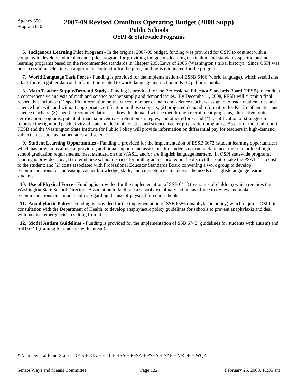Agency 350

### Agency 350 **2007-09 Revised Omnibus Operating Budget (2008 Supp)** Program 010 **Public Schools OSPI & Statewide Programs**

 **6. Indigenous Learning Pilot Program -** In the original 2007-09 budget, funding was provided for OSPI to contract with a company to develop and implement a pilot program for providing indigenous learning curriculum and standards-specific on-line learning programs based on the recommended standards in Chapter 205, Laws of 2005 (Washington's tribal history). Since OSPI was unsuccessful in selecting an appropriate contractor for the pilot, funding is eliminated for the program.

 **7. World Language Task Force -** Funding is provided for the implementation of ESSB 6466 (world language), which establishes a task force to gather data and information related to world language instruction in K-12 public schools.

**8. Math Teacher Supply/Demand Study - Funding is provided for the Professional Educator Standards Board (PESB) to conduct** a comprehensive analysis of math and science teacher supply and demand issues. By December 1, 2008, PESB will submit a final report that includes: (1) specific information on the current number of math and science teachers assigned to teach mathematics and science both with and without appropriate certification in those subjects; (2) projected demand information for K-12 mathematics and science teachers; (3) specific recommendations on how the demand will be met through recruitment programs, alternative route certification programs, potential financial incentives, retention strategies, and other efforts; and (4) identification of strategies to improve the rigor and productivity of state-funded mathematics and science teacher preparation programs. As part of the final report, PESB and the Washington State Institute for Public Policy will provide information on differential pay for teachers in high-demand subject areas such as mathematics and science.

 **9. Student Learning Opportunities -** Funding is provided for the implementation of ESSB 6673 (student learning opportunities) which has provisions aimed at providing additional support and assistance for students not on track to meet the state or local high school graduation requirements, meet standard on the WASL, and/or are English language learners. In OSPI statewide programs, funding is provided for: (1) to reimburse school districts for ninth graders enrolled in the district that opt to take the PSAT at no cost to the student; and (2) costs associated with Professional Educator Standards Board convening a work group to develop recommendations for increasing teacher knowledge, skills, and competencies to address the needs of English language learner students.

 **10. Use of Physical Force -** Funding is provided for the implementation of SSB 6418 (restraints of children) which requires the Washington State School Directors' Association to facilitate a school disciplinary action task force to review and make recommendations on a model policy regarding the use of physical force in schools.

 **11. Anaphylactic Policy -** Funding is provided for the implementation of SSB 6556 (anaphylactic policy) which requires OSPI, in consultation with the Department of Health, to develop anaphylactic policy guidelines for schools to prevent anaphylaxis and deal with medical emergencies resulting from it.

 **12. Model Autism Guidelines -** Funding is provided for the implementation of SSB 6742 (guidelines for students with autism) and SSB 6743 (training for students with autism).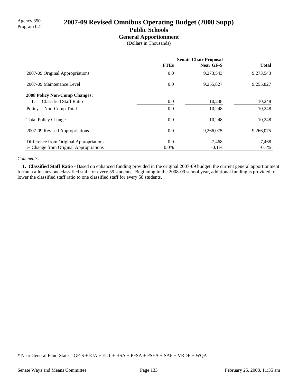## Agency 350<br>Program 021 **2007-09 Revised Omnibus Operating Budget (2008 Supp) Public Schools**

### **General Apportionment**

(Dollars in Thousands)

|                                         | <b>Senate Chair Proposal</b> |                  |              |  |
|-----------------------------------------|------------------------------|------------------|--------------|--|
|                                         | <b>FTEs</b>                  | <b>Near GF-S</b> | <b>Total</b> |  |
| 2007-09 Original Appropriations         | 0.0                          | 9,273,543        | 9,273,543    |  |
| 2007-09 Maintenance Level               | 0.0                          | 9,255,827        | 9,255,827    |  |
| <b>2008 Policy Non-Comp Changes:</b>    |                              |                  |              |  |
| <b>Classified Staff Ratio</b><br>1.     | $0.0\,$                      | 10,248           | 10,248       |  |
| Policy -- Non-Comp Total                | 0.0                          | 10,248           | 10,248       |  |
| <b>Total Policy Changes</b>             | 0.0                          | 10.248           | 10,248       |  |
| 2007-09 Revised Appropriations          | 0.0                          | 9,266,075        | 9,266,075    |  |
| Difference from Original Appropriations | 0.0                          | $-7.468$         | $-7,468$     |  |
| % Change from Original Appropriations   | 0.0%                         | $-0.1\%$         | $-0.1%$      |  |

#### *Comments:*

 **1. Classified Staff Ratio -** Based on enhanced funding provided in the original 2007-09 budget, the current general apportionment formula allocates one classified staff for every 59 students. Beginning in the 2008-09 school year, additional funding is provided to lower the classified staff ratio to one classified staff for every 58 students.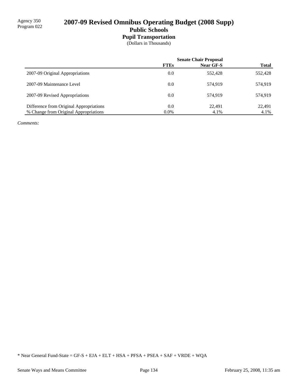## 2007-09 Revised Omnibus Operating Budget (2008 Supp) **Public Schools**

### **Pupil Transportation**

(Dollars in Thousands)

|                                         | <b>Senate Chair Proposal</b> |                  |              |
|-----------------------------------------|------------------------------|------------------|--------------|
|                                         | <b>FTEs</b>                  | <b>Near GF-S</b> | <b>Total</b> |
| 2007-09 Original Appropriations         | 0.0                          | 552,428          | 552,428      |
| 2007-09 Maintenance Level               | 0.0                          | 574.919          | 574.919      |
| 2007-09 Revised Appropriations          | 0.0                          | 574.919          | 574.919      |
| Difference from Original Appropriations | 0.0                          | 22.491           | 22,491       |
| % Change from Original Appropriations   | $0.0\%$                      | 4.1%             | 4.1%         |

*Comments:*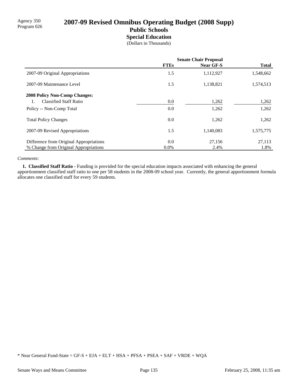## 2007-09 Revised Omnibus Operating Budget (2008 Supp) **Public Schools Special Education**

(Dollars in Thousands)

|                                         | <b>Senate Chair Proposal</b> |                  |              |
|-----------------------------------------|------------------------------|------------------|--------------|
|                                         | <b>FTEs</b>                  | <b>Near GF-S</b> | <b>Total</b> |
| 2007-09 Original Appropriations         | 1.5                          | 1,112,927        | 1,548,662    |
| 2007-09 Maintenance Level               | 1.5                          | 1,138,821        | 1,574,513    |
| <b>2008 Policy Non-Comp Changes:</b>    |                              |                  |              |
| <b>Classified Staff Ratio</b>           | 0.0                          | 1,262            | 1,262        |
| Policy -- Non-Comp Total                | 0.0                          | 1,262            | 1,262        |
| <b>Total Policy Changes</b>             | 0.0                          | 1,262            | 1,262        |
| 2007-09 Revised Appropriations          | 1.5                          | 1.140.083        | 1,575,775    |
| Difference from Original Appropriations | 0.0                          | 27,156           | 27,113       |
| % Change from Original Appropriations   | $0.0\%$                      | 2.4%             | 1.8%         |

### *Comments:*

 **1. Classified Staff Ratio -** Funding is provided for the special education impacts associated with enhancing the general apportionment classified staff ratio to one per 58 students in the 2008-09 school year. Currently, the general apportionment formula allocates one classified staff for every 59 students.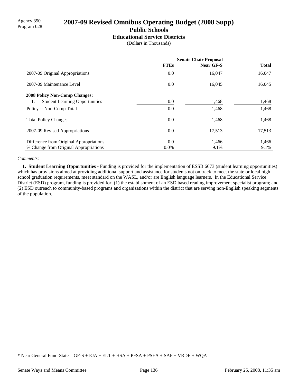# Agency 350<br>Program 028 **2007-09 Revised Omnibus Operating Budget (2008 Supp) Public Schools**

**Educational Service Districts**

(Dollars in Thousands)

|                                         | <b>Senate Chair Proposal</b> |                  |              |
|-----------------------------------------|------------------------------|------------------|--------------|
|                                         | <b>FTEs</b>                  | <b>Near GF-S</b> | <b>Total</b> |
| 2007-09 Original Appropriations         | 0.0                          | 16,047           | 16,047       |
| 2007-09 Maintenance Level               | 0.0                          | 16,045           | 16,045       |
| <b>2008 Policy Non-Comp Changes:</b>    |                              |                  |              |
| <b>Student Learning Opportunities</b>   | 0.0                          | 1,468            | 1,468        |
| Policy -- Non-Comp Total                | 0.0                          | 1,468            | 1,468        |
| <b>Total Policy Changes</b>             | 0.0                          | 1,468            | 1,468        |
| 2007-09 Revised Appropriations          | 0.0                          | 17,513           | 17,513       |
| Difference from Original Appropriations | 0.0                          | 1,466            | 1,466        |
| % Change from Original Appropriations   | $0.0\%$                      | 9.1%             | 9.1%         |

### *Comments:*

 **1. Student Learning Opportunities -** Funding is provided for the implementation of ESSB 6673 (student learning opportunities) which has provisions aimed at providing additional support and assistance for students not on track to meet the state or local high school graduation requirements, meet standard on the WASL, and/or are English language learners. In the Educational Service District (ESD) program, funding is provided for: (1) the establishment of an ESD based reading improvement specialist program; and (2) ESD outreach to community-based programs and organizations within the district that are serving non-English speaking segments of the population.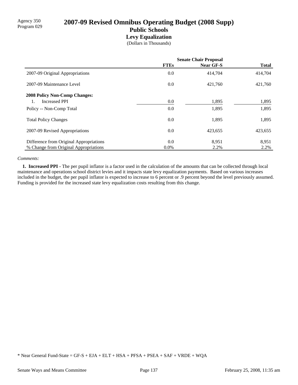# Agency 350<br>Program 029 **2007-09 Revised Omnibus Operating Budget (2008 Supp) Public Schools Levy Equalization**

(Dollars in Thousands)

|                                         | <b>Senate Chair Proposal</b> |                  |              |
|-----------------------------------------|------------------------------|------------------|--------------|
|                                         | <b>FTEs</b>                  | <b>Near GF-S</b> | <b>Total</b> |
| 2007-09 Original Appropriations         | 0.0                          | 414,704          | 414,704      |
| 2007-09 Maintenance Level               | 0.0                          | 421.760          | 421,760      |
| <b>2008 Policy Non-Comp Changes:</b>    |                              |                  |              |
| <b>Increased PPI</b>                    | 0.0                          | 1,895            | 1,895        |
| Policy -- Non-Comp Total                | 0.0                          | 1,895            | 1,895        |
| <b>Total Policy Changes</b>             | 0.0                          | 1,895            | 1,895        |
| 2007-09 Revised Appropriations          | 0.0                          | 423,655          | 423,655      |
| Difference from Original Appropriations | 0.0                          | 8,951            | 8,951        |
| % Change from Original Appropriations   | $0.0\%$                      | 2.2%             | 2.2%         |

#### *Comments:*

 **1. Increased PPI -** The per pupil inflator is a factor used in the calculation of the amounts that can be collected through local maintenance and operations school district levies and it impacts state levy equalization payments. Based on various increases included in the budget, the per pupil inflator is expected to increase to 6 percent or .9 percent beyond the level previously assumed. Funding is provided for the increased state levy equalization costs resulting from this change.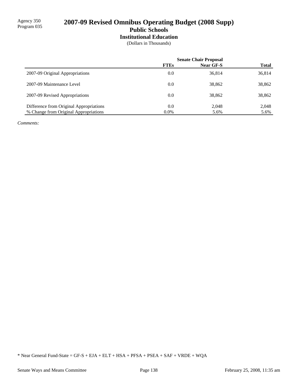# 2007-09 Revised Omnibus Operating Budget (2008 Supp) **Public Schools Institutional Education**

(Dollars in Thousands)

|                                         |             | <b>Senate Chair Proposal</b> |              |
|-----------------------------------------|-------------|------------------------------|--------------|
|                                         | <b>FTEs</b> | Near GF-S                    | <b>Total</b> |
| 2007-09 Original Appropriations         | 0.0         | 36,814                       | 36,814       |
| 2007-09 Maintenance Level               | 0.0         | 38,862                       | 38,862       |
| 2007-09 Revised Appropriations          | 0.0         | 38,862                       | 38,862       |
| Difference from Original Appropriations | 0.0         | 2,048                        | 2,048        |
| % Change from Original Appropriations   | $0.0\%$     | 5.6%                         | 5.6%         |

*Comments:*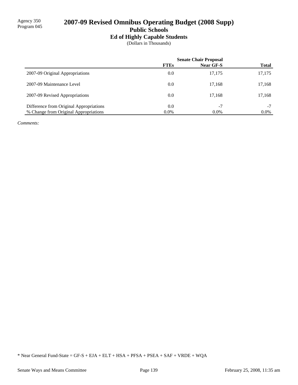# 2007-09 Revised Omnibus Operating Budget (2008 Supp) **Public Schools**

### **Ed of Highly Capable Students**

(Dollars in Thousands)

|                                         | <b>Senate Chair Proposal</b> |           |              |
|-----------------------------------------|------------------------------|-----------|--------------|
|                                         | <b>FTEs</b>                  | Near GF-S | <b>Total</b> |
| 2007-09 Original Appropriations         | 0.0                          | 17.175    | 17,175       |
| 2007-09 Maintenance Level               | 0.0                          | 17.168    | 17,168       |
| 2007-09 Revised Appropriations          | 0.0                          | 17.168    | 17,168       |
| Difference from Original Appropriations | 0.0                          | $-7$      | $-7$         |
| % Change from Original Appropriations   | $0.0\%$                      | $0.0\%$   | $0.0\%$      |

*Comments:*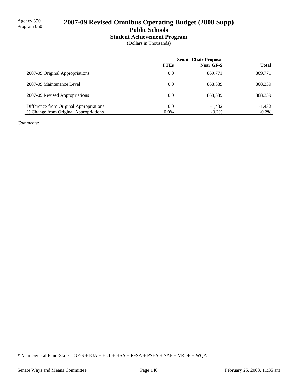# 2007-09 Revised Omnibus Operating Budget (2008 Supp) **Public Schools**

# **Student Achievement Program**

(Dollars in Thousands)

|                                         | <b>Senate Chair Proposal</b> |           |              |
|-----------------------------------------|------------------------------|-----------|--------------|
|                                         | <b>FTEs</b>                  | Near GF-S | <b>Total</b> |
| 2007-09 Original Appropriations         | 0.0                          | 869.771   | 869,771      |
| 2007-09 Maintenance Level               | 0.0                          | 868.339   | 868,339      |
| 2007-09 Revised Appropriations          | 0.0                          | 868.339   | 868,339      |
| Difference from Original Appropriations | 0.0                          | $-1,432$  | $-1,432$     |
| % Change from Original Appropriations   | $0.0\%$                      | $-0.2\%$  | $-0.2\%$     |

*Comments:*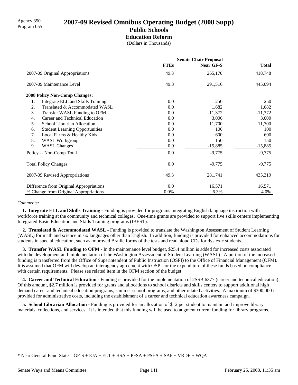## Agency 350 **2007-09 Revised Omnibus Operating Budget (2008 Supp)** Program 055 **Public Schools Education Reform**

(Dollars in Thousands)

|                                             | <b>Senate Chair Proposal</b> |                  |              |
|---------------------------------------------|------------------------------|------------------|--------------|
|                                             | <b>FTEs</b>                  | <b>Near GF-S</b> | <b>Total</b> |
| 2007-09 Original Appropriations             | 49.3                         | 265,170          | 418,748      |
| 2007-09 Maintenance Level                   | 49.3                         | 291,516          | 445,094      |
| <b>2008 Policy Non-Comp Changes:</b>        |                              |                  |              |
| Integrate ELL and Skills Training<br>1.     | 0.0                          | 250              | 250          |
| Translated & Accommodated WASL<br>2.        | 0.0                          | 1,682            | 1,682        |
| 3.<br>Transfer WASL Funding to OFM          | 0.0                          | $-11,372$        | $-11,372$    |
| Career and Technical Education<br>4.        | 0.0                          | 3,000            | 3,000        |
| School Librarian Allocation<br>5.           | 0.0                          | 11,700           | 11,700       |
| <b>Student Learning Opportunities</b><br>6. | 0.0                          | 100              | 100          |
| 7.<br>Local Farms & Healthy Kids            | 0.0                          | 600              | 600          |
| 8.<br><b>WASL Workgroup</b>                 | 0.0                          | 150              | 150          |
| 9.<br><b>WASL Changes</b>                   | 0.0                          | $-15,885$        | $-15,885$    |
| Policy -- Non-Comp Total                    | 0.0                          | $-9,775$         | $-9,775$     |
| <b>Total Policy Changes</b>                 | 0.0                          | $-9,775$         | $-9,775$     |
| 2007-09 Revised Appropriations              | 49.3                         | 281,741          | 435,319      |
| Difference from Original Appropriations     | 0.0                          | 16,571           | 16,571       |
| % Change from Original Appropriations       | 0.0%                         | 6.3%             | 4.0%         |

#### *Comments:*

 **1. Integrate ELL and Skills Training -** Funding is provided for programs integrating English language instruction with workforce training at the community and technical colleges. One-time grants are provided to support five skills centers implementing Integrated Basic Education and Skills Training programs (IBEST).

 **2. Translated & Accommodated WASL -** Funding is provided to translate the Washington Assessment of Student Learning (WASL) for math and science in six languages other than English. In addition, funding is provided for enhanced accommodations for students in special education, such as improved Braille forms of the tests and read aloud CDs for dyslexic students.

**3. Transfer WASL Funding to OFM -** In the maintenance level budget, \$25.4 million is added for increased costs associated with the development and implementation of the Washington Assessment of Student Learning (WASL). A portion of the increased funding is transferred from the Office of Superintendent of Public Instruction (OSPI) to the Office of Financial Management (OFM). It is assumed that OFM will develop an interagency agreement with OSPI for the expenditure of these funds based on compliance with certain requirements. Please see related item in the OFM section of the budget.

 **4. Career and Technical Education -** Funding is provided for the implementation of 2SSB 6377 (career and technical education). Of this amount, \$2.7 million is provided for grants and allocations to school districts and skills centers to support additional high demand career and technical education programs, summer school programs, and other related activities. A maximum of \$300,000 is provided for administrative costs, including the establishment of a career and technical education awareness campaign.

**5. School Librarian Allocation -** Funding is provided for an allocation of \$12 per student to maintain and improve library materials, collections, and services. It is intended that this funding will be used to augment current funding for library programs.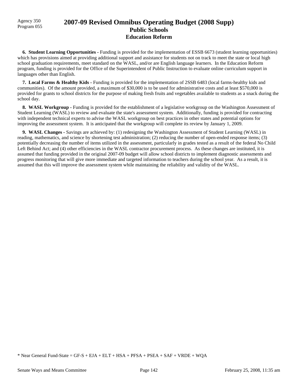### Agency 350 **2007-09 Revised Omnibus Operating Budget (2008 Supp)** Program 055 **Public Schools Education Reform**

 **6. Student Learning Opportunities -** Funding is provided for the implementation of ESSB 6673 (student learning opportunities) which has provisions aimed at providing additional support and assistance for students not on track to meet the state or local high school graduation requirements, meet standard on the WASL, and/or are English language learners. In the Education Reform program, funding is provided for the Office of the Superintendent of Public Instruction to evaluate online curriculum support in languages other than English.

 **7. Local Farms & Healthy Kids -** Funding is provided for the implementation of 2SSB 6483 (local farms-healthy kids and communities). Of the amount provided, a maximum of \$30,000 is to be used for administrative costs and at least \$570,000 is provided for grants to school districts for the purpose of making fresh fruits and vegetables available to students as a snack during the school day.

**8. WASL Workgroup - Funding is provided for the establishment of a legislative workgroup on the Washington Assessment of** Student Learning (WASL) to review and evaluate the state's assessment system. Additionally, funding is provided for contracting with independent technical experts to advise the WASL workgroup on best practices in other states and potential options for improving the assessment system. It is anticipated that the workgroup will complete its review by January 1, 2009.

 **9. WASL Changes -** Savings are achieved by: (1) redesigning the Washington Assessment of Student Learning (WASL) in reading, mathematics, and science by shortening test administration; (2) reducing the number of open-ended response items; (3) potentially decreasing the number of items utilized in the assessment, particularly in grades tested as a result of the federal No Child Left Behind Act; and (4) other efficiencies in the WASL contractor procurement process. As these changes are instituted, it is assumed that funding provided in the original 2007-09 budget will allow school districts to implement diagnostic assessments and progress monitoring that will give more immediate and targeted information to teachers during the school year. As a result, it is assumed that this will improve the assessment system while maintaining the reliability and validity of the WASL.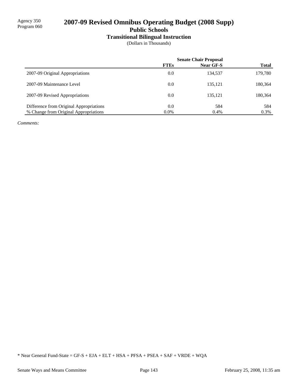# 2007-09 Revised Omnibus Operating Budget (2008 Supp)

**Public Schools**

# **Transitional Bilingual Instruction**

(Dollars in Thousands)

|                                         | <b>Senate Chair Proposal</b> |                  |              |
|-----------------------------------------|------------------------------|------------------|--------------|
|                                         | <b>FTEs</b>                  | <b>Near GF-S</b> | <b>Total</b> |
| 2007-09 Original Appropriations         | 0.0                          | 134.537          | 179,780      |
| 2007-09 Maintenance Level               | 0.0                          | 135.121          | 180,364      |
| 2007-09 Revised Appropriations          | 0.0                          | 135.121          | 180,364      |
| Difference from Original Appropriations | 0.0                          | 584              | 584          |
| % Change from Original Appropriations   | $0.0\%$                      | 0.4%             | 0.3%         |

*Comments:*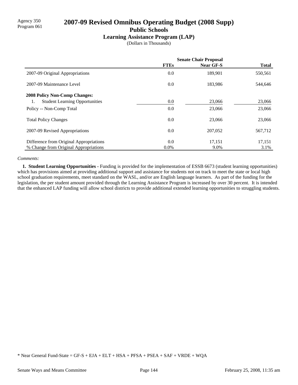## Agency 350 **2007-09 Revised Omnibus Operating Budget (2008 Supp)** Program 061 **Public Schools**

#### **Learning Assistance Program (LAP)**

(Dollars in Thousands)

|                                             | <b>Senate Chair Proposal</b> |                  |              |
|---------------------------------------------|------------------------------|------------------|--------------|
|                                             | <b>FTEs</b>                  | <b>Near GF-S</b> | <b>Total</b> |
| 2007-09 Original Appropriations             | 0.0                          | 189,901          | 550,561      |
| 2007-09 Maintenance Level                   | 0.0                          | 183,986          | 544,646      |
| <b>2008 Policy Non-Comp Changes:</b>        |                              |                  |              |
| <b>Student Learning Opportunities</b><br>1. | 0.0                          | 23,066           | 23,066       |
| Policy -- Non-Comp Total                    | 0.0                          | 23,066           | 23,066       |
| <b>Total Policy Changes</b>                 | 0.0                          | 23,066           | 23,066       |
| 2007-09 Revised Appropriations              | 0.0                          | 207,052          | 567,712      |
| Difference from Original Appropriations     | 0.0                          | 17,151           | 17,151       |
| % Change from Original Appropriations       | $0.0\%$                      | 9.0%             | 3.1%         |

#### *Comments:*

 **1. Student Learning Opportunities -** Funding is provided for the implementation of ESSB 6673 (student learning opportunities) which has provisions aimed at providing additional support and assistance for students not on track to meet the state or local high school graduation requirements, meet standard on the WASL, and/or are English language learners. As part of the funding for the legislation, the per student amount provided through the Learning Assistance Program is increased by over 30 percent. It is intended that the enhanced LAP funding will allow school districts to provide additional extended learning opportunities to struggling students.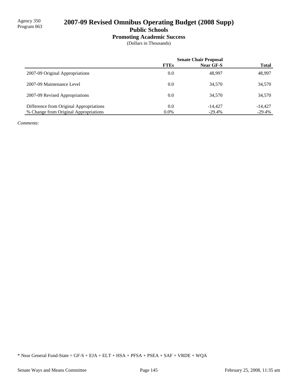# 2007-09 Revised Omnibus Operating Budget (2008 Supp)

**Public Schools**

### **Promoting Academic Success**

(Dollars in Thousands)

|                                         | <b>Senate Chair Proposal</b> |           |              |
|-----------------------------------------|------------------------------|-----------|--------------|
|                                         | <b>FTEs</b>                  | Near GF-S | <b>Total</b> |
| 2007-09 Original Appropriations         | 0.0                          | 48,997    | 48,997       |
| 2007-09 Maintenance Level               | 0.0                          | 34,570    | 34,570       |
| 2007-09 Revised Appropriations          | 0.0                          | 34,570    | 34,570       |
| Difference from Original Appropriations | 0.0                          | -14.427   | $-14.427$    |
| % Change from Original Appropriations   | $0.0\%$                      | $-29.4\%$ | $-29.4%$     |

*Comments:*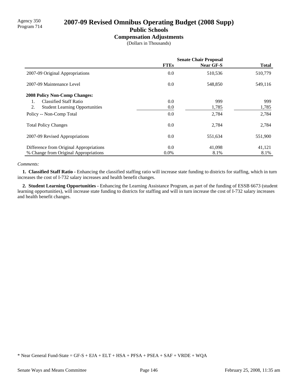# Agency 350<br>Program 714 **2007-09 Revised Omnibus Operating Budget (2008 Supp)**

# **Public Schools**

### **Compensation Adjustments**

(Dollars in Thousands)

|                                             | <b>Senate Chair Proposal</b> |           |              |
|---------------------------------------------|------------------------------|-----------|--------------|
|                                             | <b>FTEs</b>                  | Near GF-S | <b>Total</b> |
| 2007-09 Original Appropriations             | 0.0                          | 510,536   | 510,779      |
| 2007-09 Maintenance Level                   | 0.0                          | 548,850   | 549,116      |
| <b>2008 Policy Non-Comp Changes:</b>        |                              |           |              |
| <b>Classified Staff Ratio</b><br>1.         | 0.0                          | 999       | 999          |
| 2.<br><b>Student Learning Opportunities</b> | 0.0                          | 1,785     | 1,785        |
| Policy -- Non-Comp Total                    | 0.0                          | 2,784     | 2,784        |
| <b>Total Policy Changes</b>                 | 0.0                          | 2.784     | 2,784        |
| 2007-09 Revised Appropriations              | 0.0                          | 551,634   | 551,900      |
| Difference from Original Appropriations     | 0.0                          | 41,098    | 41,121       |
| % Change from Original Appropriations       | 0.0%                         | 8.1%      | 8.1%         |

#### *Comments:*

 **1. Classified Staff Ratio -** Enhancing the classified staffing ratio will increase state funding to districts for staffing, which in turn increases the cost of I-732 salary increases and health benefit changes.

 **2. Student Learning Opportunities -** Enhancing the Learning Assistance Program, as part of the funding of ESSB 6673 (student learning opportunities), will increase state funding to districts for staffing and will in turn increase the cost of I-732 salary increases and health benefit changes.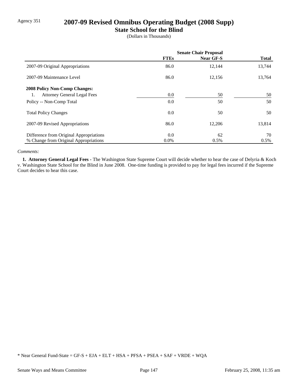# Agency 351 **2007-09 Revised Omnibus Operating Budget (2008 Supp)**

### **State School for the Blind**

(Dollars in Thousands)

|                                          | <b>Senate Chair Proposal</b> |                  |              |
|------------------------------------------|------------------------------|------------------|--------------|
|                                          | <b>FTEs</b>                  | <b>Near GF-S</b> | <b>Total</b> |
| 2007-09 Original Appropriations          | 86.0                         | 12,144           | 13,744       |
| 2007-09 Maintenance Level                | 86.0                         | 12,156           | 13,764       |
| <b>2008 Policy Non-Comp Changes:</b>     |                              |                  |              |
| <b>Attorney General Legal Fees</b><br>1. | $0.0\,$                      | 50               | 50           |
| Policy -- Non-Comp Total                 | 0.0                          | 50               | 50           |
| <b>Total Policy Changes</b>              | $0.0\,$                      | 50               | 50           |
| 2007-09 Revised Appropriations           | 86.0                         | 12,206           | 13,814       |
| Difference from Original Appropriations  | 0.0                          | 62               | 70           |
| % Change from Original Appropriations    | $0.0\%$                      | 0.5%             | 0.5%         |

#### *Comments:*

 **1. Attorney General Legal Fees -** The Washington State Supreme Court will decide whether to hear the case of Delyria & Koch v. Washington State School for the Blind in June 2008. One-time funding is provided to pay for legal fees incurred if the Supreme Court decides to hear this case.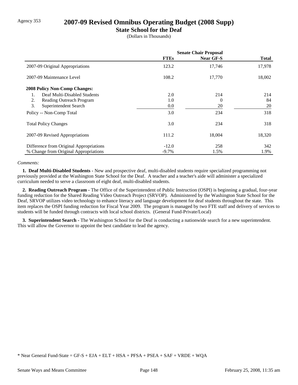### Agency 353 **2007-09 Revised Omnibus Operating Budget (2008 Supp)**

### **State School for the Deaf**

(Dollars in Thousands)

|                                         | <b>Senate Chair Proposal</b> |                  |              |
|-----------------------------------------|------------------------------|------------------|--------------|
|                                         | <b>FTEs</b>                  | <b>Near GF-S</b> | <b>Total</b> |
| 2007-09 Original Appropriations         | 123.2                        | 17,746           | 17,978       |
| 2007-09 Maintenance Level               | 108.2                        | 17,770           | 18,002       |
| <b>2008 Policy Non-Comp Changes:</b>    |                              |                  |              |
| Deaf Multi-Disabled Students<br>1.      | 2.0                          | 214              | 214          |
| Reading Outreach Program<br>2.          | 1.0                          | 0                | 84           |
| 3.<br>Superintendent Search             | 0.0                          | 20               | 20           |
| Policy -- Non-Comp Total                | 3.0                          | 234              | 318          |
| <b>Total Policy Changes</b>             | 3.0                          | 234              | 318          |
| 2007-09 Revised Appropriations          | 111.2                        | 18,004           | 18,320       |
| Difference from Original Appropriations | $-12.0$                      | 258              | 342          |
| % Change from Original Appropriations   | $-9.7\%$                     | 1.5%             | 1.9%         |

#### *Comments:*

 **1. Deaf Multi-Disabled Students -** New and prospective deaf, multi-disabled students require specialized programming not previously provided at the Washington State School for the Deaf. A teacher and a teacher's aide will administer a specialized curriculum needed to serve a classroom of eight deaf, multi-disabled students.

 **2. Reading Outreach Program -** The Office of the Superintendent of Public Instruction (OSPI) is beginning a gradual, four-year funding reduction for the Shared Reading Video Outreach Project (SRVOP). Administered by the Washington State School for the Deaf, SRVOP utilizes video technology to enhance literacy and language development for deaf students throughout the state. This item replaces the OSPI funding reduction for Fiscal Year 2009. The program is managed by two FTE staff and delivery of services to students will be funded through contracts with local school districts. (General Fund-Private/Local)

 **3. Superintendent Search -** The Washington School for the Deaf is conducting a nationwide search for a new superintendent. This will allow the Governor to appoint the best candidate to lead the agency.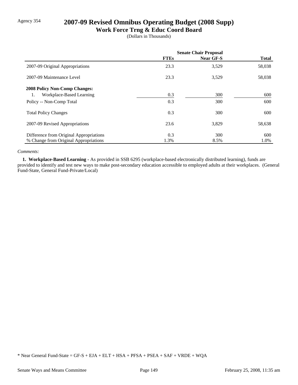# Agency 354 **2007-09 Revised Omnibus Operating Budget (2008 Supp)**

### **Work Force Trng & Educ Coord Board**

(Dollars in Thousands)

|                                         | <b>Senate Chair Proposal</b> |                  |              |
|-----------------------------------------|------------------------------|------------------|--------------|
|                                         | <b>FTEs</b>                  | <b>Near GF-S</b> | <b>Total</b> |
| 2007-09 Original Appropriations         | 23.3                         | 3,529            | 58,038       |
| 2007-09 Maintenance Level               | 23.3                         | 3,529            | 58,038       |
| <b>2008 Policy Non-Comp Changes:</b>    |                              |                  |              |
| Workplace-Based Learning<br>1.          | 0.3                          | 300              | 600          |
| Policy -- Non-Comp Total                | 0.3                          | 300              | 600          |
| <b>Total Policy Changes</b>             | 0.3                          | 300              | 600          |
| 2007-09 Revised Appropriations          | 23.6                         | 3,829            | 58,638       |
| Difference from Original Appropriations | 0.3                          | 300              | 600          |
| % Change from Original Appropriations   | 1.3%                         | 8.5%             | 1.0%         |

#### *Comments:*

 **1. Workplace-Based Learning -** As provided in SSB 6295 (workplace-based electronically distributed learning), funds are provided to identify and test new ways to make post-secondary education accessible to employed adults at their workplaces. (General Fund-State, General Fund-Private/Local)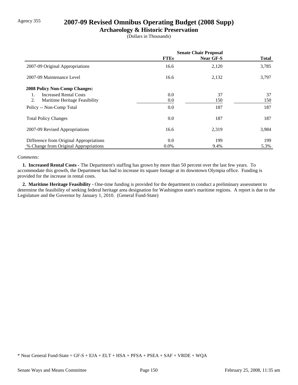# Agency 355 **2007-09 Revised Omnibus Operating Budget (2008 Supp)**

### **Archaeology & Historic Preservation**

(Dollars in Thousands)

|                                         | <b>Senate Chair Proposal</b> |           |              |
|-----------------------------------------|------------------------------|-----------|--------------|
|                                         | <b>FTEs</b>                  | Near GF-S | <b>Total</b> |
| 2007-09 Original Appropriations         | 16.6                         | 2,120     | 3,785        |
| 2007-09 Maintenance Level               | 16.6                         | 2,132     | 3,797        |
| <b>2008 Policy Non-Comp Changes:</b>    |                              |           |              |
| <b>Increased Rental Costs</b>           | $0.0\,$                      | 37        | 37           |
| 2.<br>Maritime Heritage Feasibility     | $0.0\,$                      | 150       | 150          |
| Policy -- Non-Comp Total                | $0.0\,$                      | 187       | 187          |
| <b>Total Policy Changes</b>             | $0.0\,$                      | 187       | 187          |
| 2007-09 Revised Appropriations          | 16.6                         | 2,319     | 3,984        |
| Difference from Original Appropriations | 0.0                          | 199       | 199          |
| % Change from Original Appropriations   | $0.0\%$                      | 9.4%      | 5.3%         |

#### *Comments:*

 **1. Increased Rental Costs -** The Department's staffing has grown by more than 50 percent over the last few years. To accommodate this growth, the Department has had to increase its square footage at its downtown Olympia office. Funding is provided for the increase in rental costs.

 **2. Maritime Heritage Feasibility -** One-time funding is provided for the department to conduct a preliminary assessment to determine the feasibility of seeking federal heritage area designation for Washington state's maritime regions. A report is due to the Legislature and the Governor by January 1, 2010. (General Fund-State)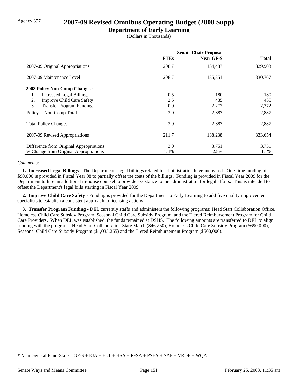# Agency 357 **2007-09 Revised Omnibus Operating Budget (2008 Supp)**

### **Department of Early Learning**

(Dollars in Thousands)

|                                         | <b>Senate Chair Proposal</b> |                  |              |
|-----------------------------------------|------------------------------|------------------|--------------|
|                                         | <b>FTEs</b>                  | <b>Near GF-S</b> | <b>Total</b> |
| 2007-09 Original Appropriations         | 208.7                        | 134,487          | 329,903      |
| 2007-09 Maintenance Level               | 208.7                        | 135,351          | 330,767      |
| <b>2008 Policy Non-Comp Changes:</b>    |                              |                  |              |
| <b>Increased Legal Billings</b><br>1.   | 0.5                          | 180              | 180          |
| <b>Improve Child Care Safety</b><br>2.  | 2.5                          | 435              | 435          |
| 3.<br><b>Transfer Program Funding</b>   | 0.0                          | 2,272            | 2,272        |
| Policy -- Non-Comp Total                | 3.0                          | 2,887            | 2,887        |
| <b>Total Policy Changes</b>             | 3.0                          | 2,887            | 2,887        |
| 2007-09 Revised Appropriations          | 211.7                        | 138,238          | 333,654      |
| Difference from Original Appropriations | 3.0                          | 3,751            | 3,751        |
| % Change from Original Appropriations   | 1.4%                         | 2.8%             | 1.1%         |

#### *Comments:*

 **1. Increased Legal Billings -** The Department's legal billings related to administration have increased. One-time funding of \$90,000 is provided in Fiscal Year 08 to partially offset the costs of the billings. Funding is provided in Fiscal Year 2009 for the Department to hire an additional in-house counsel to provide assistance to the administration for legal affairs. This is intended to offset the Department's legal bills starting in Fiscal Year 2009.

 **2. Improve Child Care Safety -** Funding is provided for the Department to Early Learning to add five quality improvement specialists to establish a consistent approach to licensing actions

 **3. Transfer Program Funding -** DEL currently staffs and administers the following programs: Head Start Collaboration Office, Homeless Child Care Subsidy Program, Seasonal Child Care Subsidy Program, and the Tiered Reimbursement Program for Child Care Providers. When DEL was established, the funds remained at DSHS. The following amounts are transferred to DEL to align funding with the programs: Head Start Collaboration State Match (\$46,250), Homeless Child Care Subsidy Program (\$690,000), Seasonal Child Care Subsidy Program (\$1,035,265) and the Tiered Reimbursement Program (\$500,000).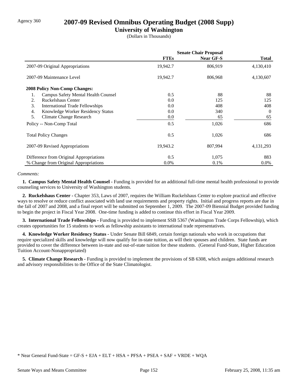### Agency 360 **2007-09 Revised Omnibus Operating Budget (2008 Supp)**

### **University of Washington**

(Dollars in Thousands)

|                                              | <b>Senate Chair Proposal</b> |           |              |
|----------------------------------------------|------------------------------|-----------|--------------|
|                                              | <b>FTEs</b>                  | Near GF-S | <b>Total</b> |
| 2007-09 Original Appropriations              | 19,942.7                     | 806,919   | 4,130,410    |
| 2007-09 Maintenance Level                    | 19,942.7                     | 806,968   | 4,130,607    |
| <b>2008 Policy Non-Comp Changes:</b>         |                              |           |              |
| Campus Safety Mental Health Counsel<br>1.    | 0.5                          | 88        | 88           |
| Ruckelshaus Center<br>2.                     | 0.0                          | 125       | 125          |
| 3.<br><b>International Trade Fellowships</b> | 0.0                          | 408       | 408          |
| Knowledge Worker Residency Status<br>4.      | 0.0                          | 340       | $\Omega$     |
| 5.<br><b>Climate Change Research</b>         | 0.0                          | 65        | 65           |
| Policy -- Non-Comp Total                     | 0.5                          | 1,026     | 686          |
| <b>Total Policy Changes</b>                  | 0.5                          | 1,026     | 686          |
| 2007-09 Revised Appropriations               | 19,943.2                     | 807,994   | 4, 131, 293  |
| Difference from Original Appropriations      | 0.5                          | 1,075     | 883          |
| % Change from Original Appropriations        | $0.0\%$                      | 0.1%      | $0.0\%$      |

#### *Comments:*

 **1. Campus Safety Mental Health Counsel -** Funding is provided for an additional full-time mental health professional to provide counseling services to University of Washington students.

 **2. Ruckelshaus Center -** Chapter 353, Laws of 2007, requires the William Ruckelshaus Center to explore practical and effective ways to resolve or reduce conflict associated with land use requirements and property rights. Initial and progress reports are due in the fall of 2007 and 2008, and a final report will be submitted on September 1, 2009. The 2007-09 Biennial Budget provided funding to begin the project in Fiscal Year 2008. One-time funding is added to continue this effort in Fiscal Year 2009.

 **3. International Trade Fellowships -** Funding is provided to implement SSB 5367 (Washington Trade Corps Fellowship), which creates opportunities for 15 students to work as fellowship assistants to international trade representatives.

 **4. Knowledge Worker Residency Status -** Under Senate Bill 6849, certain foreign nationals who work in occupations that require specialized skills and knowledge will now qualify for in-state tuition, as will their spouses and children. State funds are provided to cover the difference between in-state and out-of-state tuition for these students. (General Fund-State, Higher Education Tuition Account-Nonappropriated)

 **5. Climate Change Research -** Funding is provided to implement the provisions of SB 6308, which assigns additional research and advisory responsibilities to the Office of the State Climatologist.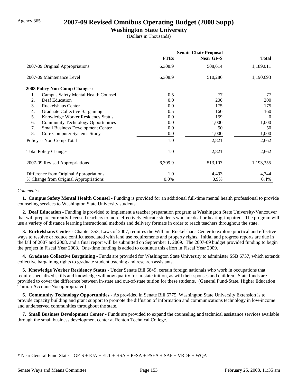### Agency 365 **2007-09 Revised Omnibus Operating Budget (2008 Supp)**

### **Washington State University**

(Dollars in Thousands)

|                                                 | <b>Senate Chair Proposal</b> |                  |              |
|-------------------------------------------------|------------------------------|------------------|--------------|
|                                                 | <b>FTEs</b>                  | <b>Near GF-S</b> | <b>Total</b> |
| 2007-09 Original Appropriations                 | 6,308.9                      | 508,614          | 1,189,011    |
| 2007-09 Maintenance Level                       | 6,308.9                      | 510,286          | 1,190,693    |
| <b>2008 Policy Non-Comp Changes:</b>            |                              |                  |              |
| 1.<br>Campus Safety Mental Health Counsel       | 0.5                          | 77               | 77           |
| Deaf Education<br>2.                            | 0.0                          | <b>200</b>       | <b>200</b>   |
| 3.<br><b>Ruckelshaus Center</b>                 | 0.0                          | 175              | 175          |
| Graduate Collective Bargaining<br>4.            | 0.5                          | 160              | 160          |
| 5.<br>Knowledge Worker Residency Status         | $0.0\,$                      | 159              | $\theta$     |
| <b>Community Technology Opportunities</b><br>6. | 0.0                          | 1,000            | 1,000        |
| <b>Small Business Development Center</b><br>7.  | 0.0                          | 50               | 50           |
| 8.<br>Core Computer Systems Study               | 0.0                          | 1,000            | 1,000        |
| Policy -- Non-Comp Total                        | 1.0                          | 2,821            | 2,662        |
| <b>Total Policy Changes</b>                     | 1.0                          | 2,821            | 2,662        |
| 2007-09 Revised Appropriations                  | 6,309.9                      | 513,107          | 1,193,355    |
| Difference from Original Appropriations         | 1.0                          | 4,493            | 4,344        |
| % Change from Original Appropriations           | 0.0%                         | 0.9%             | 0.4%         |

#### *Comments:*

 **1. Campus Safety Mental Health Counsel -** Funding is provided for an additional full-time mental health professional to provide counseling services to Washington State University students.

 **2. Deaf Education -** Funding is provided to implement a teacher preparation program at Washington State University-Vancouver that will prepare currently-licensed teachers to more effectively educate students who are deaf or hearing-impaired. The program will use a variety of distance learning instructional methods and delivery formats in order to reach teachers throughout the state.

 **3. Ruckelshaus Center -** Chapter 353, Laws of 2007, requires the William Ruckelshaus Center to explore practical and effective ways to resolve or reduce conflict associated with land use requirements and property rights. Initial and progress reports are due in the fall of 2007 and 2008, and a final report will be submitted on September 1, 2009. The 2007-09 budget provided funding to begin the project in Fiscal Year 2008. One-time funding is added to continue this effort in Fiscal Year 2009.

 **4. Graduate Collective Bargaining -** Funds are provided for Washington State University to administer SSB 6737, which extends collective bargaining rights to graduate student teaching and research assistants.

 **5. Knowledge Worker Residency Status -** Under Senate Bill 6849, certain foreign nationals who work in occupations that require specialized skills and knowledge will now qualify for in-state tuition, as will their spouses and children. State funds are provided to cover the difference between in-state and out-of-state tuition for these students. (General Fund-State, Higher Education Tuition Account-Nonappropriated)

 **6. Community Technology Opportunities -** As provided in Senate Bill 6775, Washington State University Extension is to provide capacity building and grant support to promote the diffusion of information and communications technology in low-income and underserved communities throughout the state.

 **7. Small Business Development Center -** Funds are provided to expand the counseling and technical assistance services available through the small business development center at Renton Technical College.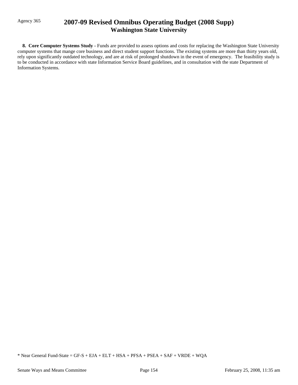# Agency 365 **2007-09 Revised Omnibus Operating Budget (2008 Supp) Washington State University**

 **8. Core Computer Systems Study -** Funds are provided to assess options and costs for replacing the Washington State University computer systems that mange core business and direct student support functions. The existing systems are more than thirty years old, rely upon significantly outdated technology, and are at risk of prolonged shutdown in the event of emergency. The feasibility study is to be conducted in accordance with state Information Service Board guidelines, and in consultation with the state Department of Information Systems.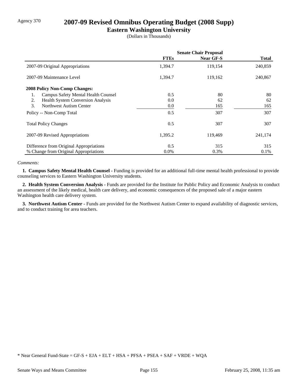# Agency 370 **2007-09 Revised Omnibus Operating Budget (2008 Supp)**

### **Eastern Washington University**

(Dollars in Thousands)

|                                                | <b>Senate Chair Proposal</b> |                  |         |
|------------------------------------------------|------------------------------|------------------|---------|
|                                                | <b>FTEs</b>                  | <b>Near GF-S</b> | Total   |
| 2007-09 Original Appropriations                | 1,394.7                      | 119,154          | 240,859 |
| 2007-09 Maintenance Level                      | 1,394.7                      | 119,162          | 240,867 |
| <b>2008 Policy Non-Comp Changes:</b>           |                              |                  |         |
| Campus Safety Mental Health Counsel<br>1.      | 0.5                          | 80               | 80      |
| <b>Health System Conversion Analysis</b><br>2. | 0.0                          | 62               | 62      |
| 3.<br>Northwest Autism Center                  | 0.0                          | 165              | 165     |
| Policy -- Non-Comp Total                       | 0.5                          | 307              | 307     |
| <b>Total Policy Changes</b>                    | 0.5                          | 307              | 307     |
| 2007-09 Revised Appropriations                 | 1,395.2                      | 119,469          | 241,174 |
| Difference from Original Appropriations        | 0.5                          | 315              | 315     |
| % Change from Original Appropriations          | $0.0\%$                      | 0.3%             | $0.1\%$ |

#### *Comments:*

 **1. Campus Safety Mental Health Counsel -** Funding is provided for an additional full-time mental health professional to provide counseling services to Eastern Washington University students.

 **2. Health System Conversion Analysis -** Funds are provided for the Institute for Public Policy and Economic Analysis to conduct an assessment of the likely medical, health care delivery, and economic consequences of the proposed sale of a major eastern Washington health care delivery system.

 **3. Northwest Autism Center -** Funds are provided for the Northwest Autism Center to expand availability of diagnostic services, and to conduct training for area teachers.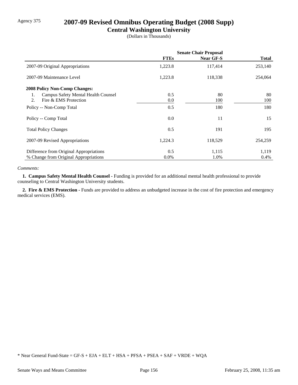# Agency 375 **2007-09 Revised Omnibus Operating Budget (2008 Supp)**

### **Central Washington University**

(Dollars in Thousands)

|                                           | <b>Senate Chair Proposal</b> |                  |         |
|-------------------------------------------|------------------------------|------------------|---------|
|                                           | <b>FTEs</b>                  | <b>Near GF-S</b> | Total   |
| 2007-09 Original Appropriations           | 1,223.8                      | 117,414          | 253,140 |
| 2007-09 Maintenance Level                 | 1,223.8                      | 118,338          | 254,064 |
| <b>2008 Policy Non-Comp Changes:</b>      |                              |                  |         |
| Campus Safety Mental Health Counsel<br>1. | 0.5                          | 80               | 80      |
| Fire & EMS Protection<br>2.               | 0.0                          | 100              | 100     |
| Policy -- Non-Comp Total                  | 0.5                          | 180              | 180     |
| Policy -- Comp Total                      | 0.0                          | 11               | 15      |
| <b>Total Policy Changes</b>               | 0.5                          | 191              | 195     |
| 2007-09 Revised Appropriations            | 1,224.3                      | 118,529          | 254,259 |
| Difference from Original Appropriations   | 0.5                          | 1,115            | 1,119   |
| % Change from Original Appropriations     | $0.0\%$                      | 1.0%             | 0.4%    |

#### *Comments:*

 **1. Campus Safety Mental Health Counsel -** Funding is provided for an additional mental health professional to provide counseling to Central Washington University students.

 **2. Fire & EMS Protection -** Funds are provided to address an unbudgeted increase in the cost of fire protection and emergency medical services (EMS).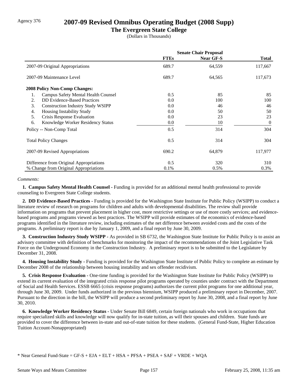### Agency 376 **2007-09 Revised Omnibus Operating Budget (2008 Supp)**

#### **The Evergreen State College**

(Dollars in Thousands)

|                                                  | <b>Senate Chair Proposal</b> |           |                |
|--------------------------------------------------|------------------------------|-----------|----------------|
|                                                  | <b>FTEs</b>                  | Near GF-S | <b>Total</b>   |
| 2007-09 Original Appropriations                  | 689.7                        | 64,559    | 117,667        |
| 2007-09 Maintenance Level                        | 689.7                        | 64,565    | 117,673        |
| <b>2008 Policy Non-Comp Changes:</b>             |                              |           |                |
| <b>Campus Safety Mental Health Counsel</b><br>1. | 0.5                          | 85        | 85             |
| <b>DD</b> Evidence-Based Practices<br>2.         | 0.0                          | 100       | 100            |
| 3.<br><b>Construction Industry Study WSIPP</b>   | 0.0                          | 46        | 46             |
| <b>Housing Instability Study</b><br>4.           | 0.0                          | 50        | 50             |
| 5.<br>Crisis Response Evaluation                 | 0.0                          | 23        | 23             |
| Knowledge Worker Residency Status<br>6.          | 0.0                          | 10        | $\overline{0}$ |
| Policy -- Non-Comp Total                         | 0.5                          | 314       | 304            |
| <b>Total Policy Changes</b>                      | 0.5                          | 314       | 304            |
| 2007-09 Revised Appropriations                   | 690.2                        | 64,879    | 117,977        |
| Difference from Original Appropriations          | 0.5                          | 320       | 310            |
| % Change from Original Appropriations            | 0.1%                         | 0.5%      | 0.3%           |

#### *Comments:*

 **1. Campus Safety Mental Health Counsel -** Funding is provided for an additional mental health professional to provide counseling to Evergreen State College students.

 **2. DD Evidence-Based Practices -** Funding is provided for the Washington State Institute for Public Policy (WSIPP) to conduct a literature review of research on programs for children and adults with developmental disabilities. The review shall provide information on programs that prevent placement in higher cost, more restrictive settings or use of more costly services; and evidencebased programs and programs viewed as best practices. The WSIPP will provide estimates of the economics of evidence-based programs identified in the literature review, including estimates of the net difference between avoided costs and the costs of the programs. A preliminary report is due by January 1, 2009, and a final report by June 30, 2009.

 **3. Construction Industry Study WSIPP -** As provided in SB 6732, the Washington State Institute for Public Policy is to assist an advisory committee with definition of benchmarks for monitoring the impact of the recommendations of the Joint Legislative Task Force on the Underground Economy in the Construction Industry. A preliminary report is to be submitted to the Legislature by December 31, 2008.

 **4. Housing Instability Study -** Funding is provided for the Washington State Institute of Public Policy to complete an estimate by December 2008 of the relationship between housing instability and sex offender recidivism.

 **5. Crisis Response Evaluation -** One-time funding is provided for the Washington State Institute for Public Policy (WSIPP) to extend its current evaluation of the integrated crisis response pilot programs operated by counties under contract with the Department of Social and Health Services. ESSB 6665 (crisis response programs) authorizes the current pilot programs for one additional year, through June 30, 2009. Under funds authorized in the previous biennium, WSIPP produced a preliminary report in December, 2007. Pursuant to the direction in the bill, the WSIPP will produce a second preliminary report by June 30, 2008, and a final report by June 30, 2010.

 **6. Knowledge Worker Residency Status -** Under Senate Bill 6849, certain foreign nationals who work in occupations that require specialized skills and knowledge will now qualify for in-state tuition, as will their spouses and children. State funds are provided to cover the difference between in-state and out-of-state tuition for these students. (General Fund-State, Higher Education Tuition Account-Nonappropriated)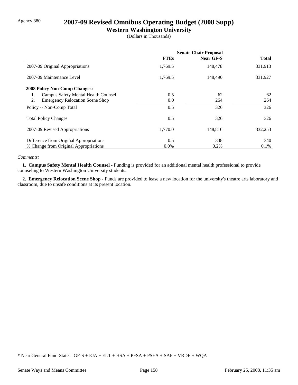# Agency 380 **2007-09 Revised Omnibus Operating Budget (2008 Supp)**

### **Western Washington University**

(Dollars in Thousands)

|                                              | <b>Senate Chair Proposal</b> |                  |              |
|----------------------------------------------|------------------------------|------------------|--------------|
|                                              | <b>FTEs</b>                  | <b>Near GF-S</b> | <b>Total</b> |
| 2007-09 Original Appropriations              | 1,769.5                      | 148,478          | 331,913      |
| 2007-09 Maintenance Level                    | 1,769.5                      | 148,490          | 331,927      |
| <b>2008 Policy Non-Comp Changes:</b>         |                              |                  |              |
| Campus Safety Mental Health Counsel<br>1.    | 0.5                          | 62               | 62           |
| 2.<br><b>Emergency Relocation Scene Shop</b> | $0.0\,$                      | 264              | 264          |
| Policy -- Non-Comp Total                     | 0.5                          | 326              | 326          |
| <b>Total Policy Changes</b>                  | 0.5                          | 326              | 326          |
| 2007-09 Revised Appropriations               | 1,770.0                      | 148,816          | 332,253      |
| Difference from Original Appropriations      | 0.5                          | 338              | 340          |
| % Change from Original Appropriations        | $0.0\%$                      | 0.2%             | 0.1%         |

#### *Comments:*

 **1. Campus Safety Mental Health Counsel -** Funding is provided for an additional mental health professional to provide counseling to Western Washington University students.

2. Emergency Relocation Scene Shop - Funds are provided to lease a new location for the university's theatre arts laboratory and classroom, due to unsafe conditions at its present location.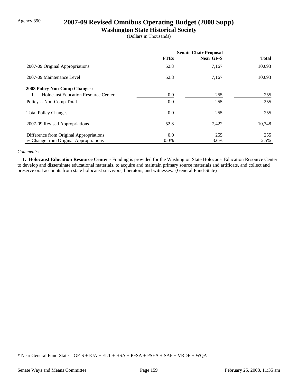# Agency 390 **2007-09 Revised Omnibus Operating Budget (2008 Supp)**

### **Washington State Historical Society**

(Dollars in Thousands)

|                                            | <b>Senate Chair Proposal</b> |                  |              |
|--------------------------------------------|------------------------------|------------------|--------------|
|                                            | <b>FTEs</b>                  | <b>Near GF-S</b> | <b>Total</b> |
| 2007-09 Original Appropriations            | 52.8                         | 7,167            | 10,093       |
| 2007-09 Maintenance Level                  | 52.8                         | 7,167            | 10,093       |
| <b>2008 Policy Non-Comp Changes:</b>       |                              |                  |              |
| <b>Holocaust Education Resource Center</b> | $0.0\,$                      | 255              | 255          |
| Policy -- Non-Comp Total                   | 0.0                          | 255              | 255          |
| <b>Total Policy Changes</b>                | 0.0                          | 255              | 255          |
| 2007-09 Revised Appropriations             | 52.8                         | 7,422            | 10,348       |
| Difference from Original Appropriations    | 0.0                          | 255              | 255          |
| % Change from Original Appropriations      | $0.0\%$                      | 3.6%             | 2.5%         |

#### *Comments:*

 **1. Holocaust Education Resource Center -** Funding is provided for the Washington State Holocaust Education Resource Center to develop and disseminate educational materials, to acquire and maintain primary source materials and artificats, and collect and preserve oral accounts from state holocaust survivors, liberators, and witnesses. (General Fund-State)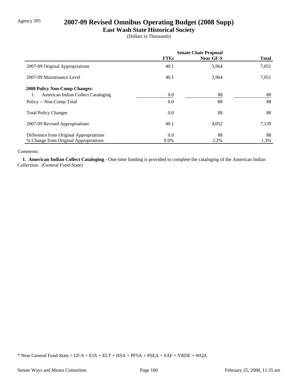# Agency 395 **2007-09 Revised Omnibus Operating Budget (2008 Supp)**

### **East Wash State Historical Society**

(Dollars in Thousands)

|                                          | <b>Senate Chair Proposal</b> |           |              |
|------------------------------------------|------------------------------|-----------|--------------|
|                                          | <b>FTEs</b>                  | Near GF-S | <b>Total</b> |
| 2007-09 Original Appropriations          | 40.1                         | 3,964     | 7,051        |
| 2007-09 Maintenance Level                | 40.1                         | 3,964     | 7,051        |
| <b>2008 Policy Non-Comp Changes:</b>     |                              |           |              |
| American Indian Collect Cataloging<br>1. | $0.0\,$                      | 88        | 88           |
| Policy -- Non-Comp Total                 | $0.0\,$                      | 88        | 88           |
| <b>Total Policy Changes</b>              | $0.0\,$                      | 88        | 88           |
| 2007-09 Revised Appropriations           | 40.1                         | 4,052     | 7,139        |
| Difference from Original Appropriations  | $0.0\,$                      | 88        | 88           |
| % Change from Original Appropriations    | $0.0\%$                      | 2.2%      | 1.3%         |

#### *Comments:*

 **1. American Indian Collect Cataloging -** One-time funding is provided to complete the cataloging of the American Indian Collection. (General Fund-State)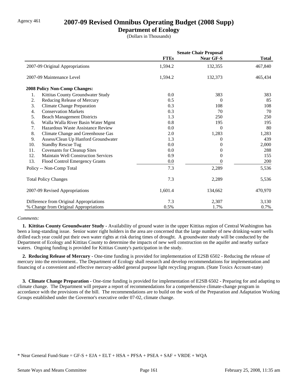### Agency 461 **2007-09 Revised Omnibus Operating Budget (2008 Supp)**

### **Department of Ecology**

(Dollars in Thousands)

|     |                                            | <b>Senate Chair Proposal</b> |                  |              |
|-----|--------------------------------------------|------------------------------|------------------|--------------|
|     |                                            | <b>FTEs</b>                  | <b>Near GF-S</b> | <b>Total</b> |
|     | 2007-09 Original Appropriations            | 1,594.2                      | 132,355          | 467,840      |
|     | 2007-09 Maintenance Level                  | 1,594.2                      | 132,373          | 465,434      |
|     | 2008 Policy Non-Comp Changes:              |                              |                  |              |
| 1.  | Kittitas County Groundwater Study          | 0.0                          | 383              | 383          |
| 2.  | Reducing Release of Mercury                | 0.5                          | 0                | 85           |
| 3.  | <b>Climate Change Preparation</b>          | 0.3                          | 108              | 108          |
| 4.  | <b>Conservation Markets</b>                | 0.3                          | 70               | 70           |
| 5.  | <b>Beach Management Districts</b>          | 1.3                          | 250              | 250          |
| 6.  | Walla Walla River Basin Water Mgmt         | 0.8                          | 195              | 195          |
| 7.  | Hazardous Waste Assistance Review          | 0.0                          | $\theta$         | 80           |
| 8.  | Climate Change and Greenhouse Gas          | 2.0                          | 1,283            | 1,283        |
| 9.  | Assess/Clean Up Hanford Groundwater        | 1.3                          | 0                | 439          |
| 10. | <b>Standby Rescue Tug</b>                  | 0.0                          | 0                | 2,000        |
| 11. | <b>Covenants for Cleanup Sites</b>         | 0.0                          | 0                | 288          |
| 12. | <b>Maintain Well Construction Services</b> | 0.9                          | $\Omega$         | 155          |
| 13. | Flood Control Emergency Grants             | 0.0                          |                  | 200          |
|     | Policy -- Non-Comp Total                   | 7.3                          | 2,289            | 5,536        |
|     | <b>Total Policy Changes</b>                | 7.3                          | 2,289            | 5,536        |
|     | 2007-09 Revised Appropriations             | 1,601.4                      | 134,662          | 470,970      |
|     | Difference from Original Appropriations    | 7.3                          | 2,307            | 3,130        |
|     | % Change from Original Appropriations      | 0.5%                         | 1.7%             | 0.7%         |

#### *Comments:*

 **1. Kittitas County Groundwater Study -** Availability of ground water in the upper Kittitas region of Central Washington has been a long-standing issue. Senior water right holders in the area are concerned that the large number of new drinking-water wells drilled each year could put their own water rights at risk during times of drought. A groundwater study will be conducted by the Department of Ecology and Kittitas County to determine the impacts of new well construction on the aquifer and nearby surface waters. Ongoing funding is provided for Kittitas County's participation in the study.

 **2. Reducing Release of Mercury -** One-time funding is provided for implementation of E2SB 6502 - Reducing the release of mercury into the environment.. The Department of Ecology shall research and develop recommendations for implementation and financing of a convenient and effective mercury-added general purpose light recycling program. (State Toxics Account-state)

 **3. Climate Change Preparation -** One-time funding is provided for implementation of E2SB 6502 - Preparing for and adapting to climate change. The Department will prepare a report of recommendations for a comprehensive climate-change program in accordance with the provisions of the bill. The recommendations are to build on the work of the Preparation and Adaptation Working Groups established under the Governor's executive order 07-02, climate change.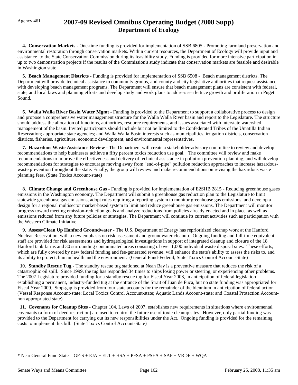# Agency 461 **2007-09 Revised Omnibus Operating Budget (2008 Supp) Department of Ecology**

 **4. Conservation Markets -** One-time funding is provided for implementation of SSB 6805 - Promoting farmland preservation and environmental restoration through conservation markets. Within current resources, the Department of Ecology will provide input and assistance to the State Conservation Commission during its feasibility study. Funding is provided for more intensive participation in up to two demonstration projects if the results of the Commission's study indicate that conservation markets are feasible and desirable in Washington state.

 **5. Beach Management Districts -** Funding is provided for implementation of SSB 6508 - Beach management districts. The Department will provide technical assistance to community groups, and county and city legislative authorities that request assistance with developing beach management programs. The Department will ensure that beach management plans are consistent with federal, state, and local laws and planning efforts and develop study and work plans to address sea lettuce growth and proliferation in Puget Sound.

 **6. Walla Walla River Basin Water Mgmt -** Funding is provided to the Department to support a collaborative process to design and propose a comprehensive water management structure for the Walla Walla River basin and report to the Legislature. The structure should address the allocation of functions, authorities, resource requirements, and issues associated with interstate watershed management of the basin. Invited participants should include but not be limited to the Confederated Tribes of the Umatilla Indian Reservation; appropriate state agencies; and Walla Walla Basin interests such as municipalities, irrigation districts, conservation districts, fisheries, agriculture, economic development, and environmental representatives.

 **7. Hazardous Waste Assistance Review -** The Department will create a stakeholder-advisory committee to review and develop recommendations to help businesses achieve a fifty percent toxics reduction use goal. The committee will review and make recommendations to improve the effectiveness and delivery of technical assistance in pollution prevention planning, and will develop recommendations for strategies to encourage moving away from "end-of-pipe" pollution reduction approaches to increase hazardouswaste prevention throughout the state. Finally, the group will review and make recommendations on revising the hazardous waste planning fees. (State Toxics Account-state)

 **8. Climate Change and Greenhouse Gas -** Funding is provided for implementation of E2SHB 2815 - Reducing greenhouse gases emissions in the Washington economy. The Department will submit a greenhouse gas reduction plan to the Legislature to limit statewide greenhouse gas emissions, adopt rules requiring a reporting system to monitor greenhouse gas emissions, and develop a design for a regional multisector market-based system to limit and reduce greenhouse gas emissions. The Department will monitor progress toward meeting emission-reduction goals and analyze reductions from policies already enacted and in place, as well as emissions reduced from any future policies or strategies. The Department will continue its current activities such as participation with the Western Climate Initiative.

 **9. Assess/Clean Up Hanford Groundwater -** The U.S. Department of Energy has reprioritized cleanup work at the Hanford Nuclear Reservation, with a new emphasis on risk assessment and groundwater cleanup. Ongoing funding and full-time equivalent staff are provided for risk assessments and hydrogeological investigations in support of integrated cleanup and closure of the 18 Hanford tank farms and 30 surrounding contaminated areas consisting of over 1,000 individual waste disposal sites. These efforts, which are fully covered by new federal funding and fee-generated revenue, will enhance the state's ability to assess the risks to, and its ability to protect, human health and the environment. (General Fund-Federal; State Toxics Control Account-State)

 **10. Standby Rescue Tug -** The standby rescue tug stationed at Neah Bay is a preventive measure that reduces the risk of a catastrophic oil spill. Since 1999, the tug has responded 34 times to ships losing power or steering, or experiencing other problems. The 2007 Legislature provided funding for a standby rescue tug for Fiscal Year 2008, in anticipation of federal legislation establishing a permanent, industry-funded tug at the entrance of the Strait of Juan de Fuca, but no state funding was appropriated for Fiscal Year 2009. Stop-gap is provided from four state accounts for the remainder of the biennium in anticipation of federal action. (Vessel Response Account-state; Local Toxics Control Account-state; Aquatic Lands Account-state; and Coastal Protection Accountnon appropriated state)

 **11. Covenants for Cleanup Sites -** Chapter 104, Laws of 2007, establishes new requirements in situations where environmental covenants (a form of deed restriction) are used to control the future use of toxic cleanup sites. However, only partial funding was provided to the Department for carrying out its new responsibilities under the Act. Ongoing funding is provided for the remaining costs to implement this bill. (State Toxics Control Account-State)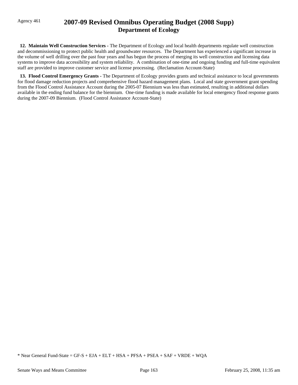# Agency 461 **2007-09 Revised Omnibus Operating Budget (2008 Supp) Department of Ecology**

 **12. Maintain Well Construction Services -** The Department of Ecology and local health departments regulate well construction and decommissioning to protect public health and groundwater resources. The Department has experienced a significant increase in the volume of well drilling over the past four years and has begun the process of merging its well construction and licensing data systems to improve data accessibility and system reliability. A combination of one-time and ongoing funding and full-time equivalent staff are provided to improve customer service and license processing. (Reclamation Account-State)

 **13. Flood Control Emergency Grants -** The Department of Ecology provides grants and technical assistance to local governments for flood damage reduction projects and comprehensive flood hazard management plans. Local and state government grant spending from the Flood Control Assistance Account during the 2005-07 Biennium was less than estimated, resulting in additional dollars available in the ending fund balance for the biennium. One-time funding is made available for local emergency flood response grants during the 2007-09 Biennium. (Flood Control Assistance Account-State)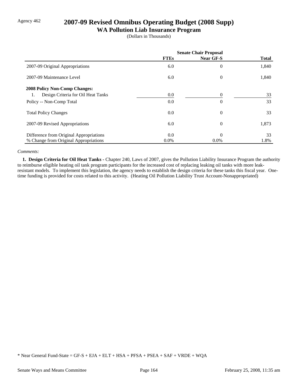# Agency 462 **2007-09 Revised Omnibus Operating Budget (2008 Supp)**

#### **WA Pollution Liab Insurance Program**

(Dollars in Thousands)

|                                          | <b>Senate Chair Proposal</b> |                  |              |
|------------------------------------------|------------------------------|------------------|--------------|
|                                          | <b>FTEs</b>                  | <b>Near GF-S</b> | <b>Total</b> |
| 2007-09 Original Appropriations          | 6.0                          | $\overline{0}$   | 1,840        |
| 2007-09 Maintenance Level                | 6.0                          | $\boldsymbol{0}$ | 1,840        |
| <b>2008 Policy Non-Comp Changes:</b>     |                              |                  |              |
| Design Criteria for Oil Heat Tanks<br>1. | 0.0                          | 0                | 33           |
| Policy -- Non-Comp Total                 | 0.0                          | 0                | 33           |
| <b>Total Policy Changes</b>              | 0.0                          | $\overline{0}$   | 33           |
| 2007-09 Revised Appropriations           | 6.0                          | $\overline{0}$   | 1,873        |
| Difference from Original Appropriations  | 0.0                          | $\theta$         | 33           |
| % Change from Original Appropriations    | 0.0%                         | $0.0\%$          | 1.8%         |

#### *Comments:*

 **1. Design Criteria for Oil Heat Tanks -** Chapter 240, Laws of 2007, gives the Pollution Liability Insurance Program the authority to reimburse eligible heating oil tank program participants for the increased cost of replacing leaking oil tanks with more leakresistant models. To implement this legislation, the agency needs to establish the design criteria for these tanks this fiscal year. Onetime funding is provided for costs related to this activity. (Heating Oil Pollution Liability Trust Account-Nonappropriated)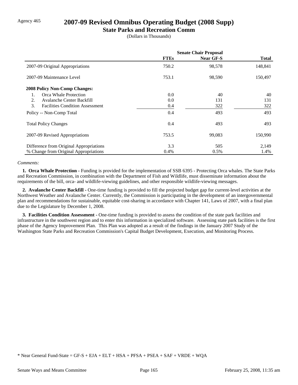### Agency 465 **2007-09 Revised Omnibus Operating Budget (2008 Supp)**

#### **State Parks and Recreation Comm**

(Dollars in Thousands)

|                                              | <b>Senate Chair Proposal</b> |                  |              |
|----------------------------------------------|------------------------------|------------------|--------------|
|                                              | <b>FTEs</b>                  | <b>Near GF-S</b> | <b>Total</b> |
| 2007-09 Original Appropriations              | 750.2                        | 98,578           | 148,841      |
| 2007-09 Maintenance Level                    | 753.1                        | 98,590           | 150,497      |
| <b>2008 Policy Non-Comp Changes:</b>         |                              |                  |              |
| Orca Whale Protection                        | 0.0                          | 40               | 40           |
| 2.<br>Avalanche Center Backfill              | 0.0                          | 131              | 131          |
| 3.<br><b>Facilities Condition Assessment</b> | 0.4                          | 322              | 322          |
| Policy -- Non-Comp Total                     | 0.4                          | 493              | 493          |
| <b>Total Policy Changes</b>                  | 0.4                          | 493              | 493          |
| 2007-09 Revised Appropriations               | 753.5                        | 99,083           | 150,990      |
| Difference from Original Appropriations      | 3.3                          | 505              | 2,149        |
| % Change from Original Appropriations        | 0.4%                         | 0.5%             | 1.4%         |

#### *Comments:*

 **1. Orca Whale Protection -** Funding is provided for the implementation of SSB 6395 - Protecting Orca whales. The State Parks and Recreation Commission, in combination with the Department of Fish and Wildlife, must disseminate information about the requirements of the bill, orca- and wildlife-viewing guidelines, and other responsible wildlife-viewing messages.

 **2. Avalanche Center Backfill -** One-time funding is provided to fill the projected budget gap for current-level activities at the Northwest Weather and Avalanche Center. Currently, the Commission is participating in the development of an intergovernmental plan and recommendations for sustainable, equitable cost-sharing in accordance with Chapter 141, Laws of 2007, with a final plan due to the Legislature by December 1, 2008.

 **3. Facilities Condition Assessment -** One-time funding is provided to assess the condition of the state park facilities and infrastructure in the southwest region and to enter this information in specialized software. Assessing state park facilities is the first phase of the Agency Improvement Plan. This Plan was adopted as a result of the findings in the January 2007 Study of the Washington State Parks and Recreation Commission's Capital Budget Development, Execution, and Monitoring Process.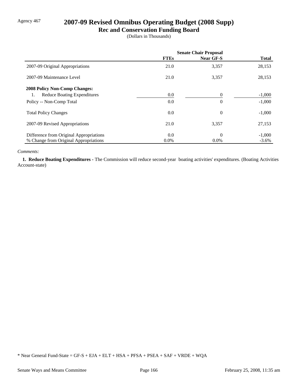# Agency 467 **2007-09 Revised Omnibus Operating Budget (2008 Supp)**

**Rec and Conservation Funding Board**

(Dollars in Thousands)

|                                          | <b>Senate Chair Proposal</b> |           |              |
|------------------------------------------|------------------------------|-----------|--------------|
|                                          | <b>FTEs</b>                  | Near GF-S | <b>Total</b> |
| 2007-09 Original Appropriations          | 21.0                         | 3,357     | 28,153       |
| 2007-09 Maintenance Level                | 21.0                         | 3,357     | 28,153       |
| <b>2008 Policy Non-Comp Changes:</b>     |                              |           |              |
| <b>Reduce Boating Expenditures</b><br>1. | 0.0                          | $\theta$  | $-1,000$     |
| Policy -- Non-Comp Total                 | 0.0                          | $\theta$  | $-1,000$     |
| <b>Total Policy Changes</b>              | 0.0                          | $\theta$  | $-1,000$     |
| 2007-09 Revised Appropriations           | 21.0                         | 3,357     | 27,153       |
| Difference from Original Appropriations  | 0.0                          | $\theta$  | $-1,000$     |
| % Change from Original Appropriations    | $0.0\%$                      | $0.0\%$   | $-3.6\%$     |

#### *Comments:*

 **1. Reduce Boating Expenditures -** The Commission will reduce second-year boating activities' expenditures. (Boating Activities Account-state)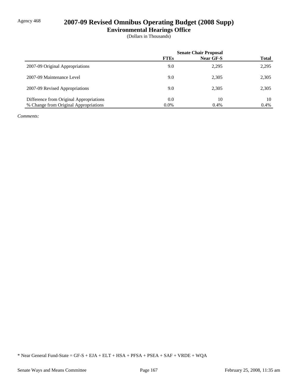# Agency 468 **2007-09 Revised Omnibus Operating Budget (2008 Supp)**

**Environmental Hearings Office**

(Dollars in Thousands)

|                                         | <b>Senate Chair Proposal</b> |                  |              |
|-----------------------------------------|------------------------------|------------------|--------------|
|                                         | <b>FTEs</b>                  | <b>Near GF-S</b> | <b>Total</b> |
| 2007-09 Original Appropriations         | 9.0                          | 2,295            | 2,295        |
| 2007-09 Maintenance Level               | 9.0                          | 2,305            | 2,305        |
| 2007-09 Revised Appropriations          | 9.0                          | 2,305            | 2,305        |
| Difference from Original Appropriations | 0.0                          | 10               | 10           |
| % Change from Original Appropriations   | $0.0\%$                      | 0.4%             | 0.4%         |

*Comments:*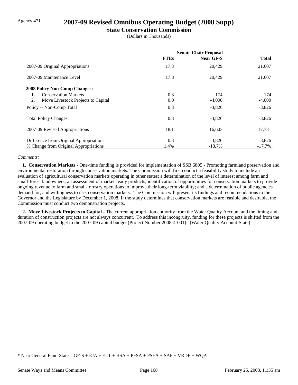### Agency 471 **2007-09 Revised Omnibus Operating Budget (2008 Supp)**

#### **State Conservation Commission**

(Dollars in Thousands)

|                                          | <b>Senate Chair Proposal</b> |           |              |
|------------------------------------------|------------------------------|-----------|--------------|
|                                          | <b>FTEs</b>                  | Near GF-S | <b>Total</b> |
| 2007-09 Original Appropriations          | 17.8                         | 20,429    | 21,607       |
| 2007-09 Maintenance Level                | 17.8                         | 20,429    | 21,607       |
| <b>2008 Policy Non-Comp Changes:</b>     |                              |           |              |
| <b>Conservation Markets</b>              | 0.3                          | 174       | 174          |
| 2.<br>Move Livestock Projects to Capital | 0.0                          | $-4,000$  | $-4,000$     |
| Policy -- Non-Comp Total                 | 0.3                          | $-3,826$  | $-3,826$     |
| <b>Total Policy Changes</b>              | 0.3                          | $-3,826$  | $-3,826$     |
| 2007-09 Revised Appropriations           | 18.1                         | 16,603    | 17,781       |
| Difference from Original Appropriations  | 0.3                          | $-3,826$  | $-3,826$     |
| % Change from Original Appropriations    | 1.4%                         | $-18.7\%$ | $-17.7\%$    |

#### *Comments:*

 **1. Conservation Markets -** One-time funding is provided for implementation of SSB 6805 - Promoting farmland preservation and environmental restoration through conservation markets. The Commission will first conduct a feasibility study to include an evaluation of agricultural conservation markets operating in other states; a determination of the level of interest among farm and small-forest landowners; an assessment of market-ready products; identification of opportunities for conservation markets to provide ongoing revenue to farm and small-forestry operations to improve their long-term viability; and a determination of public agencies' demand for, and willingness to use, conservation markets. The Commission will present its findings and recommendations to the Governor and the Legislature by December 1, 2008. If the study determines that conservation markets are feasible and desirable, the Commission must conduct two demonstration projects.

 **2. Move Livestock Projects to Capital -** The current appropriation authority from the Water Quality Account and the timing and duration of construction projects are not always concurrent. To address this incongruity, funding for these projects is shifted from the 2007-09 operating budget to the 2007-09 capital budget (Project Number 2008-4-001). (Water Quality Account-State)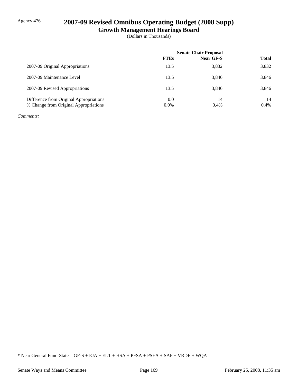# Agency 476 **2007-09 Revised Omnibus Operating Budget (2008 Supp)**

**Growth Management Hearings Board**

(Dollars in Thousands)

|                                         | <b>Senate Chair Proposal</b> |                  |              |  |
|-----------------------------------------|------------------------------|------------------|--------------|--|
|                                         | <b>FTEs</b>                  | <b>Near GF-S</b> | <b>Total</b> |  |
| 2007-09 Original Appropriations         | 13.5                         | 3,832            | 3,832        |  |
| 2007-09 Maintenance Level               | 13.5                         | 3,846            | 3,846        |  |
| 2007-09 Revised Appropriations          | 13.5                         | 3,846            | 3,846        |  |
| Difference from Original Appropriations | 0.0                          | 14               | 14           |  |
| % Change from Original Appropriations   | $0.0\%$                      | 0.4%             | 0.4%         |  |

*Comments:*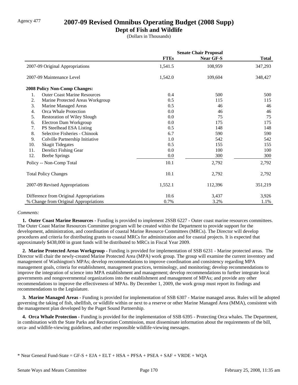# Agency 477 **2007-09 Revised Omnibus Operating Budget (2008 Supp)**

### **Dept of Fish and Wildlife**

(Dollars in Thousands)

|     |                                         | <b>Senate Chair Proposal</b> |                  |              |
|-----|-----------------------------------------|------------------------------|------------------|--------------|
|     |                                         | <b>FTEs</b>                  | <b>Near GF-S</b> | <b>Total</b> |
|     | 2007-09 Original Appropriations         | 1,541.5                      | 108,959          | 347,293      |
|     | 2007-09 Maintenance Level               | 1,542.0                      | 109,604          | 348,427      |
|     | 2008 Policy Non-Comp Changes:           |                              |                  |              |
| 1.  | <b>Outer Coast Marine Resources</b>     | 0.4                          | 500              | 500          |
| 2.  | Marine Protected Areas Workgroup        | 0.5                          | 115              | 115          |
| 3.  | Marine Managed Areas                    | 0.5                          | 46               | 46           |
| 4.  | Orca Whale Protection                   | 0.0                          | 46               | 46           |
| 5.  | <b>Restoration of Wiley Slough</b>      | 0.0                          | 75               | 75           |
| 6.  | Electron Dam Workgroup                  | 0.0                          | 175              | 175          |
| 7.  | PS Steelhead ESA Listing                | 0.5                          | 148              | 148          |
| 8.  | Selective Fisheries - Chinook           | 6.7                          | 590              | 590          |
| 9.  | Colville Partnership Initiative         | 1.0                          | 542              | 542          |
| 10. | <b>Skagit Tidegates</b>                 | 0.5                          | 155              | 155          |
| 11. | Derelict Fishing Gear                   | 0.0                          | 100              | 100          |
| 12. | <b>Beebe Springs</b>                    | $0.0\,$                      | 300              | 300          |
|     | Policy -- Non-Comp Total                | 10.1                         | 2,792            | 2,792        |
|     | <b>Total Policy Changes</b>             | 10.1                         | 2,792            | 2,792        |
|     | 2007-09 Revised Appropriations          | 1,552.1                      | 112,396          | 351,219      |
|     | Difference from Original Appropriations | 10.6                         | 3,437            | 3,926        |
|     | % Change from Original Appropriations   | 0.7%                         | 3.2%             | 1.1%         |

#### *Comments:*

 **1. Outer Coast Marine Resources -** Funding is provided to implement 2SSB 6227 - Outer coast marine resources committees. The Outer Coast Marine Resources Committee program will be created within the Department to provide support for the development, administration, and coordination of coastal Marine Resource Committees (MRCs). The Director will develop procedures and criteria for distributing grants to coastal MRCs for administration and for coastal projects. It is expected that approximately \$438,000 in grant funds will be distributed to MRCs in Fiscal Year 2009.

 **2. Marine Protected Areas Workgroup -** Funding is provided for implementation of SSB 6231 - Marine protected areas. The Director will chair the newly-created Marine Protected Area (MPA) work group. The group will examine the current inventory and management of Washington's MPAs; develop recommendations to improve coordination and consistency regarding MPA management goals, criteria for establishment, management practices, terminology, and monitoring; develop recommendations to improve the integration of science into MPA establishment and management; develop recommendations to further integrate local governments and nongovernmental organizations into the establishment and management of MPAs; and provide any other recommendations to improve the effectiveness of MPAs. By December 1, 2009, the work group must report its findings and recommendations to the Legislature.

 **3. Marine Managed Areas -** Funding is provided for implementation of SSB 6307 - Marine managed areas. Rules will be adopted governing the taking of fish, shellfish, or wildlife within or next to a reserve or other Marine Managed Area (MMA), consistent with the management plan developed by the Puget Sound Partnership.

 **4. Orca Whale Protection -** Funding is provided for the implementation of SSB 6395 - Protecting Orca whales. The Department, in combination with the State Parks and Recreation Commission, must disseminate information about the requirements of the bill, orca- and wildlife-viewing guidelines, and other responsible wildlife-viewing messages.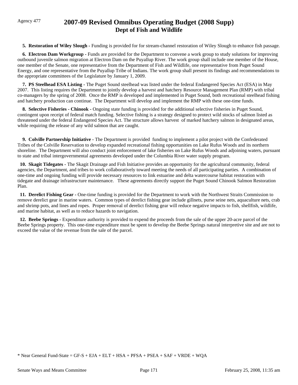# Agency 477 **2007-09 Revised Omnibus Operating Budget (2008 Supp) Dept of Fish and Wildlife**

 **5. Restoration of Wiley Slough -** Funding is provided for for stream-channel restoration of Wiley Slough to enhance fish passage.

**6. Electron Dam Workgroup - Funds are provided for the Department to convene a work group to study solutions for improving** outbound juvenile salmon migration at Electron Dam on the Puyallup River. The work group shall include one member of the House, one member of the Senate, one representative from the Department of Fish and Wildlife, one representative from Puget Sound Energy, and one representative from the Puyallup Tribe of Indians. The work group shall present its findings and recommendations to the appropriate committees of the Legislature by January 1, 2009.

 **7. PS Steelhead ESA Listing -** The Puget Sound steelhead was listed under the federal Endangered Species Act (ESA) in May 2007. This listing requires the Department to jointly develop a harvest and hatchery Resource Management Plan (RMP) with tribal co-managers by the spring of 2008. Once the RMP is developed and implemented in Puget Sound, both recreational steelhead fishing and hatchery production can continue. The Department will develop and implement the RMP with these one-time funds.

 **8. Selective Fisheries - Chinook -** Ongoing state funding is provided for the additional selective fisheries in Puget Sound, contingent upon receipt of federal match funding. Selective fishing is a strategy designed to protect wild stocks of salmon listed as threatened under the federal Endangered Species Act. The structure allows harvest of marked hatchery salmon in designated areas, while requiring the release of any wild salmon that are caught.

 **9. Colville Partnership Initiative -** The Department is provided funding to implement a pilot project with the Confederated Tribes of the Colville Reservation to develop expanded recreational fishing opportunities on Lake Rufus Woods and its northern shoreline. The Department will also conduct joint enforcement of lake fisheries on Lake Rufus Woods and adjoining waters, pursuant to state and tribal intergovernmental agreements developed under the Columbia River water supply program.

 **10. Skagit Tidegates -** The Skagit Drainage and Fish Initiative provides an opportunity for the agricultural community, federal agencies, the Department, and tribes to work collaboratively toward meeting the needs of all participating parties. A combination of one-time and ongoing funding will provide necessary resources to link estuarine and delta watercourse habitat restoration with tidegate and drainage infrastructure maintenance. These agreements directly support the Puget Sound Chinook Salmon Restoration Plan.

 **11. Derelict Fishing Gear -** One-time funding is provided for the Department to work with the Northwest Straits Commission to remove derelict gear in marine waters. Common types of derelict fishing gear include gillnets, purse seine nets, aquaculture nets, crab and shrimp pots, and lines and ropes. Proper removal of derelict fishing gear will reduce negative impacts to fish, shellfish, wildlife, and marine habitat, as well as to reduce hazards to navigation.

 **12. Beebe Springs -** Expenditure authority is provided to expend the proceeds from the sale of the upper 20-acre parcel of the Beebe Springs property. This one-time expenditure must be spent to develop the Beebe Springs natural interpretive site and are not to exceed the value of the revenue from the sale of the parcel.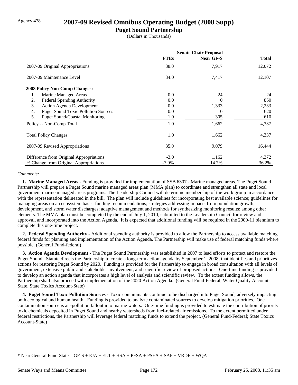### Agency 478 **2007-09 Revised Omnibus Operating Budget (2008 Supp)**

### **Puget Sound Partnership**

(Dollars in Thousands)

|                                                  | <b>Senate Chair Proposal</b> |                  |        |  |
|--------------------------------------------------|------------------------------|------------------|--------|--|
|                                                  | <b>FTEs</b>                  | <b>Near GF-S</b> | Total  |  |
| 2007-09 Original Appropriations                  | 38.0                         | 7,917            | 12,072 |  |
| 2007-09 Maintenance Level                        | 34.0                         | 7,417            | 12,107 |  |
| <b>2008 Policy Non-Comp Changes:</b>             |                              |                  |        |  |
| Marine Managed Areas<br>1.                       | 0.0                          | 24               | 24     |  |
| <b>Federal Spending Authority</b><br>2.          | 0.0                          | 0                | 850    |  |
| 3.<br><b>Action Agenda Development</b>           | 0.0                          | 1,333            | 2,233  |  |
| <b>Puget Sound Toxic Pollution Sources</b><br>4. | 0.0                          | $\Omega$         | 620    |  |
| 5.<br><b>Puget Sound/Coastal Monitoring</b>      | 1.0                          | 305              | 610    |  |
| Policy -- Non-Comp Total                         | 1.0                          | 1,662            | 4,337  |  |
| <b>Total Policy Changes</b>                      | 1.0                          | 1,662            | 4,337  |  |
| 2007-09 Revised Appropriations                   | 35.0                         | 9,079            | 16,444 |  |
| Difference from Original Appropriations          | $-3.0$                       | 1,162            | 4,372  |  |
| % Change from Original Appropriations            | $-7.9\%$                     | 14.7%            | 36.2%  |  |

#### *Comments:*

 **1. Marine Managed Areas -** Funding is provided for implementation of SSB 6307 - Marine managed areas. The Puget Sound Partnership will prepare a Puget Sound marine managed areas plan (MMA plan) to coordinate and strengthen all state and local government marine managed areas programs. The Leadership Council will determine membership of the work group in accordance with the representation delineated in the bill. The plan will include guidelines for incorporating best available science; guidelines for managing areas on an ecosystem basis; funding recommendations; strategies addressing impacts from population growth, development, and storm water discharges; adaptive management and methods for synthesizing monitoring results; among other elements. The MMA plan must be completed by the end of July 1, 2010, submitted to the Leadership Council for review and approval, and incorporated into the Action Agenda. It is expected that additional funding will be required in the 2009-11 biennium to complete this one-time project.

 **2. Federal Spending Authority -** Additional spending authority is provided to allow the Partnership to access available matching federal funds for planning and implementation of the Action Agenda. The Partnership will make use of federal matching funds where possible. (General Fund-federal)

 **3. Action Agenda Development -** The Puget Sound Partnership was established in 2007 to lead efforts to protect and restore the Puget Sound. Statute directs the Partnership to create a long-term action agenda by September 1, 2008, that identifies and prioritizes actions for restoring Puget Sound by 2020. Funding is provided for the Partnership to engage in broad consultation with all levels of government, extensive public and stakeholder involvement, and scientific review of proposed actions. One-time funding is provided to develop an action agenda that incorporates a high level of analysis and scientific review. To the extent funding allows, the Partnership shall also proceed with implementation of the 2020 Action Agenda. (General Fund-Federal, Water Quality Account-State, State Toxics Account-State)

 **4. Puget Sound Toxic Pollution Sources -** Toxic contaminants continue to be discharged into Puget Sound, adversely impacting both ecological and human health. Funding is provided to analyze contaminated sources to develop mitigation priorities. One contamination source is air-pollution fallout into marine waters. One-time funding is provided to estimate the contribution of priority toxic chemicals deposited in Puget Sound and nearby watersheds from fuel-related air emissions. To the extent permitted under federal restrictions, the Partnership will leverage federal matching funds to extend the project. (General Fund-Federal; State Toxics Account-State)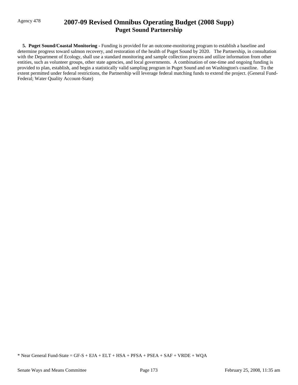## Agency 478 **2007-09 Revised Omnibus Operating Budget (2008 Supp) Puget Sound Partnership**

 **5. Puget Sound/Coastal Monitoring -** Funding is provided for an outcome-monitoring program to establish a baseline and determine progress toward salmon recovery, and restoration of the health of Puget Sound by 2020. The Partnership, in consultation with the Department of Ecology, shall use a standard monitoring and sample collection process and utilize information from other entities, such as volunteer groups, other state agencies, and local governments. A combination of one-time and ongoing funding is provided to plan, establish, and begin a statistically valid sampling program in Puget Sound and on Washington's coastline. To the extent permitted under federal restrictions, the Partnership will leverage federal matching funds to extend the project. (General Fund-Federal; Water Quality Account-State)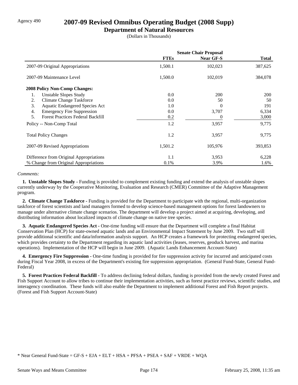### Agency 490 **2007-09 Revised Omnibus Operating Budget (2008 Supp)**

### **Department of Natural Resources**

(Dollars in Thousands)

|                                                | <b>Senate Chair Proposal</b> |                  |              |  |
|------------------------------------------------|------------------------------|------------------|--------------|--|
|                                                | <b>FTEs</b>                  | <b>Near GF-S</b> | <b>Total</b> |  |
| 2007-09 Original Appropriations                | 1,500.1                      | 102,023          | 387,625      |  |
| 2007-09 Maintenance Level                      | 1,500.0                      | 102,019          | 384,078      |  |
| <b>2008 Policy Non-Comp Changes:</b>           |                              |                  |              |  |
| Unstable Slopes Study<br>1.                    | 0.0                          | <b>200</b>       | <b>200</b>   |  |
| <b>Climate Change Taskforce</b><br>2.          | 0.0                          | 50               | 50           |  |
| Aquatic Endangered Species Act<br>3.           | 1.0                          | $\Omega$         | 191          |  |
| <b>Emergency Fire Suppression</b><br>4.        | 0.0                          | 3,707            | 6,334        |  |
| 5.<br><b>Forest Practices Federal Backfill</b> | 0.2                          | $\theta$         | 3,000        |  |
| Policy -- Non-Comp Total                       | 1.2                          | 3,957            | 9,775        |  |
| <b>Total Policy Changes</b>                    | 1.2                          | 3,957            | 9,775        |  |
| 2007-09 Revised Appropriations                 | 1,501.2                      | 105,976          | 393,853      |  |
| Difference from Original Appropriations        | 1.1                          | 3,953            | 6,228        |  |
| % Change from Original Appropriations          | 0.1%                         | 3.9%             | 1.6%         |  |

#### *Comments:*

 **1. Unstable Slopes Study -** Funding is provided to complement existing funding and extend the analysis of unstable slopes currently underway by the Cooperative Monitoring, Evaluation and Research (CMER) Committee of the Adaptive Management program.

 **2. Climate Change Taskforce -** Funding is provided for the Department to participate with the regional, multi-organization taskforce of forest scientists and land managers formed to develop science-based management options for forest landowners to manage under alternative climate change scenarios. The department will develop a project aimed at acquiring, developing, and distributing information about localized impacts of climate change on native tree species.

 **3. Aquatic Endangered Species Act -** One-time funding will ensure that the Department will complete a final Habitat Conservation Plan (HCP) for state-owned aquatic lands and an Environmental Impact Statement by June 2009. Two staff will provide additional scientific and data/information analysis support. An HCP creates a framework for protecting endangered species, which provides certainty to the Department regarding its aquatic land activities (leases, reserves, geoduck harvest, and marina operations). Implementation of the HCP will begin in June 2009. (Aquatic Lands Enhancement Account-State)

 **4. Emergency Fire Suppression -** One-time funding is provided for fire suppression activity for incurred and anticipated costs during Fiscal Year 2008, in excess of the Department's existing fire suppression appropriation. (General Fund-State, General Fund-Federal)

 **5. Forest Practices Federal Backfill -** To address declining federal dollars, funding is provided from the newly created Forest and Fish Support Account to allow tribes to continue their implementation activities, such as forest practice reviews, scientific studies, and interagency coordination. These funds will also enable the Department to implement additional Forest and Fish Report projects. (Forest and Fish Support Account-State)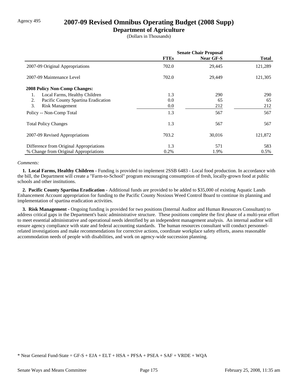## Agency 495 **2007-09 Revised Omnibus Operating Budget (2008 Supp)**

### **Department of Agriculture**

(Dollars in Thousands)

|                                           | <b>Senate Chair Proposal</b> |                  |              |
|-------------------------------------------|------------------------------|------------------|--------------|
|                                           | <b>FTEs</b>                  | <b>Near GF-S</b> | <b>Total</b> |
| 2007-09 Original Appropriations           | 702.0                        | 29,445           | 121,289      |
| 2007-09 Maintenance Level                 | 702.0                        | 29,449           | 121,305      |
| <b>2008 Policy Non-Comp Changes:</b>      |                              |                  |              |
| Local Farms, Healthy Children             | 1.3                          | 290              | 290          |
| Pacific County Spartina Eradication<br>2. | 0.0                          | 65               | 65           |
| 3.<br><b>Risk Management</b>              | 0.0                          | 212              | 212          |
| Policy -- Non-Comp Total                  | 1.3                          | 567              | 567          |
| <b>Total Policy Changes</b>               | 1.3                          | 567              | 567          |
| 2007-09 Revised Appropriations            | 703.2                        | 30,016           | 121,872      |
| Difference from Original Appropriations   | 1.3                          | 571              | 583          |
| % Change from Original Appropriations     | 0.2%                         | 1.9%             | $0.5\%$      |

#### *Comments:*

 **1. Local Farms, Healthy Children -** Funding is provided to implement 2SSB 6483 - Local food production. In accordance with the bill, the Department will create a "Farm-to-School" program encouraging consumption of fresh, locally-grown food at public schools and other institutions.

 **2. Pacific County Spartina Eradication -** Additional funds are provided to be added to \$35,000 of existing Aquatic Lands Enhancement Account appropriation for funding to the Pacific County Noxious Weed Control Board to continue its planning and implementation of spartina eradication activities.

 **3. Risk Management -** Ongoing funding is provided for two positions (Internal Auditor and Human Resources Consultant) to address critical gaps in the Department's basic administrative structure. These positions complete the first phase of a multi-year effort to meet essential administrative and operational needs identified by an independent management analysis. An internal auditor will ensure agency compliance with state and federal accounting standards. The human resources consultant will conduct personnelrelated investigations and make recommendations for corrective actions, coordinate workplace safety efforts, assess reasonable accommodation needs of people with disabilities, and work on agency-wide succession planning.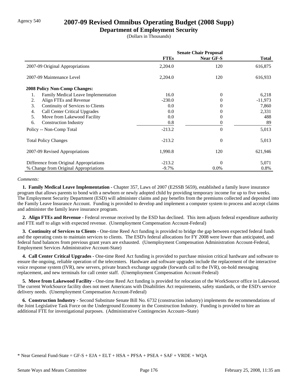## Agency 540 **2007-09 Revised Omnibus Operating Budget (2008 Supp)**

### **Department of Employment Security**

(Dollars in Thousands)

|                                            | <b>Senate Chair Proposal</b> |                  |           |  |
|--------------------------------------------|------------------------------|------------------|-----------|--|
|                                            | <b>FTEs</b>                  | <b>Near GF-S</b> | Total     |  |
| 2007-09 Original Appropriations            | 2,204.0                      | 120              | 616,875   |  |
| 2007-09 Maintenance Level                  | 2,204.0                      | 120              | 616,933   |  |
| <b>2008 Policy Non-Comp Changes:</b>       |                              |                  |           |  |
| Family Medical Leave Implementation<br>1.  | 16.0                         | 0                | 6,218     |  |
| Align FTEs and Revenue<br>2.               | $-230.0$                     | 0                | $-11,973$ |  |
| Continuity of Services to Clients<br>3.    | 0.0                          | $_{0}$           | 7,860     |  |
| <b>Call Center Critical Upgrades</b><br>4. | 0.0                          | 0                | 2,331     |  |
| 5.<br>Move from Lakewood Facility          | 0.0                          | $_{0}$           | 488       |  |
| 6.<br><b>Construction Industry</b>         | 0.8                          | $_{0}$           | 89        |  |
| Policy -- Non-Comp Total                   | $-213.2$                     | $\theta$         | 5,013     |  |
| <b>Total Policy Changes</b>                | $-213.2$                     | $\overline{0}$   | 5,013     |  |
| 2007-09 Revised Appropriations             | 1,990.8                      | 120              | 621,946   |  |
| Difference from Original Appropriations    | $-213.2$                     | $\Omega$         | 5,071     |  |
| % Change from Original Appropriations      | $-9.7\%$                     | $0.0\%$          | 0.8%      |  |

#### *Comments:*

 **1. Family Medical Leave Implementation -** Chapter 357, Laws of 2007 (E2SSB 5659), established a family leave insurance program that allows parents to bond with a newborn or newly adopted child by providing temporary income for up to five weeks. The Employment Security Department (ESD) will administer claims and pay benefits from the premiums collected and deposited into the Family Leave Insurance Account. Funding is provided to develop and implement a computer system to process and accept claims and administer the family leave insurance program.

 **2. Align FTEs and Revenue -** Federal revenue received by the ESD has declined. This item adjusts federal expenditure authority and FTE staff to align with expected revenue. (Unemployment Compensation Account-Federal)

 **3. Continuity of Services to Clients -** One-time Reed Act funding is provided to bridge the gap between expected federal funds and the operating costs to maintain services to clients. The ESD's federal allocations for FY 2008 were lower than anticipated, and federal fund balances from previous grant years are exhausted. (Unemployment Compensation Administration Account-Federal, Employment Services Administrative Account-State)

 **4. Call Center Critical Upgrades -** One-time Reed Act funding is provided to purchase mission critical hardware and software to ensure the ongoing, reliable operation of the telecenters. Hardware and software upgrades include the replacement of the interactive voice response system (IVR), new servers, private branch exchange upgrade (forwards call to the IVR), on-hold messaging replacement, and new terminals for call center staff. (Unemployment Compensation Account-Federal)

 **5. Move from Lakewood Facility -** One-time Reed Act funding is provided for relocation of the WorkSource office in Lakewood. The current WorkSource facility does not meet Americans with Disabilities Act requirements, safety standards, or the ESD's service delivery needs. (Unemployment Compensation Account-Federal)

 **6. Construction Industry -** Second Substitute Senate Bill No. 6732 (construction industry) implements the recommendations of the Joint Legislative Task Force on the Underground Economy in the Construction Industry. Funding is provided to hire an additional FTE for investigational purposes. (Administrative Contingencies Account--State)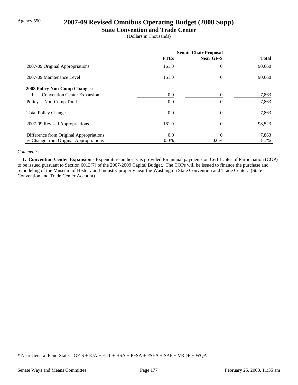## Agency 550 **2007-09 Revised Omnibus Operating Budget (2008 Supp)**

### **State Convention and Trade Center**

(Dollars in Thousands)

|                                          | <b>Senate Chair Proposal</b> |                  |              |
|------------------------------------------|------------------------------|------------------|--------------|
|                                          | <b>FTEs</b>                  | Near GF-S        | <b>Total</b> |
| 2007-09 Original Appropriations          | 161.0                        | $\overline{0}$   | 90,660       |
| 2007-09 Maintenance Level                | 161.0                        | $\boldsymbol{0}$ | 90,660       |
| <b>2008 Policy Non-Comp Changes:</b>     |                              |                  |              |
| <b>Convention Center Expansion</b><br>1. | 0.0                          | 0                | 7,863        |
| Policy -- Non-Comp Total                 | 0.0                          | $\overline{0}$   | 7,863        |
| <b>Total Policy Changes</b>              | 0.0                          | $\overline{0}$   | 7,863        |
| 2007-09 Revised Appropriations           | 161.0                        | $\overline{0}$   | 98,523       |
| Difference from Original Appropriations  | 0.0                          | $\overline{0}$   | 7,863        |
| % Change from Original Appropriations    | 0.0%                         | $0.0\%$          | 8.7%         |

#### *Comments:*

 **1. Convention Center Expansion -** Expenditure authority is provided for annual payments on Certificates of Participation (COP) to be issued pursuant to Section 6013(7) of the 2007-2009 Capital Budget. The COPs will be issued to finance the purchase and remodeling of the Museum of History and Industry property near the Washington State Convention and Trade Center. (State Convention and Trade Center Account)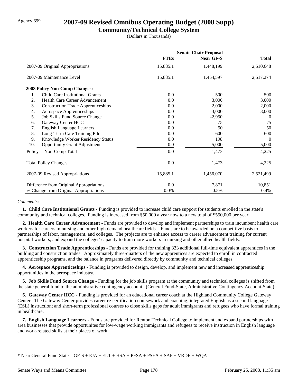## Agency 699 **2007-09 Revised Omnibus Operating Budget (2008 Supp)**

### **Community/Technical College System**

(Dollars in Thousands)

|     |                                           | <b>Senate Chair Proposal</b> |                  |              |
|-----|-------------------------------------------|------------------------------|------------------|--------------|
|     |                                           | <b>FTEs</b>                  | <b>Near GF-S</b> | <b>Total</b> |
|     | 2007-09 Original Appropriations           | 15,885.1                     | 1,448,199        | 2,510,648    |
|     | 2007-09 Maintenance Level                 | 15,885.1                     | 1,454,597        | 2,517,274    |
|     | <b>2008 Policy Non-Comp Changes:</b>      |                              |                  |              |
| 1.  | Child Care Institutional Grants           | 0.0                          | 500              | 500          |
| 2.  | Health Care Career Advancement            | 0.0                          | 3,000            | 3,000        |
| 3.  | <b>Construction Trade Apprenticeships</b> | 0.0                          | 2,000            | 2,000        |
| 4.  | Aerospace Apprenticeships                 | 0.0                          | 3,000            | 3,000        |
| 5.  | Job Skills Fund Source Change             | 0.0                          | $-2,950$         | $\theta$     |
| 6.  | Gateway Center HCC                        | 0.0                          | 75               | 75           |
| 7.  | <b>English Language Learners</b>          | 0.0                          | 50               | 50           |
| 8.  | Long-Term Care Training Pilot             | 0.0                          | 600              | 600          |
| 9.  | Knowledge Worker Residency Status         | 0.0                          | 198              | $\Omega$     |
| 10. | <b>Opportunity Grant Adjustment</b>       | 0.0                          | $-5,000$         | $-5,000$     |
|     | Policy -- Non-Comp Total                  | 0.0                          | 1,473            | 4,225        |
|     | <b>Total Policy Changes</b>               | 0.0                          | 1,473            | 4,225        |
|     | 2007-09 Revised Appropriations            | 15,885.1                     | 1,456,070        | 2,521,499    |
|     | Difference from Original Appropriations   | 0.0                          | 7,871            | 10,851       |
|     | % Change from Original Appropriations     | 0.0%                         | 0.5%             | 0.4%         |

#### *Comments:*

 **1. Child Care Institutional Grants -** Funding is provided to increase child care support for students enrolled in the state's community and technical colleges. Funding is increased from \$50,000 a year now to a new total of \$550,000 per year.

 **2. Health Care Career Advancement -** Funds are provided to develop and implement partnerships to train incumbent health care workers for careers in nursing and other high demand healthcare fields. Funds are to be awarded on a competitive basis to partnerships of labor, management, and colleges. The projects are to enhance access to career advancement training for current hospital workers, and expand the colleges' capacity to train more workers in nursing and other allied health fields.

**3. Construction Trade Apprenticeships - Funds are provided for training 333 additional full-time equivalent apprentices in the** building and construction trades. Approximately three-quarters of the new apprentices are expected to enroll in contracted apprenticeship programs, and the balance in programs delivered directly by community and technical colleges.

 **4. Aerospace Apprenticeships -** Funding is provided to design, develop, and implement new and increased apprenticeship opportunities in the aerospace industry.

 **5. Job Skills Fund Source Change -** Funding for the job skills program at the community and technical colleges is shifted from the state general fund to the administrative contingency account. (General Fund-State, Administrative Contingency Account-State)

 **6. Gateway Center HCC -** Funding is provided for an educational career coach at the Highland Community College Gateway Center. The Gateway Center provides career re-certification coursework and coaching; integrated English as a second language (ESL) instruction; and short-term professional courses to close skills gaps for adult immigrants and refugees who have formal training in healthcare.

 **7. English Language Learners -** Funds are provided for Renton Technical College to implement and expand partnerships with area businesses that provide opportunites for low-wage working immigrants and refugees to receive instruction in English language and work-related skills at their places of work.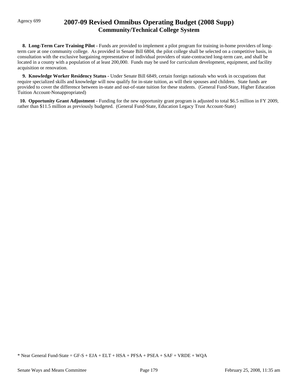## Agency 699 **2007-09 Revised Omnibus Operating Budget (2008 Supp) Community/Technical College System**

**8. Long-Term Care Training Pilot - Funds are provided to implement a pilot program for training in-home providers of long**term care at one community college. As provided in Senate Bill 6804, the pilot college shall be selected on a competitive basis, in consultation with the exclusive bargaining representative of individual providers of state-contracted long-term care, and shall be located in a county with a population of at least 200,000. Funds may be used for curriculum development, equipment, and facility acquisition or renovation.

 **9. Knowledge Worker Residency Status -** Under Senate Bill 6849, certain foreign nationals who work in occupations that require specialized skills and knowledge will now qualify for in-state tuition, as will their spouses and children. State funds are provided to cover the difference between in-state and out-of-state tuition for these students. (General Fund-State, Higher Education Tuition Account-Nonappropriated)

 **10. Opportunity Grant Adjustment -** Funding for the new opportunity grant program is adjusted to total \$6.5 million in FY 2009, rather than \$11.5 million as previously budgeted. (General Fund-State, Education Legacy Trust Account-State)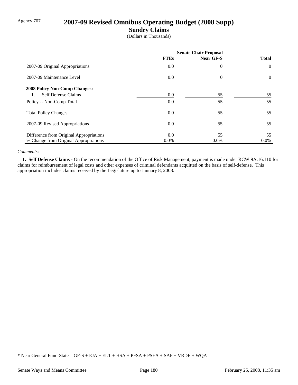# Agency 707 **2007-09 Revised Omnibus Operating Budget (2008 Supp)**

### **Sundry Claims**

(Dollars in Thousands)

|                                         | <b>Senate Chair Proposal</b> |                  |                |
|-----------------------------------------|------------------------------|------------------|----------------|
|                                         | <b>FTEs</b>                  | <b>Near GF-S</b> | <b>Total</b>   |
| 2007-09 Original Appropriations         | $0.0\,$                      | $\overline{0}$   | $\overline{0}$ |
| 2007-09 Maintenance Level               | 0.0                          | $\overline{0}$   | $\overline{0}$ |
| <b>2008 Policy Non-Comp Changes:</b>    |                              |                  |                |
| <b>Self Defense Claims</b>              | $0.0\,$                      | 55               | 55             |
| Policy -- Non-Comp Total                | $0.0\,$                      | 55               | 55             |
| <b>Total Policy Changes</b>             | $0.0\,$                      | 55               | 55             |
| 2007-09 Revised Appropriations          | $0.0\,$                      | 55               | 55             |
| Difference from Original Appropriations | 0.0                          | 55               | 55             |
| % Change from Original Appropriations   | $0.0\%$                      | $0.0\%$          | $0.0\%$        |

#### *Comments:*

 **1. Self Defense Claims -** On the recommendation of the Office of Risk Management, payment is made under RCW 9A.16.110 for claims for reimbursement of legal costs and other expenses of criminal defendants acquitted on the basis of self-defense. This appropriation includes claims received by the Legislature up to January 8, 2008.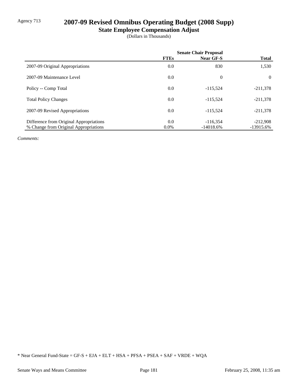# Agency 713 **2007-09 Revised Omnibus Operating Budget (2008 Supp)**

# **State Employee Compensation Adjust**

(Dollars in Thousands)

|                                         | <b>Senate Chair Proposal</b> |             |                |
|-----------------------------------------|------------------------------|-------------|----------------|
|                                         | <b>FTEs</b>                  | Near GF-S   | <b>Total</b>   |
| 2007-09 Original Appropriations         | 0.0                          | 830         | 1,530          |
| 2007-09 Maintenance Level               | 0.0                          | $\theta$    | $\overline{0}$ |
| Policy -- Comp Total                    | 0.0                          | $-115.524$  | $-211,378$     |
| <b>Total Policy Changes</b>             | 0.0                          | $-115.524$  | $-211,378$     |
| 2007-09 Revised Appropriations          | 0.0                          | $-115.524$  | $-211,378$     |
| Difference from Original Appropriations | 0.0                          | $-116,354$  | $-212,908$     |
| % Change from Original Appropriations   | $0.0\%$                      | $-14018.6%$ | $-13915.6%$    |

*Comments:*